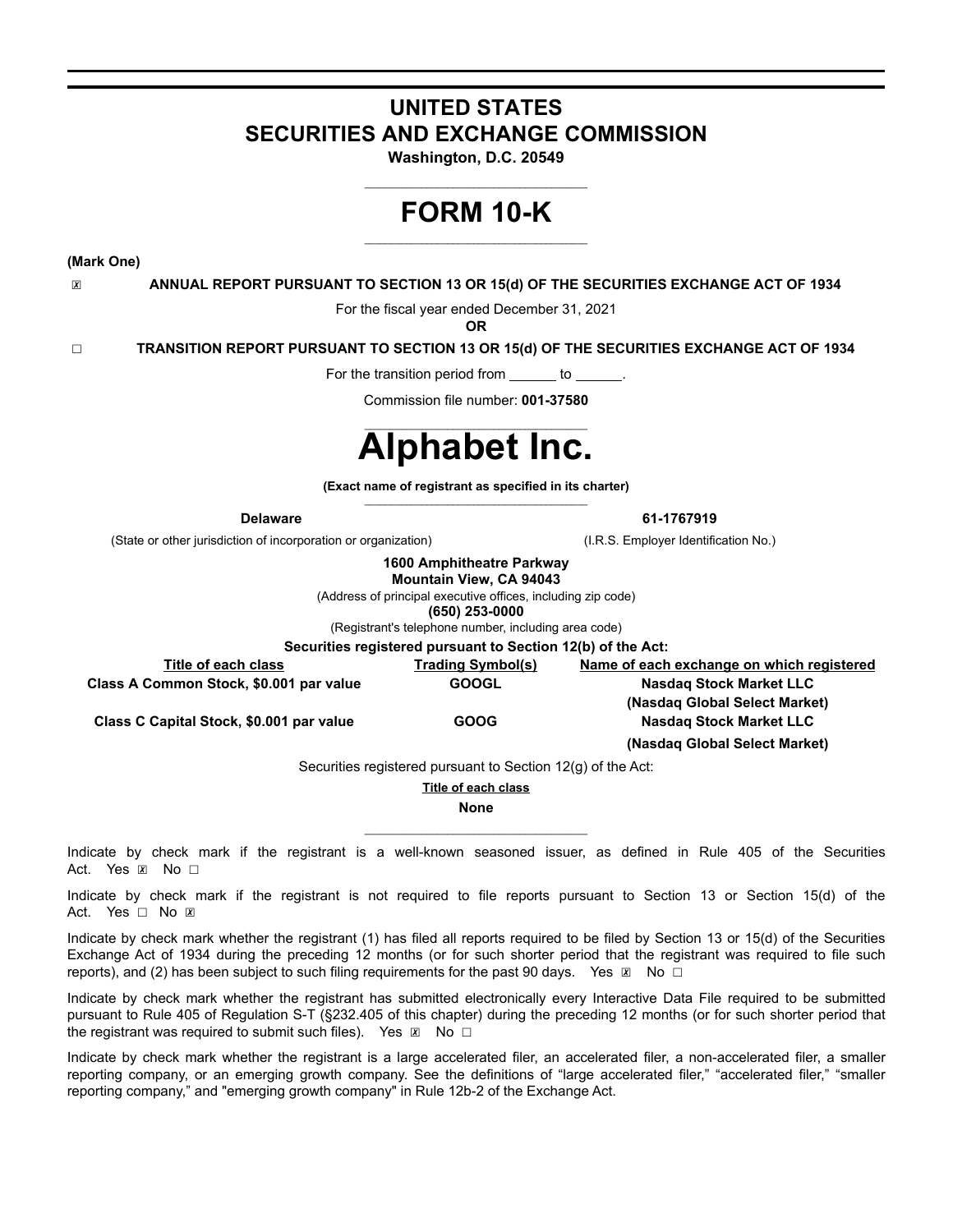# **UNITED STATES SECURITIES AND EXCHANGE COMMISSION**

**Washington, D.C. 20549**

# **FORM 10-K**

**(Mark One)**

☒ **ANNUAL REPORT PURSUANT TO SECTION 13 OR 15(d) OF THE SECURITIES EXCHANGE ACT OF 1934**

For the fiscal year ended December 31, 2021

**OR**

☐ **TRANSITION REPORT PURSUANT TO SECTION 13 OR 15(d) OF THE SECURITIES EXCHANGE ACT OF 1934**

For the transition period from \_\_\_\_\_\_ to \_\_

Commission file number: **001-37580**

# **Alphabet Inc.**

**(Exact name of registrant as specified in its charter)**

(State or other jurisdiction of incorporation or organization) (I.R.S. Employer Identification No.)

**1600 Amphitheatre Parkway Mountain View, CA 94043**

(Address of principal executive offices, including zip code)

**(650) 253-0000** 

(Registrant's telephone number, including area code)

**Securities registered pursuant to Section 12(b) of the Act:**

| Title of each class                      | <b>Trading Symbol(s)</b> | Name of each exchange on which registered |
|------------------------------------------|--------------------------|-------------------------------------------|
| Class A Common Stock, \$0.001 par value  | <b>GOOGL</b>             | <b>Nasdag Stock Market LLC</b>            |
|                                          |                          | (Nasdag Global Select Market)             |
| Class C Capital Stock, \$0.001 par value | <b>GOOG</b>              | <b>Nasdag Stock Market LLC</b>            |
|                                          |                          | (Nasdag Global Select Market)             |
|                                          |                          |                                           |

Securities registered pursuant to Section 12(g) of the Act:

**Title of each class**

**None**  $\mathcal{L}_\text{max}$  and the contract of the contract of the contract of the contract of the contract of the contract of the contract of the contract of the contract of the contract of the contract of the contract of the contrac

Indicate by check mark if the registrant is a well-known seasoned issuer, as defined in Rule 405 of the Securities Act. Yes **x** No □

Indicate by check mark if the registrant is not required to file reports pursuant to Section 13 or Section 15(d) of the Act. Yes □ No **⊠** 

Indicate by check mark whether the registrant (1) has filed all reports required to be filed by Section 13 or 15(d) of the Securities Exchange Act of 1934 during the preceding 12 months (or for such shorter period that the registrant was required to file such reports), and (2) has been subject to such filing requirements for the past 90 days. Yes  $\boxtimes$  No  $\Box$ 

Indicate by check mark whether the registrant has submitted electronically every Interactive Data File required to be submitted pursuant to Rule 405 of Regulation S-T (§232.405 of this chapter) during the preceding 12 months (or for such shorter period that the registrant was required to submit such files). Yes  $\boxtimes$  No  $\Box$ 

Indicate by check mark whether the registrant is a large accelerated filer, an accelerated filer, a non-accelerated filer, a smaller reporting company, or an emerging growth company. See the definitions of "large accelerated filer," "accelerated filer," "smaller reporting company," and "emerging growth company" in Rule 12b-2 of the Exchange Act.

**Delaware 61-1767919**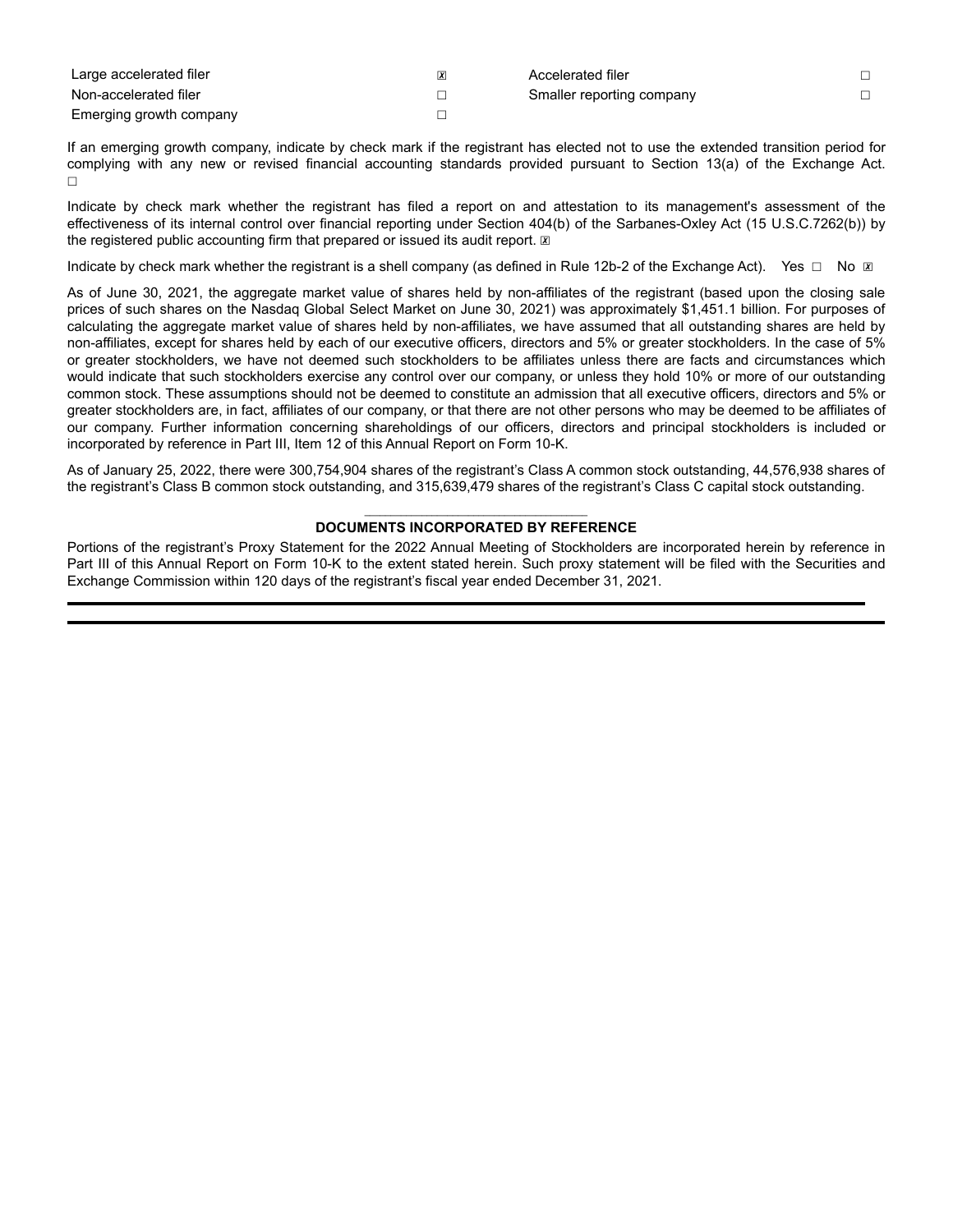| Large accelerated filer | $\overline{\mathbf{x}}$ | Accelerated filer         |  |
|-------------------------|-------------------------|---------------------------|--|
| Non-accelerated filer   |                         | Smaller reporting company |  |
| Emerging growth company |                         |                           |  |

If an emerging growth company, indicate by check mark if the registrant has elected not to use the extended transition period for complying with any new or revised financial accounting standards provided pursuant to Section 13(a) of the Exchange Act.  $\Box$ 

Indicate by check mark whether the registrant has filed a report on and attestation to its management's assessment of the effectiveness of its internal control over financial reporting under Section 404(b) of the Sarbanes-Oxley Act (15 U.S.C.7262(b)) by the registered public accounting firm that prepared or issued its audit report.  $\boxtimes$ 

Indicate by check mark whether the registrant is a shell company (as defined in Rule 12b-2 of the Exchange Act). Yes □ No **Z** 

As of June 30, 2021, the aggregate market value of shares held by non-affiliates of the registrant (based upon the closing sale prices of such shares on the Nasdaq Global Select Market on June 30, 2021) was approximately \$1,451.1 billion. For purposes of calculating the aggregate market value of shares held by non-affiliates, we have assumed that all outstanding shares are held by non-affiliates, except for shares held by each of our executive officers, directors and 5% or greater stockholders. In the case of 5% or greater stockholders, we have not deemed such stockholders to be affiliates unless there are facts and circumstances which would indicate that such stockholders exercise any control over our company, or unless they hold 10% or more of our outstanding common stock. These assumptions should not be deemed to constitute an admission that all executive officers, directors and 5% or greater stockholders are, in fact, affiliates of our company, or that there are not other persons who may be deemed to be affiliates of our company. Further information concerning shareholdings of our officers, directors and principal stockholders is included or incorporated by reference in Part III, Item 12 of this Annual Report on Form 10-K.

As of January 25, 2022, there were 300,754,904 shares of the registrant's Class A common stock outstanding, 44,576,938 shares of the registrant's Class B common stock outstanding, and 315,639,479 shares of the registrant's Class C capital stock outstanding.

#### $\mathcal{L}_\text{max}$  and  $\mathcal{L}_\text{max}$  and  $\mathcal{L}_\text{max}$  and  $\mathcal{L}_\text{max}$  and  $\mathcal{L}_\text{max}$ **DOCUMENTS INCORPORATED BY REFERENCE**

Portions of the registrant's Proxy Statement for the 2022 Annual Meeting of Stockholders are incorporated herein by reference in Part III of this Annual Report on Form 10-K to the extent stated herein. Such proxy statement will be filed with the Securities and Exchange Commission within 120 days of the registrant's fiscal year ended December 31, 2021.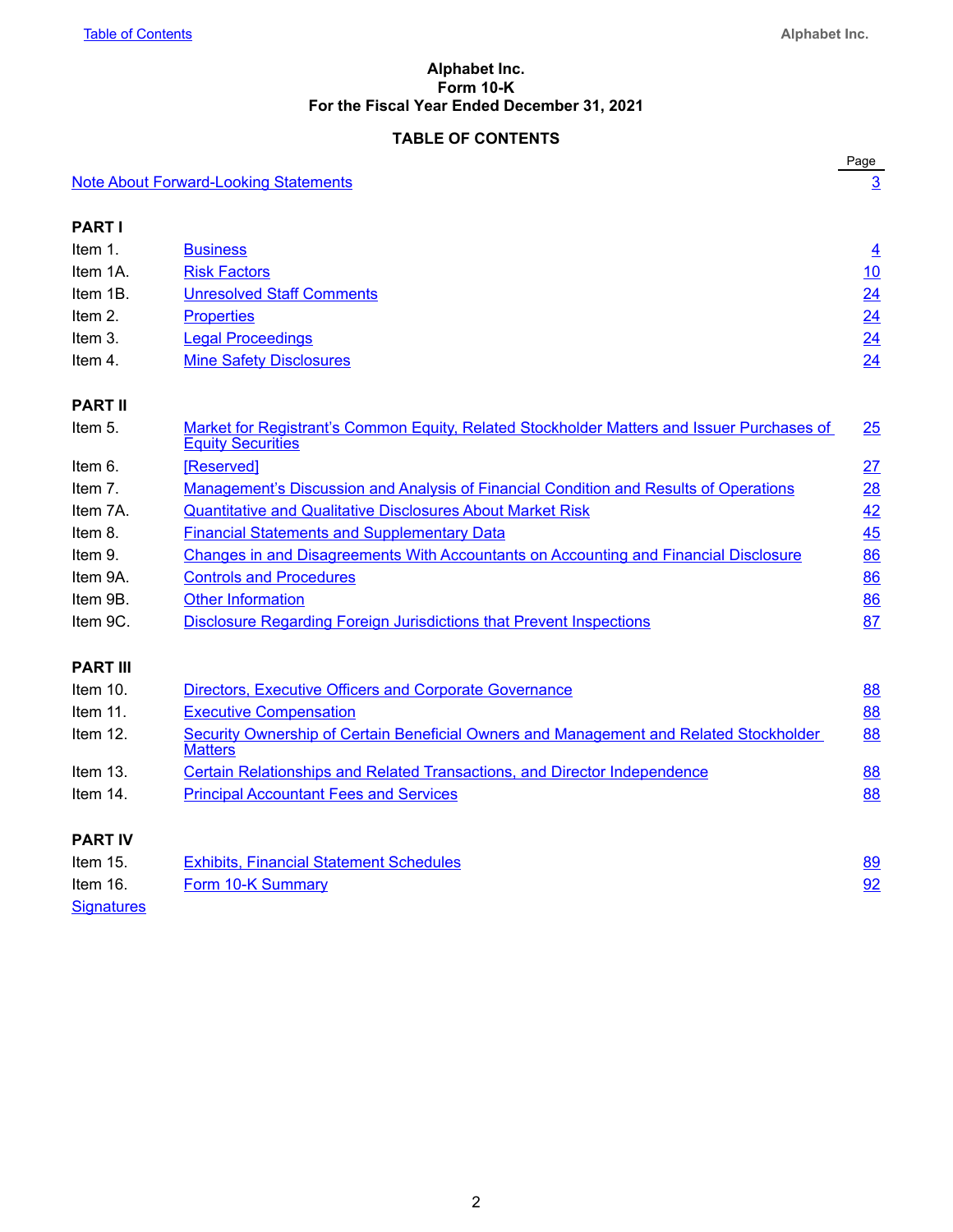# **Alphabet Inc. Form 10-K For the Fiscal Year Ended December 31, 2021**

# **TABLE OF CONTENTS**

<span id="page-2-0"></span>

|                   |                                                                                                                        | Page            |
|-------------------|------------------------------------------------------------------------------------------------------------------------|-----------------|
|                   | <b>Note About Forward-Looking Statements</b>                                                                           | $\overline{3}$  |
| <b>PARTI</b>      |                                                                                                                        |                 |
| Item 1.           | <b>Business</b>                                                                                                        | $\overline{4}$  |
| Item 1A.          | <b>Risk Factors</b>                                                                                                    | 10              |
| Item 1B.          | <b>Unresolved Staff Comments</b>                                                                                       | 24              |
| Item 2.           | <b>Properties</b>                                                                                                      | $\overline{24}$ |
| Item 3.           | <b>Legal Proceedings</b>                                                                                               | 24              |
| Item 4.           | <b>Mine Safety Disclosures</b>                                                                                         | 24              |
| <b>PART II</b>    |                                                                                                                        |                 |
| Item 5.           | Market for Registrant's Common Equity, Related Stockholder Matters and Issuer Purchases of<br><b>Equity Securities</b> | 25              |
| Item 6.           | [Reserved]                                                                                                             | 27              |
| Item 7.           | Management's Discussion and Analysis of Financial Condition and Results of Operations                                  | 28              |
| Item 7A.          | <b>Quantitative and Qualitative Disclosures About Market Risk</b>                                                      | 42              |
| Item 8.           | <b>Financial Statements and Supplementary Data</b>                                                                     | 45              |
| Item 9.           | Changes in and Disagreements With Accountants on Accounting and Financial Disclosure                                   | 86              |
| Item 9A.          | <b>Controls and Procedures</b>                                                                                         | 86              |
| Item 9B.          | <b>Other Information</b>                                                                                               | 86              |
| Item 9C.          | <b>Disclosure Regarding Foreign Jurisdictions that Prevent Inspections</b>                                             | 87              |
| <b>PART III</b>   |                                                                                                                        |                 |
| Item 10.          | <b>Directors, Executive Officers and Corporate Governance</b>                                                          | 88              |
| Item $11$ .       | <b>Executive Compensation</b>                                                                                          | 88              |
| Item 12.          | <b>Security Ownership of Certain Beneficial Owners and Management and Related Stockholder</b><br><b>Matters</b>        | 88              |
| Item $13.$        | Certain Relationships and Related Transactions, and Director Independence                                              | 88              |
| Item 14.          | <b>Principal Accountant Fees and Services</b>                                                                          | 88              |
| <b>PART IV</b>    |                                                                                                                        |                 |
| Item 15.          | <b>Exhibits, Financial Statement Schedules</b>                                                                         | 89              |
| Item 16.          | Form 10-K Summary                                                                                                      | 92              |
| <b>Signatures</b> |                                                                                                                        |                 |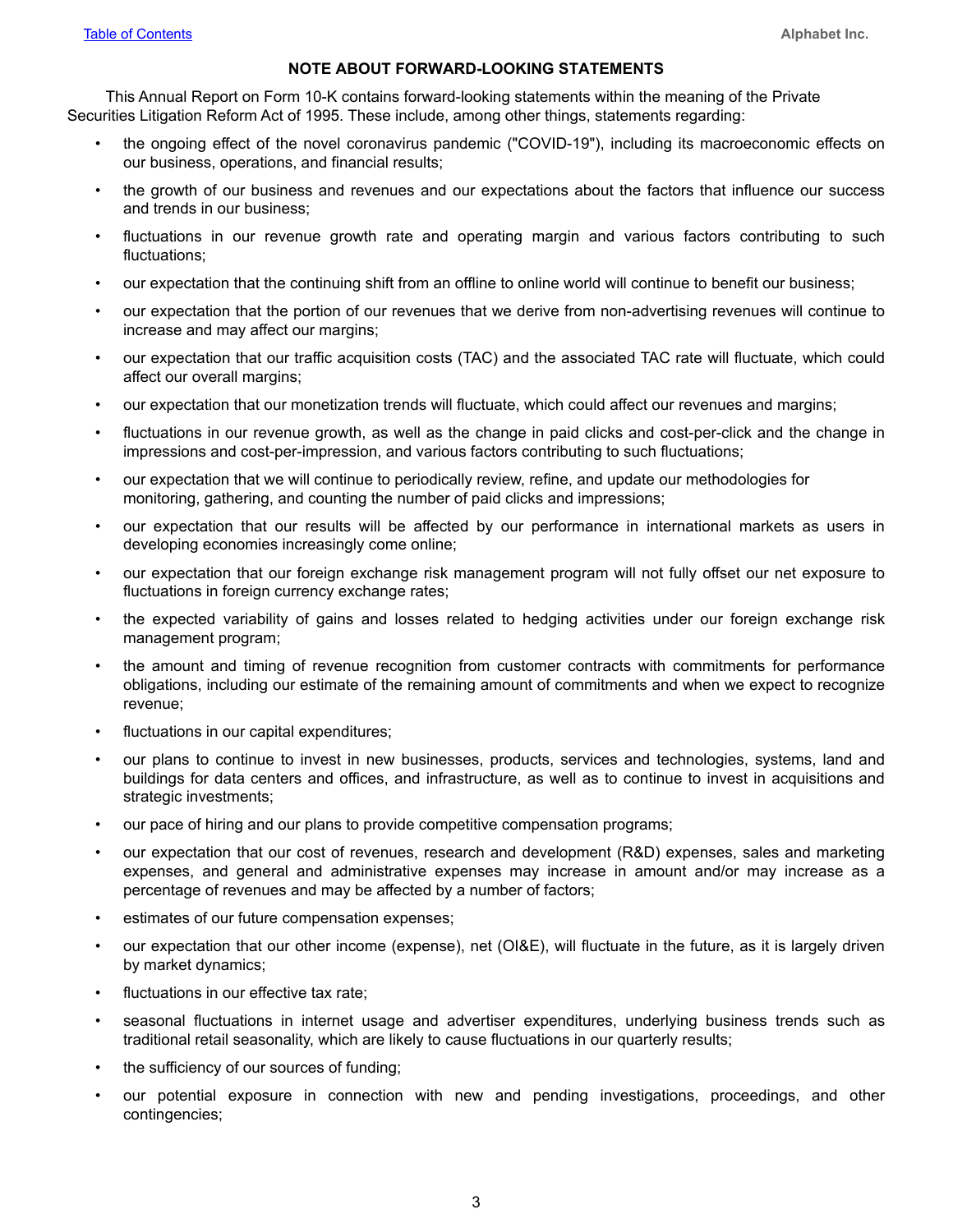# **NOTE ABOUT FORWARD-LOOKING STATEMENTS**

<span id="page-3-0"></span>This Annual Report on Form 10-K contains forward-looking statements within the meaning of the Private Securities Litigation Reform Act of 1995. These include, among other things, statements regarding:

- the ongoing effect of the novel coronavirus pandemic ("COVID-19"), including its macroeconomic effects on our business, operations, and financial results;
- the growth of our business and revenues and our expectations about the factors that influence our success and trends in our business;
- fluctuations in our revenue growth rate and operating margin and various factors contributing to such fluctuations;
- our expectation that the continuing shift from an offline to online world will continue to benefit our business;
- our expectation that the portion of our revenues that we derive from non-advertising revenues will continue to increase and may affect our margins;
- our expectation that our traffic acquisition costs (TAC) and the associated TAC rate will fluctuate, which could affect our overall margins;
- our expectation that our monetization trends will fluctuate, which could affect our revenues and margins;
- fluctuations in our revenue growth, as well as the change in paid clicks and cost-per-click and the change in impressions and cost-per-impression, and various factors contributing to such fluctuations;
- our expectation that we will continue to periodically review, refine, and update our methodologies for monitoring, gathering, and counting the number of paid clicks and impressions;
- our expectation that our results will be affected by our performance in international markets as users in developing economies increasingly come online;
- our expectation that our foreign exchange risk management program will not fully offset our net exposure to fluctuations in foreign currency exchange rates;
- the expected variability of gains and losses related to hedging activities under our foreign exchange risk management program;
- the amount and timing of revenue recognition from customer contracts with commitments for performance obligations, including our estimate of the remaining amount of commitments and when we expect to recognize revenue;
- fluctuations in our capital expenditures;
- our plans to continue to invest in new businesses, products, services and technologies, systems, land and buildings for data centers and offices, and infrastructure, as well as to continue to invest in acquisitions and strategic investments;
- our pace of hiring and our plans to provide competitive compensation programs;
- our expectation that our cost of revenues, research and development (R&D) expenses, sales and marketing expenses, and general and administrative expenses may increase in amount and/or may increase as a percentage of revenues and may be affected by a number of factors;
- estimates of our future compensation expenses;
- our expectation that our other income (expense), net (OI&E), will fluctuate in the future, as it is largely driven by market dynamics;
- fluctuations in our effective tax rate;
- seasonal fluctuations in internet usage and advertiser expenditures, underlying business trends such as traditional retail seasonality, which are likely to cause fluctuations in our quarterly results;
- the sufficiency of our sources of funding;
- our potential exposure in connection with new and pending investigations, proceedings, and other contingencies;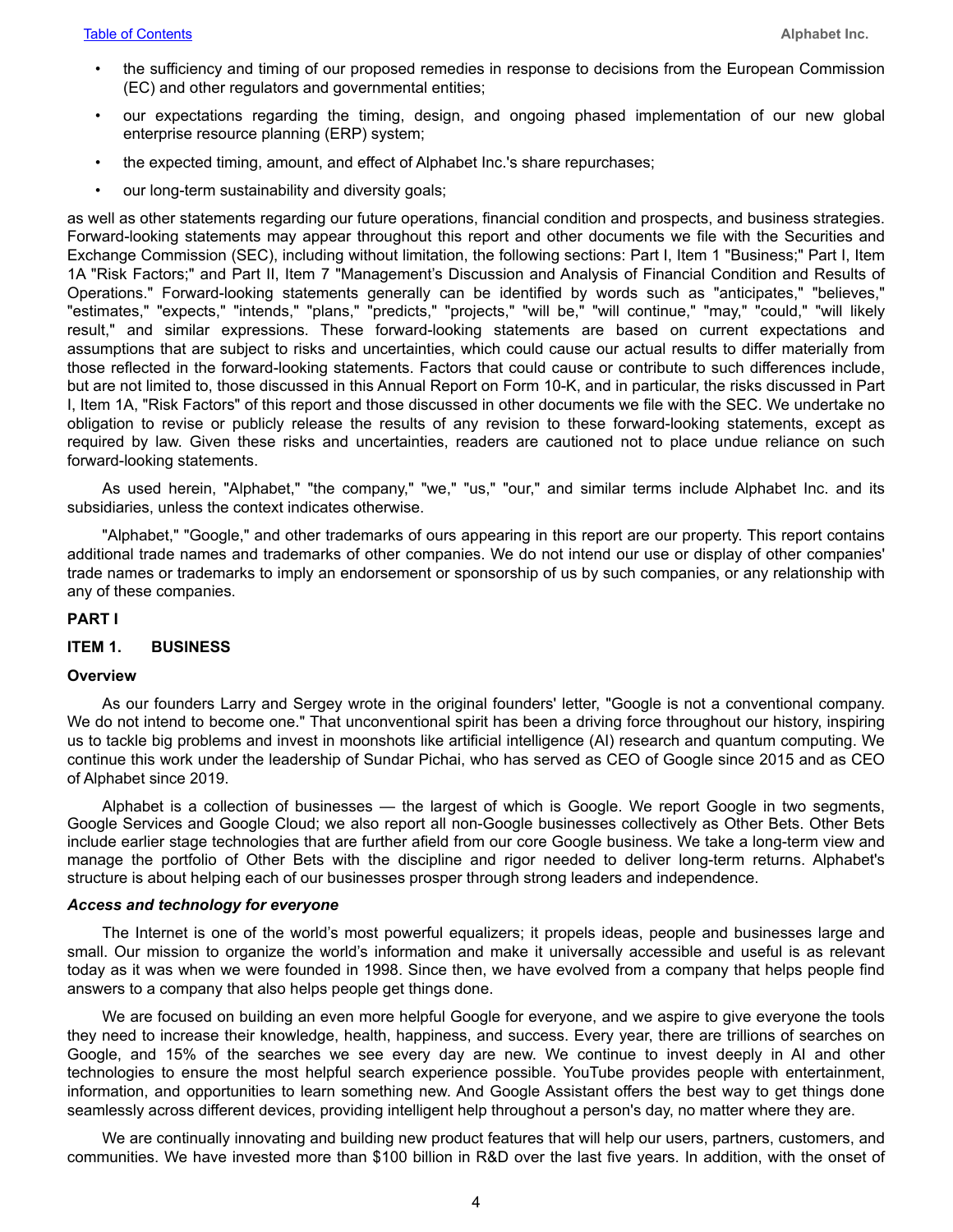- <span id="page-4-0"></span>• the sufficiency and timing of our proposed remedies in response to decisions from the European Commission (EC) and other regulators and governmental entities;
- our expectations regarding the timing, design, and ongoing phased implementation of our new global enterprise resource planning (ERP) system;
- the expected timing, amount, and effect of Alphabet Inc.'s share repurchases;
- our long-term sustainability and diversity goals;

as well as other statements regarding our future operations, financial condition and prospects, and business strategies. Forward-looking statements may appear throughout this report and other documents we file with the Securities and Exchange Commission (SEC), including without limitation, the following sections: Part I, Item 1 "Business;" Part I, Item 1A "Risk Factors;" and Part II, Item 7 "Management's Discussion and Analysis of Financial Condition and Results of Operations." Forward-looking statements generally can be identified by words such as "anticipates," "believes," "estimates," "expects," "intends," "plans," "predicts," "projects," "will be," "will continue," "may," "could," "will likely result," and similar expressions. These forward-looking statements are based on current expectations and assumptions that are subject to risks and uncertainties, which could cause our actual results to differ materially from those reflected in the forward-looking statements. Factors that could cause or contribute to such differences include, but are not limited to, those discussed in this Annual Report on Form 10-K, and in particular, the risks discussed in Part I, Item 1A, "Risk Factors" of this report and those discussed in other documents we file with the SEC. We undertake no obligation to revise or publicly release the results of any revision to these forward-looking statements, except as required by law. Given these risks and uncertainties, readers are cautioned not to place undue reliance on such forward-looking statements.

As used herein, "Alphabet," "the company," "we," "us," "our," and similar terms include Alphabet Inc. and its subsidiaries, unless the context indicates otherwise.

"Alphabet," "Google," and other trademarks of ours appearing in this report are our property. This report contains additional trade names and trademarks of other companies. We do not intend our use or display of other companies' trade names or trademarks to imply an endorsement or sponsorship of us by such companies, or any relationship with any of these companies.

#### **PART I**

#### **ITEM 1. BUSINESS**

#### **Overview**

As our founders Larry and Sergey wrote in the original founders' letter, "Google is not a conventional company. We do not intend to become one." That unconventional spirit has been a driving force throughout our history, inspiring us to tackle big problems and invest in moonshots like artificial intelligence (AI) research and quantum computing. We continue this work under the leadership of Sundar Pichai, who has served as CEO of Google since 2015 and as CEO of Alphabet since 2019.

Alphabet is a collection of businesses — the largest of which is Google. We report Google in two segments, Google Services and Google Cloud; we also report all non-Google businesses collectively as Other Bets. Other Bets include earlier stage technologies that are further afield from our core Google business. We take a long-term view and manage the portfolio of Other Bets with the discipline and rigor needed to deliver long-term returns. Alphabet's structure is about helping each of our businesses prosper through strong leaders and independence.

#### *Access and technology for everyone*

The Internet is one of the world's most powerful equalizers; it propels ideas, people and businesses large and small. Our mission to organize the world's information and make it universally accessible and useful is as relevant today as it was when we were founded in 1998. Since then, we have evolved from a company that helps people find answers to a company that also helps people get things done.

We are focused on building an even more helpful Google for everyone, and we aspire to give everyone the tools they need to increase their knowledge, health, happiness, and success. Every year, there are trillions of searches on Google, and 15% of the searches we see every day are new. We continue to invest deeply in AI and other technologies to ensure the most helpful search experience possible. YouTube provides people with entertainment, information, and opportunities to learn something new. And Google Assistant offers the best way to get things done seamlessly across different devices, providing intelligent help throughout a person's day, no matter where they are.

We are continually innovating and building new product features that will help our users, partners, customers, and communities. We have invested more than \$100 billion in R&D over the last five years. In addition, with the onset of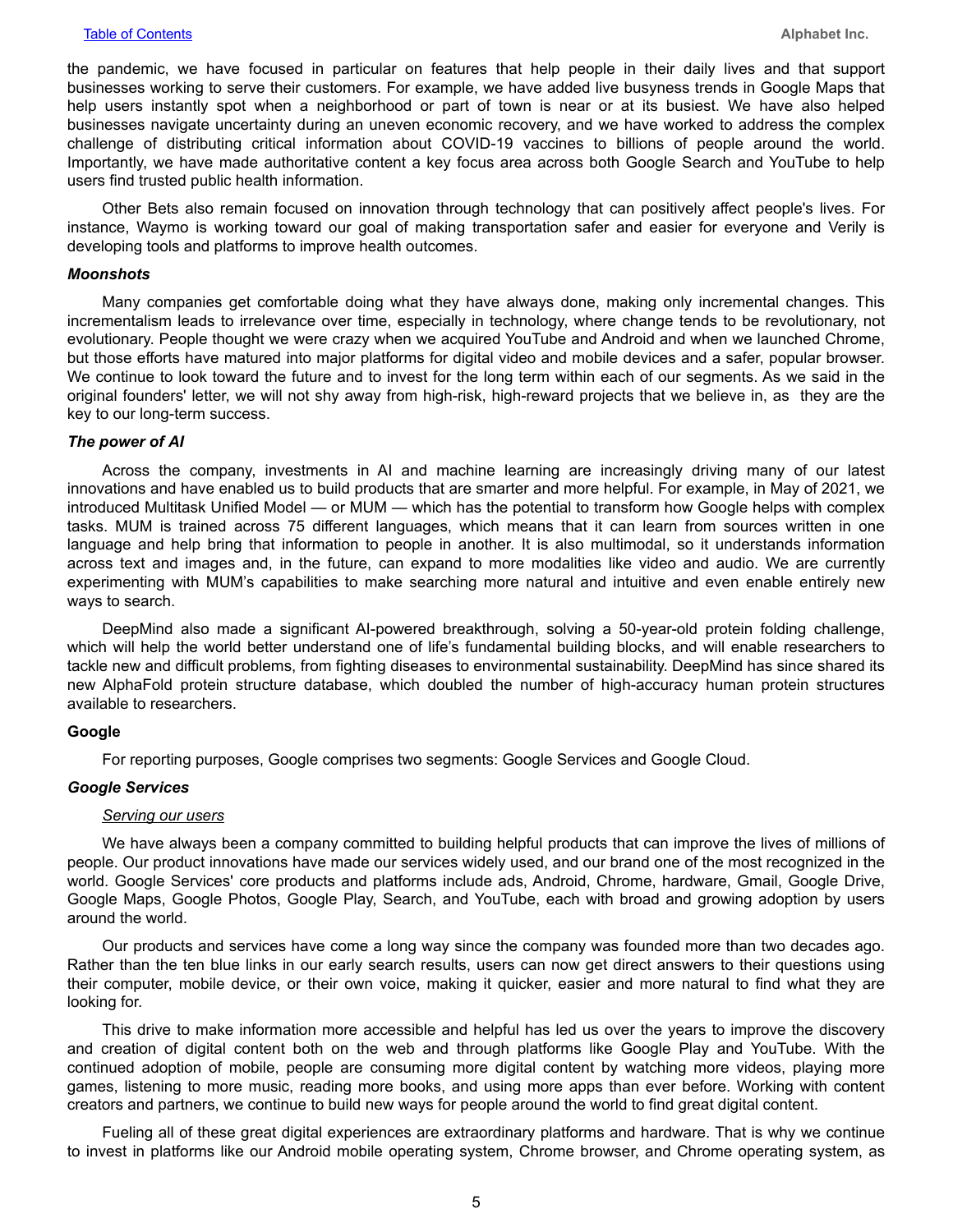the pandemic, we have focused in particular on features that help people in their daily lives and that support businesses working to serve their customers. For example, we have added live busyness trends in Google Maps that help users instantly spot when a neighborhood or part of town is near or at its busiest. We have also helped businesses navigate uncertainty during an uneven economic recovery, and we have worked to address the complex challenge of distributing critical information about COVID-19 vaccines to billions of people around the world. Importantly, we have made authoritative content a key focus area across both Google Search and YouTube to help users find trusted public health information.

Other Bets also remain focused on innovation through technology that can positively affect people's lives. For instance, Waymo is working toward our goal of making transportation safer and easier for everyone and Verily is developing tools and platforms to improve health outcomes.

#### *Moonshots*

Many companies get comfortable doing what they have always done, making only incremental changes. This incrementalism leads to irrelevance over time, especially in technology, where change tends to be revolutionary, not evolutionary. People thought we were crazy when we acquired YouTube and Android and when we launched Chrome, but those efforts have matured into major platforms for digital video and mobile devices and a safer, popular browser. We continue to look toward the future and to invest for the long term within each of our segments. As we said in the original founders' letter, we will not shy away from high-risk, high-reward projects that we believe in, as they are the key to our long-term success.

#### *The power of AI*

Across the company, investments in AI and machine learning are increasingly driving many of our latest innovations and have enabled us to build products that are smarter and more helpful. For example, in May of 2021, we introduced Multitask Unified Model — or MUM — which has the potential to transform how Google helps with complex tasks. MUM is trained across 75 different languages, which means that it can learn from sources written in one language and help bring that information to people in another. It is also multimodal, so it understands information across text and images and, in the future, can expand to more modalities like video and audio. We are currently experimenting with MUM's capabilities to make searching more natural and intuitive and even enable entirely new ways to search.

DeepMind also made a significant AI-powered breakthrough, solving a 50-year-old protein folding challenge, which will help the world better understand one of life's fundamental building blocks, and will enable researchers to tackle new and difficult problems, from fighting diseases to environmental sustainability. DeepMind has since shared its new AlphaFold protein structure database, which doubled the number of high-accuracy human protein structures available to researchers.

#### **Google**

For reporting purposes, Google comprises two segments: Google Services and Google Cloud.

#### *Google Services*

#### *Serving our users*

We have always been a company committed to building helpful products that can improve the lives of millions of people. Our product innovations have made our services widely used, and our brand one of the most recognized in the world. Google Services' core products and platforms include ads, Android, Chrome, hardware, Gmail, Google Drive, Google Maps, Google Photos, Google Play, Search, and YouTube, each with broad and growing adoption by users around the world.

Our products and services have come a long way since the company was founded more than two decades ago. Rather than the ten blue links in our early search results, users can now get direct answers to their questions using their computer, mobile device, or their own voice, making it quicker, easier and more natural to find what they are looking for.

This drive to make information more accessible and helpful has led us over the years to improve the discovery and creation of digital content both on the web and through platforms like Google Play and YouTube. With the continued adoption of mobile, people are consuming more digital content by watching more videos, playing more games, listening to more music, reading more books, and using more apps than ever before. Working with content creators and partners, we continue to build new ways for people around the world to find great digital content.

Fueling all of these great digital experiences are extraordinary platforms and hardware. That is why we continue to invest in platforms like our Android mobile operating system, Chrome browser, and Chrome operating system, as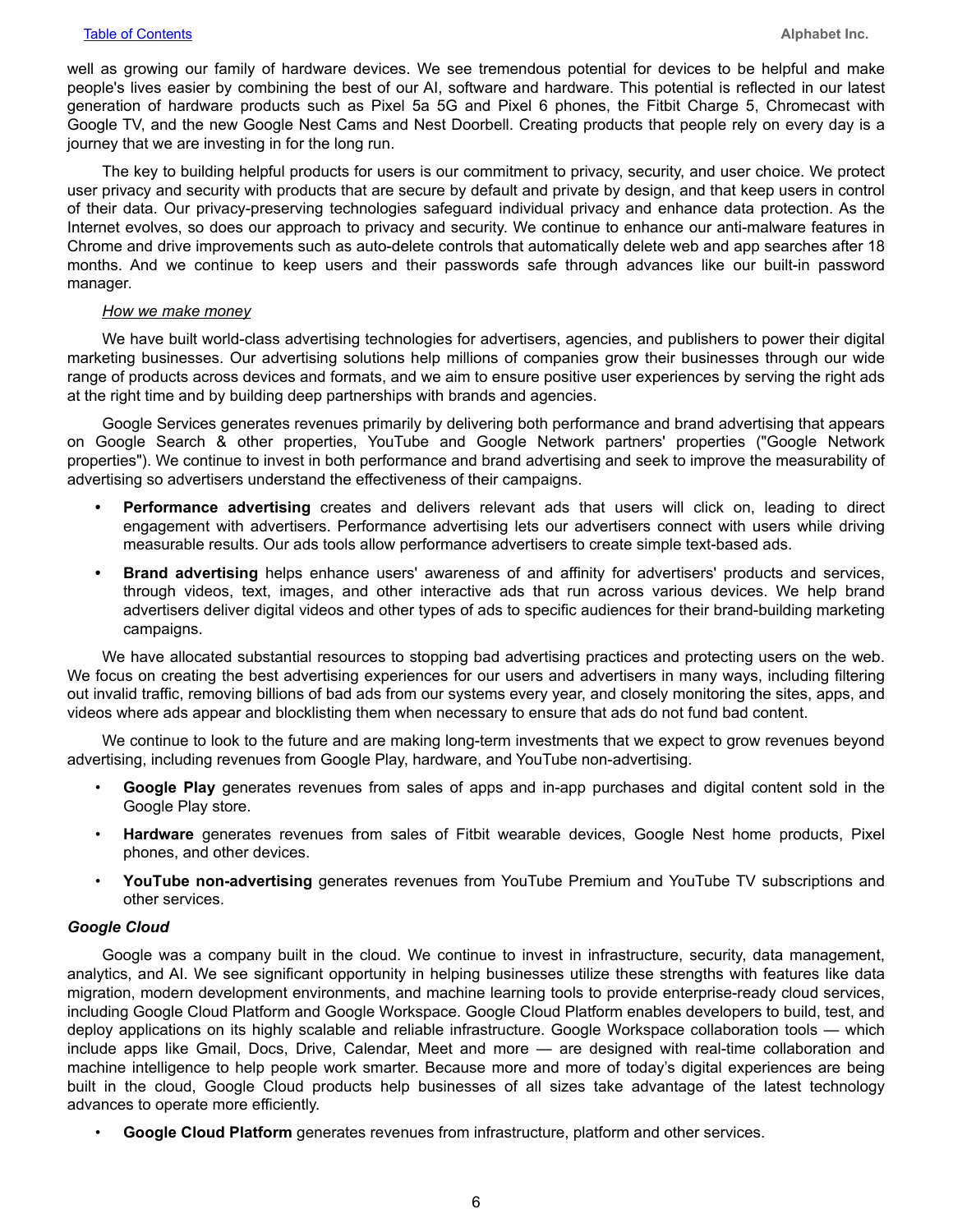well as growing our family of hardware devices. We see tremendous potential for devices to be helpful and make people's lives easier by combining the best of our AI, software and hardware. This potential is reflected in our latest generation of hardware products such as Pixel 5a 5G and Pixel 6 phones, the Fitbit Charge 5, Chromecast with Google TV, and the new Google Nest Cams and Nest Doorbell. Creating products that people rely on every day is a journey that we are investing in for the long run.

The key to building helpful products for users is our commitment to privacy, security, and user choice. We protect user privacy and security with products that are secure by default and private by design, and that keep users in control of their data. Our privacy-preserving technologies safeguard individual privacy and enhance data protection. As the Internet evolves, so does our approach to privacy and security. We continue to enhance our anti-malware features in Chrome and drive improvements such as auto-delete controls that automatically delete web and app searches after 18 months. And we continue to keep users and their passwords safe through advances like our built-in password manager.

#### *How we make money*

We have built world-class advertising technologies for advertisers, agencies, and publishers to power their digital marketing businesses. Our advertising solutions help millions of companies grow their businesses through our wide range of products across devices and formats, and we aim to ensure positive user experiences by serving the right ads at the right time and by building deep partnerships with brands and agencies.

Google Services generates revenues primarily by delivering both performance and brand advertising that appears on Google Search & other properties, YouTube and Google Network partners' properties ("Google Network properties"). We continue to invest in both performance and brand advertising and seek to improve the measurability of advertising so advertisers understand the effectiveness of their campaigns.

- **• Performance advertising** creates and delivers relevant ads that users will click on, leading to direct engagement with advertisers. Performance advertising lets our advertisers connect with users while driving measurable results. Our ads tools allow performance advertisers to create simple text-based ads.
- **• Brand advertising** helps enhance users' awareness of and affinity for advertisers' products and services, through videos, text, images, and other interactive ads that run across various devices. We help brand advertisers deliver digital videos and other types of ads to specific audiences for their brand-building marketing campaigns.

We have allocated substantial resources to stopping bad advertising practices and protecting users on the web. We focus on creating the best advertising experiences for our users and advertisers in many ways, including filtering out invalid traffic, removing billions of bad ads from our systems every year, and closely monitoring the sites, apps, and videos where ads appear and blocklisting them when necessary to ensure that ads do not fund bad content.

We continue to look to the future and are making long-term investments that we expect to grow revenues beyond advertising, including revenues from Google Play, hardware, and YouTube non-advertising.

- **Google Play** generates revenues from sales of apps and in-app purchases and digital content sold in the Google Play store.
- **Hardware** generates revenues from sales of Fitbit wearable devices, Google Nest home products, Pixel phones, and other devices.
- **YouTube non-advertising** generates revenues from YouTube Premium and YouTube TV subscriptions and other services.

#### *Google Cloud*

Google was a company built in the cloud. We continue to invest in infrastructure, security, data management, analytics, and AI. We see significant opportunity in helping businesses utilize these strengths with features like data migration, modern development environments, and machine learning tools to provide enterprise-ready cloud services, including Google Cloud Platform and Google Workspace. Google Cloud Platform enables developers to build, test, and deploy applications on its highly scalable and reliable infrastructure. Google Workspace collaboration tools — which include apps like Gmail, Docs, Drive, Calendar, Meet and more — are designed with real-time collaboration and machine intelligence to help people work smarter. Because more and more of today's digital experiences are being built in the cloud, Google Cloud products help businesses of all sizes take advantage of the latest technology advances to operate more efficiently.

• **Google Cloud Platform** generates revenues from infrastructure, platform and other services.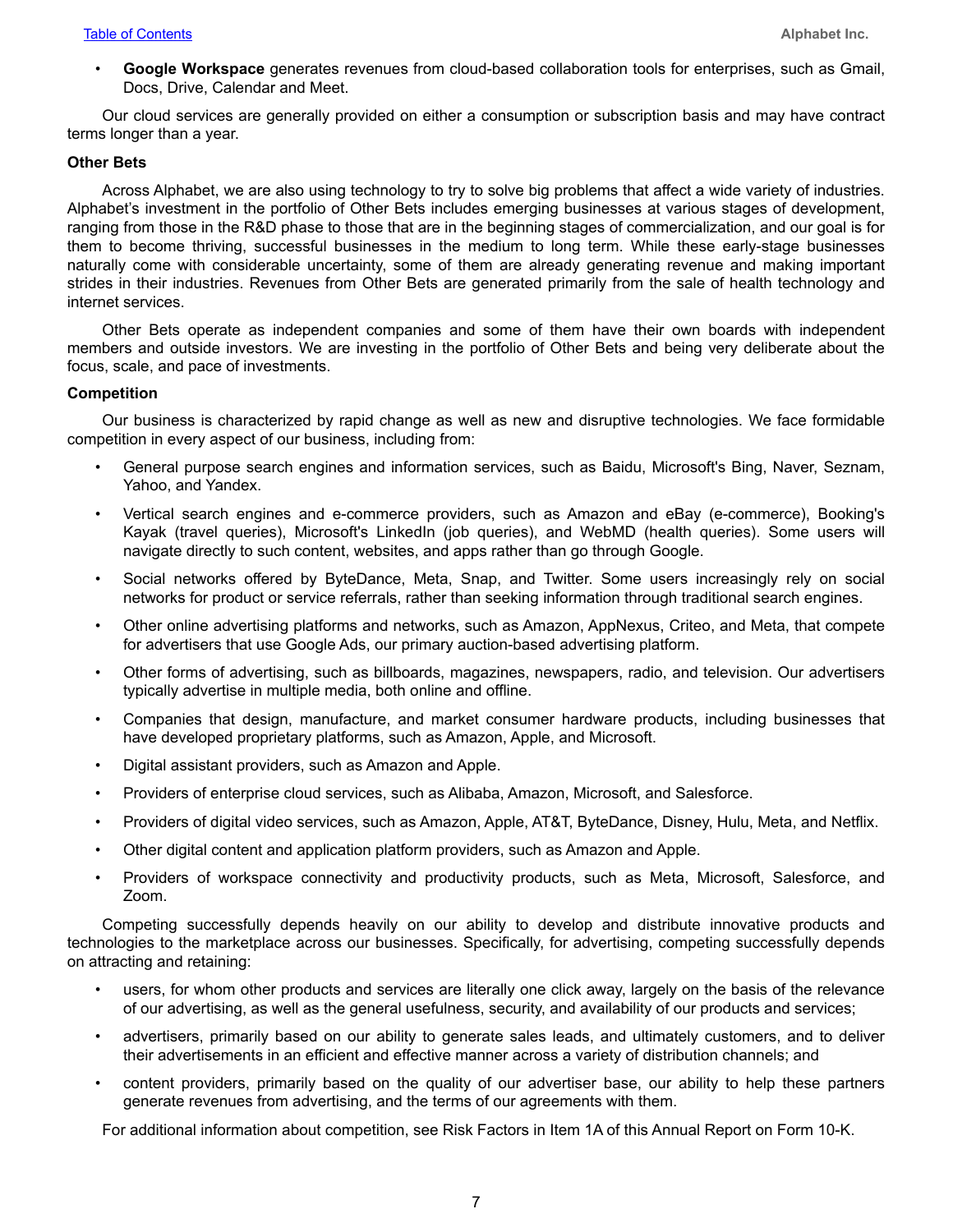• **Google Workspace** generates revenues from cloud-based collaboration tools for enterprises, such as Gmail, Docs, Drive, Calendar and Meet.

Our cloud services are generally provided on either a consumption or subscription basis and may have contract terms longer than a year.

#### **Other Bets**

Across Alphabet, we are also using technology to try to solve big problems that affect a wide variety of industries. Alphabet's investment in the portfolio of Other Bets includes emerging businesses at various stages of development, ranging from those in the R&D phase to those that are in the beginning stages of commercialization, and our goal is for them to become thriving, successful businesses in the medium to long term. While these early-stage businesses naturally come with considerable uncertainty, some of them are already generating revenue and making important strides in their industries. Revenues from Other Bets are generated primarily from the sale of health technology and internet services.

Other Bets operate as independent companies and some of them have their own boards with independent members and outside investors. We are investing in the portfolio of Other Bets and being very deliberate about the focus, scale, and pace of investments.

#### **Competition**

Our business is characterized by rapid change as well as new and disruptive technologies. We face formidable competition in every aspect of our business, including from:

- General purpose search engines and information services, such as Baidu, Microsoft's Bing, Naver, Seznam, Yahoo, and Yandex.
- Vertical search engines and e-commerce providers, such as Amazon and eBay (e-commerce), Booking's Kayak (travel queries), Microsoft's LinkedIn (job queries), and WebMD (health queries). Some users will navigate directly to such content, websites, and apps rather than go through Google.
- Social networks offered by ByteDance, Meta, Snap, and Twitter. Some users increasingly rely on social networks for product or service referrals, rather than seeking information through traditional search engines.
- Other online advertising platforms and networks, such as Amazon, AppNexus, Criteo, and Meta, that compete for advertisers that use Google Ads, our primary auction-based advertising platform.
- Other forms of advertising, such as billboards, magazines, newspapers, radio, and television. Our advertisers typically advertise in multiple media, both online and offline.
- Companies that design, manufacture, and market consumer hardware products, including businesses that have developed proprietary platforms, such as Amazon, Apple, and Microsoft.
- Digital assistant providers, such as Amazon and Apple.
- Providers of enterprise cloud services, such as Alibaba, Amazon, Microsoft, and Salesforce.
- Providers of digital video services, such as Amazon, Apple, AT&T, ByteDance, Disney, Hulu, Meta, and Netflix.
- Other digital content and application platform providers, such as Amazon and Apple.
- Providers of workspace connectivity and productivity products, such as Meta, Microsoft, Salesforce, and Zoom.

Competing successfully depends heavily on our ability to develop and distribute innovative products and technologies to the marketplace across our businesses. Specifically, for advertising, competing successfully depends on attracting and retaining:

- users, for whom other products and services are literally one click away, largely on the basis of the relevance of our advertising, as well as the general usefulness, security, and availability of our products and services;
- advertisers, primarily based on our ability to generate sales leads, and ultimately customers, and to deliver their advertisements in an efficient and effective manner across a variety of distribution channels; and
- content providers, primarily based on the quality of our advertiser base, our ability to help these partners generate revenues from advertising, and the terms of our agreements with them.

For additional information about competition, see Risk Factors in Item 1A of this Annual Report on Form 10-K.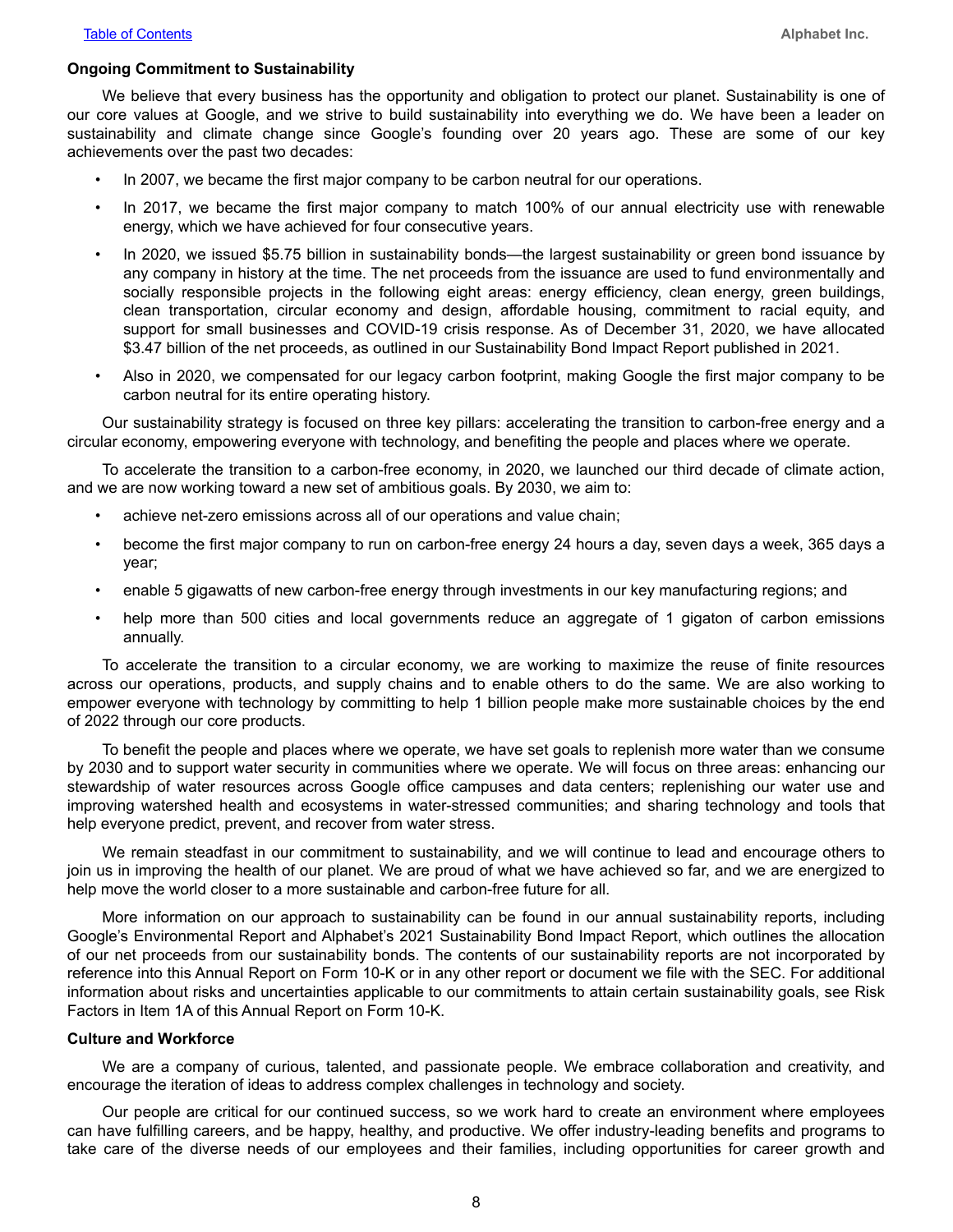#### **Ongoing Commitment to Sustainability**

We believe that every business has the opportunity and obligation to protect our planet. Sustainability is one of our core values at Google, and we strive to build sustainability into everything we do. We have been a leader on sustainability and climate change since Google's founding over 20 years ago. These are some of our key achievements over the past two decades:

- In 2007, we became the first major company to be carbon neutral for our operations.
- In 2017, we became the first major company to match 100% of our annual electricity use with renewable energy, which we have achieved for four consecutive years.
- In 2020, we issued \$5.75 billion in sustainability bonds—the largest sustainability or green bond issuance by any company in history at the time. The net proceeds from the issuance are used to fund environmentally and socially responsible projects in the following eight areas: energy efficiency, clean energy, green buildings, clean transportation, circular economy and design, affordable housing, commitment to racial equity, and support for small businesses and COVID-19 crisis response. As of December 31, 2020, we have allocated \$3.47 billion of the net proceeds, as outlined in our Sustainability Bond Impact Report published in 2021.
- Also in 2020, we compensated for our legacy carbon footprint, making Google the first major company to be carbon neutral for its entire operating history.

Our sustainability strategy is focused on three key pillars: accelerating the transition to carbon-free energy and a circular economy, empowering everyone with technology, and benefiting the people and places where we operate.

To accelerate the transition to a carbon-free economy, in 2020, we launched our third decade of climate action, and we are now working toward a new set of ambitious goals. By 2030, we aim to:

- achieve net-zero emissions across all of our operations and value chain;
- become the first major company to run on carbon-free energy 24 hours a day, seven days a week, 365 days a year;
- enable 5 gigawatts of new carbon-free energy through investments in our key manufacturing regions; and
- help more than 500 cities and local governments reduce an aggregate of 1 gigaton of carbon emissions annually.

To accelerate the transition to a circular economy, we are working to maximize the reuse of finite resources across our operations, products, and supply chains and to enable others to do the same. We are also working to empower everyone with technology by committing to help 1 billion people make more sustainable choices by the end of 2022 through our core products.

To benefit the people and places where we operate, we have set goals to replenish more water than we consume by 2030 and to support water security in communities where we operate. We will focus on three areas: enhancing our stewardship of water resources across Google office campuses and data centers; replenishing our water use and improving watershed health and ecosystems in water-stressed communities; and sharing technology and tools that help everyone predict, prevent, and recover from water stress.

We remain steadfast in our commitment to sustainability, and we will continue to lead and encourage others to join us in improving the health of our planet. We are proud of what we have achieved so far, and we are energized to help move the world closer to a more sustainable and carbon-free future for all.

More information on our approach to sustainability can be found in our annual sustainability reports, including Google's Environmental Report and Alphabet's 2021 Sustainability Bond Impact Report, which outlines the allocation of our net proceeds from our sustainability bonds. The contents of our sustainability reports are not incorporated by reference into this Annual Report on Form 10-K or in any other report or document we file with the SEC. For additional information about risks and uncertainties applicable to our commitments to attain certain sustainability goals, see Risk Factors in Item 1A of this Annual Report on Form 10-K.

#### **Culture and Workforce**

We are a company of curious, talented, and passionate people. We embrace collaboration and creativity, and encourage the iteration of ideas to address complex challenges in technology and society.

Our people are critical for our continued success, so we work hard to create an environment where employees can have fulfilling careers, and be happy, healthy, and productive. We offer industry-leading benefits and programs to take care of the diverse needs of our employees and their families, including opportunities for career growth and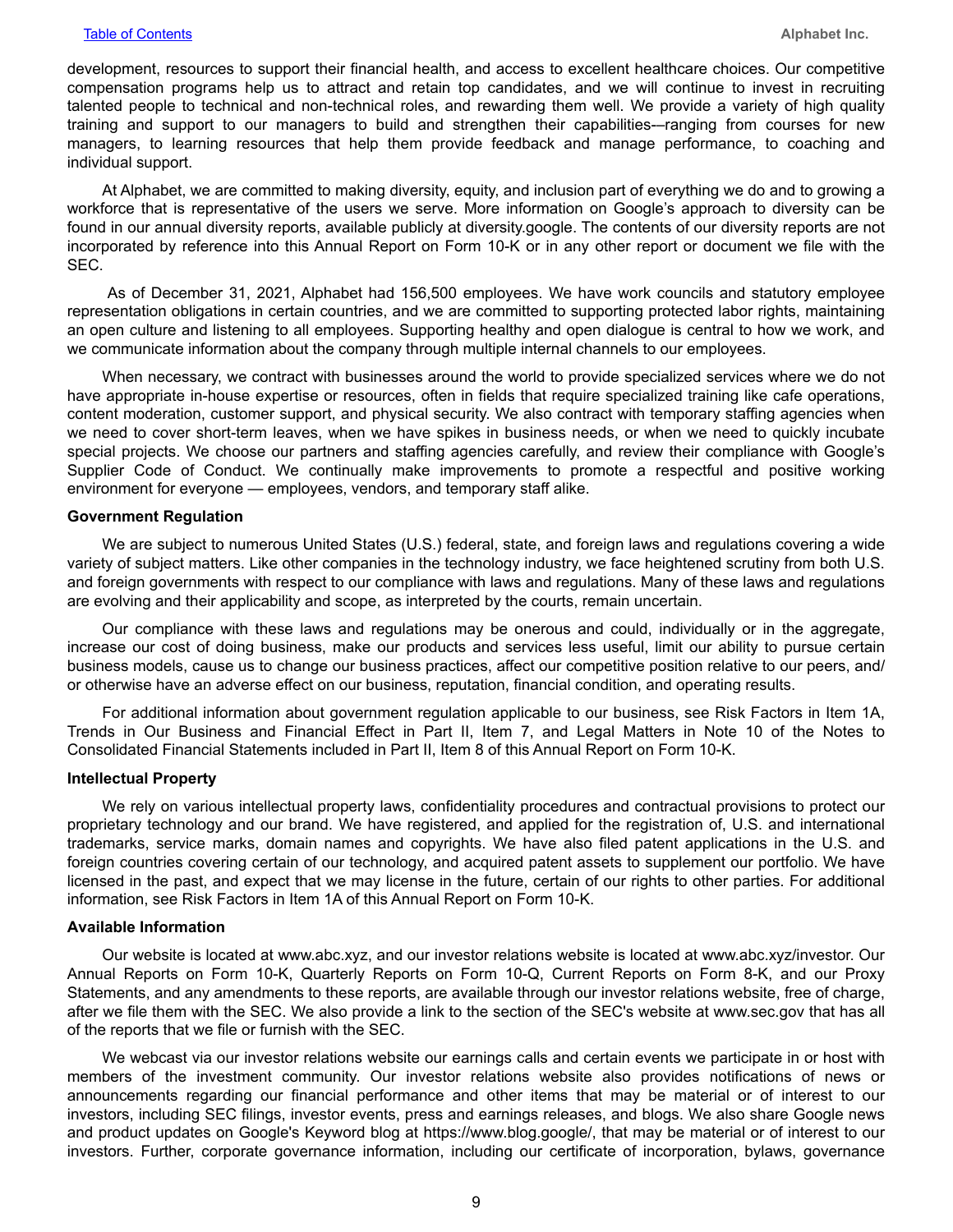development, resources to support their financial health, and access to excellent healthcare choices. Our competitive compensation programs help us to attract and retain top candidates, and we will continue to invest in recruiting talented people to technical and non-technical roles, and rewarding them well. We provide a variety of high quality training and support to our managers to build and strengthen their capabilities-–ranging from courses for new managers, to learning resources that help them provide feedback and manage performance, to coaching and individual support.

At Alphabet, we are committed to making diversity, equity, and inclusion part of everything we do and to growing a workforce that is representative of the users we serve. More information on Google's approach to diversity can be found in our annual diversity reports, available publicly at diversity.google. The contents of our diversity reports are not incorporated by reference into this Annual Report on Form 10-K or in any other report or document we file with the SEC.

As of December 31, 2021, Alphabet had 156,500 employees. We have work councils and statutory employee representation obligations in certain countries, and we are committed to supporting protected labor rights, maintaining an open culture and listening to all employees. Supporting healthy and open dialogue is central to how we work, and we communicate information about the company through multiple internal channels to our employees.

When necessary, we contract with businesses around the world to provide specialized services where we do not have appropriate in-house expertise or resources, often in fields that require specialized training like cafe operations, content moderation, customer support, and physical security. We also contract with temporary staffing agencies when we need to cover short-term leaves, when we have spikes in business needs, or when we need to quickly incubate special projects. We choose our partners and staffing agencies carefully, and review their compliance with Google's Supplier Code of Conduct. We continually make improvements to promote a respectful and positive working environment for everyone — employees, vendors, and temporary staff alike.

#### **Government Regulation**

We are subject to numerous United States (U.S.) federal, state, and foreign laws and regulations covering a wide variety of subject matters. Like other companies in the technology industry, we face heightened scrutiny from both U.S. and foreign governments with respect to our compliance with laws and regulations. Many of these laws and regulations are evolving and their applicability and scope, as interpreted by the courts, remain uncertain.

Our compliance with these laws and regulations may be onerous and could, individually or in the aggregate, increase our cost of doing business, make our products and services less useful, limit our ability to pursue certain business models, cause us to change our business practices, affect our competitive position relative to our peers, and/ or otherwise have an adverse effect on our business, reputation, financial condition, and operating results.

For additional information about government regulation applicable to our business, see Risk Factors in Item 1A, Trends in Our Business and Financial Effect in Part II, Item 7, and Legal Matters in Note 10 of the Notes to Consolidated Financial Statements included in Part II, Item 8 of this Annual Report on Form 10-K.

#### **Intellectual Property**

We rely on various intellectual property laws, confidentiality procedures and contractual provisions to protect our proprietary technology and our brand. We have registered, and applied for the registration of, U.S. and international trademarks, service marks, domain names and copyrights. We have also filed patent applications in the U.S. and foreign countries covering certain of our technology, and acquired patent assets to supplement our portfolio. We have licensed in the past, and expect that we may license in the future, certain of our rights to other parties. For additional information, see Risk Factors in Item 1A of this Annual Report on Form 10-K.

#### **Available Information**

Our website is located at www.abc.xyz, and our investor relations website is located at www.abc.xyz/investor. Our Annual Reports on Form 10-K, Quarterly Reports on Form 10-Q, Current Reports on Form 8-K, and our Proxy Statements, and any amendments to these reports, are available through our investor relations website, free of charge, after we file them with the SEC. We also provide a link to the section of the SEC's website at www.sec.gov that has all of the reports that we file or furnish with the SEC.

We webcast via our investor relations website our earnings calls and certain events we participate in or host with members of the investment community. Our investor relations website also provides notifications of news or announcements regarding our financial performance and other items that may be material or of interest to our investors, including SEC filings, investor events, press and earnings releases, and blogs. We also share Google news and product updates on Google's Keyword blog at https://www.blog.google/, that may be material or of interest to our investors. Further, corporate governance information, including our certificate of incorporation, bylaws, governance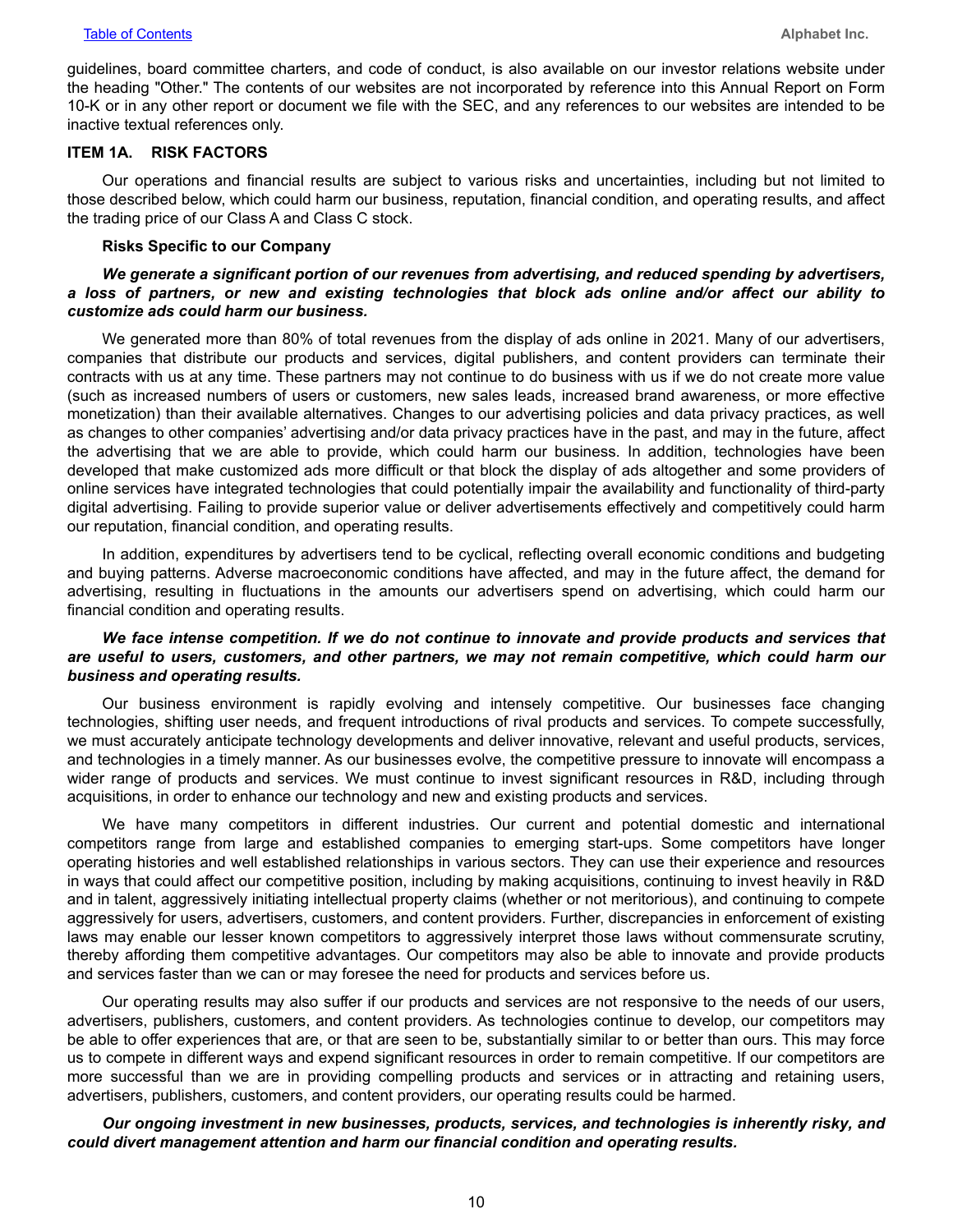<span id="page-10-0"></span>guidelines, board committee charters, and code of conduct, is also available on our investor relations website under the heading "Other." The contents of our websites are not incorporated by reference into this Annual Report on Form 10-K or in any other report or document we file with the SEC, and any references to our websites are intended to be inactive textual references only.

#### **ITEM 1A. RISK FACTORS**

Our operations and financial results are subject to various risks and uncertainties, including but not limited to those described below, which could harm our business, reputation, financial condition, and operating results, and affect the trading price of our Class A and Class C stock.

#### **Risks Specific to our Company**

#### *We generate a significant portion of our revenues from advertising, and reduced spending by advertisers, a loss of partners, or new and existing technologies that block ads online and/or affect our ability to customize ads could harm our business.*

We generated more than 80% of total revenues from the display of ads online in 2021. Many of our advertisers, companies that distribute our products and services, digital publishers, and content providers can terminate their contracts with us at any time. These partners may not continue to do business with us if we do not create more value (such as increased numbers of users or customers, new sales leads, increased brand awareness, or more effective monetization) than their available alternatives. Changes to our advertising policies and data privacy practices, as well as changes to other companies' advertising and/or data privacy practices have in the past, and may in the future, affect the advertising that we are able to provide, which could harm our business. In addition, technologies have been developed that make customized ads more difficult or that block the display of ads altogether and some providers of online services have integrated technologies that could potentially impair the availability and functionality of third-party digital advertising. Failing to provide superior value or deliver advertisements effectively and competitively could harm our reputation, financial condition, and operating results.

In addition, expenditures by advertisers tend to be cyclical, reflecting overall economic conditions and budgeting and buying patterns. Adverse macroeconomic conditions have affected, and may in the future affect, the demand for advertising, resulting in fluctuations in the amounts our advertisers spend on advertising, which could harm our financial condition and operating results.

#### We face intense competition. If we do not continue to innovate and provide products and services that *are useful to users, customers, and other partners, we may not remain competitive, which could harm our business and operating results.*

Our business environment is rapidly evolving and intensely competitive. Our businesses face changing technologies, shifting user needs, and frequent introductions of rival products and services. To compete successfully, we must accurately anticipate technology developments and deliver innovative, relevant and useful products, services, and technologies in a timely manner. As our businesses evolve, the competitive pressure to innovate will encompass a wider range of products and services. We must continue to invest significant resources in R&D, including through acquisitions, in order to enhance our technology and new and existing products and services.

We have many competitors in different industries. Our current and potential domestic and international competitors range from large and established companies to emerging start-ups. Some competitors have longer operating histories and well established relationships in various sectors. They can use their experience and resources in ways that could affect our competitive position, including by making acquisitions, continuing to invest heavily in R&D and in talent, aggressively initiating intellectual property claims (whether or not meritorious), and continuing to compete aggressively for users, advertisers, customers, and content providers. Further, discrepancies in enforcement of existing laws may enable our lesser known competitors to aggressively interpret those laws without commensurate scrutiny, thereby affording them competitive advantages. Our competitors may also be able to innovate and provide products and services faster than we can or may foresee the need for products and services before us.

Our operating results may also suffer if our products and services are not responsive to the needs of our users, advertisers, publishers, customers, and content providers. As technologies continue to develop, our competitors may be able to offer experiences that are, or that are seen to be, substantially similar to or better than ours. This may force us to compete in different ways and expend significant resources in order to remain competitive. If our competitors are more successful than we are in providing compelling products and services or in attracting and retaining users, advertisers, publishers, customers, and content providers, our operating results could be harmed.

#### *Our ongoing investment in new businesses, products, services, and technologies is inherently risky, and could divert management attention and harm our financial condition and operating results.*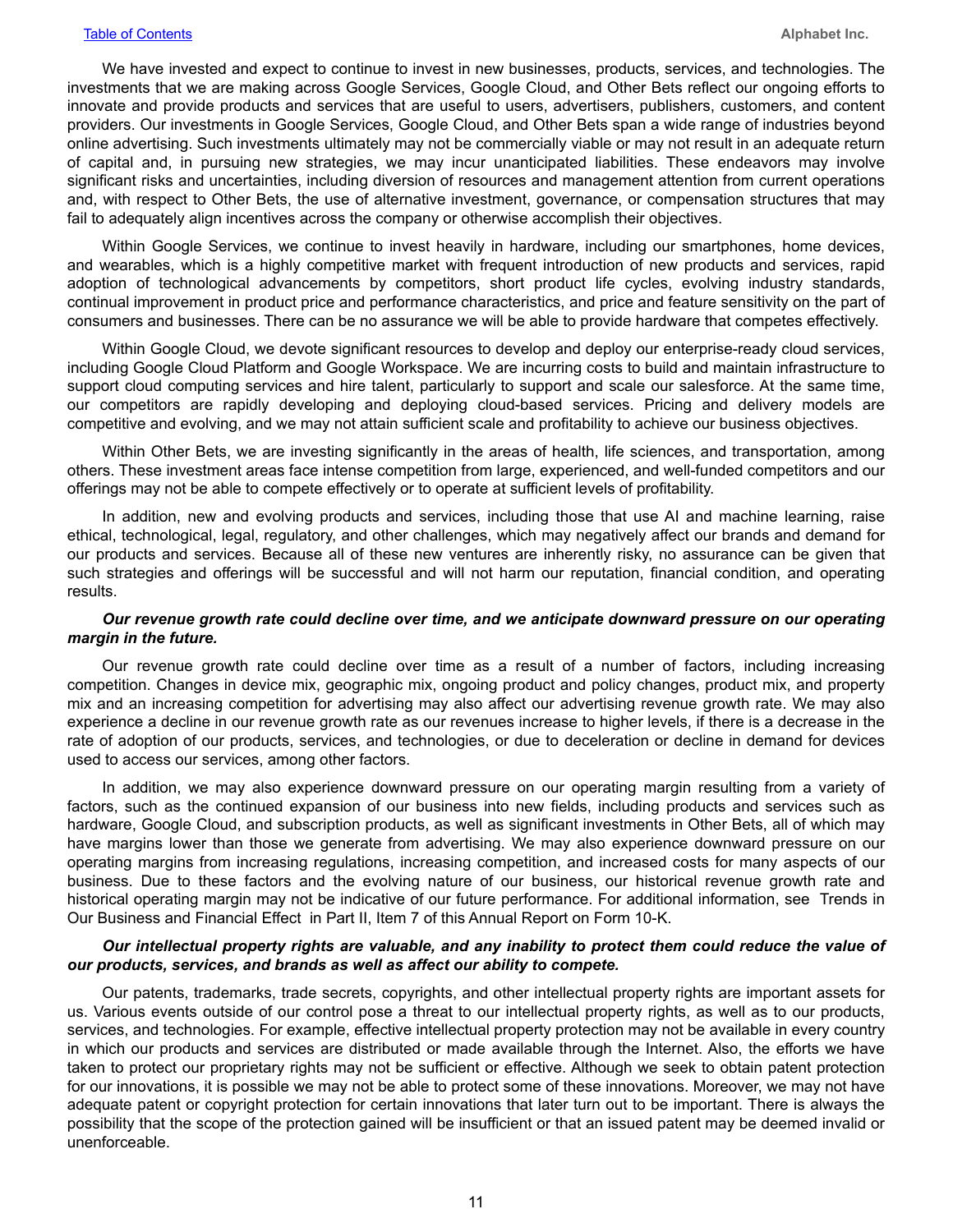We have invested and expect to continue to invest in new businesses, products, services, and technologies. The investments that we are making across Google Services, Google Cloud, and Other Bets reflect our ongoing efforts to innovate and provide products and services that are useful to users, advertisers, publishers, customers, and content providers. Our investments in Google Services, Google Cloud, and Other Bets span a wide range of industries beyond online advertising. Such investments ultimately may not be commercially viable or may not result in an adequate return of capital and, in pursuing new strategies, we may incur unanticipated liabilities. These endeavors may involve significant risks and uncertainties, including diversion of resources and management attention from current operations and, with respect to Other Bets, the use of alternative investment, governance, or compensation structures that may fail to adequately align incentives across the company or otherwise accomplish their objectives.

Within Google Services, we continue to invest heavily in hardware, including our smartphones, home devices, and wearables, which is a highly competitive market with frequent introduction of new products and services, rapid adoption of technological advancements by competitors, short product life cycles, evolving industry standards, continual improvement in product price and performance characteristics, and price and feature sensitivity on the part of consumers and businesses. There can be no assurance we will be able to provide hardware that competes effectively.

Within Google Cloud, we devote significant resources to develop and deploy our enterprise-ready cloud services, including Google Cloud Platform and Google Workspace. We are incurring costs to build and maintain infrastructure to support cloud computing services and hire talent, particularly to support and scale our salesforce. At the same time, our competitors are rapidly developing and deploying cloud-based services. Pricing and delivery models are competitive and evolving, and we may not attain sufficient scale and profitability to achieve our business objectives.

Within Other Bets, we are investing significantly in the areas of health, life sciences, and transportation, among others. These investment areas face intense competition from large, experienced, and well-funded competitors and our offerings may not be able to compete effectively or to operate at sufficient levels of profitability.

In addition, new and evolving products and services, including those that use AI and machine learning, raise ethical, technological, legal, regulatory, and other challenges, which may negatively affect our brands and demand for our products and services. Because all of these new ventures are inherently risky, no assurance can be given that such strategies and offerings will be successful and will not harm our reputation, financial condition, and operating results.

#### *Our revenue growth rate could decline over time, and we anticipate downward pressure on our operating margin in the future.*

Our revenue growth rate could decline over time as a result of a number of factors, including increasing competition. Changes in device mix, geographic mix, ongoing product and policy changes, product mix, and property mix and an increasing competition for advertising may also affect our advertising revenue growth rate. We may also experience a decline in our revenue growth rate as our revenues increase to higher levels, if there is a decrease in the rate of adoption of our products, services, and technologies, or due to deceleration or decline in demand for devices used to access our services, among other factors.

In addition, we may also experience downward pressure on our operating margin resulting from a variety of factors, such as the continued expansion of our business into new fields, including products and services such as hardware, Google Cloud, and subscription products, as well as significant investments in Other Bets, all of which may have margins lower than those we generate from advertising. We may also experience downward pressure on our operating margins from increasing regulations, increasing competition, and increased costs for many aspects of our business. Due to these factors and the evolving nature of our business, our historical revenue growth rate and historical operating margin may not be indicative of our future performance. For additional information, see Trends in Our Business and Financial Effect in Part II, Item 7 of this Annual Report on Form 10-K.

#### *Our intellectual property rights are valuable, and any inability to protect them could reduce the value of our products, services, and brands as well as affect our ability to compete.*

Our patents, trademarks, trade secrets, copyrights, and other intellectual property rights are important assets for us. Various events outside of our control pose a threat to our intellectual property rights, as well as to our products, services, and technologies. For example, effective intellectual property protection may not be available in every country in which our products and services are distributed or made available through the Internet. Also, the efforts we have taken to protect our proprietary rights may not be sufficient or effective. Although we seek to obtain patent protection for our innovations, it is possible we may not be able to protect some of these innovations. Moreover, we may not have adequate patent or copyright protection for certain innovations that later turn out to be important. There is always the possibility that the scope of the protection gained will be insufficient or that an issued patent may be deemed invalid or unenforceable.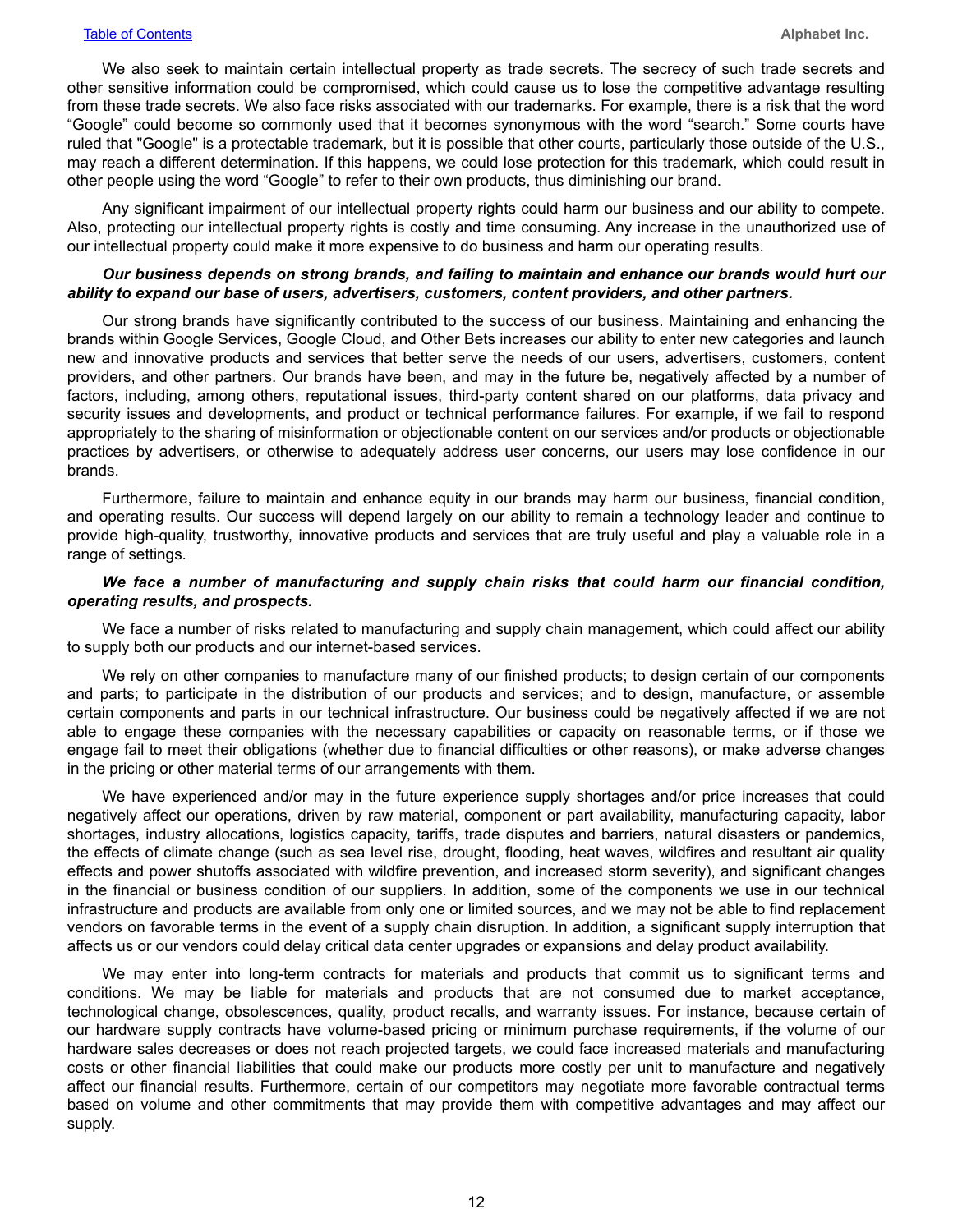We also seek to maintain certain intellectual property as trade secrets. The secrecy of such trade secrets and other sensitive information could be compromised, which could cause us to lose the competitive advantage resulting from these trade secrets. We also face risks associated with our trademarks. For example, there is a risk that the word "Google" could become so commonly used that it becomes synonymous with the word "search." Some courts have ruled that "Google" is a protectable trademark, but it is possible that other courts, particularly those outside of the U.S., may reach a different determination. If this happens, we could lose protection for this trademark, which could result in other people using the word "Google" to refer to their own products, thus diminishing our brand.

Any significant impairment of our intellectual property rights could harm our business and our ability to compete. Also, protecting our intellectual property rights is costly and time consuming. Any increase in the unauthorized use of our intellectual property could make it more expensive to do business and harm our operating results.

#### *Our business depends on strong brands, and failing to maintain and enhance our brands would hurt our ability to expand our base of users, advertisers, customers, content providers, and other partners.*

Our strong brands have significantly contributed to the success of our business. Maintaining and enhancing the brands within Google Services, Google Cloud, and Other Bets increases our ability to enter new categories and launch new and innovative products and services that better serve the needs of our users, advertisers, customers, content providers, and other partners. Our brands have been, and may in the future be, negatively affected by a number of factors, including, among others, reputational issues, third-party content shared on our platforms, data privacy and security issues and developments, and product or technical performance failures. For example, if we fail to respond appropriately to the sharing of misinformation or objectionable content on our services and/or products or objectionable practices by advertisers, or otherwise to adequately address user concerns, our users may lose confidence in our brands.

Furthermore, failure to maintain and enhance equity in our brands may harm our business, financial condition, and operating results. Our success will depend largely on our ability to remain a technology leader and continue to provide high-quality, trustworthy, innovative products and services that are truly useful and play a valuable role in a range of settings.

#### *We face a number of manufacturing and supply chain risks that could harm our financial condition, operating results, and prospects.*

We face a number of risks related to manufacturing and supply chain management, which could affect our ability to supply both our products and our internet-based services.

We rely on other companies to manufacture many of our finished products; to design certain of our components and parts; to participate in the distribution of our products and services; and to design, manufacture, or assemble certain components and parts in our technical infrastructure. Our business could be negatively affected if we are not able to engage these companies with the necessary capabilities or capacity on reasonable terms, or if those we engage fail to meet their obligations (whether due to financial difficulties or other reasons), or make adverse changes in the pricing or other material terms of our arrangements with them.

We have experienced and/or may in the future experience supply shortages and/or price increases that could negatively affect our operations, driven by raw material, component or part availability, manufacturing capacity, labor shortages, industry allocations, logistics capacity, tariffs, trade disputes and barriers, natural disasters or pandemics, the effects of climate change (such as sea level rise, drought, flooding, heat waves, wildfires and resultant air quality effects and power shutoffs associated with wildfire prevention, and increased storm severity), and significant changes in the financial or business condition of our suppliers. In addition, some of the components we use in our technical infrastructure and products are available from only one or limited sources, and we may not be able to find replacement vendors on favorable terms in the event of a supply chain disruption. In addition, a significant supply interruption that affects us or our vendors could delay critical data center upgrades or expansions and delay product availability.

We may enter into long-term contracts for materials and products that commit us to significant terms and conditions. We may be liable for materials and products that are not consumed due to market acceptance, technological change, obsolescences, quality, product recalls, and warranty issues. For instance, because certain of our hardware supply contracts have volume-based pricing or minimum purchase requirements, if the volume of our hardware sales decreases or does not reach projected targets, we could face increased materials and manufacturing costs or other financial liabilities that could make our products more costly per unit to manufacture and negatively affect our financial results. Furthermore, certain of our competitors may negotiate more favorable contractual terms based on volume and other commitments that may provide them with competitive advantages and may affect our supply.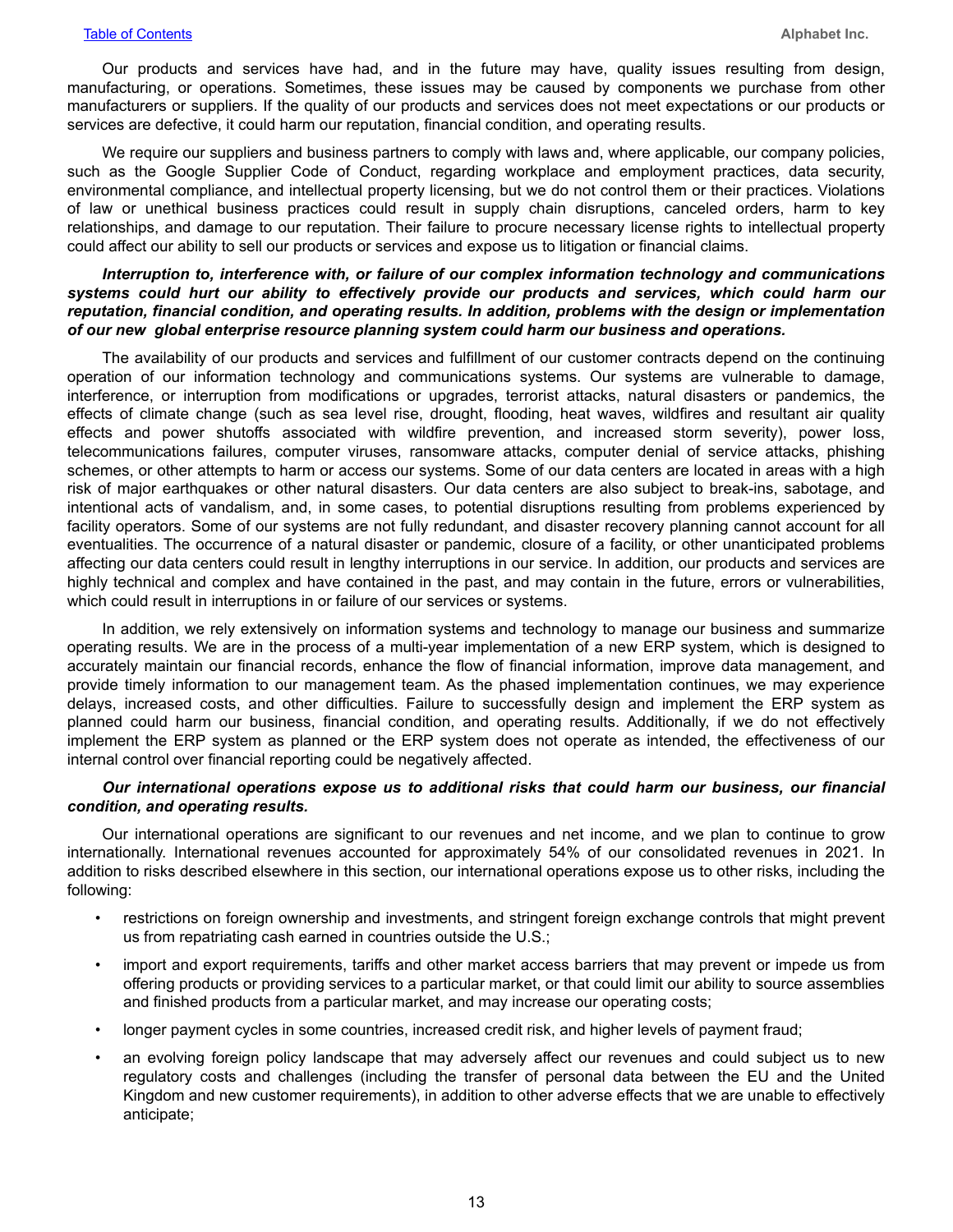Our products and services have had, and in the future may have, quality issues resulting from design, manufacturing, or operations. Sometimes, these issues may be caused by components we purchase from other manufacturers or suppliers. If the quality of our products and services does not meet expectations or our products or services are defective, it could harm our reputation, financial condition, and operating results.

We require our suppliers and business partners to comply with laws and, where applicable, our company policies, such as the Google Supplier Code of Conduct, regarding workplace and employment practices, data security, environmental compliance, and intellectual property licensing, but we do not control them or their practices. Violations of law or unethical business practices could result in supply chain disruptions, canceled orders, harm to key relationships, and damage to our reputation. Their failure to procure necessary license rights to intellectual property could affect our ability to sell our products or services and expose us to litigation or financial claims.

#### *Interruption to, interference with, or failure of our complex information technology and communications systems could hurt our ability to effectively provide our products and services, which could harm our reputation, financial condition, and operating results. In addition, problems with the design or implementation of our new global enterprise resource planning system could harm our business and operations.*

The availability of our products and services and fulfillment of our customer contracts depend on the continuing operation of our information technology and communications systems. Our systems are vulnerable to damage, interference, or interruption from modifications or upgrades, terrorist attacks, natural disasters or pandemics, the effects of climate change (such as sea level rise, drought, flooding, heat waves, wildfires and resultant air quality effects and power shutoffs associated with wildfire prevention, and increased storm severity), power loss, telecommunications failures, computer viruses, ransomware attacks, computer denial of service attacks, phishing schemes, or other attempts to harm or access our systems. Some of our data centers are located in areas with a high risk of major earthquakes or other natural disasters. Our data centers are also subject to break-ins, sabotage, and intentional acts of vandalism, and, in some cases, to potential disruptions resulting from problems experienced by facility operators. Some of our systems are not fully redundant, and disaster recovery planning cannot account for all eventualities. The occurrence of a natural disaster or pandemic, closure of a facility, or other unanticipated problems affecting our data centers could result in lengthy interruptions in our service. In addition, our products and services are highly technical and complex and have contained in the past, and may contain in the future, errors or vulnerabilities, which could result in interruptions in or failure of our services or systems.

In addition, we rely extensively on information systems and technology to manage our business and summarize operating results. We are in the process of a multi-year implementation of a new ERP system, which is designed to accurately maintain our financial records, enhance the flow of financial information, improve data management, and provide timely information to our management team. As the phased implementation continues, we may experience delays, increased costs, and other difficulties. Failure to successfully design and implement the ERP system as planned could harm our business, financial condition, and operating results. Additionally, if we do not effectively implement the ERP system as planned or the ERP system does not operate as intended, the effectiveness of our internal control over financial reporting could be negatively affected.

#### *Our international operations expose us to additional risks that could harm our business, our financial condition, and operating results.*

Our international operations are significant to our revenues and net income, and we plan to continue to grow internationally. International revenues accounted for approximately 54% of our consolidated revenues in 2021. In addition to risks described elsewhere in this section, our international operations expose us to other risks, including the following:

- restrictions on foreign ownership and investments, and stringent foreign exchange controls that might prevent us from repatriating cash earned in countries outside the U.S.;
- import and export requirements, tariffs and other market access barriers that may prevent or impede us from offering products or providing services to a particular market, or that could limit our ability to source assemblies and finished products from a particular market, and may increase our operating costs;
- longer payment cycles in some countries, increased credit risk, and higher levels of payment fraud;
- an evolving foreign policy landscape that may adversely affect our revenues and could subject us to new regulatory costs and challenges (including the transfer of personal data between the EU and the United Kingdom and new customer requirements), in addition to other adverse effects that we are unable to effectively anticipate;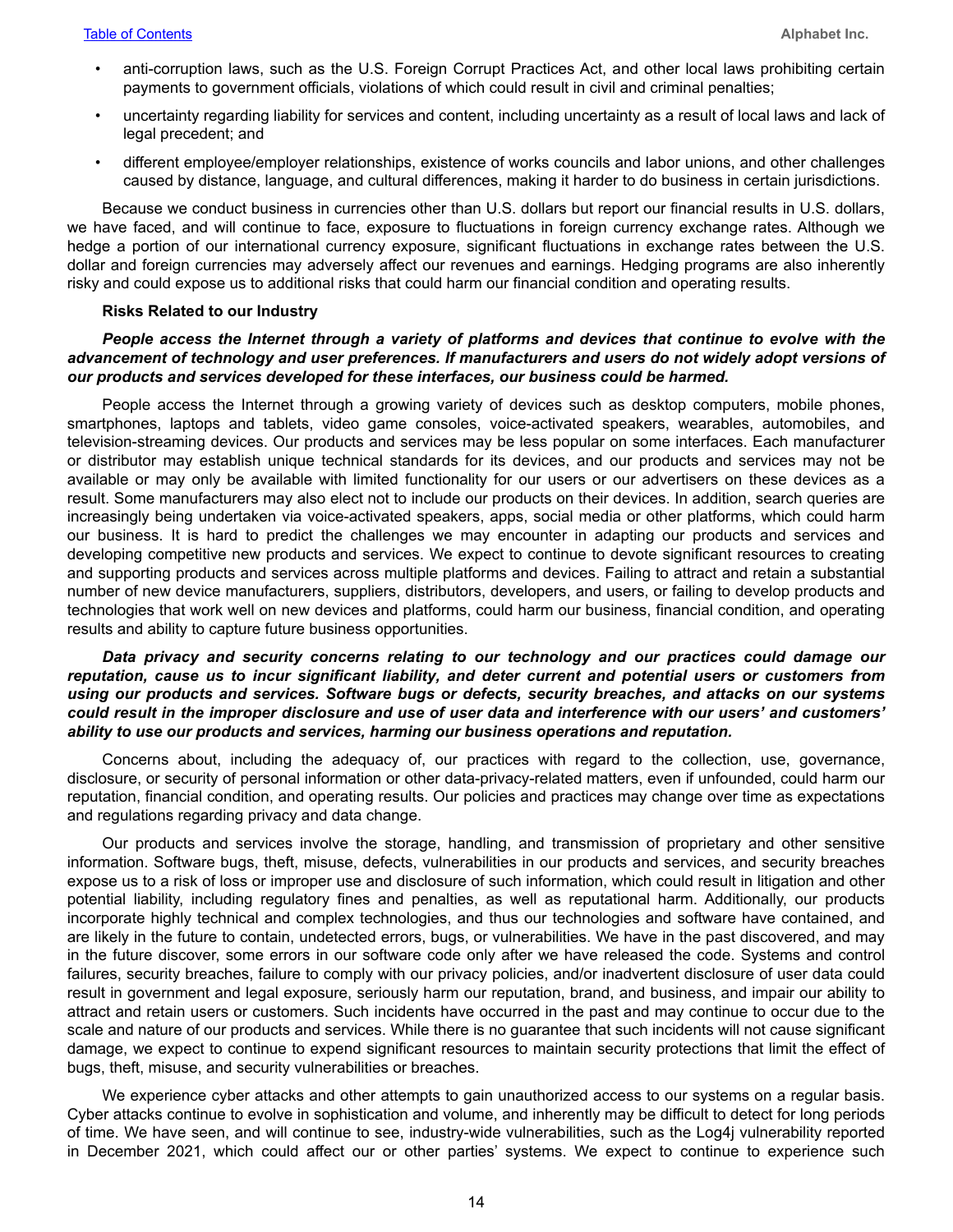- anti-corruption laws, such as the U.S. Foreign Corrupt Practices Act, and other local laws prohibiting certain payments to government officials, violations of which could result in civil and criminal penalties;
- uncertainty regarding liability for services and content, including uncertainty as a result of local laws and lack of legal precedent; and
- different employee/employer relationships, existence of works councils and labor unions, and other challenges caused by distance, language, and cultural differences, making it harder to do business in certain jurisdictions.

Because we conduct business in currencies other than U.S. dollars but report our financial results in U.S. dollars, we have faced, and will continue to face, exposure to fluctuations in foreign currency exchange rates. Although we hedge a portion of our international currency exposure, significant fluctuations in exchange rates between the U.S. dollar and foreign currencies may adversely affect our revenues and earnings. Hedging programs are also inherently risky and could expose us to additional risks that could harm our financial condition and operating results.

#### **Risks Related to our Industry**

#### *People access the Internet through a variety of platforms and devices that continue to evolve with the advancement of technology and user preferences. If manufacturers and users do not widely adopt versions of our products and services developed for these interfaces, our business could be harmed.*

People access the Internet through a growing variety of devices such as desktop computers, mobile phones, smartphones, laptops and tablets, video game consoles, voice-activated speakers, wearables, automobiles, and television-streaming devices. Our products and services may be less popular on some interfaces. Each manufacturer or distributor may establish unique technical standards for its devices, and our products and services may not be available or may only be available with limited functionality for our users or our advertisers on these devices as a result. Some manufacturers may also elect not to include our products on their devices. In addition, search queries are increasingly being undertaken via voice-activated speakers, apps, social media or other platforms, which could harm our business. It is hard to predict the challenges we may encounter in adapting our products and services and developing competitive new products and services. We expect to continue to devote significant resources to creating and supporting products and services across multiple platforms and devices. Failing to attract and retain a substantial number of new device manufacturers, suppliers, distributors, developers, and users, or failing to develop products and technologies that work well on new devices and platforms, could harm our business, financial condition, and operating results and ability to capture future business opportunities.

#### *Data privacy and security concerns relating to our technology and our practices could damage our reputation, cause us to incur significant liability, and deter current and potential users or customers from using our products and services. Software bugs or defects, security breaches, and attacks on our systems could result in the improper disclosure and use of user data and interference with our users' and customers' ability to use our products and services, harming our business operations and reputation.*

Concerns about, including the adequacy of, our practices with regard to the collection, use, governance, disclosure, or security of personal information or other data-privacy-related matters, even if unfounded, could harm our reputation, financial condition, and operating results. Our policies and practices may change over time as expectations and regulations regarding privacy and data change.

Our products and services involve the storage, handling, and transmission of proprietary and other sensitive information. Software bugs, theft, misuse, defects, vulnerabilities in our products and services, and security breaches expose us to a risk of loss or improper use and disclosure of such information, which could result in litigation and other potential liability, including regulatory fines and penalties, as well as reputational harm. Additionally, our products incorporate highly technical and complex technologies, and thus our technologies and software have contained, and are likely in the future to contain, undetected errors, bugs, or vulnerabilities. We have in the past discovered, and may in the future discover, some errors in our software code only after we have released the code. Systems and control failures, security breaches, failure to comply with our privacy policies, and/or inadvertent disclosure of user data could result in government and legal exposure, seriously harm our reputation, brand, and business, and impair our ability to attract and retain users or customers. Such incidents have occurred in the past and may continue to occur due to the scale and nature of our products and services. While there is no guarantee that such incidents will not cause significant damage, we expect to continue to expend significant resources to maintain security protections that limit the effect of bugs, theft, misuse, and security vulnerabilities or breaches.

We experience cyber attacks and other attempts to gain unauthorized access to our systems on a regular basis. Cyber attacks continue to evolve in sophistication and volume, and inherently may be difficult to detect for long periods of time. We have seen, and will continue to see, industry-wide vulnerabilities, such as the Log4j vulnerability reported in December 2021, which could affect our or other parties' systems. We expect to continue to experience such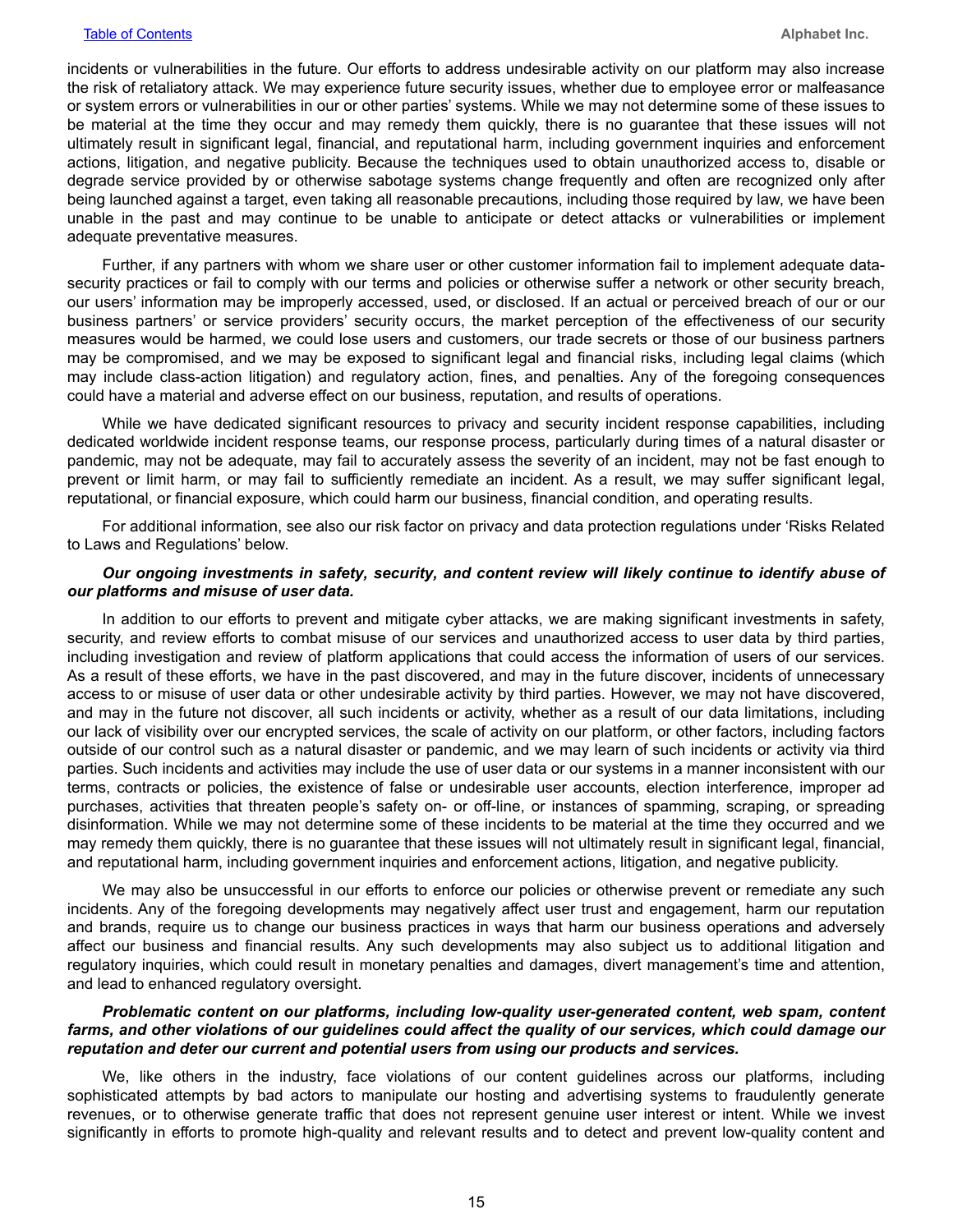#### [Table of Contents](#page-2-0) **Alphabet Inc.**

incidents or vulnerabilities in the future. Our efforts to address undesirable activity on our platform may also increase the risk of retaliatory attack. We may experience future security issues, whether due to employee error or malfeasance or system errors or vulnerabilities in our or other parties' systems. While we may not determine some of these issues to be material at the time they occur and may remedy them quickly, there is no guarantee that these issues will not ultimately result in significant legal, financial, and reputational harm, including government inquiries and enforcement actions, litigation, and negative publicity. Because the techniques used to obtain unauthorized access to, disable or degrade service provided by or otherwise sabotage systems change frequently and often are recognized only after being launched against a target, even taking all reasonable precautions, including those required by law, we have been unable in the past and may continue to be unable to anticipate or detect attacks or vulnerabilities or implement adequate preventative measures.

Further, if any partners with whom we share user or other customer information fail to implement adequate datasecurity practices or fail to comply with our terms and policies or otherwise suffer a network or other security breach, our users' information may be improperly accessed, used, or disclosed. If an actual or perceived breach of our or our business partners' or service providers' security occurs, the market perception of the effectiveness of our security measures would be harmed, we could lose users and customers, our trade secrets or those of our business partners may be compromised, and we may be exposed to significant legal and financial risks, including legal claims (which may include class-action litigation) and regulatory action, fines, and penalties. Any of the foregoing consequences could have a material and adverse effect on our business, reputation, and results of operations.

While we have dedicated significant resources to privacy and security incident response capabilities, including dedicated worldwide incident response teams, our response process, particularly during times of a natural disaster or pandemic, may not be adequate, may fail to accurately assess the severity of an incident, may not be fast enough to prevent or limit harm, or may fail to sufficiently remediate an incident. As a result, we may suffer significant legal, reputational, or financial exposure, which could harm our business, financial condition, and operating results.

For additional information, see also our risk factor on privacy and data protection regulations under 'Risks Related to Laws and Regulations' below.

#### *Our ongoing investments in safety, security, and content review will likely continue to identify abuse of our platforms and misuse of user data.*

In addition to our efforts to prevent and mitigate cyber attacks, we are making significant investments in safety, security, and review efforts to combat misuse of our services and unauthorized access to user data by third parties, including investigation and review of platform applications that could access the information of users of our services. As a result of these efforts, we have in the past discovered, and may in the future discover, incidents of unnecessary access to or misuse of user data or other undesirable activity by third parties. However, we may not have discovered, and may in the future not discover, all such incidents or activity, whether as a result of our data limitations, including our lack of visibility over our encrypted services, the scale of activity on our platform, or other factors, including factors outside of our control such as a natural disaster or pandemic, and we may learn of such incidents or activity via third parties. Such incidents and activities may include the use of user data or our systems in a manner inconsistent with our terms, contracts or policies, the existence of false or undesirable user accounts, election interference, improper ad purchases, activities that threaten people's safety on- or off-line, or instances of spamming, scraping, or spreading disinformation. While we may not determine some of these incidents to be material at the time they occurred and we may remedy them quickly, there is no guarantee that these issues will not ultimately result in significant legal, financial, and reputational harm, including government inquiries and enforcement actions, litigation, and negative publicity.

We may also be unsuccessful in our efforts to enforce our policies or otherwise prevent or remediate any such incidents. Any of the foregoing developments may negatively affect user trust and engagement, harm our reputation and brands, require us to change our business practices in ways that harm our business operations and adversely affect our business and financial results. Any such developments may also subject us to additional litigation and regulatory inquiries, which could result in monetary penalties and damages, divert management's time and attention, and lead to enhanced regulatory oversight.

#### *Problematic content on our platforms, including low-quality user-generated content, web spam, content farms, and other violations of our guidelines could affect the quality of our services, which could damage our reputation and deter our current and potential users from using our products and services.*

We, like others in the industry, face violations of our content guidelines across our platforms, including sophisticated attempts by bad actors to manipulate our hosting and advertising systems to fraudulently generate revenues, or to otherwise generate traffic that does not represent genuine user interest or intent. While we invest significantly in efforts to promote high-quality and relevant results and to detect and prevent low-quality content and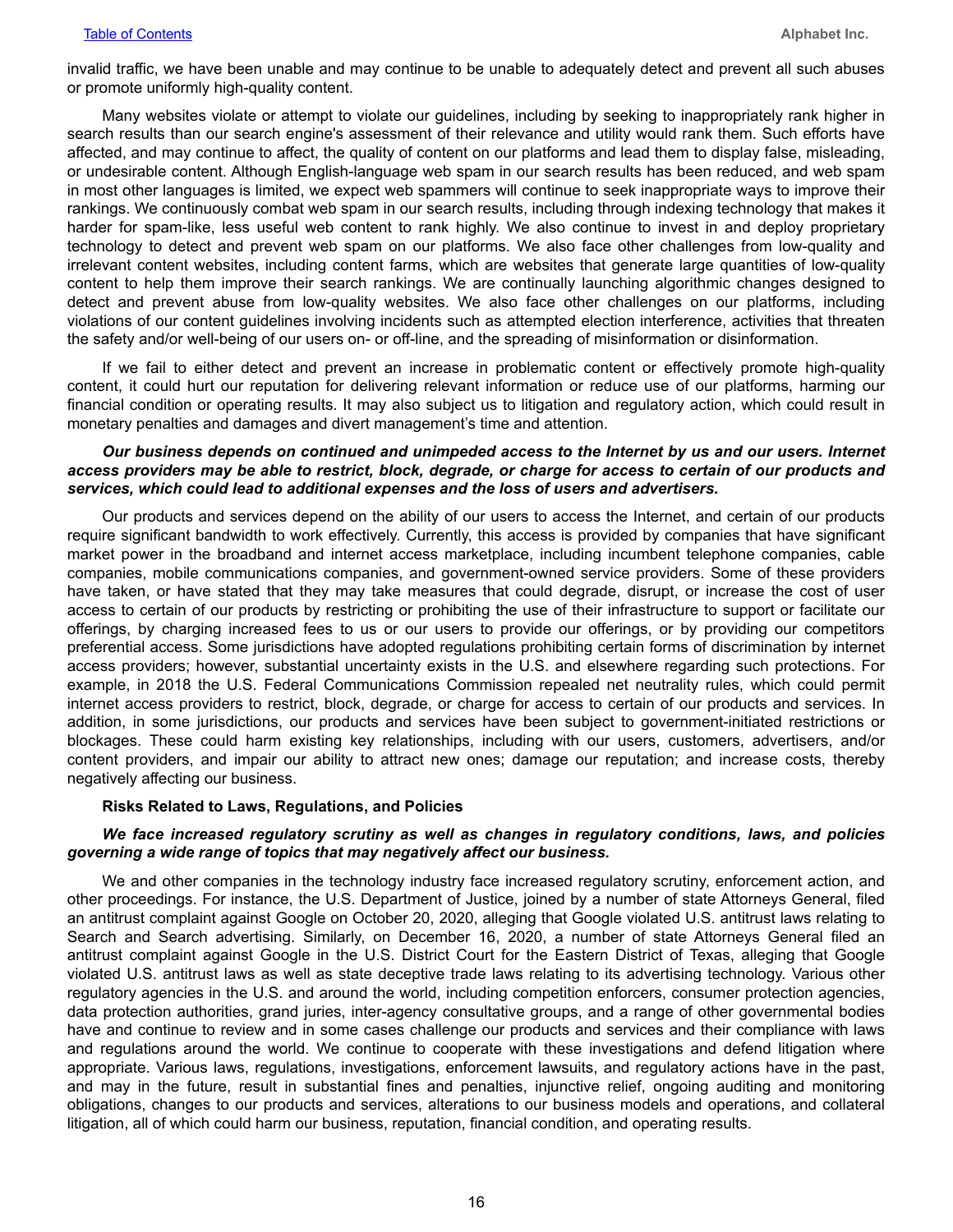invalid traffic, we have been unable and may continue to be unable to adequately detect and prevent all such abuses or promote uniformly high-quality content.

Many websites violate or attempt to violate our guidelines, including by seeking to inappropriately rank higher in search results than our search engine's assessment of their relevance and utility would rank them. Such efforts have affected, and may continue to affect, the quality of content on our platforms and lead them to display false, misleading, or undesirable content. Although English-language web spam in our search results has been reduced, and web spam in most other languages is limited, we expect web spammers will continue to seek inappropriate ways to improve their rankings. We continuously combat web spam in our search results, including through indexing technology that makes it harder for spam-like, less useful web content to rank highly. We also continue to invest in and deploy proprietary technology to detect and prevent web spam on our platforms. We also face other challenges from low-quality and irrelevant content websites, including content farms, which are websites that generate large quantities of low-quality content to help them improve their search rankings. We are continually launching algorithmic changes designed to detect and prevent abuse from low-quality websites. We also face other challenges on our platforms, including violations of our content guidelines involving incidents such as attempted election interference, activities that threaten the safety and/or well-being of our users on- or off-line, and the spreading of misinformation or disinformation.

If we fail to either detect and prevent an increase in problematic content or effectively promote high-quality content, it could hurt our reputation for delivering relevant information or reduce use of our platforms, harming our financial condition or operating results. It may also subject us to litigation and regulatory action, which could result in monetary penalties and damages and divert management's time and attention.

#### *Our business depends on continued and unimpeded access to the Internet by us and our users. Internet access providers may be able to restrict, block, degrade, or charge for access to certain of our products and services, which could lead to additional expenses and the loss of users and advertisers.*

Our products and services depend on the ability of our users to access the Internet, and certain of our products require significant bandwidth to work effectively. Currently, this access is provided by companies that have significant market power in the broadband and internet access marketplace, including incumbent telephone companies, cable companies, mobile communications companies, and government-owned service providers. Some of these providers have taken, or have stated that they may take measures that could degrade, disrupt, or increase the cost of user access to certain of our products by restricting or prohibiting the use of their infrastructure to support or facilitate our offerings, by charging increased fees to us or our users to provide our offerings, or by providing our competitors preferential access. Some jurisdictions have adopted regulations prohibiting certain forms of discrimination by internet access providers; however, substantial uncertainty exists in the U.S. and elsewhere regarding such protections. For example, in 2018 the U.S. Federal Communications Commission repealed net neutrality rules, which could permit internet access providers to restrict, block, degrade, or charge for access to certain of our products and services. In addition, in some jurisdictions, our products and services have been subject to government-initiated restrictions or blockages. These could harm existing key relationships, including with our users, customers, advertisers, and/or content providers, and impair our ability to attract new ones; damage our reputation; and increase costs, thereby negatively affecting our business.

#### **Risks Related to Laws, Regulations, and Policies**

#### *We face increased regulatory scrutiny as well as changes in regulatory conditions, laws, and policies governing a wide range of topics that may negatively affect our business.*

We and other companies in the technology industry face increased regulatory scrutiny, enforcement action, and other proceedings. For instance, the U.S. Department of Justice, joined by a number of state Attorneys General, filed an antitrust complaint against Google on October 20, 2020, alleging that Google violated U.S. antitrust laws relating to Search and Search advertising. Similarly, on December 16, 2020, a number of state Attorneys General filed an antitrust complaint against Google in the U.S. District Court for the Eastern District of Texas, alleging that Google violated U.S. antitrust laws as well as state deceptive trade laws relating to its advertising technology. Various other regulatory agencies in the U.S. and around the world, including competition enforcers, consumer protection agencies, data protection authorities, grand juries, inter-agency consultative groups, and a range of other governmental bodies have and continue to review and in some cases challenge our products and services and their compliance with laws and regulations around the world. We continue to cooperate with these investigations and defend litigation where appropriate. Various laws, regulations, investigations, enforcement lawsuits, and regulatory actions have in the past, and may in the future, result in substantial fines and penalties, injunctive relief, ongoing auditing and monitoring obligations, changes to our products and services, alterations to our business models and operations, and collateral litigation, all of which could harm our business, reputation, financial condition, and operating results.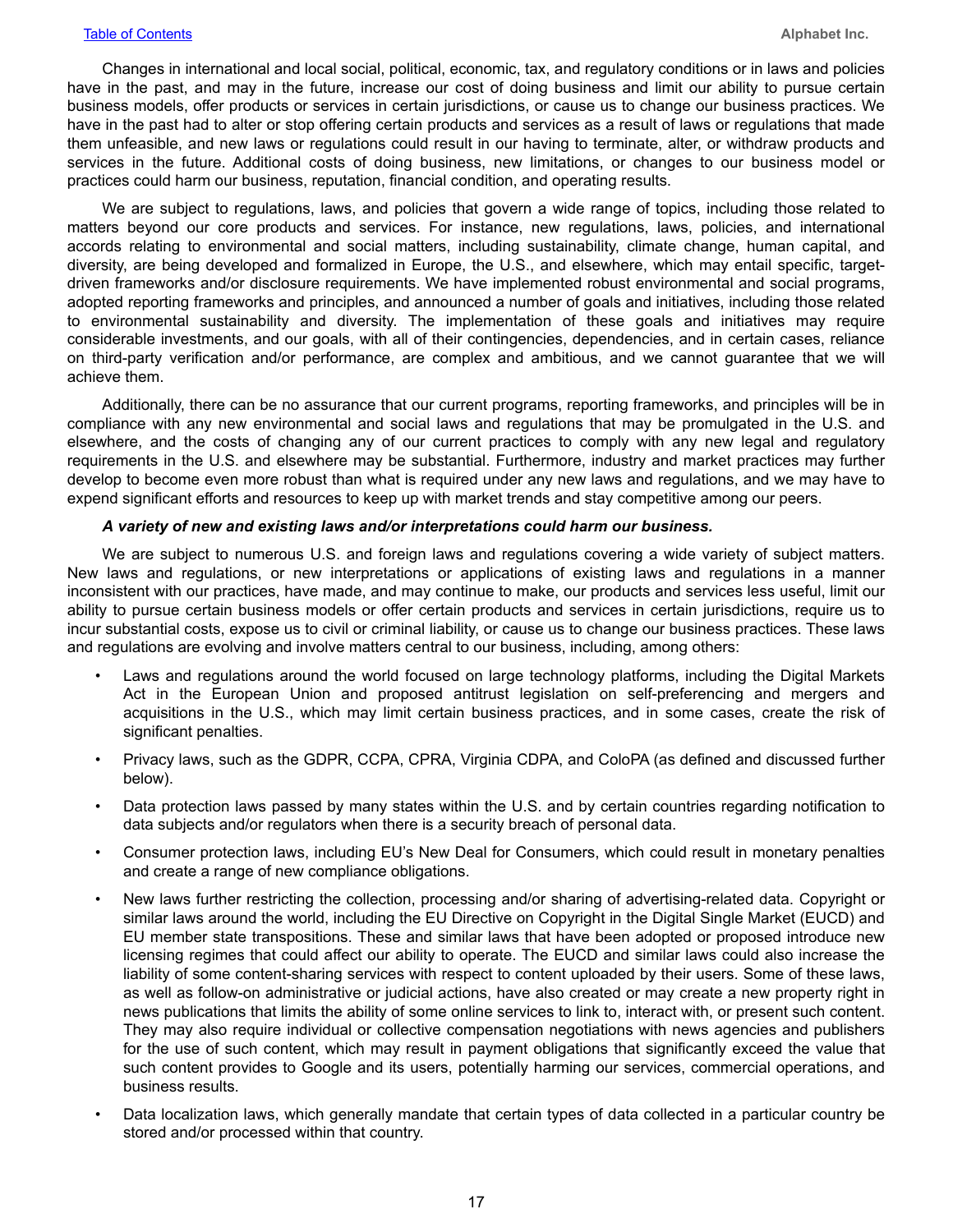Changes in international and local social, political, economic, tax, and regulatory conditions or in laws and policies have in the past, and may in the future, increase our cost of doing business and limit our ability to pursue certain business models, offer products or services in certain jurisdictions, or cause us to change our business practices. We have in the past had to alter or stop offering certain products and services as a result of laws or regulations that made them unfeasible, and new laws or regulations could result in our having to terminate, alter, or withdraw products and services in the future. Additional costs of doing business, new limitations, or changes to our business model or practices could harm our business, reputation, financial condition, and operating results.

We are subject to regulations, laws, and policies that govern a wide range of topics, including those related to matters beyond our core products and services. For instance, new regulations, laws, policies, and international accords relating to environmental and social matters, including sustainability, climate change, human capital, and diversity, are being developed and formalized in Europe, the U.S., and elsewhere, which may entail specific, targetdriven frameworks and/or disclosure requirements. We have implemented robust environmental and social programs, adopted reporting frameworks and principles, and announced a number of goals and initiatives, including those related to environmental sustainability and diversity. The implementation of these goals and initiatives may require considerable investments, and our goals, with all of their contingencies, dependencies, and in certain cases, reliance on third-party verification and/or performance, are complex and ambitious, and we cannot guarantee that we will achieve them.

Additionally, there can be no assurance that our current programs, reporting frameworks, and principles will be in compliance with any new environmental and social laws and regulations that may be promulgated in the U.S. and elsewhere, and the costs of changing any of our current practices to comply with any new legal and regulatory requirements in the U.S. and elsewhere may be substantial. Furthermore, industry and market practices may further develop to become even more robust than what is required under any new laws and regulations, and we may have to expend significant efforts and resources to keep up with market trends and stay competitive among our peers.

#### *A variety of new and existing laws and/or interpretations could harm our business.*

We are subject to numerous U.S. and foreign laws and regulations covering a wide variety of subject matters. New laws and regulations, or new interpretations or applications of existing laws and regulations in a manner inconsistent with our practices, have made, and may continue to make, our products and services less useful, limit our ability to pursue certain business models or offer certain products and services in certain jurisdictions, require us to incur substantial costs, expose us to civil or criminal liability, or cause us to change our business practices. These laws and regulations are evolving and involve matters central to our business, including, among others:

- Laws and regulations around the world focused on large technology platforms, including the Digital Markets Act in the European Union and proposed antitrust legislation on self-preferencing and mergers and acquisitions in the U.S., which may limit certain business practices, and in some cases, create the risk of significant penalties.
- Privacy laws, such as the GDPR, CCPA, CPRA, Virginia CDPA, and ColoPA (as defined and discussed further below).
- Data protection laws passed by many states within the U.S. and by certain countries regarding notification to data subjects and/or regulators when there is a security breach of personal data.
- Consumer protection laws, including EU's New Deal for Consumers, which could result in monetary penalties and create a range of new compliance obligations.
- New laws further restricting the collection, processing and/or sharing of advertising-related data. Copyright or similar laws around the world, including the EU Directive on Copyright in the Digital Single Market (EUCD) and EU member state transpositions. These and similar laws that have been adopted or proposed introduce new licensing regimes that could affect our ability to operate. The EUCD and similar laws could also increase the liability of some content-sharing services with respect to content uploaded by their users. Some of these laws, as well as follow-on administrative or judicial actions, have also created or may create a new property right in news publications that limits the ability of some online services to link to, interact with, or present such content. They may also require individual or collective compensation negotiations with news agencies and publishers for the use of such content, which may result in payment obligations that significantly exceed the value that such content provides to Google and its users, potentially harming our services, commercial operations, and business results.
- Data localization laws, which generally mandate that certain types of data collected in a particular country be stored and/or processed within that country.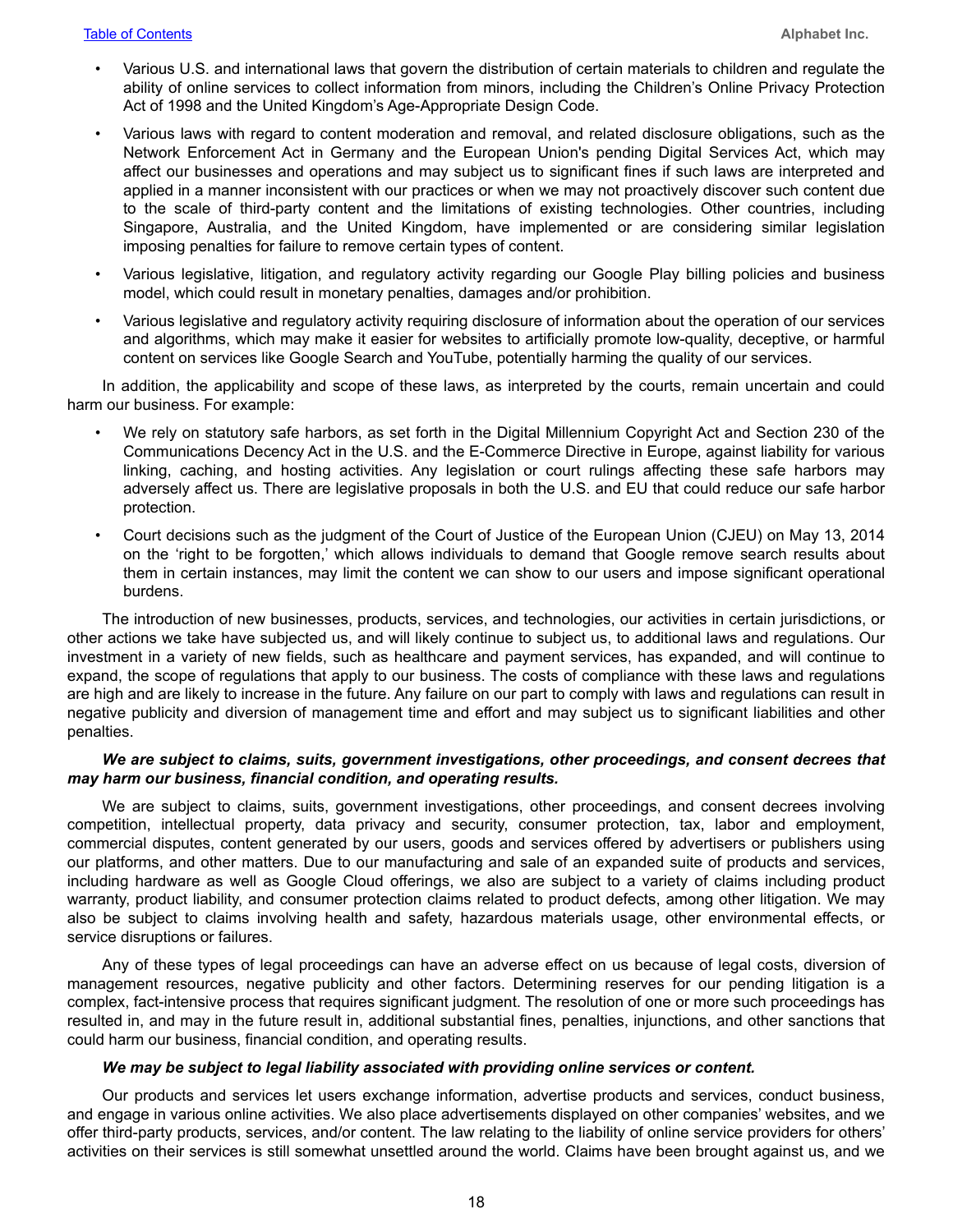- Various U.S. and international laws that govern the distribution of certain materials to children and regulate the ability of online services to collect information from minors, including the Children's Online Privacy Protection Act of 1998 and the United Kingdom's Age-Appropriate Design Code.
- Various laws with regard to content moderation and removal, and related disclosure obligations, such as the Network Enforcement Act in Germany and the European Union's pending Digital Services Act, which may affect our businesses and operations and may subject us to significant fines if such laws are interpreted and applied in a manner inconsistent with our practices or when we may not proactively discover such content due to the scale of third-party content and the limitations of existing technologies. Other countries, including Singapore, Australia, and the United Kingdom, have implemented or are considering similar legislation imposing penalties for failure to remove certain types of content.
- Various legislative, litigation, and regulatory activity regarding our Google Play billing policies and business model, which could result in monetary penalties, damages and/or prohibition.
- Various legislative and regulatory activity requiring disclosure of information about the operation of our services and algorithms, which may make it easier for websites to artificially promote low-quality, deceptive, or harmful content on services like Google Search and YouTube, potentially harming the quality of our services.

In addition, the applicability and scope of these laws, as interpreted by the courts, remain uncertain and could harm our business. For example:

- We rely on statutory safe harbors, as set forth in the Digital Millennium Copyright Act and Section 230 of the Communications Decency Act in the U.S. and the E-Commerce Directive in Europe, against liability for various linking, caching, and hosting activities. Any legislation or court rulings affecting these safe harbors may adversely affect us. There are legislative proposals in both the U.S. and EU that could reduce our safe harbor protection.
- Court decisions such as the judgment of the Court of Justice of the European Union (CJEU) on May 13, 2014 on the 'right to be forgotten,' which allows individuals to demand that Google remove search results about them in certain instances, may limit the content we can show to our users and impose significant operational burdens.

The introduction of new businesses, products, services, and technologies, our activities in certain jurisdictions, or other actions we take have subjected us, and will likely continue to subject us, to additional laws and regulations. Our investment in a variety of new fields, such as healthcare and payment services, has expanded, and will continue to expand, the scope of regulations that apply to our business. The costs of compliance with these laws and regulations are high and are likely to increase in the future. Any failure on our part to comply with laws and regulations can result in negative publicity and diversion of management time and effort and may subject us to significant liabilities and other penalties.

#### *We are subject to claims, suits, government investigations, other proceedings, and consent decrees that may harm our business, financial condition, and operating results.*

We are subject to claims, suits, government investigations, other proceedings, and consent decrees involving competition, intellectual property, data privacy and security, consumer protection, tax, labor and employment, commercial disputes, content generated by our users, goods and services offered by advertisers or publishers using our platforms, and other matters. Due to our manufacturing and sale of an expanded suite of products and services, including hardware as well as Google Cloud offerings, we also are subject to a variety of claims including product warranty, product liability, and consumer protection claims related to product defects, among other litigation. We may also be subject to claims involving health and safety, hazardous materials usage, other environmental effects, or service disruptions or failures.

Any of these types of legal proceedings can have an adverse effect on us because of legal costs, diversion of management resources, negative publicity and other factors. Determining reserves for our pending litigation is a complex, fact-intensive process that requires significant judgment. The resolution of one or more such proceedings has resulted in, and may in the future result in, additional substantial fines, penalties, injunctions, and other sanctions that could harm our business, financial condition, and operating results.

#### *We may be subject to legal liability associated with providing online services or content.*

Our products and services let users exchange information, advertise products and services, conduct business, and engage in various online activities. We also place advertisements displayed on other companies' websites, and we offer third-party products, services, and/or content. The law relating to the liability of online service providers for others' activities on their services is still somewhat unsettled around the world. Claims have been brought against us, and we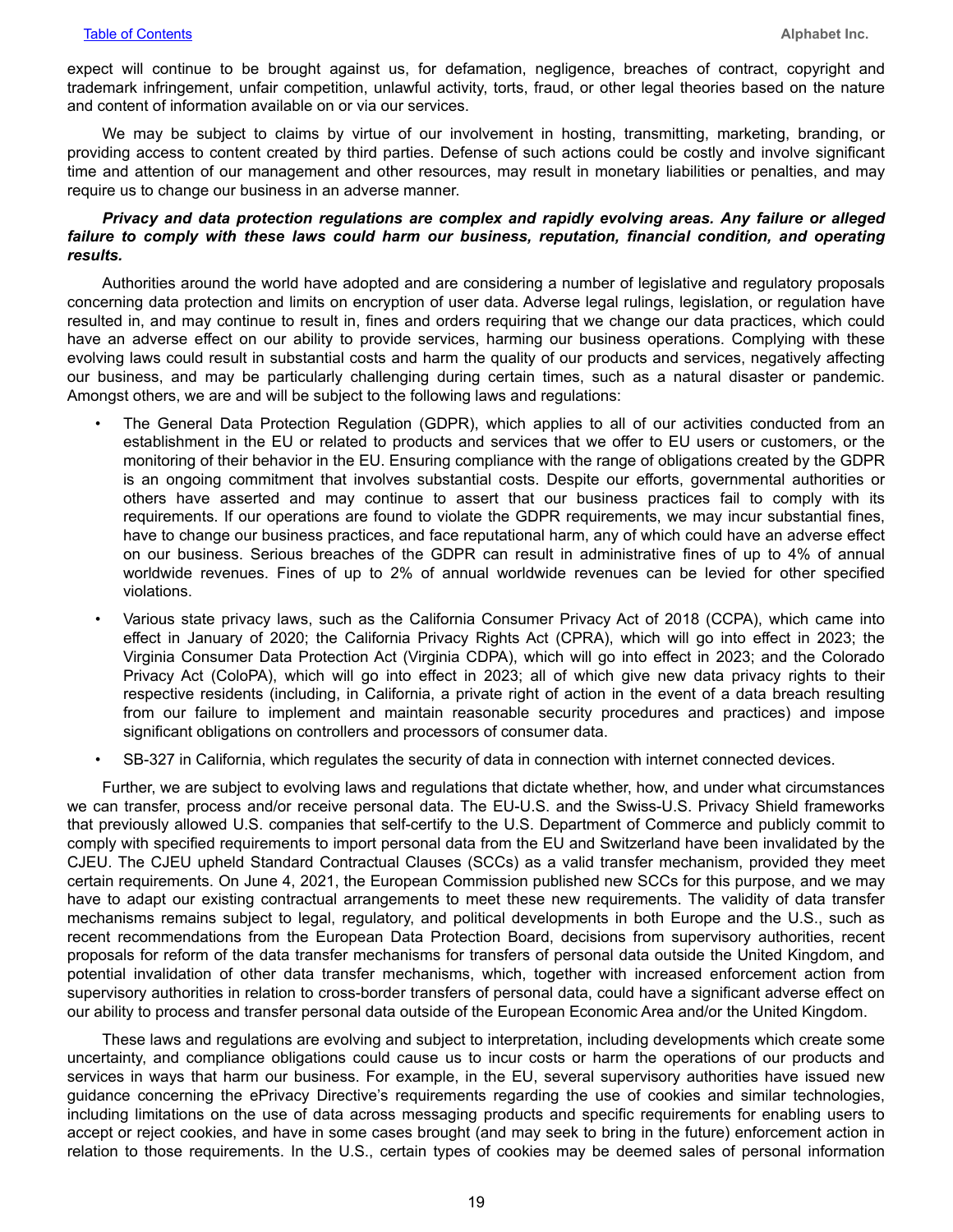expect will continue to be brought against us, for defamation, negligence, breaches of contract, copyright and trademark infringement, unfair competition, unlawful activity, torts, fraud, or other legal theories based on the nature and content of information available on or via our services.

We may be subject to claims by virtue of our involvement in hosting, transmitting, marketing, branding, or providing access to content created by third parties. Defense of such actions could be costly and involve significant time and attention of our management and other resources, may result in monetary liabilities or penalties, and may require us to change our business in an adverse manner.

#### *Privacy and data protection regulations are complex and rapidly evolving areas. Any failure or alleged failure to comply with these laws could harm our business, reputation, financial condition, and operating results.*

Authorities around the world have adopted and are considering a number of legislative and regulatory proposals concerning data protection and limits on encryption of user data. Adverse legal rulings, legislation, or regulation have resulted in, and may continue to result in, fines and orders requiring that we change our data practices, which could have an adverse effect on our ability to provide services, harming our business operations. Complying with these evolving laws could result in substantial costs and harm the quality of our products and services, negatively affecting our business, and may be particularly challenging during certain times, such as a natural disaster or pandemic. Amongst others, we are and will be subject to the following laws and regulations:

- The General Data Protection Regulation (GDPR), which applies to all of our activities conducted from an establishment in the EU or related to products and services that we offer to EU users or customers, or the monitoring of their behavior in the EU. Ensuring compliance with the range of obligations created by the GDPR is an ongoing commitment that involves substantial costs. Despite our efforts, governmental authorities or others have asserted and may continue to assert that our business practices fail to comply with its requirements. If our operations are found to violate the GDPR requirements, we may incur substantial fines, have to change our business practices, and face reputational harm, any of which could have an adverse effect on our business. Serious breaches of the GDPR can result in administrative fines of up to 4% of annual worldwide revenues. Fines of up to 2% of annual worldwide revenues can be levied for other specified violations.
- Various state privacy laws, such as the California Consumer Privacy Act of 2018 (CCPA), which came into effect in January of 2020; the California Privacy Rights Act (CPRA), which will go into effect in 2023; the Virginia Consumer Data Protection Act (Virginia CDPA), which will go into effect in 2023; and the Colorado Privacy Act (ColoPA), which will go into effect in 2023; all of which give new data privacy rights to their respective residents (including, in California, a private right of action in the event of a data breach resulting from our failure to implement and maintain reasonable security procedures and practices) and impose significant obligations on controllers and processors of consumer data.
- SB-327 in California, which regulates the security of data in connection with internet connected devices.

Further, we are subject to evolving laws and regulations that dictate whether, how, and under what circumstances we can transfer, process and/or receive personal data. The EU-U.S. and the Swiss-U.S. Privacy Shield frameworks that previously allowed U.S. companies that self-certify to the U.S. Department of Commerce and publicly commit to comply with specified requirements to import personal data from the EU and Switzerland have been invalidated by the CJEU. The CJEU upheld Standard Contractual Clauses (SCCs) as a valid transfer mechanism, provided they meet certain requirements. On June 4, 2021, the European Commission published new SCCs for this purpose, and we may have to adapt our existing contractual arrangements to meet these new requirements. The validity of data transfer mechanisms remains subject to legal, regulatory, and political developments in both Europe and the U.S., such as recent recommendations from the European Data Protection Board, decisions from supervisory authorities, recent proposals for reform of the data transfer mechanisms for transfers of personal data outside the United Kingdom, and potential invalidation of other data transfer mechanisms, which, together with increased enforcement action from supervisory authorities in relation to cross-border transfers of personal data, could have a significant adverse effect on our ability to process and transfer personal data outside of the European Economic Area and/or the United Kingdom.

These laws and regulations are evolving and subject to interpretation, including developments which create some uncertainty, and compliance obligations could cause us to incur costs or harm the operations of our products and services in ways that harm our business. For example, in the EU, several supervisory authorities have issued new guidance concerning the ePrivacy Directive's requirements regarding the use of cookies and similar technologies, including limitations on the use of data across messaging products and specific requirements for enabling users to accept or reject cookies, and have in some cases brought (and may seek to bring in the future) enforcement action in relation to those requirements. In the U.S., certain types of cookies may be deemed sales of personal information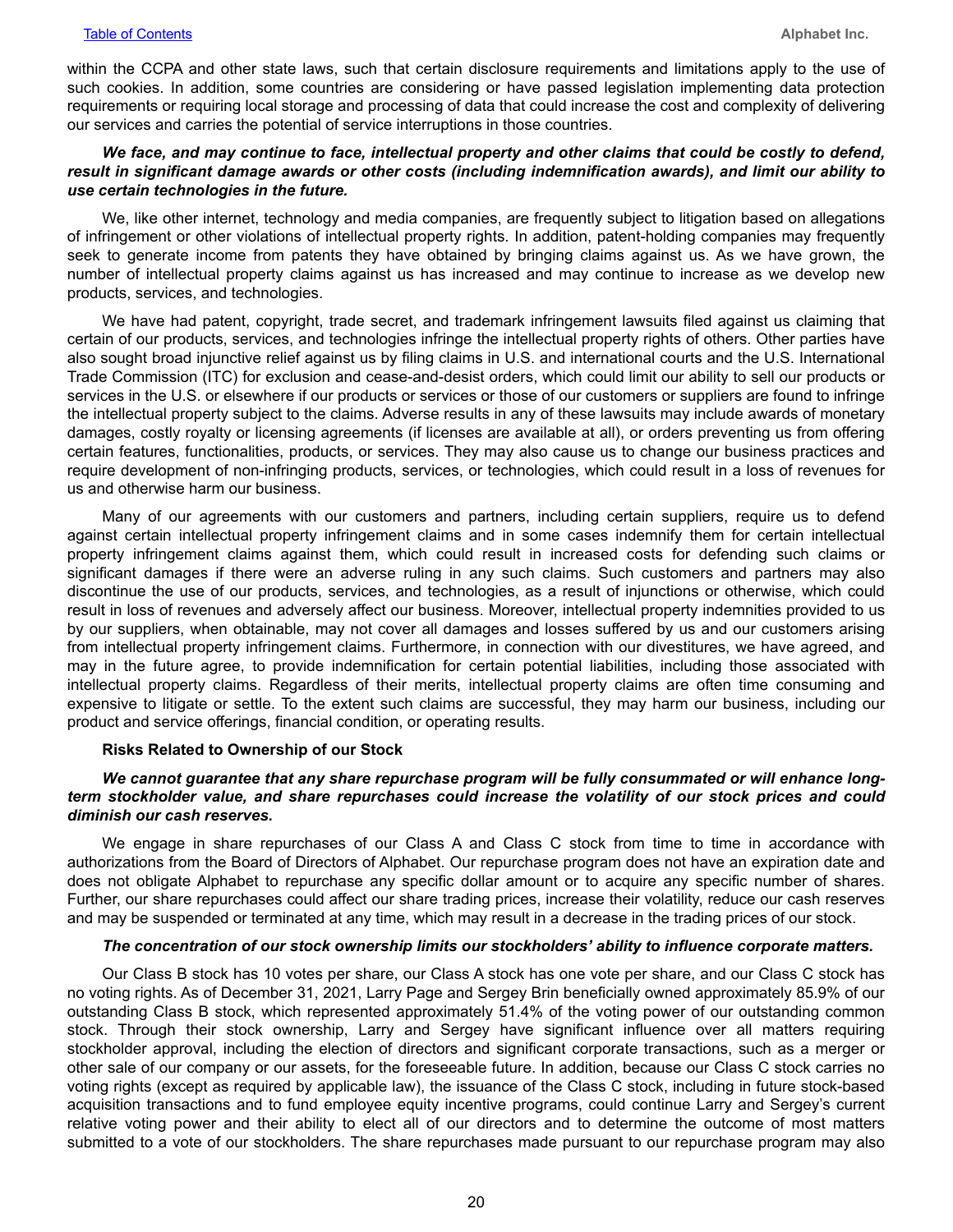within the CCPA and other state laws, such that certain disclosure requirements and limitations apply to the use of such cookies. In addition, some countries are considering or have passed legislation implementing data protection requirements or requiring local storage and processing of data that could increase the cost and complexity of delivering our services and carries the potential of service interruptions in those countries.

#### *We face, and may continue to face, intellectual property and other claims that could be costly to defend, result in significant damage awards or other costs (including indemnification awards), and limit our ability to use certain technologies in the future.*

We, like other internet, technology and media companies, are frequently subject to litigation based on allegations of infringement or other violations of intellectual property rights. In addition, patent-holding companies may frequently seek to generate income from patents they have obtained by bringing claims against us. As we have grown, the number of intellectual property claims against us has increased and may continue to increase as we develop new products, services, and technologies.

We have had patent, copyright, trade secret, and trademark infringement lawsuits filed against us claiming that certain of our products, services, and technologies infringe the intellectual property rights of others. Other parties have also sought broad injunctive relief against us by filing claims in U.S. and international courts and the U.S. International Trade Commission (ITC) for exclusion and cease-and-desist orders, which could limit our ability to sell our products or services in the U.S. or elsewhere if our products or services or those of our customers or suppliers are found to infringe the intellectual property subject to the claims. Adverse results in any of these lawsuits may include awards of monetary damages, costly royalty or licensing agreements (if licenses are available at all), or orders preventing us from offering certain features, functionalities, products, or services. They may also cause us to change our business practices and require development of non-infringing products, services, or technologies, which could result in a loss of revenues for us and otherwise harm our business.

Many of our agreements with our customers and partners, including certain suppliers, require us to defend against certain intellectual property infringement claims and in some cases indemnify them for certain intellectual property infringement claims against them, which could result in increased costs for defending such claims or significant damages if there were an adverse ruling in any such claims. Such customers and partners may also discontinue the use of our products, services, and technologies, as a result of injunctions or otherwise, which could result in loss of revenues and adversely affect our business. Moreover, intellectual property indemnities provided to us by our suppliers, when obtainable, may not cover all damages and losses suffered by us and our customers arising from intellectual property infringement claims. Furthermore, in connection with our divestitures, we have agreed, and may in the future agree, to provide indemnification for certain potential liabilities, including those associated with intellectual property claims. Regardless of their merits, intellectual property claims are often time consuming and expensive to litigate or settle. To the extent such claims are successful, they may harm our business, including our product and service offerings, financial condition, or operating results.

#### **Risks Related to Ownership of our Stock**

#### *We cannot guarantee that any share repurchase program will be fully consummated or will enhance longterm stockholder value, and share repurchases could increase the volatility of our stock prices and could diminish our cash reserves.*

We engage in share repurchases of our Class A and Class C stock from time to time in accordance with authorizations from the Board of Directors of Alphabet. Our repurchase program does not have an expiration date and does not obligate Alphabet to repurchase any specific dollar amount or to acquire any specific number of shares. Further, our share repurchases could affect our share trading prices, increase their volatility, reduce our cash reserves and may be suspended or terminated at any time, which may result in a decrease in the trading prices of our stock.

#### *The concentration of our stock ownership limits our stockholders' ability to influence corporate matters.*

Our Class B stock has 10 votes per share, our Class A stock has one vote per share, and our Class C stock has no voting rights. As of December 31, 2021, Larry Page and Sergey Brin beneficially owned approximately 85.9% of our outstanding Class B stock, which represented approximately 51.4% of the voting power of our outstanding common stock. Through their stock ownership, Larry and Sergey have significant influence over all matters requiring stockholder approval, including the election of directors and significant corporate transactions, such as a merger or other sale of our company or our assets, for the foreseeable future. In addition, because our Class C stock carries no voting rights (except as required by applicable law), the issuance of the Class C stock, including in future stock-based acquisition transactions and to fund employee equity incentive programs, could continue Larry and Sergey's current relative voting power and their ability to elect all of our directors and to determine the outcome of most matters submitted to a vote of our stockholders. The share repurchases made pursuant to our repurchase program may also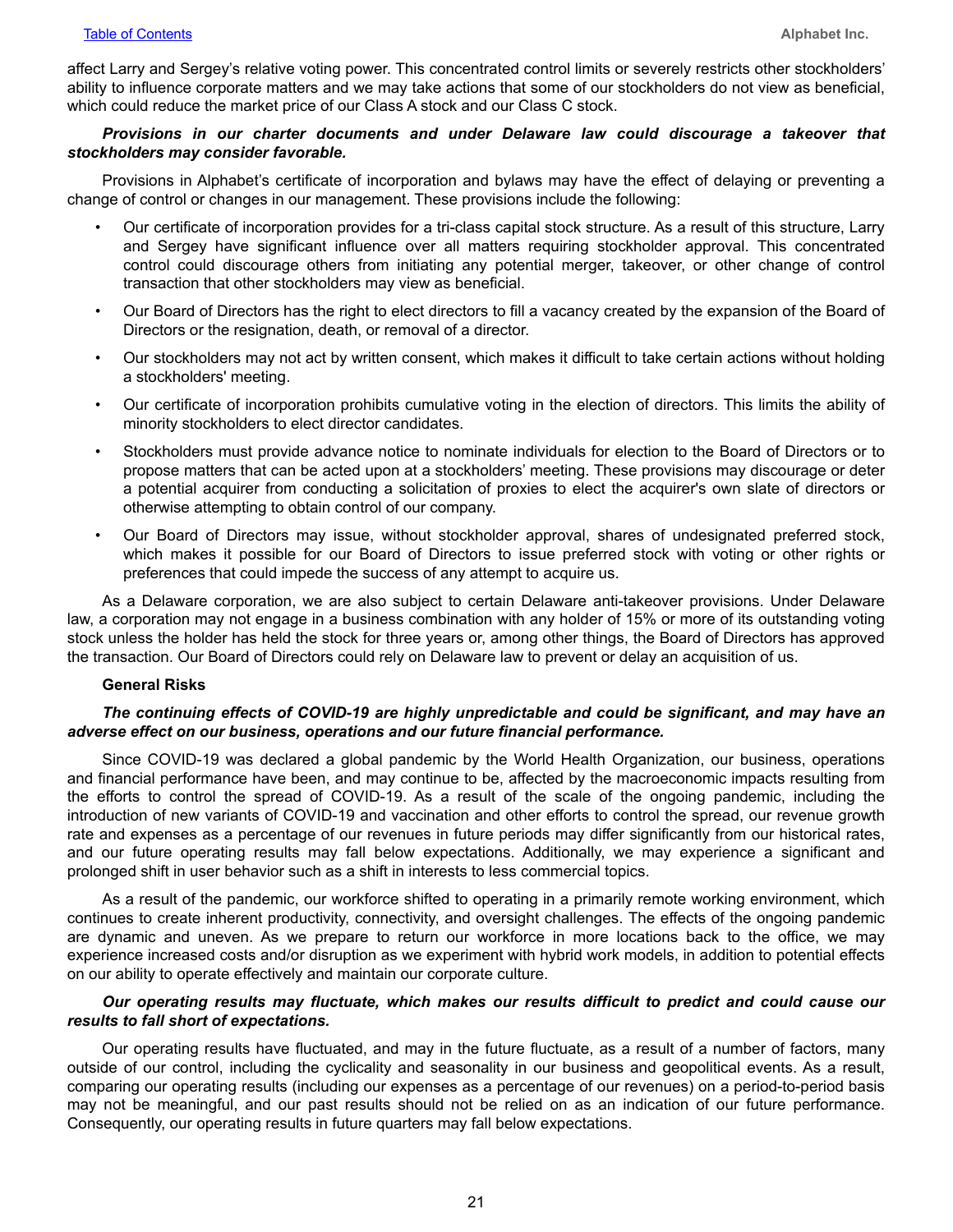affect Larry and Sergey's relative voting power. This concentrated control limits or severely restricts other stockholders' ability to influence corporate matters and we may take actions that some of our stockholders do not view as beneficial, which could reduce the market price of our Class A stock and our Class C stock.

#### *Provisions in our charter documents and under Delaware law could discourage a takeover that stockholders may consider favorable.*

Provisions in Alphabet's certificate of incorporation and bylaws may have the effect of delaying or preventing a change of control or changes in our management. These provisions include the following:

- Our certificate of incorporation provides for a tri-class capital stock structure. As a result of this structure, Larry and Sergey have significant influence over all matters requiring stockholder approval. This concentrated control could discourage others from initiating any potential merger, takeover, or other change of control transaction that other stockholders may view as beneficial.
- Our Board of Directors has the right to elect directors to fill a vacancy created by the expansion of the Board of Directors or the resignation, death, or removal of a director.
- Our stockholders may not act by written consent, which makes it difficult to take certain actions without holding a stockholders' meeting.
- Our certificate of incorporation prohibits cumulative voting in the election of directors. This limits the ability of minority stockholders to elect director candidates.
- Stockholders must provide advance notice to nominate individuals for election to the Board of Directors or to propose matters that can be acted upon at a stockholders' meeting. These provisions may discourage or deter a potential acquirer from conducting a solicitation of proxies to elect the acquirer's own slate of directors or otherwise attempting to obtain control of our company.
- Our Board of Directors may issue, without stockholder approval, shares of undesignated preferred stock, which makes it possible for our Board of Directors to issue preferred stock with voting or other rights or preferences that could impede the success of any attempt to acquire us.

As a Delaware corporation, we are also subject to certain Delaware anti-takeover provisions. Under Delaware law, a corporation may not engage in a business combination with any holder of 15% or more of its outstanding voting stock unless the holder has held the stock for three years or, among other things, the Board of Directors has approved the transaction. Our Board of Directors could rely on Delaware law to prevent or delay an acquisition of us.

#### **General Risks**

#### *The continuing effects of COVID-19 are highly unpredictable and could be significant, and may have an adverse effect on our business, operations and our future financial performance.*

Since COVID-19 was declared a global pandemic by the World Health Organization, our business, operations and financial performance have been, and may continue to be, affected by the macroeconomic impacts resulting from the efforts to control the spread of COVID-19. As a result of the scale of the ongoing pandemic, including the introduction of new variants of COVID-19 and vaccination and other efforts to control the spread, our revenue growth rate and expenses as a percentage of our revenues in future periods may differ significantly from our historical rates, and our future operating results may fall below expectations. Additionally, we may experience a significant and prolonged shift in user behavior such as a shift in interests to less commercial topics.

As a result of the pandemic, our workforce shifted to operating in a primarily remote working environment, which continues to create inherent productivity, connectivity, and oversight challenges. The effects of the ongoing pandemic are dynamic and uneven. As we prepare to return our workforce in more locations back to the office, we may experience increased costs and/or disruption as we experiment with hybrid work models, in addition to potential effects on our ability to operate effectively and maintain our corporate culture.

#### *Our operating results may fluctuate, which makes our results difficult to predict and could cause our results to fall short of expectations.*

Our operating results have fluctuated, and may in the future fluctuate, as a result of a number of factors, many outside of our control, including the cyclicality and seasonality in our business and geopolitical events. As a result, comparing our operating results (including our expenses as a percentage of our revenues) on a period-to-period basis may not be meaningful, and our past results should not be relied on as an indication of our future performance. Consequently, our operating results in future quarters may fall below expectations.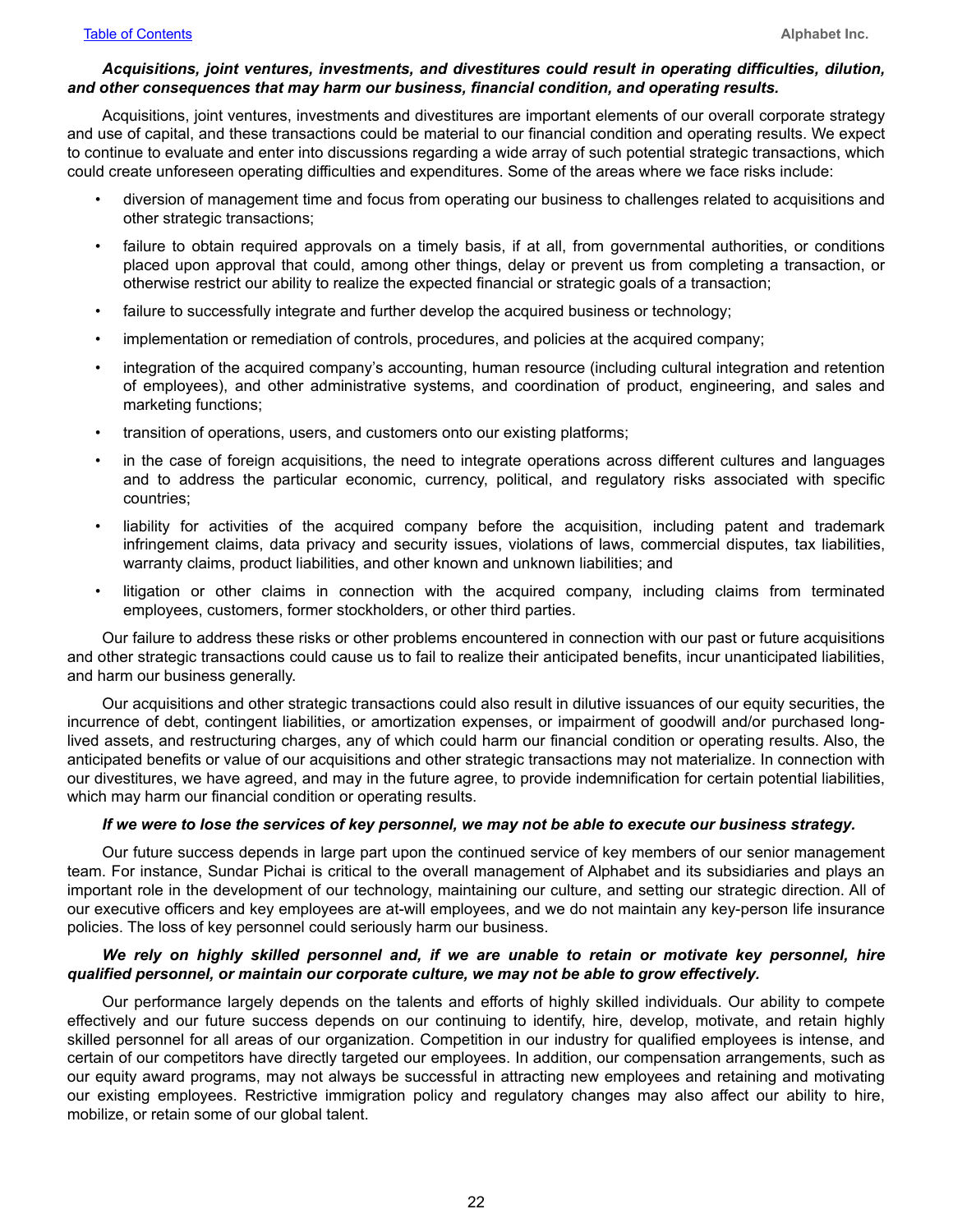#### *Acquisitions, joint ventures, investments, and divestitures could result in operating difficulties, dilution, and other consequences that may harm our business, financial condition, and operating results.*

Acquisitions, joint ventures, investments and divestitures are important elements of our overall corporate strategy and use of capital, and these transactions could be material to our financial condition and operating results. We expect to continue to evaluate and enter into discussions regarding a wide array of such potential strategic transactions, which could create unforeseen operating difficulties and expenditures. Some of the areas where we face risks include:

- diversion of management time and focus from operating our business to challenges related to acquisitions and other strategic transactions;
- failure to obtain required approvals on a timely basis, if at all, from governmental authorities, or conditions placed upon approval that could, among other things, delay or prevent us from completing a transaction, or otherwise restrict our ability to realize the expected financial or strategic goals of a transaction;
- failure to successfully integrate and further develop the acquired business or technology;
- implementation or remediation of controls, procedures, and policies at the acquired company;
- integration of the acquired company's accounting, human resource (including cultural integration and retention of employees), and other administrative systems, and coordination of product, engineering, and sales and marketing functions;
- transition of operations, users, and customers onto our existing platforms;
- in the case of foreign acquisitions, the need to integrate operations across different cultures and languages and to address the particular economic, currency, political, and regulatory risks associated with specific countries;
- liability for activities of the acquired company before the acquisition, including patent and trademark infringement claims, data privacy and security issues, violations of laws, commercial disputes, tax liabilities, warranty claims, product liabilities, and other known and unknown liabilities; and
- litigation or other claims in connection with the acquired company, including claims from terminated employees, customers, former stockholders, or other third parties.

Our failure to address these risks or other problems encountered in connection with our past or future acquisitions and other strategic transactions could cause us to fail to realize their anticipated benefits, incur unanticipated liabilities, and harm our business generally.

Our acquisitions and other strategic transactions could also result in dilutive issuances of our equity securities, the incurrence of debt, contingent liabilities, or amortization expenses, or impairment of goodwill and/or purchased longlived assets, and restructuring charges, any of which could harm our financial condition or operating results. Also, the anticipated benefits or value of our acquisitions and other strategic transactions may not materialize. In connection with our divestitures, we have agreed, and may in the future agree, to provide indemnification for certain potential liabilities, which may harm our financial condition or operating results.

#### *If we were to lose the services of key personnel, we may not be able to execute our business strategy.*

Our future success depends in large part upon the continued service of key members of our senior management team. For instance, Sundar Pichai is critical to the overall management of Alphabet and its subsidiaries and plays an important role in the development of our technology, maintaining our culture, and setting our strategic direction. All of our executive officers and key employees are at-will employees, and we do not maintain any key-person life insurance policies. The loss of key personnel could seriously harm our business.

#### *We rely on highly skilled personnel and, if we are unable to retain or motivate key personnel, hire qualified personnel, or maintain our corporate culture, we may not be able to grow effectively.*

Our performance largely depends on the talents and efforts of highly skilled individuals. Our ability to compete effectively and our future success depends on our continuing to identify, hire, develop, motivate, and retain highly skilled personnel for all areas of our organization. Competition in our industry for qualified employees is intense, and certain of our competitors have directly targeted our employees. In addition, our compensation arrangements, such as our equity award programs, may not always be successful in attracting new employees and retaining and motivating our existing employees. Restrictive immigration policy and regulatory changes may also affect our ability to hire, mobilize, or retain some of our global talent.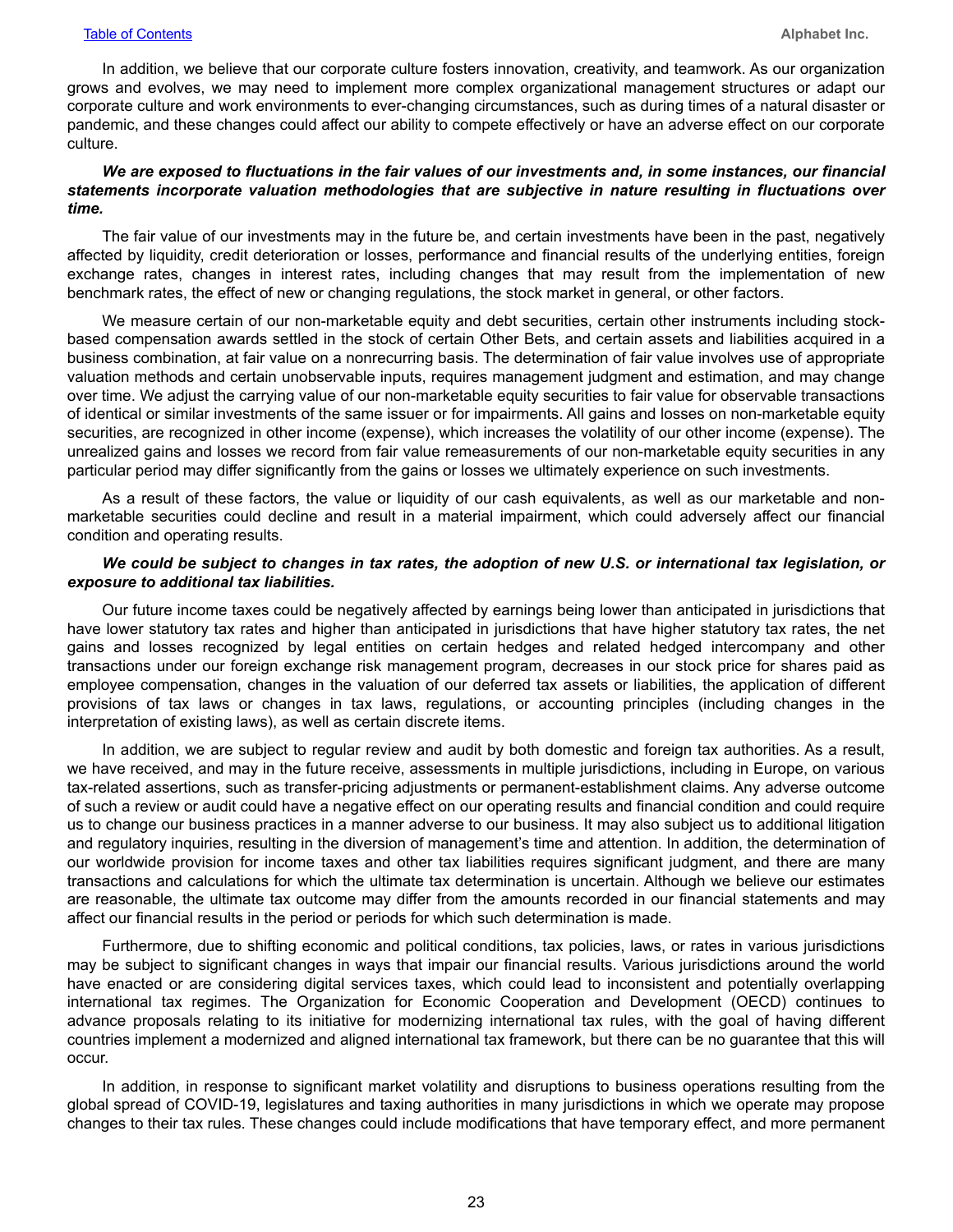In addition, we believe that our corporate culture fosters innovation, creativity, and teamwork. As our organization grows and evolves, we may need to implement more complex organizational management structures or adapt our corporate culture and work environments to ever-changing circumstances, such as during times of a natural disaster or pandemic, and these changes could affect our ability to compete effectively or have an adverse effect on our corporate culture.

#### *We are exposed to fluctuations in the fair values of our investments and, in some instances, our financial statements incorporate valuation methodologies that are subjective in nature resulting in fluctuations over time.*

The fair value of our investments may in the future be, and certain investments have been in the past, negatively affected by liquidity, credit deterioration or losses, performance and financial results of the underlying entities, foreign exchange rates, changes in interest rates, including changes that may result from the implementation of new benchmark rates, the effect of new or changing regulations, the stock market in general, or other factors.

We measure certain of our non-marketable equity and debt securities, certain other instruments including stockbased compensation awards settled in the stock of certain Other Bets, and certain assets and liabilities acquired in a business combination, at fair value on a nonrecurring basis. The determination of fair value involves use of appropriate valuation methods and certain unobservable inputs, requires management judgment and estimation, and may change over time. We adjust the carrying value of our non-marketable equity securities to fair value for observable transactions of identical or similar investments of the same issuer or for impairments. All gains and losses on non-marketable equity securities, are recognized in other income (expense), which increases the volatility of our other income (expense). The unrealized gains and losses we record from fair value remeasurements of our non-marketable equity securities in any particular period may differ significantly from the gains or losses we ultimately experience on such investments.

As a result of these factors, the value or liquidity of our cash equivalents, as well as our marketable and nonmarketable securities could decline and result in a material impairment, which could adversely affect our financial condition and operating results.

#### *We could be subject to changes in tax rates, the adoption of new U.S. or international tax legislation, or exposure to additional tax liabilities.*

Our future income taxes could be negatively affected by earnings being lower than anticipated in jurisdictions that have lower statutory tax rates and higher than anticipated in jurisdictions that have higher statutory tax rates, the net gains and losses recognized by legal entities on certain hedges and related hedged intercompany and other transactions under our foreign exchange risk management program, decreases in our stock price for shares paid as employee compensation, changes in the valuation of our deferred tax assets or liabilities, the application of different provisions of tax laws or changes in tax laws, regulations, or accounting principles (including changes in the interpretation of existing laws), as well as certain discrete items.

In addition, we are subject to regular review and audit by both domestic and foreign tax authorities. As a result, we have received, and may in the future receive, assessments in multiple jurisdictions, including in Europe, on various tax-related assertions, such as transfer-pricing adjustments or permanent-establishment claims. Any adverse outcome of such a review or audit could have a negative effect on our operating results and financial condition and could require us to change our business practices in a manner adverse to our business. It may also subject us to additional litigation and regulatory inquiries, resulting in the diversion of management's time and attention. In addition, the determination of our worldwide provision for income taxes and other tax liabilities requires significant judgment, and there are many transactions and calculations for which the ultimate tax determination is uncertain. Although we believe our estimates are reasonable, the ultimate tax outcome may differ from the amounts recorded in our financial statements and may affect our financial results in the period or periods for which such determination is made.

Furthermore, due to shifting economic and political conditions, tax policies, laws, or rates in various jurisdictions may be subject to significant changes in ways that impair our financial results. Various jurisdictions around the world have enacted or are considering digital services taxes, which could lead to inconsistent and potentially overlapping international tax regimes. The Organization for Economic Cooperation and Development (OECD) continues to advance proposals relating to its initiative for modernizing international tax rules, with the goal of having different countries implement a modernized and aligned international tax framework, but there can be no guarantee that this will occur.

In addition, in response to significant market volatility and disruptions to business operations resulting from the global spread of COVID-19, legislatures and taxing authorities in many jurisdictions in which we operate may propose changes to their tax rules. These changes could include modifications that have temporary effect, and more permanent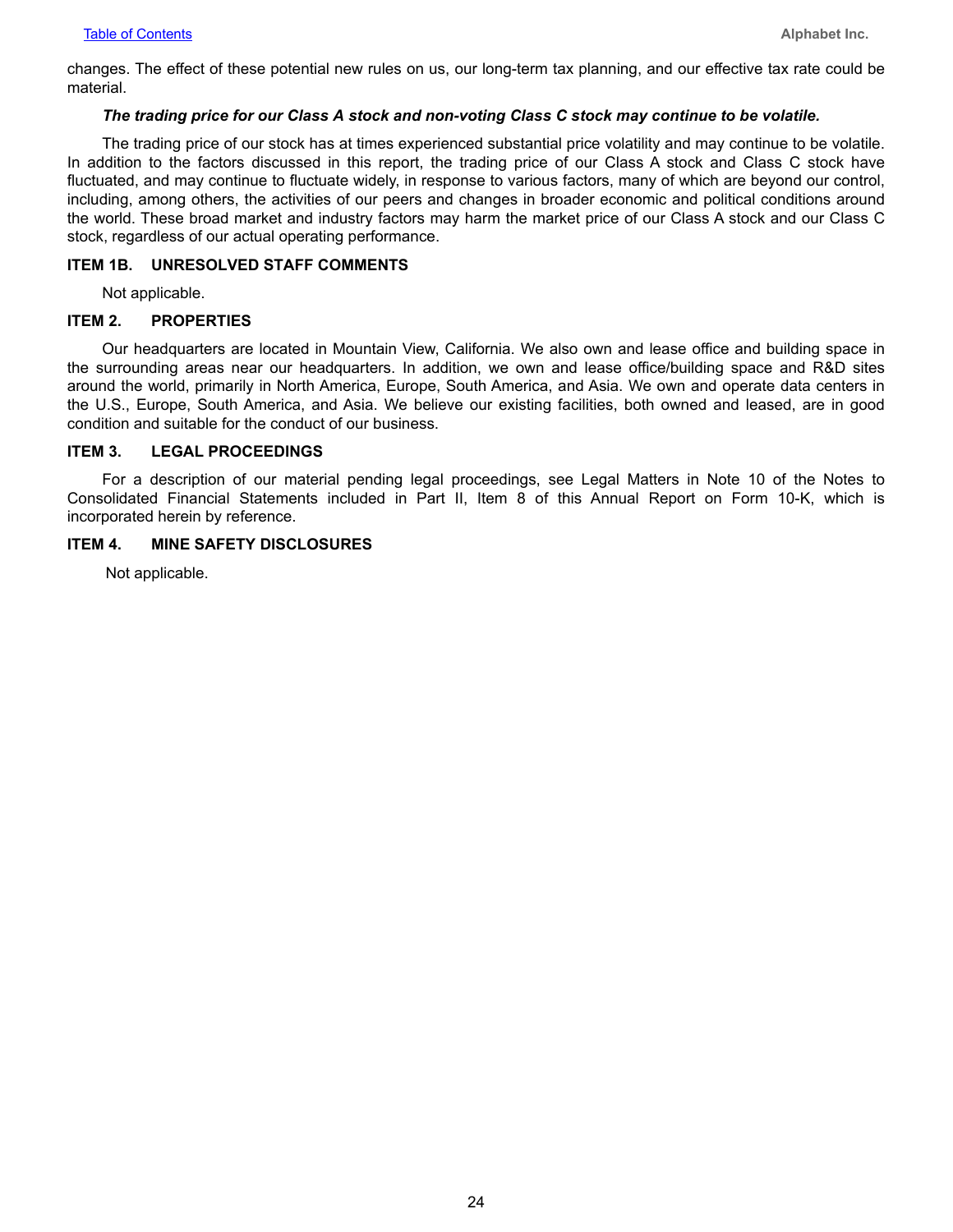<span id="page-24-0"></span>changes. The effect of these potential new rules on us, our long-term tax planning, and our effective tax rate could be material.

#### *The trading price for our Class A stock and non-voting Class C stock may continue to be volatile.*

The trading price of our stock has at times experienced substantial price volatility and may continue to be volatile. In addition to the factors discussed in this report, the trading price of our Class A stock and Class C stock have fluctuated, and may continue to fluctuate widely, in response to various factors, many of which are beyond our control, including, among others, the activities of our peers and changes in broader economic and political conditions around the world. These broad market and industry factors may harm the market price of our Class A stock and our Class C stock, regardless of our actual operating performance.

#### **ITEM 1B. UNRESOLVED STAFF COMMENTS**

Not applicable.

#### **ITEM 2. PROPERTIES**

Our headquarters are located in Mountain View, California. We also own and lease office and building space in the surrounding areas near our headquarters. In addition, we own and lease office/building space and R&D sites around the world, primarily in North America, Europe, South America, and Asia. We own and operate data centers in the U.S., Europe, South America, and Asia. We believe our existing facilities, both owned and leased, are in good condition and suitable for the conduct of our business.

#### **ITEM 3. LEGAL PROCEEDINGS**

For a description of our material pending legal proceedings, see Legal Matters in Note 10 of the Notes to Consolidated Financial Statements included in Part II, Item 8 of this Annual Report on Form 10-K, which is incorporated herein by reference.

#### **ITEM 4. MINE SAFETY DISCLOSURES**

Not applicable.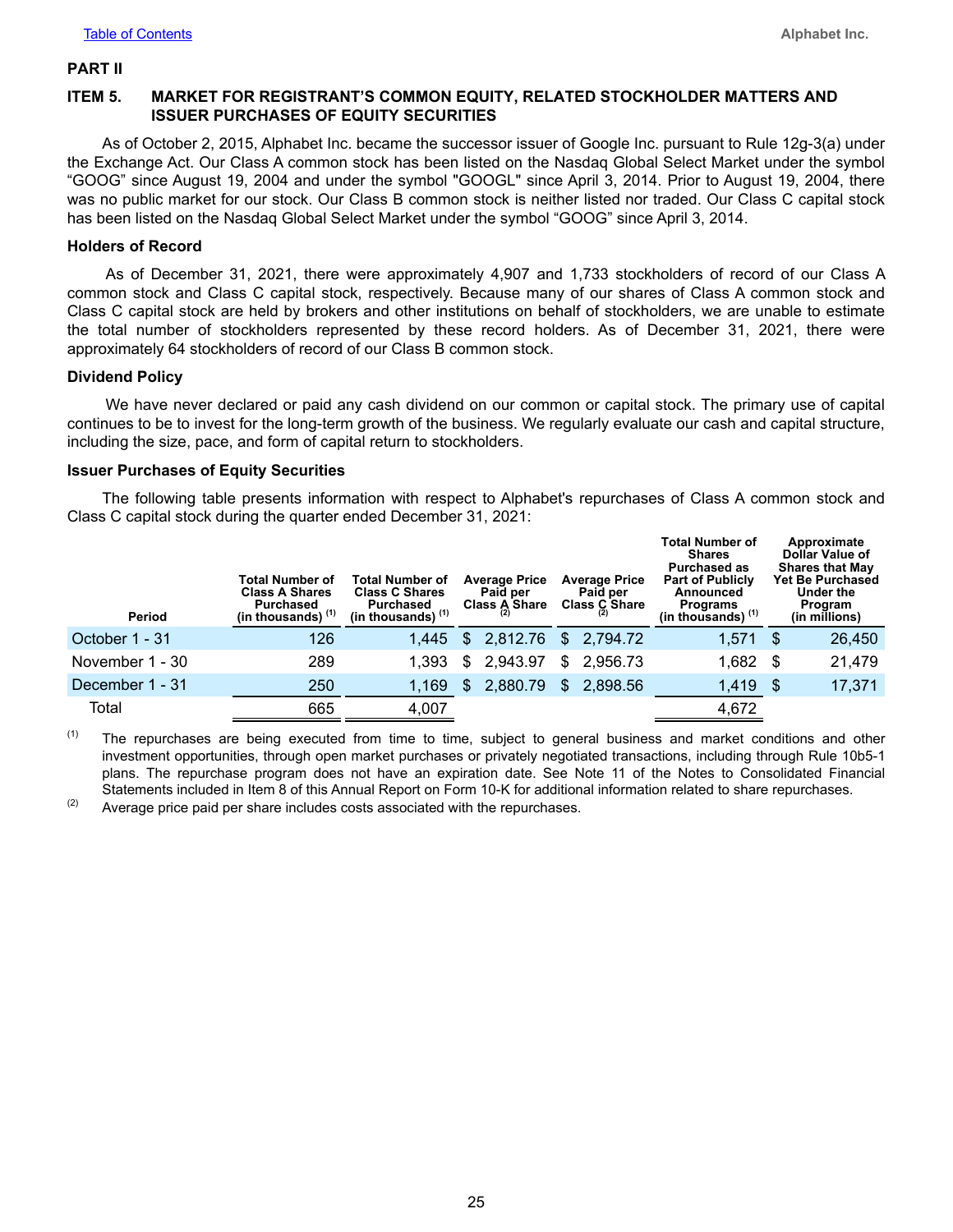#### <span id="page-25-0"></span>**PART II**

#### **ITEM 5. MARKET FOR REGISTRANT'S COMMON EQUITY, RELATED STOCKHOLDER MATTERS AND ISSUER PURCHASES OF EQUITY SECURITIES**

As of October 2, 2015, Alphabet Inc. became the successor issuer of Google Inc. pursuant to Rule 12g-3(a) under the Exchange Act. Our Class A common stock has been listed on the Nasdaq Global Select Market under the symbol "GOOG" since August 19, 2004 and under the symbol "GOOGL" since April 3, 2014. Prior to August 19, 2004, there was no public market for our stock. Our Class B common stock is neither listed nor traded. Our Class C capital stock has been listed on the Nasdaq Global Select Market under the symbol "GOOG" since April 3, 2014.

#### **Holders of Record**

As of December 31, 2021, there were approximately 4,907 and 1,733 stockholders of record of our Class A common stock and Class C capital stock, respectively. Because many of our shares of Class A common stock and Class C capital stock are held by brokers and other institutions on behalf of stockholders, we are unable to estimate the total number of stockholders represented by these record holders. As of December 31, 2021, there were approximately 64 stockholders of record of our Class B common stock.

#### **Dividend Policy**

We have never declared or paid any cash dividend on our common or capital stock. The primary use of capital continues to be to invest for the long-term growth of the business. We regularly evaluate our cash and capital structure, including the size, pace, and form of capital return to stockholders.

#### **Issuer Purchases of Equity Securities**

The following table presents information with respect to Alphabet's repurchases of Class A common stock and Class C capital stock during the quarter ended December 31, 2021:

| Period          | Total Number of<br><b>Class A Shares</b><br>Purchased<br>(in thousands) (1) | <b>Total Number of</b><br><b>Class C Shares</b><br>Purchased<br>(in thousands) (1) | <b>Average Price</b><br>Paid per<br><b>Class A Share</b> | <b>Average Price</b><br>Paid per<br><b>Class C Share</b> | <b>Total Number of</b><br><b>Shares</b><br><b>Purchased as</b><br><b>Part of Publicly</b><br>Announced<br><b>Programs</b><br>(in thousands) $(1)$ | Approximate<br>Dollar Value of<br><b>Shares that May</b><br><b>Yet Be Purchased</b><br>Under the<br>Program<br>(in millions) |
|-----------------|-----------------------------------------------------------------------------|------------------------------------------------------------------------------------|----------------------------------------------------------|----------------------------------------------------------|---------------------------------------------------------------------------------------------------------------------------------------------------|------------------------------------------------------------------------------------------------------------------------------|
| October 1 - 31  | 126                                                                         | 1,445                                                                              | 2,812.76                                                 | \$.<br>2.794.72                                          | 1,571                                                                                                                                             | 26,450<br>- \$                                                                                                               |
| November 1 - 30 | 289                                                                         | 1.393                                                                              | 2,943.97<br>S                                            | \$<br>2,956.73                                           | $1,682$ \$                                                                                                                                        | 21,479                                                                                                                       |
| December 1 - 31 | 250                                                                         | 1,169                                                                              | 2,880.79                                                 | S<br>2,898.56                                            | 1,419                                                                                                                                             | 17,371<br>- \$                                                                                                               |
| Total           | 665                                                                         | 4,007                                                                              |                                                          |                                                          | 4,672                                                                                                                                             |                                                                                                                              |

 $(1)$  The repurchases are being executed from time to time, subject to general business and market conditions and other investment opportunities, through open market purchases or privately negotiated transactions, including through Rule 10b5-1 plans. The repurchase program does not have an expiration date. See Note 11 of the Notes to Consolidated Financial Statements included in Item 8 of this Annual Report on Form 10-K for additional information related to share repurchases.

 $(2)$  Average price paid per share includes costs associated with the repurchases.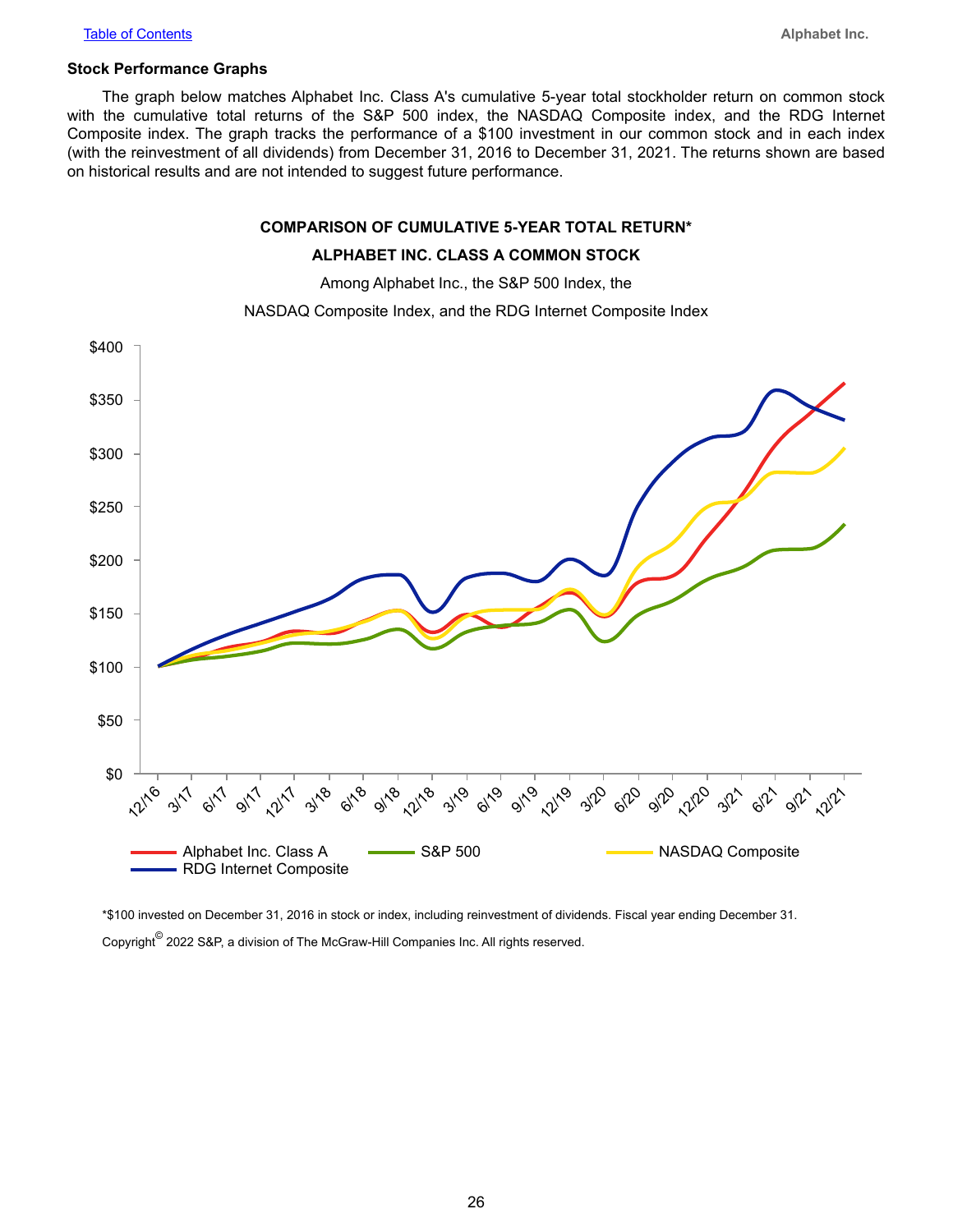#### **Stock Performance Graphs**

The graph below matches Alphabet Inc. Class A's cumulative 5-year total stockholder return on common stock with the cumulative total returns of the S&P 500 index, the NASDAQ Composite index, and the RDG Internet Composite index. The graph tracks the performance of a \$100 investment in our common stock and in each index (with the reinvestment of all dividends) from December 31, 2016 to December 31, 2021. The returns shown are based on historical results and are not intended to suggest future performance.

#### **COMPARISON OF CUMULATIVE 5-YEAR TOTAL RETURN\***

#### **ALPHABET INC. CLASS A COMMON STOCK**

Among Alphabet Inc., the S&P 500 Index, the

NASDAQ Composite Index, and the RDG Internet Composite Index



\*\$100 invested on December 31, 2016 in stock or index, including reinvestment of dividends. Fiscal year ending December 31. Copyright $^\copyright$  2022 S&P, a division of The McGraw-Hill Companies Inc. All rights reserved.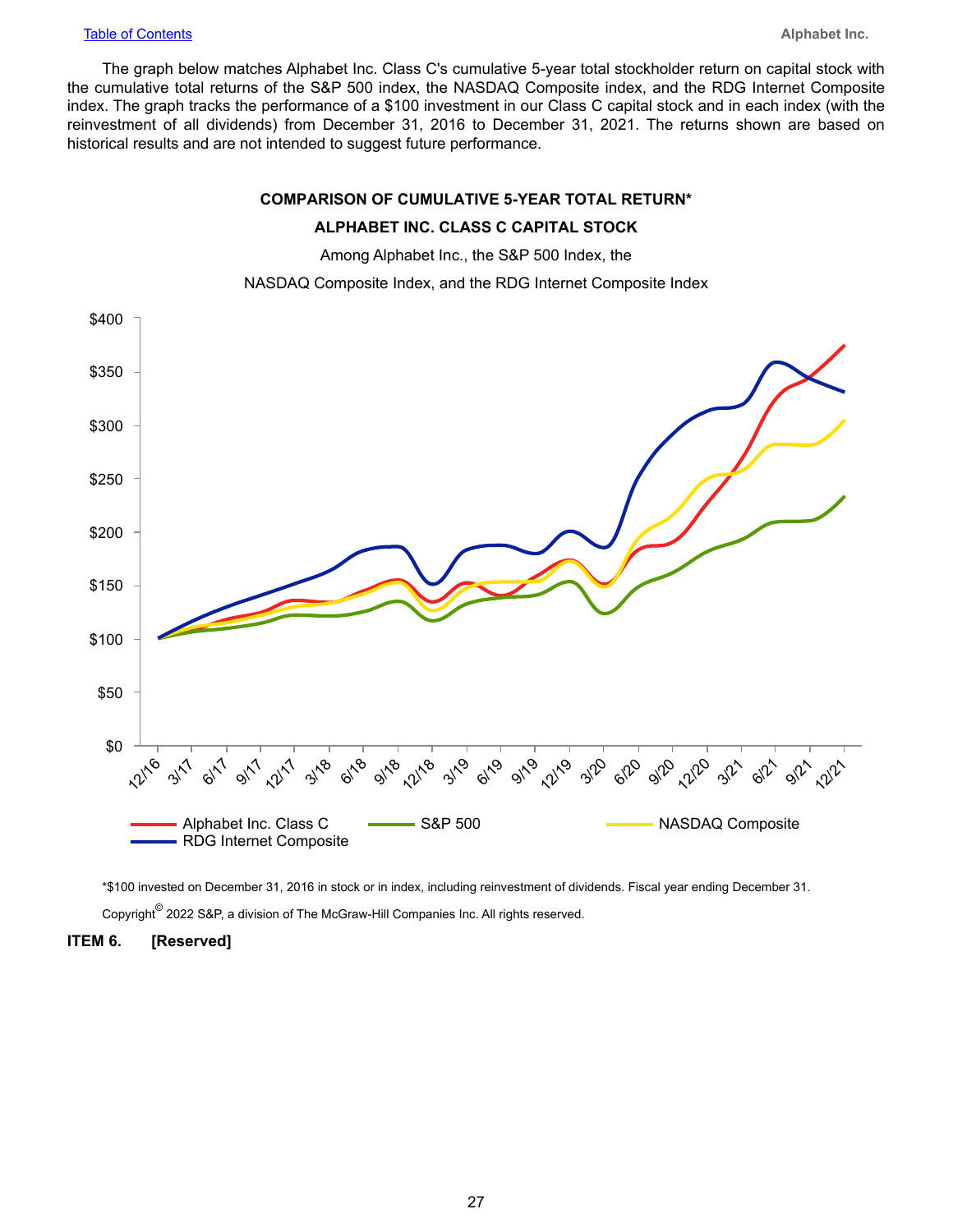<span id="page-27-0"></span>The graph below matches Alphabet Inc. Class C's cumulative 5-year total stockholder return on capital stock with the cumulative total returns of the S&P 500 index, the NASDAQ Composite index, and the RDG Internet Composite index. The graph tracks the performance of a \$100 investment in our Class C capital stock and in each index (with the reinvestment of all dividends) from December 31, 2016 to December 31, 2021. The returns shown are based on historical results and are not intended to suggest future performance.

#### **COMPARISON OF CUMULATIVE 5-YEAR TOTAL RETURN\***

#### **ALPHABET INC. CLASS C CAPITAL STOCK**

Among Alphabet Inc., the S&P 500 Index, the

#### NASDAQ Composite Index, and the RDG Internet Composite Index



\*\$100 invested on December 31, 2016 in stock or in index, including reinvestment of dividends. Fiscal year ending December 31. Copyright $^\copyright$  2022 S&P, a division of The McGraw-Hill Companies Inc. All rights reserved.

# **ITEM 6. [Reserved]**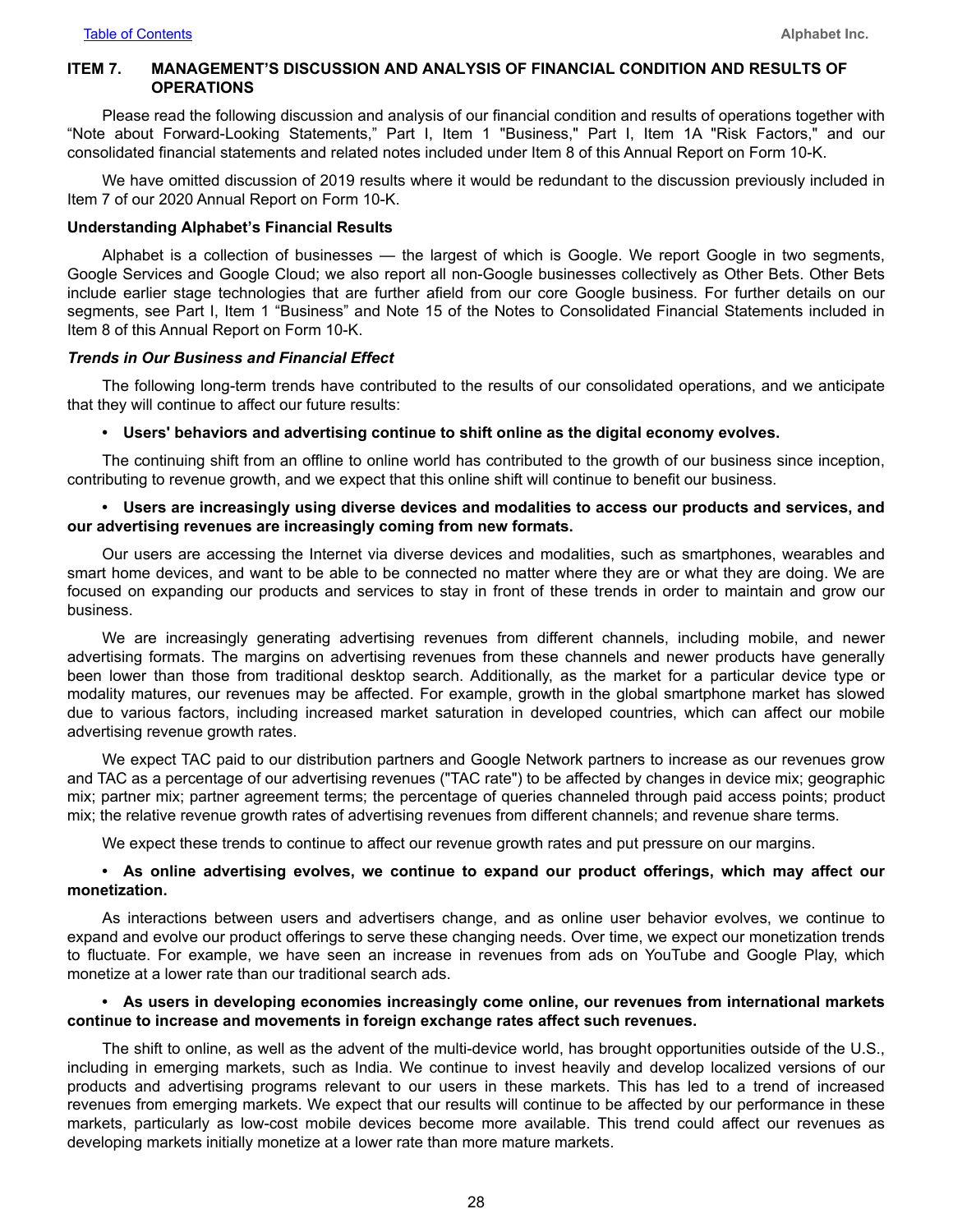### <span id="page-28-0"></span>**ITEM 7. MANAGEMENT'S DISCUSSION AND ANALYSIS OF FINANCIAL CONDITION AND RESULTS OF OPERATIONS**

Please read the following discussion and analysis of our financial condition and results of operations together with "Note about Forward-Looking Statements," Part I, Item 1 "Business," Part I, Item 1A "Risk Factors," and our consolidated financial statements and related notes included under Item 8 of this Annual Report on Form 10-K.

We have omitted discussion of 2019 results where it would be redundant to the discussion previously included in Item 7 of our 2020 Annual Report on Form 10-K.

#### **Understanding Alphabet's Financial Results**

Alphabet is a collection of businesses — the largest of which is Google. We report Google in two segments, Google Services and Google Cloud; we also report all non-Google businesses collectively as Other Bets. Other Bets include earlier stage technologies that are further afield from our core Google business. For further details on our segments, see Part I, Item 1 "Business" and Note 15 of the Notes to Consolidated Financial Statements included in Item 8 of this Annual Report on Form 10-K.

#### *Trends in Our Business and Financial Effect*

The following long-term trends have contributed to the results of our consolidated operations, and we anticipate that they will continue to affect our future results:

#### **• Users' behaviors and advertising continue to shift online as the digital economy evolves.**

The continuing shift from an offline to online world has contributed to the growth of our business since inception, contributing to revenue growth, and we expect that this online shift will continue to benefit our business.

#### **• Users are increasingly using diverse devices and modalities to access our products and services, and our advertising revenues are increasingly coming from new formats.**

Our users are accessing the Internet via diverse devices and modalities, such as smartphones, wearables and smart home devices, and want to be able to be connected no matter where they are or what they are doing. We are focused on expanding our products and services to stay in front of these trends in order to maintain and grow our business.

We are increasingly generating advertising revenues from different channels, including mobile, and newer advertising formats. The margins on advertising revenues from these channels and newer products have generally been lower than those from traditional desktop search. Additionally, as the market for a particular device type or modality matures, our revenues may be affected. For example, growth in the global smartphone market has slowed due to various factors, including increased market saturation in developed countries, which can affect our mobile advertising revenue growth rates.

We expect TAC paid to our distribution partners and Google Network partners to increase as our revenues grow and TAC as a percentage of our advertising revenues ("TAC rate") to be affected by changes in device mix; geographic mix; partner mix; partner agreement terms; the percentage of queries channeled through paid access points; product mix; the relative revenue growth rates of advertising revenues from different channels; and revenue share terms.

We expect these trends to continue to affect our revenue growth rates and put pressure on our margins.

#### **• As online advertising evolves, we continue to expand our product offerings, which may affect our monetization.**

As interactions between users and advertisers change, and as online user behavior evolves, we continue to expand and evolve our product offerings to serve these changing needs. Over time, we expect our monetization trends to fluctuate. For example, we have seen an increase in revenues from ads on YouTube and Google Play, which monetize at a lower rate than our traditional search ads.

#### **• As users in developing economies increasingly come online, our revenues from international markets continue to increase and movements in foreign exchange rates affect such revenues.**

The shift to online, as well as the advent of the multi-device world, has brought opportunities outside of the U.S., including in emerging markets, such as India. We continue to invest heavily and develop localized versions of our products and advertising programs relevant to our users in these markets. This has led to a trend of increased revenues from emerging markets. We expect that our results will continue to be affected by our performance in these markets, particularly as low-cost mobile devices become more available. This trend could affect our revenues as developing markets initially monetize at a lower rate than more mature markets.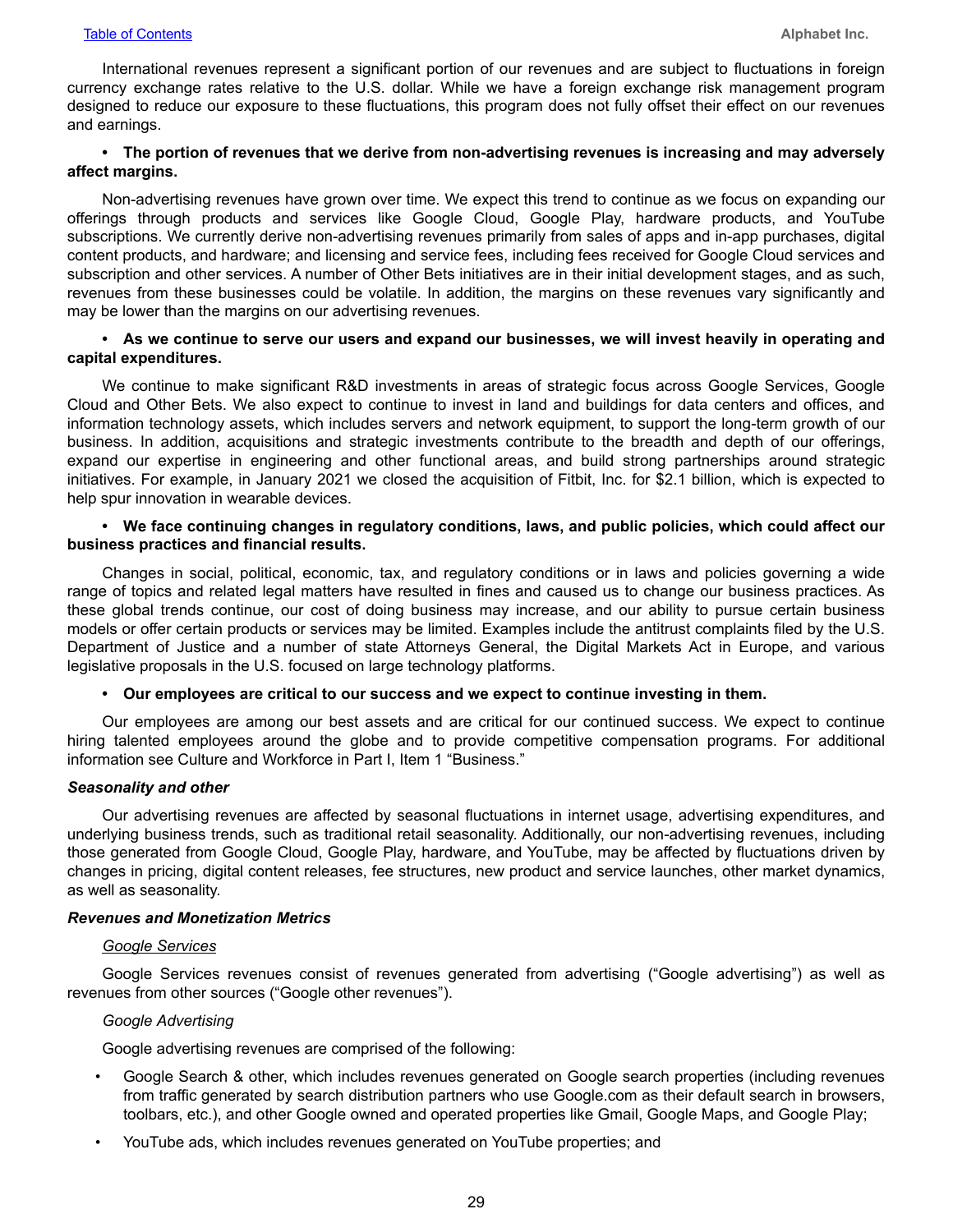International revenues represent a significant portion of our revenues and are subject to fluctuations in foreign currency exchange rates relative to the U.S. dollar. While we have a foreign exchange risk management program designed to reduce our exposure to these fluctuations, this program does not fully offset their effect on our revenues and earnings.

#### **• The portion of revenues that we derive from non-advertising revenues is increasing and may adversely affect margins.**

Non-advertising revenues have grown over time. We expect this trend to continue as we focus on expanding our offerings through products and services like Google Cloud, Google Play, hardware products, and YouTube subscriptions. We currently derive non-advertising revenues primarily from sales of apps and in-app purchases, digital content products, and hardware; and licensing and service fees, including fees received for Google Cloud services and subscription and other services. A number of Other Bets initiatives are in their initial development stages, and as such, revenues from these businesses could be volatile. In addition, the margins on these revenues vary significantly and may be lower than the margins on our advertising revenues.

#### **• As we continue to serve our users and expand our businesses, we will invest heavily in operating and capital expenditures.**

We continue to make significant R&D investments in areas of strategic focus across Google Services, Google Cloud and Other Bets. We also expect to continue to invest in land and buildings for data centers and offices, and information technology assets, which includes servers and network equipment, to support the long-term growth of our business. In addition, acquisitions and strategic investments contribute to the breadth and depth of our offerings, expand our expertise in engineering and other functional areas, and build strong partnerships around strategic initiatives. For example, in January 2021 we closed the acquisition of Fitbit, Inc. for \$2.1 billion, which is expected to help spur innovation in wearable devices.

#### **• We face continuing changes in regulatory conditions, laws, and public policies, which could affect our business practices and financial results.**

Changes in social, political, economic, tax, and regulatory conditions or in laws and policies governing a wide range of topics and related legal matters have resulted in fines and caused us to change our business practices. As these global trends continue, our cost of doing business may increase, and our ability to pursue certain business models or offer certain products or services may be limited. Examples include the antitrust complaints filed by the U.S. Department of Justice and a number of state Attorneys General, the Digital Markets Act in Europe, and various legislative proposals in the U.S. focused on large technology platforms.

#### **• Our employees are critical to our success and we expect to continue investing in them.**

Our employees are among our best assets and are critical for our continued success. We expect to continue hiring talented employees around the globe and to provide competitive compensation programs. For additional information see Culture and Workforce in Part I, Item 1 "Business."

#### *Seasonality and other*

Our advertising revenues are affected by seasonal fluctuations in internet usage, advertising expenditures, and underlying business trends, such as traditional retail seasonality. Additionally, our non-advertising revenues, including those generated from Google Cloud, Google Play, hardware, and YouTube, may be affected by fluctuations driven by changes in pricing, digital content releases, fee structures, new product and service launches, other market dynamics, as well as seasonality.

#### *Revenues and Monetization Metrics*

#### *Google Services*

Google Services revenues consist of revenues generated from advertising ("Google advertising") as well as revenues from other sources ("Google other revenues").

#### *Google Advertising*

Google advertising revenues are comprised of the following:

- Google Search & other, which includes revenues generated on Google search properties (including revenues from traffic generated by search distribution partners who use Google.com as their default search in browsers, toolbars, etc.), and other Google owned and operated properties like Gmail, Google Maps, and Google Play;
- YouTube ads, which includes revenues generated on YouTube properties; and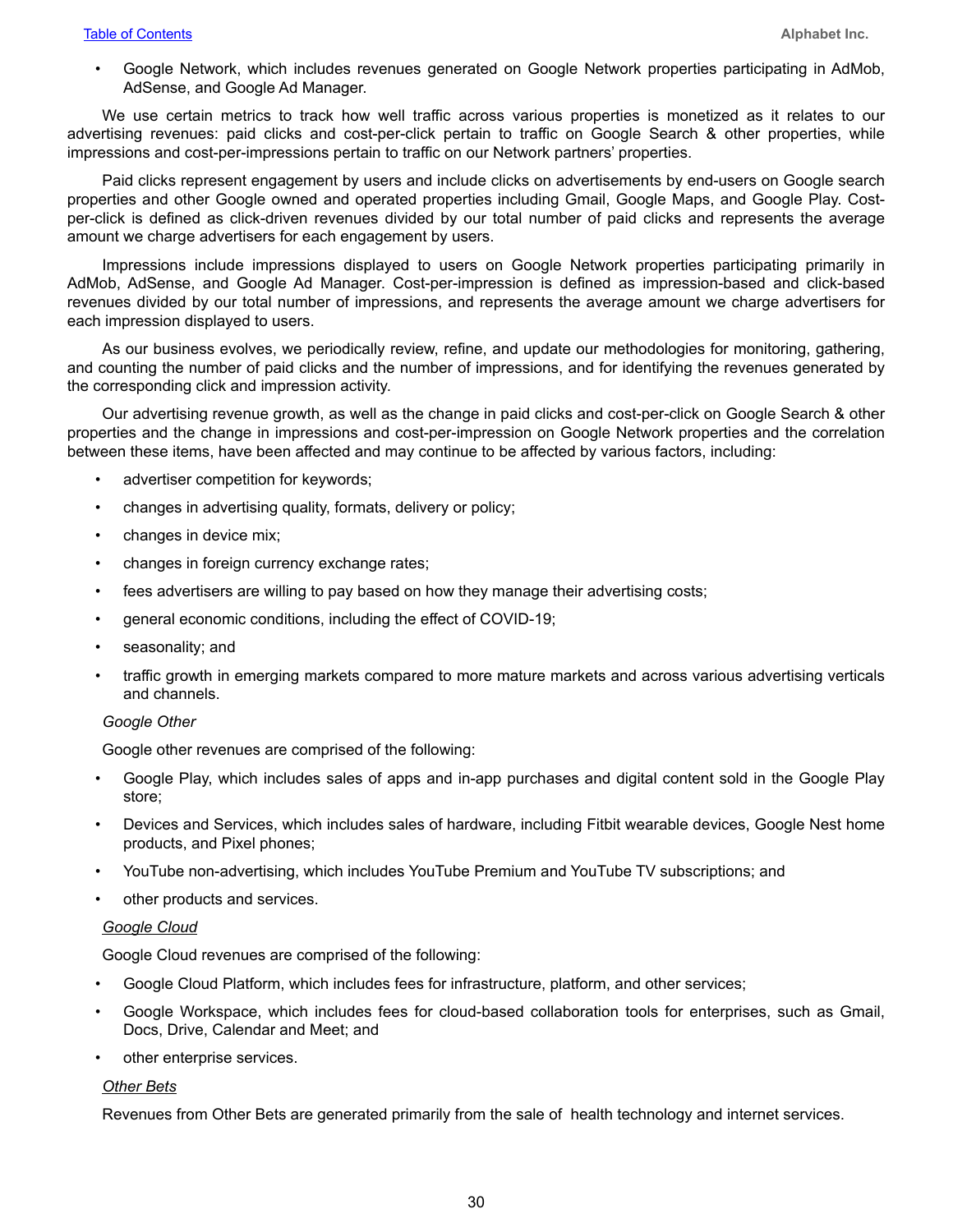• Google Network, which includes revenues generated on Google Network properties participating in AdMob, AdSense, and Google Ad Manager.

We use certain metrics to track how well traffic across various properties is monetized as it relates to our advertising revenues: paid clicks and cost-per-click pertain to traffic on Google Search & other properties, while impressions and cost-per-impressions pertain to traffic on our Network partners' properties.

Paid clicks represent engagement by users and include clicks on advertisements by end-users on Google search properties and other Google owned and operated properties including Gmail, Google Maps, and Google Play. Costper-click is defined as click-driven revenues divided by our total number of paid clicks and represents the average amount we charge advertisers for each engagement by users.

Impressions include impressions displayed to users on Google Network properties participating primarily in AdMob, AdSense, and Google Ad Manager. Cost-per-impression is defined as impression-based and click-based revenues divided by our total number of impressions, and represents the average amount we charge advertisers for each impression displayed to users.

As our business evolves, we periodically review, refine, and update our methodologies for monitoring, gathering, and counting the number of paid clicks and the number of impressions, and for identifying the revenues generated by the corresponding click and impression activity.

Our advertising revenue growth, as well as the change in paid clicks and cost-per-click on Google Search & other properties and the change in impressions and cost-per-impression on Google Network properties and the correlation between these items, have been affected and may continue to be affected by various factors, including:

- advertiser competition for keywords;
- changes in advertising quality, formats, delivery or policy;
- changes in device mix;
- changes in foreign currency exchange rates;
- fees advertisers are willing to pay based on how they manage their advertising costs;
- general economic conditions, including the effect of COVID-19;
- seasonality; and
- traffic growth in emerging markets compared to more mature markets and across various advertising verticals and channels.

#### *Google Other*

Google other revenues are comprised of the following:

- Google Play, which includes sales of apps and in-app purchases and digital content sold in the Google Play store;
- Devices and Services, which includes sales of hardware, including Fitbit wearable devices, Google Nest home products, and Pixel phones;
- YouTube non-advertising, which includes YouTube Premium and YouTube TV subscriptions; and
- other products and services.

#### *Google Cloud*

Google Cloud revenues are comprised of the following:

- Google Cloud Platform, which includes fees for infrastructure, platform, and other services;
- Google Workspace, which includes fees for cloud-based collaboration tools for enterprises, such as Gmail, Docs, Drive, Calendar and Meet; and
- other enterprise services.

#### *Other Bets*

Revenues from Other Bets are generated primarily from the sale of health technology and internet services.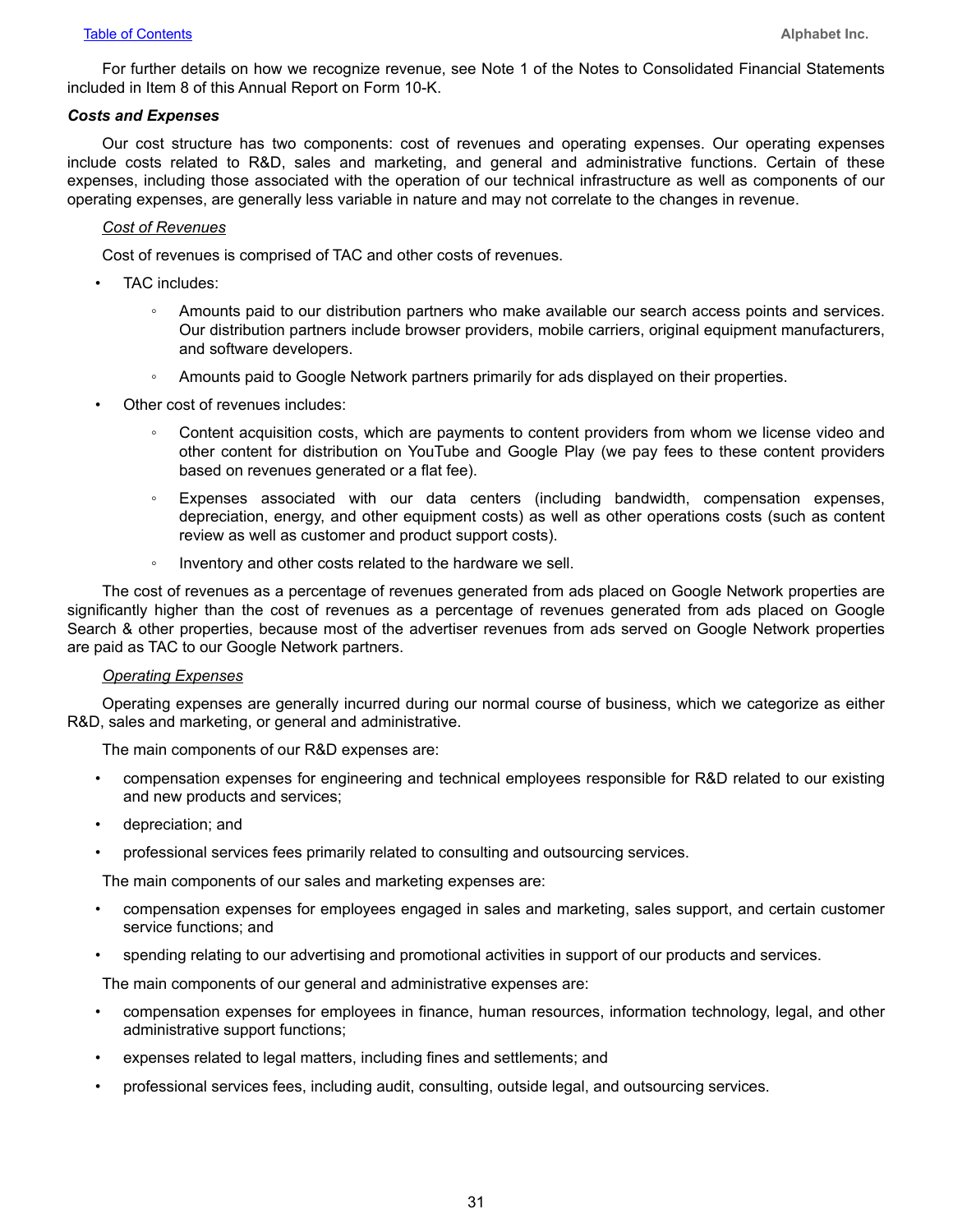For further details on how we recognize revenue, see Note 1 of the Notes to Consolidated Financial Statements included in Item 8 of this Annual Report on Form 10-K.

#### *Costs and Expenses*

Our cost structure has two components: cost of revenues and operating expenses. Our operating expenses include costs related to R&D, sales and marketing, and general and administrative functions. Certain of these expenses, including those associated with the operation of our technical infrastructure as well as components of our operating expenses, are generally less variable in nature and may not correlate to the changes in revenue.

#### *Cost of Revenues*

Cost of revenues is comprised of TAC and other costs of revenues.

- TAC includes:
	- Amounts paid to our distribution partners who make available our search access points and services. Our distribution partners include browser providers, mobile carriers, original equipment manufacturers, and software developers.
	- Amounts paid to Google Network partners primarily for ads displayed on their properties.
- Other cost of revenues includes:
	- Content acquisition costs, which are payments to content providers from whom we license video and other content for distribution on YouTube and Google Play (we pay fees to these content providers based on revenues generated or a flat fee).
	- Expenses associated with our data centers (including bandwidth, compensation expenses, depreciation, energy, and other equipment costs) as well as other operations costs (such as content review as well as customer and product support costs).
	- Inventory and other costs related to the hardware we sell.

The cost of revenues as a percentage of revenues generated from ads placed on Google Network properties are significantly higher than the cost of revenues as a percentage of revenues generated from ads placed on Google Search & other properties, because most of the advertiser revenues from ads served on Google Network properties are paid as TAC to our Google Network partners.

#### *Operating Expenses*

Operating expenses are generally incurred during our normal course of business, which we categorize as either R&D, sales and marketing, or general and administrative.

The main components of our R&D expenses are:

- compensation expenses for engineering and technical employees responsible for R&D related to our existing and new products and services;
- depreciation; and
- professional services fees primarily related to consulting and outsourcing services.

The main components of our sales and marketing expenses are:

- compensation expenses for employees engaged in sales and marketing, sales support, and certain customer service functions; and
- spending relating to our advertising and promotional activities in support of our products and services.

The main components of our general and administrative expenses are:

- compensation expenses for employees in finance, human resources, information technology, legal, and other administrative support functions;
- expenses related to legal matters, including fines and settlements; and
- professional services fees, including audit, consulting, outside legal, and outsourcing services.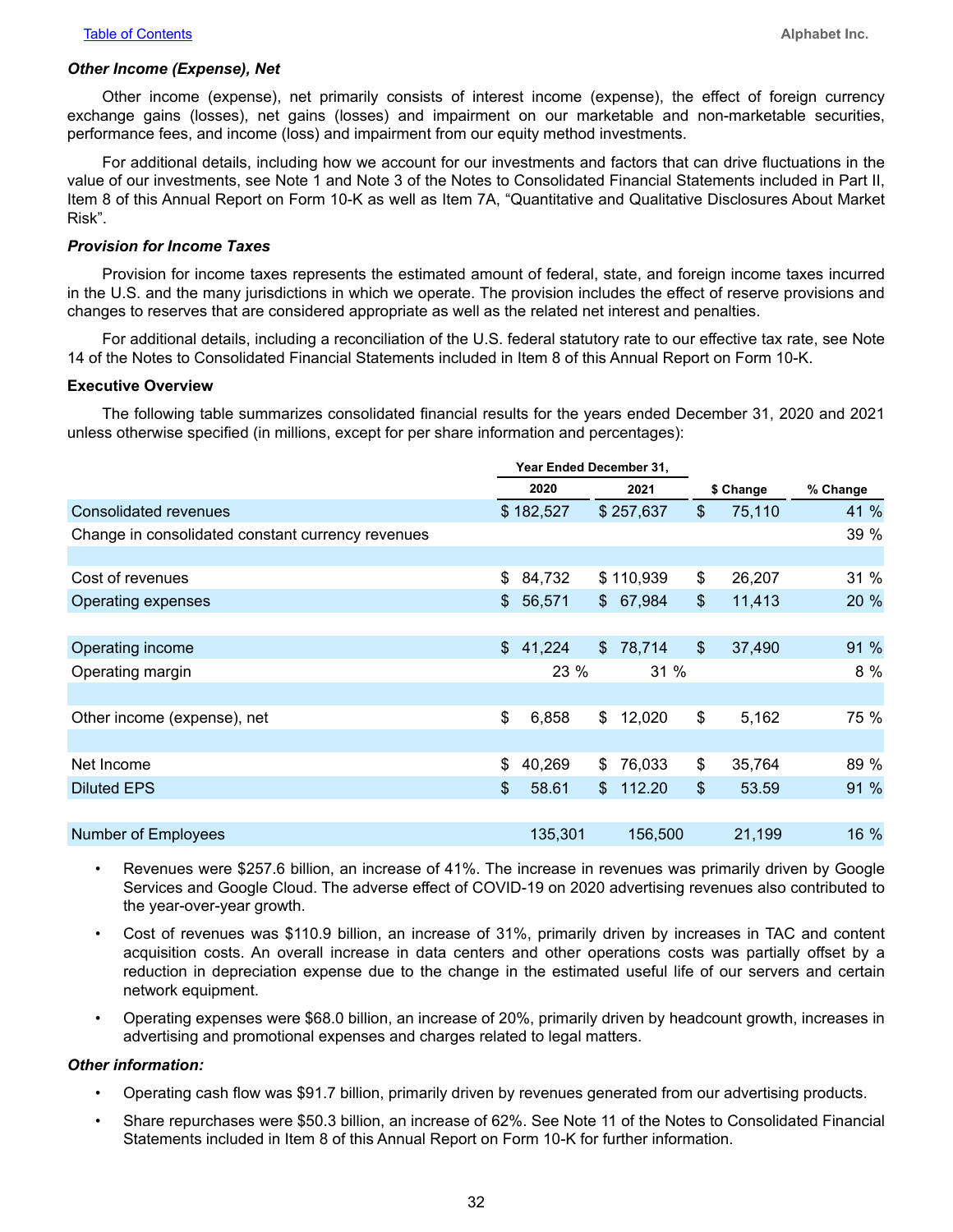#### *Other Income (Expense), Net*

Other income (expense), net primarily consists of interest income (expense), the effect of foreign currency exchange gains (losses), net gains (losses) and impairment on our marketable and non-marketable securities, performance fees, and income (loss) and impairment from our equity method investments.

For additional details, including how we account for our investments and factors that can drive fluctuations in the value of our investments, see Note 1 and Note 3 of the Notes to Consolidated Financial Statements included in Part II, Item 8 of this Annual Report on Form 10-K as well as Item 7A, "Quantitative and Qualitative Disclosures About Market Risk".

#### *Provision for Income Taxes*

Provision for income taxes represents the estimated amount of federal, state, and foreign income taxes incurred in the U.S. and the many jurisdictions in which we operate. The provision includes the effect of reserve provisions and changes to reserves that are considered appropriate as well as the related net interest and penalties.

For additional details, including a reconciliation of the U.S. federal statutory rate to our effective tax rate, see Note 14 of the Notes to Consolidated Financial Statements included in Item 8 of this Annual Report on Form 10-K.

#### **Executive Overview**

The following table summarizes consolidated financial results for the years ended December 31, 2020 and 2021 unless otherwise specified (in millions, except for per share information and percentages):

|                                                   | Year Ended December 31, |                |           |                |           |          |
|---------------------------------------------------|-------------------------|----------------|-----------|----------------|-----------|----------|
|                                                   | 2020                    |                | 2021      |                | \$ Change | % Change |
| <b>Consolidated revenues</b>                      | \$182,527               |                | \$257,637 | \$             | 75,110    | 41 %     |
| Change in consolidated constant currency revenues |                         |                |           |                |           | 39 %     |
|                                                   |                         |                |           |                |           |          |
| Cost of revenues                                  | \$<br>84,732            |                | \$110,939 | \$             | 26,207    | 31 %     |
| Operating expenses                                | \$<br>56,571            |                | \$67,984  | $\frac{1}{2}$  | 11,413    | 20 %     |
|                                                   |                         |                |           |                |           |          |
| Operating income                                  | \$41,224                | $\mathbb{S}^-$ | 78,714    | $\mathfrak{S}$ | 37,490    | 91 %     |
| Operating margin                                  | 23 %                    |                | 31%       |                |           | 8%       |
|                                                   |                         |                |           |                |           |          |
| Other income (expense), net                       | \$<br>6,858             | \$             | 12,020    | \$             | 5,162     | 75 %     |
|                                                   |                         |                |           |                |           |          |
| Net Income                                        | \$<br>40,269            | \$             | 76,033    | \$             | 35,764    | 89 %     |
| <b>Diluted EPS</b>                                | \$<br>58.61             | \$             | 112.20    | $\$\$          | 53.59     | 91 %     |
|                                                   |                         |                |           |                |           |          |
| Number of Employees                               | 135,301                 |                | 156,500   |                | 21,199    | 16 %     |

- Revenues were \$257.6 billion, an increase of 41%. The increase in revenues was primarily driven by Google Services and Google Cloud. The adverse effect of COVID-19 on 2020 advertising revenues also contributed to the year-over-year growth.
- Cost of revenues was \$110.9 billion, an increase of 31%, primarily driven by increases in TAC and content acquisition costs. An overall increase in data centers and other operations costs was partially offset by a reduction in depreciation expense due to the change in the estimated useful life of our servers and certain network equipment.
- Operating expenses were \$68.0 billion, an increase of 20%, primarily driven by headcount growth, increases in advertising and promotional expenses and charges related to legal matters.

#### *Other information:*

- Operating cash flow was \$91.7 billion, primarily driven by revenues generated from our advertising products.
- Share repurchases were \$50.3 billion, an increase of 62%. See Note 11 of the Notes to Consolidated Financial Statements included in Item 8 of this Annual Report on Form 10-K for further information.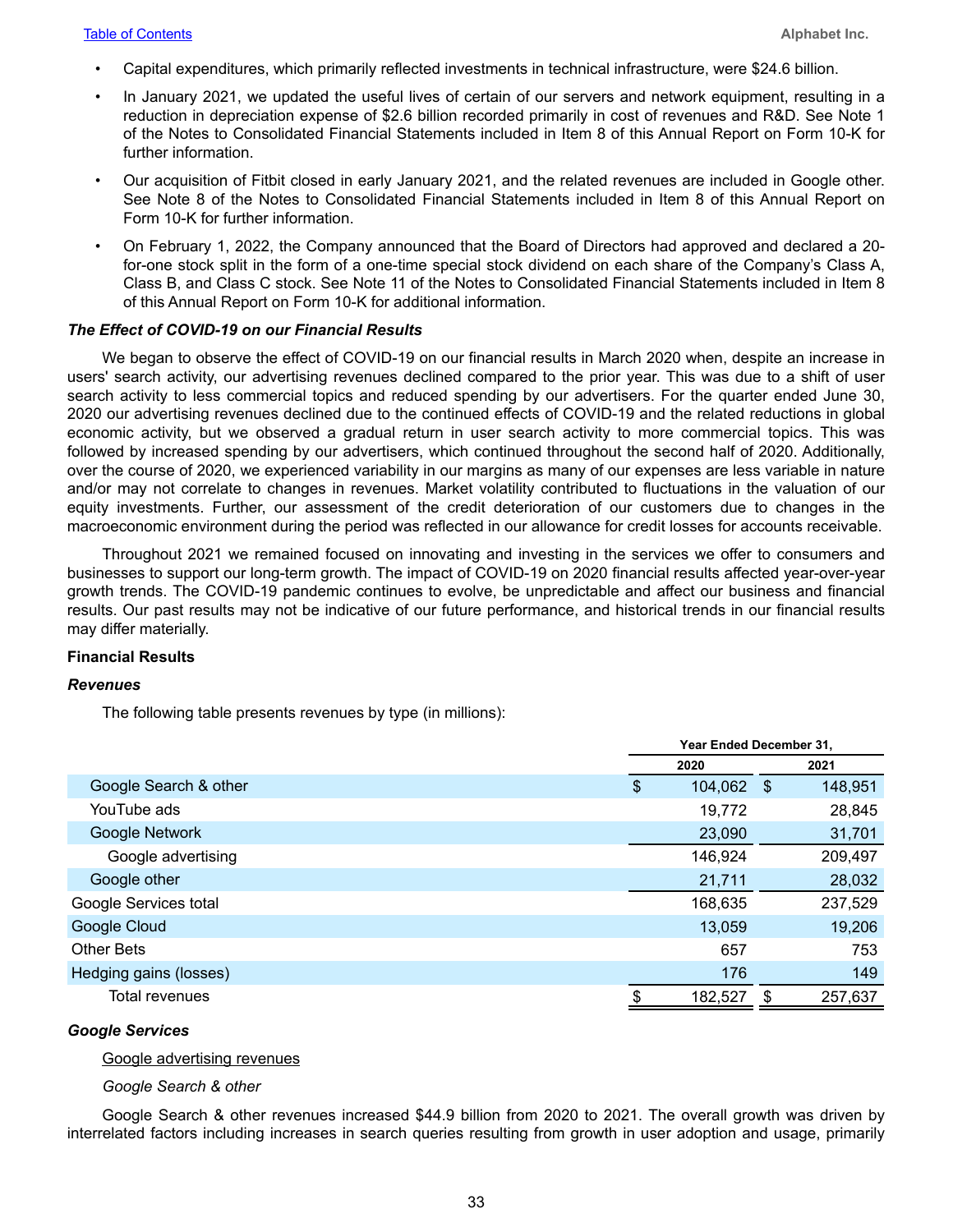#### [Table of Contents](#page-2-0) **Alphabet Inc.**

- Capital expenditures, which primarily reflected investments in technical infrastructure, were \$24.6 billion.
- In January 2021, we updated the useful lives of certain of our servers and network equipment, resulting in a reduction in depreciation expense of \$2.6 billion recorded primarily in cost of revenues and R&D. See Note 1 of the Notes to Consolidated Financial Statements included in Item 8 of this Annual Report on Form 10-K for further information.
- Our acquisition of Fitbit closed in early January 2021, and the related revenues are included in Google other. See Note 8 of the Notes to Consolidated Financial Statements included in Item 8 of this Annual Report on Form 10-K for further information.
- On February 1, 2022, the Company announced that the Board of Directors had approved and declared a 20 for-one stock split in the form of a one-time special stock dividend on each share of the Company's Class A, Class B, and Class C stock. See Note 11 of the Notes to Consolidated Financial Statements included in Item 8 of this Annual Report on Form 10-K for additional information.

#### *The Effect of COVID-19 on our Financial Results*

We began to observe the effect of COVID-19 on our financial results in March 2020 when, despite an increase in users' search activity, our advertising revenues declined compared to the prior year. This was due to a shift of user search activity to less commercial topics and reduced spending by our advertisers. For the quarter ended June 30, 2020 our advertising revenues declined due to the continued effects of COVID-19 and the related reductions in global economic activity, but we observed a gradual return in user search activity to more commercial topics. This was followed by increased spending by our advertisers, which continued throughout the second half of 2020. Additionally, over the course of 2020, we experienced variability in our margins as many of our expenses are less variable in nature and/or may not correlate to changes in revenues. Market volatility contributed to fluctuations in the valuation of our equity investments. Further, our assessment of the credit deterioration of our customers due to changes in the macroeconomic environment during the period was reflected in our allowance for credit losses for accounts receivable.

Throughout 2021 we remained focused on innovating and investing in the services we offer to consumers and businesses to support our long-term growth. The impact of COVID-19 on 2020 financial results affected year-over-year growth trends. The COVID-19 pandemic continues to evolve, be unpredictable and affect our business and financial results. Our past results may not be indicative of our future performance, and historical trends in our financial results may differ materially.

#### **Financial Results**

#### *Revenues*

The following table presents revenues by type (in millions):

|                        | Year Ended December 31, |     |         |  |
|------------------------|-------------------------|-----|---------|--|
|                        | 2020<br>2021            |     |         |  |
| Google Search & other  | \$<br>104,062 \$        |     | 148,951 |  |
| YouTube ads            | 19,772                  |     | 28,845  |  |
| Google Network         | 23,090                  |     | 31,701  |  |
| Google advertising     | 146,924                 |     | 209,497 |  |
| Google other           | 21,711                  |     | 28,032  |  |
| Google Services total  | 168,635                 |     | 237,529 |  |
| Google Cloud           | 13,059                  |     | 19,206  |  |
| <b>Other Bets</b>      | 657                     |     | 753     |  |
| Hedging gains (losses) | 176                     |     | 149     |  |
| Total revenues         | 182,527                 | \$. | 257,637 |  |

#### *Google Services*

#### Google advertising revenues

#### *Google Search & other*

Google Search & other revenues increased \$44.9 billion from 2020 to 2021. The overall growth was driven by interrelated factors including increases in search queries resulting from growth in user adoption and usage, primarily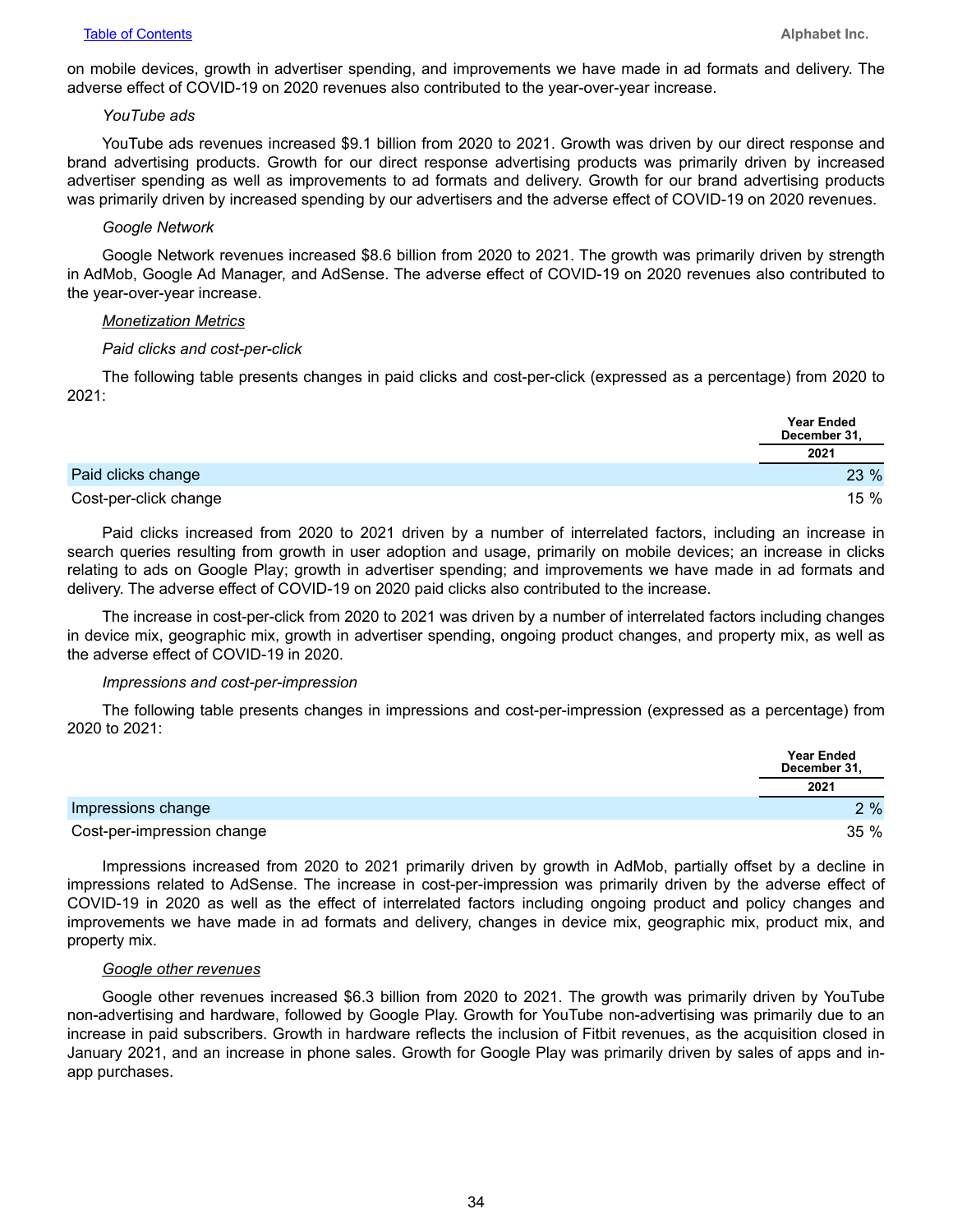on mobile devices, growth in advertiser spending, and improvements we have made in ad formats and delivery. The adverse effect of COVID-19 on 2020 revenues also contributed to the year-over-year increase.

#### *YouTube ads*

YouTube ads revenues increased \$9.1 billion from 2020 to 2021. Growth was driven by our direct response and brand advertising products. Growth for our direct response advertising products was primarily driven by increased advertiser spending as well as improvements to ad formats and delivery. Growth for our brand advertising products was primarily driven by increased spending by our advertisers and the adverse effect of COVID-19 on 2020 revenues.

#### *Google Network*

Google Network revenues increased \$8.6 billion from 2020 to 2021. The growth was primarily driven by strength in AdMob, Google Ad Manager, and AdSense. The adverse effect of COVID-19 on 2020 revenues also contributed to the year-over-year increase.

#### *Monetization Metrics*

#### *Paid clicks and cost-per-click*

The following table presents changes in paid clicks and cost-per-click (expressed as a percentage) from 2020 to 2021:

|                       | <b>Year Ended</b><br>December 31, |
|-----------------------|-----------------------------------|
|                       | 2021                              |
| Paid clicks change    | 23 %                              |
| Cost-per-click change | 15 %                              |

Paid clicks increased from 2020 to 2021 driven by a number of interrelated factors, including an increase in search queries resulting from growth in user adoption and usage, primarily on mobile devices; an increase in clicks relating to ads on Google Play; growth in advertiser spending; and improvements we have made in ad formats and delivery. The adverse effect of COVID-19 on 2020 paid clicks also contributed to the increase.

The increase in cost-per-click from 2020 to 2021 was driven by a number of interrelated factors including changes in device mix, geographic mix, growth in advertiser spending, ongoing product changes, and property mix, as well as the adverse effect of COVID-19 in 2020.

#### *Impressions and cost-per-impression*

The following table presents changes in impressions and cost-per-impression (expressed as a percentage) from 2020 to 2021:

|                            | <b>Year Ended</b><br>December 31, |
|----------------------------|-----------------------------------|
|                            | 2021                              |
| Impressions change         | 2%                                |
| Cost-per-impression change | 35%                               |

Impressions increased from 2020 to 2021 primarily driven by growth in AdMob, partially offset by a decline in impressions related to AdSense. The increase in cost-per-impression was primarily driven by the adverse effect of COVID-19 in 2020 as well as the effect of interrelated factors including ongoing product and policy changes and improvements we have made in ad formats and delivery, changes in device mix, geographic mix, product mix, and property mix.

#### *Google other revenues*

Google other revenues increased \$6.3 billion from 2020 to 2021. The growth was primarily driven by YouTube non-advertising and hardware, followed by Google Play. Growth for YouTube non-advertising was primarily due to an increase in paid subscribers. Growth in hardware reflects the inclusion of Fitbit revenues, as the acquisition closed in January 2021, and an increase in phone sales. Growth for Google Play was primarily driven by sales of apps and inapp purchases.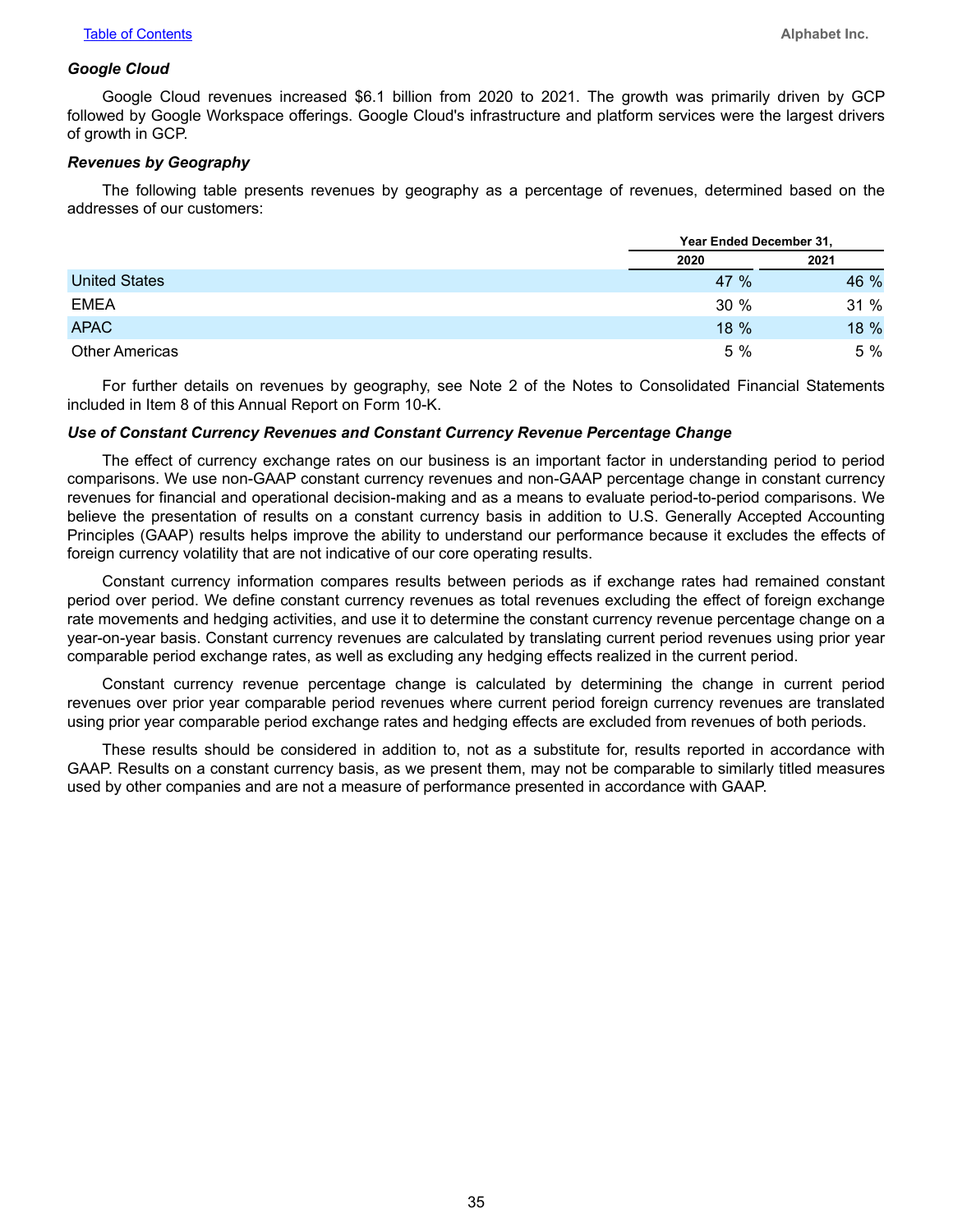#### *Google Cloud*

Google Cloud revenues increased \$6.1 billion from 2020 to 2021. The growth was primarily driven by GCP followed by Google Workspace offerings. Google Cloud's infrastructure and platform services were the largest drivers of growth in GCP.

#### *Revenues by Geography*

The following table presents revenues by geography as a percentage of revenues, determined based on the addresses of our customers:

|                       |      | Year Ended December 31, |  |  |
|-----------------------|------|-------------------------|--|--|
|                       | 2020 | 2021                    |  |  |
| <b>United States</b>  | 47 % | 46 %                    |  |  |
| <b>EMEA</b>           | 30%  | 31 %                    |  |  |
| <b>APAC</b>           | 18 % | 18 %                    |  |  |
| <b>Other Americas</b> | 5 %  | 5 %                     |  |  |

For further details on revenues by geography, see Note 2 of the Notes to Consolidated Financial Statements included in Item 8 of this Annual Report on Form 10-K.

#### *Use of Constant Currency Revenues and Constant Currency Revenue Percentage Change*

The effect of currency exchange rates on our business is an important factor in understanding period to period comparisons. We use non-GAAP constant currency revenues and non-GAAP percentage change in constant currency revenues for financial and operational decision-making and as a means to evaluate period-to-period comparisons. We believe the presentation of results on a constant currency basis in addition to U.S. Generally Accepted Accounting Principles (GAAP) results helps improve the ability to understand our performance because it excludes the effects of foreign currency volatility that are not indicative of our core operating results.

Constant currency information compares results between periods as if exchange rates had remained constant period over period. We define constant currency revenues as total revenues excluding the effect of foreign exchange rate movements and hedging activities, and use it to determine the constant currency revenue percentage change on a year-on-year basis. Constant currency revenues are calculated by translating current period revenues using prior year comparable period exchange rates, as well as excluding any hedging effects realized in the current period.

Constant currency revenue percentage change is calculated by determining the change in current period revenues over prior year comparable period revenues where current period foreign currency revenues are translated using prior year comparable period exchange rates and hedging effects are excluded from revenues of both periods.

These results should be considered in addition to, not as a substitute for, results reported in accordance with GAAP. Results on a constant currency basis, as we present them, may not be comparable to similarly titled measures used by other companies and are not a measure of performance presented in accordance with GAAP.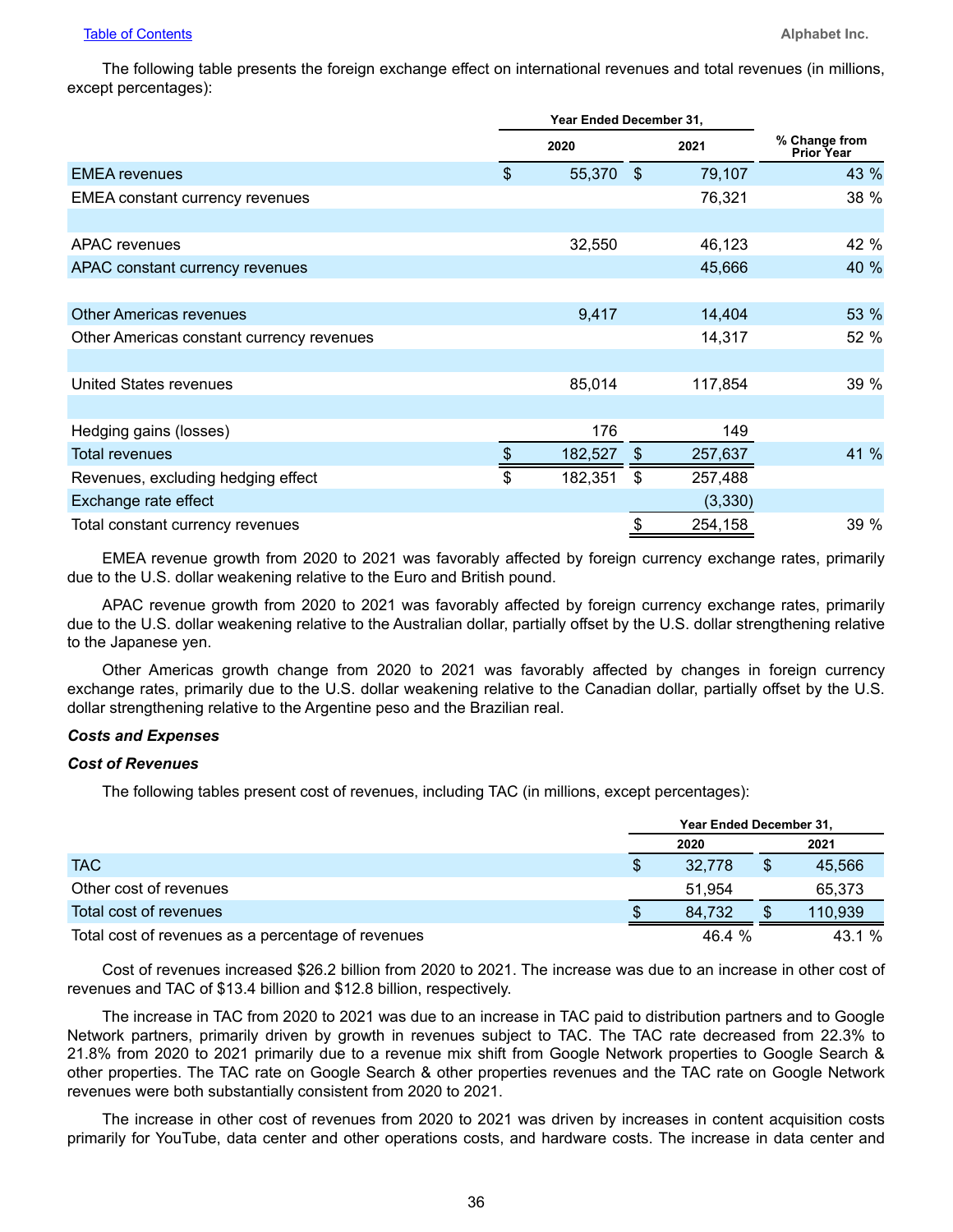The following table presents the foreign exchange effect on international revenues and total revenues (in millions, except percentages):

|                                           |               | Year Ended December 31, |                           |         |                                    |  |
|-------------------------------------------|---------------|-------------------------|---------------------------|---------|------------------------------------|--|
|                                           |               | 2020                    |                           | 2021    | % Change from<br><b>Prior Year</b> |  |
| <b>EMEA</b> revenues                      | $\mathcal{S}$ | 55,370 \$               |                           | 79,107  | 43 %                               |  |
| <b>EMEA</b> constant currency revenues    |               |                         |                           | 76,321  | 38 %                               |  |
|                                           |               |                         |                           |         |                                    |  |
| APAC revenues                             |               | 32,550                  |                           | 46,123  | 42 %                               |  |
| APAC constant currency revenues           |               |                         |                           | 45,666  | 40 %                               |  |
|                                           |               |                         |                           |         |                                    |  |
| <b>Other Americas revenues</b>            |               | 9,417                   |                           | 14,404  | 53 %                               |  |
| Other Americas constant currency revenues |               |                         |                           | 14,317  | 52 %                               |  |
|                                           |               |                         |                           |         |                                    |  |
| United States revenues                    |               | 85,014                  |                           | 117,854 | 39 %                               |  |
|                                           |               |                         |                           |         |                                    |  |
| Hedging gains (losses)                    |               | 176                     |                           | 149     |                                    |  |
| Total revenues                            | \$            | 182,527                 | $\boldsymbol{\mathsf{S}}$ | 257,637 | 41 %                               |  |
| Revenues, excluding hedging effect        | \$            | 182,351                 | \$                        | 257,488 |                                    |  |
| Exchange rate effect                      |               |                         |                           | (3,330) |                                    |  |
| Total constant currency revenues          |               |                         | \$                        | 254,158 | 39 %                               |  |

EMEA revenue growth from 2020 to 2021 was favorably affected by foreign currency exchange rates, primarily due to the U.S. dollar weakening relative to the Euro and British pound.

APAC revenue growth from 2020 to 2021 was favorably affected by foreign currency exchange rates, primarily due to the U.S. dollar weakening relative to the Australian dollar, partially offset by the U.S. dollar strengthening relative to the Japanese yen.

Other Americas growth change from 2020 to 2021 was favorably affected by changes in foreign currency exchange rates, primarily due to the U.S. dollar weakening relative to the Canadian dollar, partially offset by the U.S. dollar strengthening relative to the Argentine peso and the Brazilian real.

# *Costs and Expenses*

#### *Cost of Revenues*

The following tables present cost of revenues, including TAC (in millions, except percentages):

|                                                    | Year Ended December 31, |    |           |  |  |  |
|----------------------------------------------------|-------------------------|----|-----------|--|--|--|
|                                                    | 2020                    |    | 2021      |  |  |  |
| <b>TAC</b>                                         | 32.778                  | \$ | 45,566    |  |  |  |
| Other cost of revenues                             | 51.954                  |    | 65,373    |  |  |  |
| Total cost of revenues                             | 84.732                  |    | 110,939   |  |  |  |
| Total cost of revenues as a percentage of revenues | 46.4%                   |    | $43.1 \%$ |  |  |  |

Cost of revenues increased \$26.2 billion from 2020 to 2021. The increase was due to an increase in other cost of revenues and TAC of \$13.4 billion and \$12.8 billion, respectively.

The increase in TAC from 2020 to 2021 was due to an increase in TAC paid to distribution partners and to Google Network partners, primarily driven by growth in revenues subject to TAC. The TAC rate decreased from 22.3% to 21.8% from 2020 to 2021 primarily due to a revenue mix shift from Google Network properties to Google Search & other properties. The TAC rate on Google Search & other properties revenues and the TAC rate on Google Network revenues were both substantially consistent from 2020 to 2021.

The increase in other cost of revenues from 2020 to 2021 was driven by increases in content acquisition costs primarily for YouTube, data center and other operations costs, and hardware costs. The increase in data center and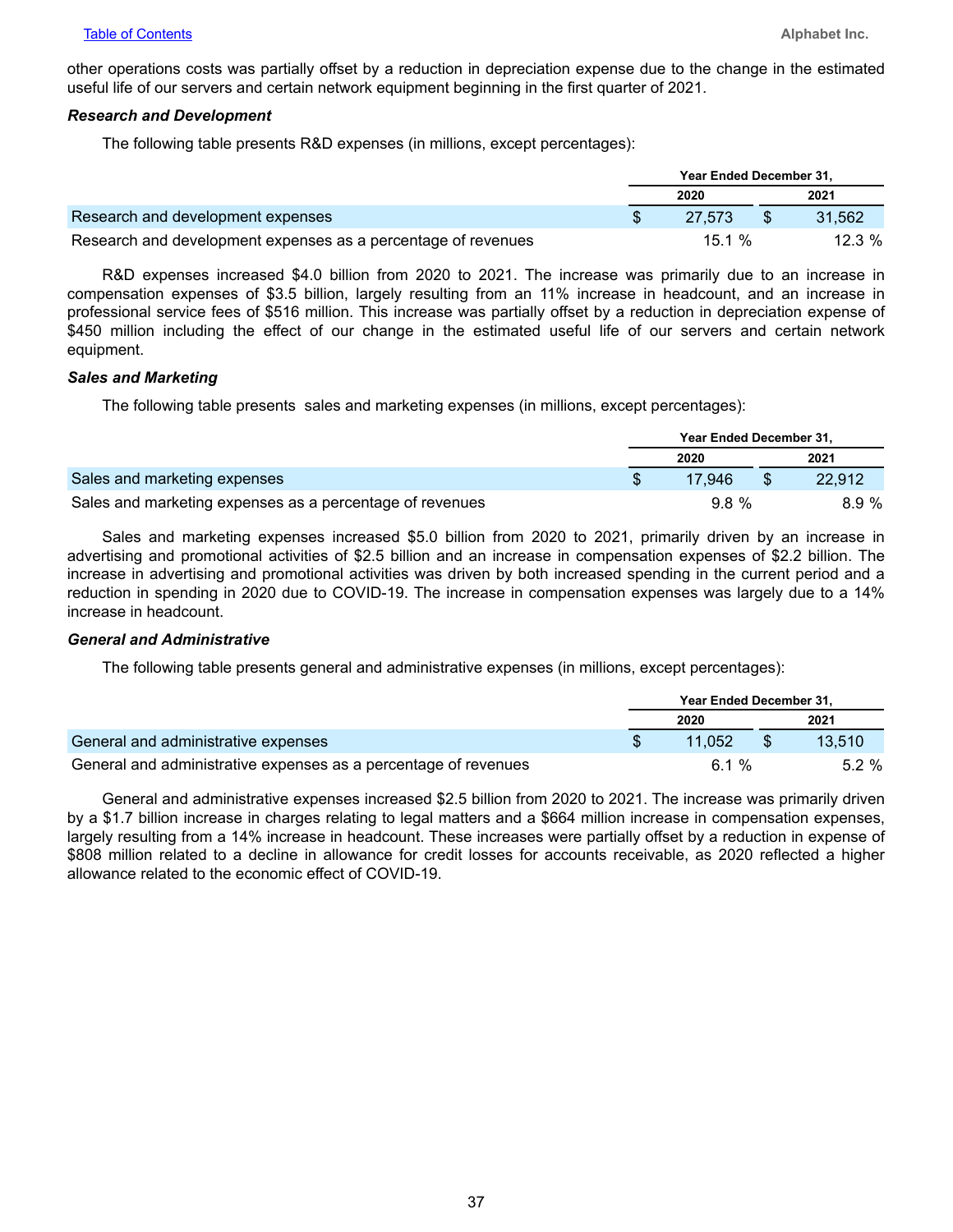other operations costs was partially offset by a reduction in depreciation expense due to the change in the estimated useful life of our servers and certain network equipment beginning in the first quarter of 2021.

# *Research and Development*

The following table presents R&D expenses (in millions, except percentages):

|                                                               | Year Ended December 31. |      |          |
|---------------------------------------------------------------|-------------------------|------|----------|
|                                                               | 2020                    |      | 2021     |
| Research and development expenses                             | 27.573                  | - \$ | 31.562   |
| Research and development expenses as a percentage of revenues | 15.1 $%$                |      | $12.3\%$ |

R&D expenses increased \$4.0 billion from 2020 to 2021. The increase was primarily due to an increase in compensation expenses of \$3.5 billion, largely resulting from an 11% increase in headcount, and an increase in professional service fees of \$516 million. This increase was partially offset by a reduction in depreciation expense of \$450 million including the effect of our change in the estimated useful life of our servers and certain network equipment.

## *Sales and Marketing*

The following table presents sales and marketing expenses (in millions, except percentages):

|                                                          |      | Year Ended December 31, |  |        |
|----------------------------------------------------------|------|-------------------------|--|--------|
|                                                          | 2020 |                         |  | 2021   |
| Sales and marketing expenses                             |      | 17.946                  |  | 22.912 |
| Sales and marketing expenses as a percentage of revenues |      | 9.8%                    |  |        |

Sales and marketing expenses increased \$5.0 billion from 2020 to 2021, primarily driven by an increase in advertising and promotional activities of \$2.5 billion and an increase in compensation expenses of \$2.2 billion. The increase in advertising and promotional activities was driven by both increased spending in the current period and a reduction in spending in 2020 due to COVID-19. The increase in compensation expenses was largely due to a 14% increase in headcount.

## *General and Administrative*

The following table presents general and administrative expenses (in millions, except percentages):

|                                                                 | Year Ended December 31. |          |
|-----------------------------------------------------------------|-------------------------|----------|
|                                                                 | 2020                    | 2021     |
| General and administrative expenses                             | 11.052                  | 13.510   |
| General and administrative expenses as a percentage of revenues | 6.1 $%$                 | $5.2 \%$ |

General and administrative expenses increased \$2.5 billion from 2020 to 2021. The increase was primarily driven by a \$1.7 billion increase in charges relating to legal matters and a \$664 million increase in compensation expenses, largely resulting from a 14% increase in headcount. These increases were partially offset by a reduction in expense of \$808 million related to a decline in allowance for credit losses for accounts receivable, as 2020 reflected a higher allowance related to the economic effect of COVID-19.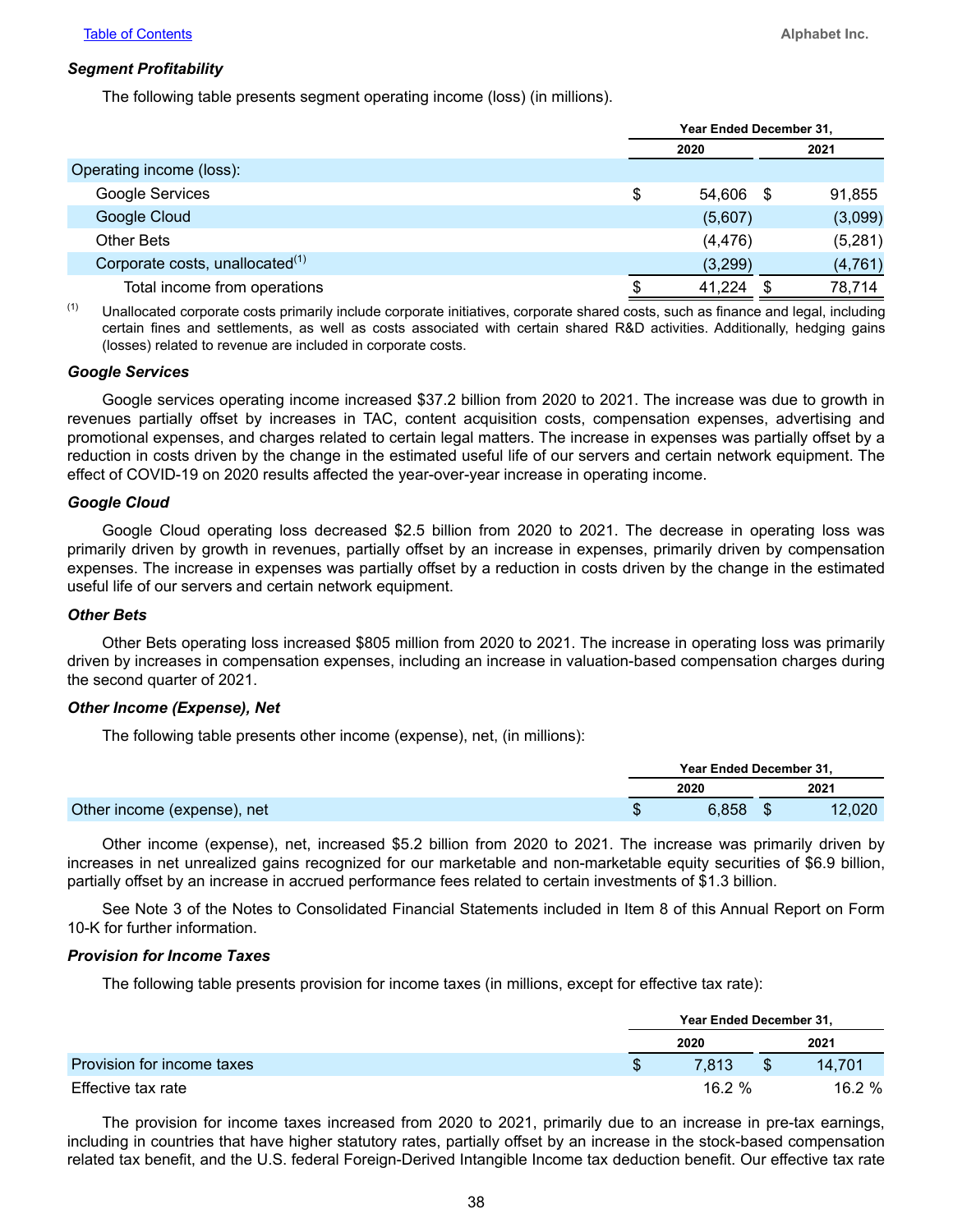## *Segment Profitability*

The following table presents segment operating income (loss) (in millions).

|                                             |    | <b>Year Ended December 31,</b> |          |  |  |
|---------------------------------------------|----|--------------------------------|----------|--|--|
|                                             |    | 2020                           | 2021     |  |  |
| Operating income (loss):                    |    |                                |          |  |  |
| Google Services                             | \$ | 54.606 \$                      | 91,855   |  |  |
| Google Cloud                                |    | (5,607)                        | (3,099)  |  |  |
| <b>Other Bets</b>                           |    | (4, 476)                       | (5,281)  |  |  |
| Corporate costs, unallocated <sup>(1)</sup> |    | (3,299)                        | (4, 761) |  |  |
| Total income from operations                | S  | 41.224                         | 78,714   |  |  |

 $(1)$  Unallocated corporate costs primarily include corporate initiatives, corporate shared costs, such as finance and legal, including certain fines and settlements, as well as costs associated with certain shared R&D activities. Additionally, hedging gains (losses) related to revenue are included in corporate costs.

#### *Google Services*

Google services operating income increased \$37.2 billion from 2020 to 2021. The increase was due to growth in revenues partially offset by increases in TAC, content acquisition costs, compensation expenses, advertising and promotional expenses, and charges related to certain legal matters. The increase in expenses was partially offset by a reduction in costs driven by the change in the estimated useful life of our servers and certain network equipment. The effect of COVID-19 on 2020 results affected the year-over-year increase in operating income.

## *Google Cloud*

Google Cloud operating loss decreased \$2.5 billion from 2020 to 2021. The decrease in operating loss was primarily driven by growth in revenues, partially offset by an increase in expenses, primarily driven by compensation expenses. The increase in expenses was partially offset by a reduction in costs driven by the change in the estimated useful life of our servers and certain network equipment.

## *Other Bets*

Other Bets operating loss increased \$805 million from 2020 to 2021. The increase in operating loss was primarily driven by increases in compensation expenses, including an increase in valuation-based compensation charges during the second quarter of 2021.

### *Other Income (Expense), Net*

The following table presents other income (expense), net, (in millions):

|                             | Year Ended December 31, |   |        |
|-----------------------------|-------------------------|---|--------|
|                             | 2020                    |   | 2021   |
| Other income (expense), net | 6.858                   | S | 12,020 |

Other income (expense), net, increased \$5.2 billion from 2020 to 2021. The increase was primarily driven by increases in net unrealized gains recognized for our marketable and non-marketable equity securities of \$6.9 billion, partially offset by an increase in accrued performance fees related to certain investments of \$1.3 billion.

See Note 3 of the Notes to Consolidated Financial Statements included in Item 8 of this Annual Report on Form 10-K for further information.

#### *Provision for Income Taxes*

The following table presents provision for income taxes (in millions, except for effective tax rate):

|                            |  | Year Ended December 31, |      |          |  |
|----------------------------|--|-------------------------|------|----------|--|
|                            |  | 2020                    | 2021 |          |  |
| Provision for income taxes |  | 7.813                   |      | 14.701   |  |
| Effective tax rate         |  | $16.2 \%$               |      | 16.2 $%$ |  |

The provision for income taxes increased from 2020 to 2021, primarily due to an increase in pre-tax earnings, including in countries that have higher statutory rates, partially offset by an increase in the stock-based compensation related tax benefit, and the U.S. federal Foreign-Derived Intangible Income tax deduction benefit. Our effective tax rate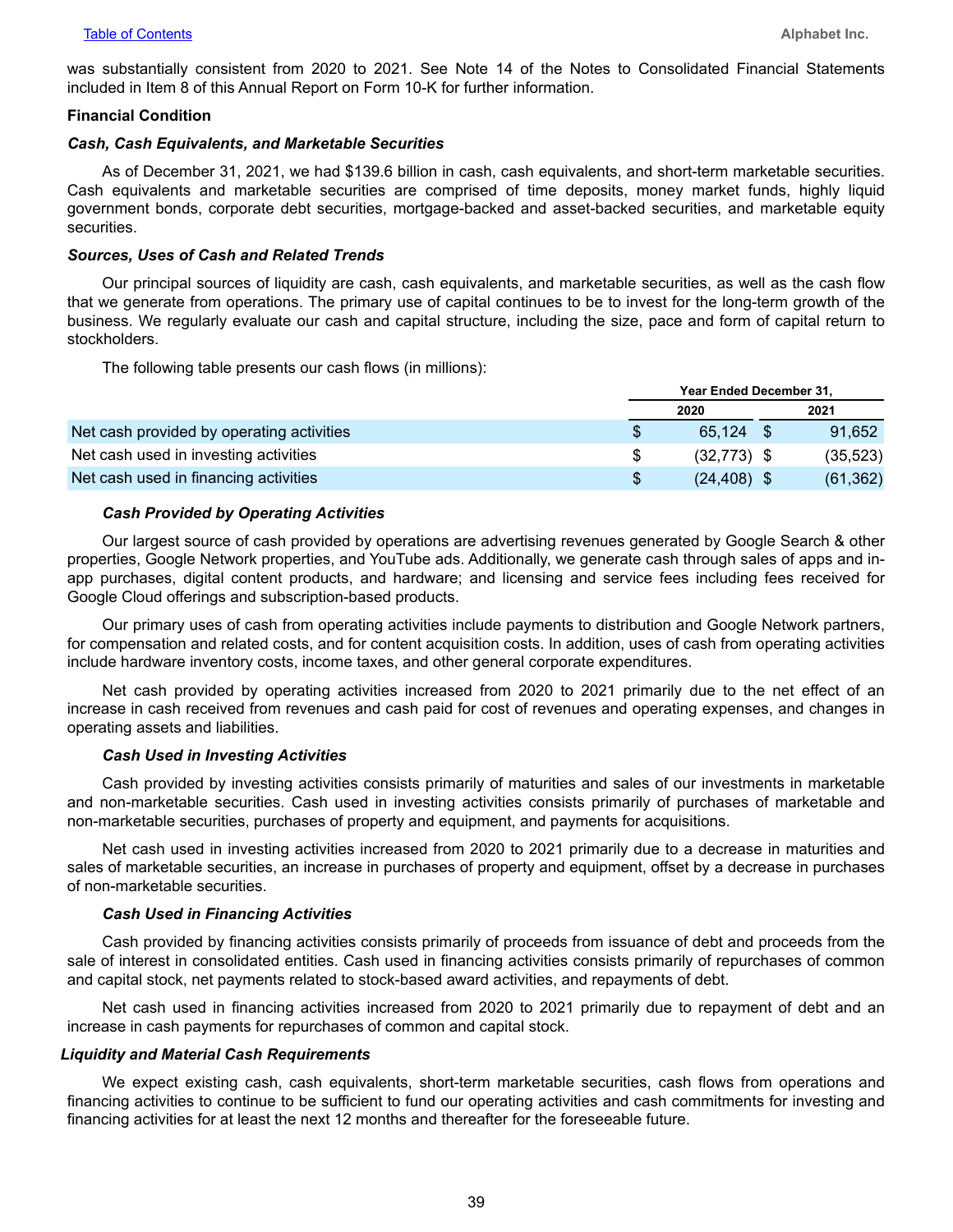was substantially consistent from 2020 to 2021. See Note 14 of the Notes to Consolidated Financial Statements included in Item 8 of this Annual Report on Form 10-K for further information.

## **Financial Condition**

### *Cash, Cash Equivalents, and Marketable Securities*

As of December 31, 2021, we had \$139.6 billion in cash, cash equivalents, and short-term marketable securities. Cash equivalents and marketable securities are comprised of time deposits, money market funds, highly liquid government bonds, corporate debt securities, mortgage-backed and asset-backed securities, and marketable equity securities.

## *Sources, Uses of Cash and Related Trends*

Our principal sources of liquidity are cash, cash equivalents, and marketable securities, as well as the cash flow that we generate from operations. The primary use of capital continues to be to invest for the long-term growth of the business. We regularly evaluate our cash and capital structure, including the size, pace and form of capital return to stockholders.

The following table presents our cash flows (in millions):

|                                           |     | Year Ended December 31, |  |           |  |  |  |
|-------------------------------------------|-----|-------------------------|--|-----------|--|--|--|
|                                           |     | 2020                    |  | 2021      |  |  |  |
| Net cash provided by operating activities |     | 65,124 \$               |  | 91.652    |  |  |  |
| Net cash used in investing activities     | \$. | $(32,773)$ \$           |  | (35, 523) |  |  |  |
| Net cash used in financing activities     | \$. | $(24, 408)$ \$          |  | (61, 362) |  |  |  |

## *Cash Provided by Operating Activities*

Our largest source of cash provided by operations are advertising revenues generated by Google Search & other properties, Google Network properties, and YouTube ads. Additionally, we generate cash through sales of apps and inapp purchases, digital content products, and hardware; and licensing and service fees including fees received for Google Cloud offerings and subscription-based products.

Our primary uses of cash from operating activities include payments to distribution and Google Network partners, for compensation and related costs, and for content acquisition costs. In addition, uses of cash from operating activities include hardware inventory costs, income taxes, and other general corporate expenditures.

Net cash provided by operating activities increased from 2020 to 2021 primarily due to the net effect of an increase in cash received from revenues and cash paid for cost of revenues and operating expenses, and changes in operating assets and liabilities.

## *Cash Used in Investing Activities*

Cash provided by investing activities consists primarily of maturities and sales of our investments in marketable and non-marketable securities. Cash used in investing activities consists primarily of purchases of marketable and non-marketable securities, purchases of property and equipment, and payments for acquisitions.

Net cash used in investing activities increased from 2020 to 2021 primarily due to a decrease in maturities and sales of marketable securities, an increase in purchases of property and equipment, offset by a decrease in purchases of non-marketable securities.

## *Cash Used in Financing Activities*

Cash provided by financing activities consists primarily of proceeds from issuance of debt and proceeds from the sale of interest in consolidated entities. Cash used in financing activities consists primarily of repurchases of common and capital stock, net payments related to stock-based award activities, and repayments of debt.

Net cash used in financing activities increased from 2020 to 2021 primarily due to repayment of debt and an increase in cash payments for repurchases of common and capital stock.

#### *Liquidity and Material Cash Requirements*

We expect existing cash, cash equivalents, short-term marketable securities, cash flows from operations and financing activities to continue to be sufficient to fund our operating activities and cash commitments for investing and financing activities for at least the next 12 months and thereafter for the foreseeable future.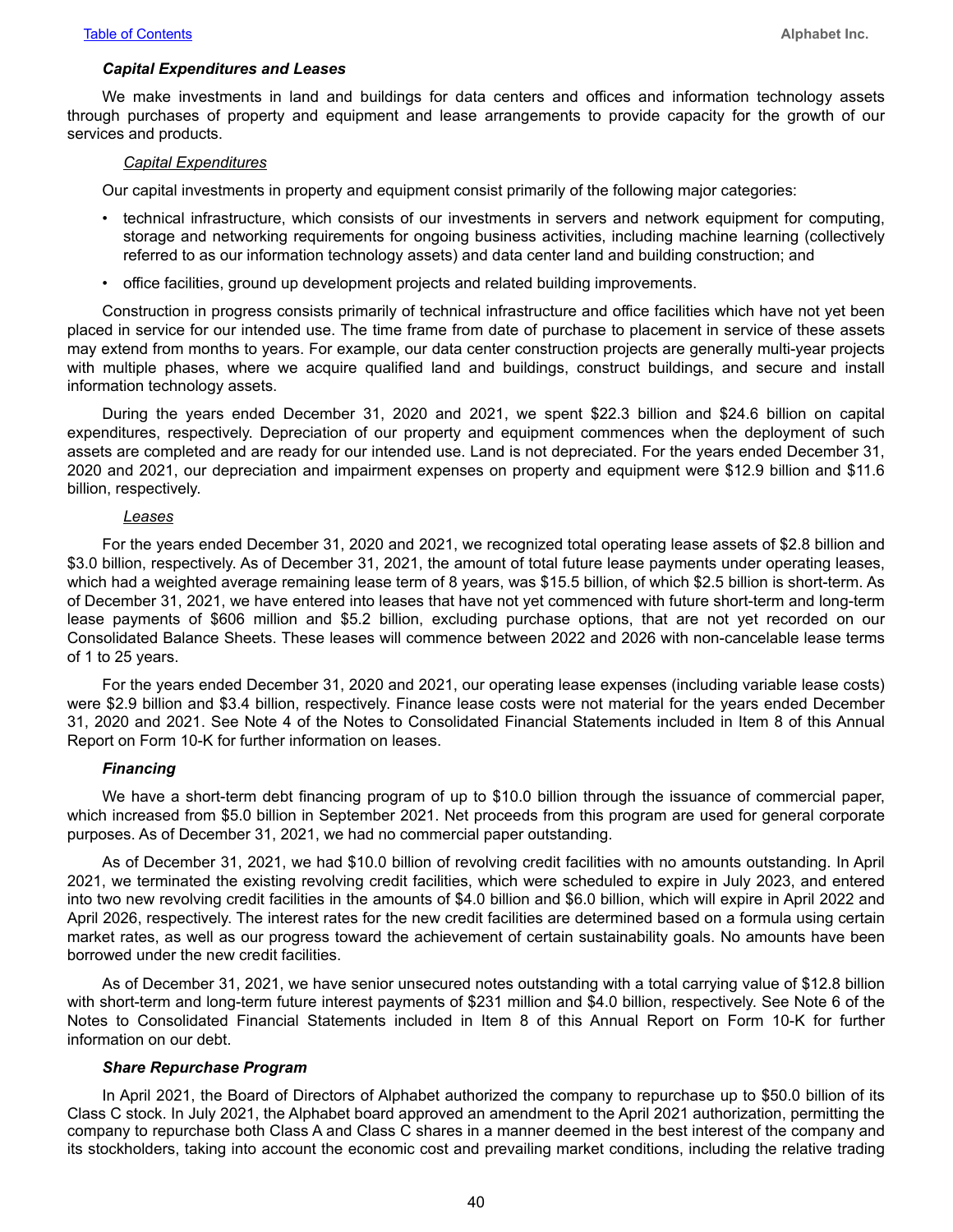### *Capital Expenditures and Leases*

We make investments in land and buildings for data centers and offices and information technology assets through purchases of property and equipment and lease arrangements to provide capacity for the growth of our services and products.

## *Capital Expenditures*

Our capital investments in property and equipment consist primarily of the following major categories:

- technical infrastructure, which consists of our investments in servers and network equipment for computing, storage and networking requirements for ongoing business activities, including machine learning (collectively referred to as our information technology assets) and data center land and building construction; and
- office facilities, ground up development projects and related building improvements.

Construction in progress consists primarily of technical infrastructure and office facilities which have not yet been placed in service for our intended use. The time frame from date of purchase to placement in service of these assets may extend from months to years. For example, our data center construction projects are generally multi-year projects with multiple phases, where we acquire qualified land and buildings, construct buildings, and secure and install information technology assets.

During the years ended December 31, 2020 and 2021, we spent \$22.3 billion and \$24.6 billion on capital expenditures, respectively. Depreciation of our property and equipment commences when the deployment of such assets are completed and are ready for our intended use. Land is not depreciated. For the years ended December 31, 2020 and 2021, our depreciation and impairment expenses on property and equipment were \$12.9 billion and \$11.6 billion, respectively.

#### *Leases*

For the years ended December 31, 2020 and 2021, we recognized total operating lease assets of \$2.8 billion and \$3.0 billion, respectively. As of December 31, 2021, the amount of total future lease payments under operating leases, which had a weighted average remaining lease term of 8 years, was \$15.5 billion, of which \$2.5 billion is short-term. As of December 31, 2021, we have entered into leases that have not yet commenced with future short-term and long-term lease payments of \$606 million and \$5.2 billion, excluding purchase options, that are not yet recorded on our Consolidated Balance Sheets. These leases will commence between 2022 and 2026 with non-cancelable lease terms of 1 to 25 years.

For the years ended December 31, 2020 and 2021, our operating lease expenses (including variable lease costs) were \$2.9 billion and \$3.4 billion, respectively. Finance lease costs were not material for the years ended December 31, 2020 and 2021. See Note 4 of the Notes to Consolidated Financial Statements included in Item 8 of this Annual Report on Form 10-K for further information on leases.

### *Financing*

We have a short-term debt financing program of up to \$10.0 billion through the issuance of commercial paper, which increased from \$5.0 billion in September 2021. Net proceeds from this program are used for general corporate purposes. As of December 31, 2021, we had no commercial paper outstanding.

As of December 31, 2021, we had \$10.0 billion of revolving credit facilities with no amounts outstanding. In April 2021, we terminated the existing revolving credit facilities, which were scheduled to expire in July 2023, and entered into two new revolving credit facilities in the amounts of \$4.0 billion and \$6.0 billion, which will expire in April 2022 and April 2026, respectively. The interest rates for the new credit facilities are determined based on a formula using certain market rates, as well as our progress toward the achievement of certain sustainability goals. No amounts have been borrowed under the new credit facilities.

As of December 31, 2021, we have senior unsecured notes outstanding with a total carrying value of \$12.8 billion with short-term and long-term future interest payments of \$231 million and \$4.0 billion, respectively. See Note 6 of the Notes to Consolidated Financial Statements included in Item 8 of this Annual Report on Form 10-K for further information on our debt.

#### *Share Repurchase Program*

In April 2021, the Board of Directors of Alphabet authorized the company to repurchase up to \$50.0 billion of its Class C stock. In July 2021, the Alphabet board approved an amendment to the April 2021 authorization, permitting the company to repurchase both Class A and Class C shares in a manner deemed in the best interest of the company and its stockholders, taking into account the economic cost and prevailing market conditions, including the relative trading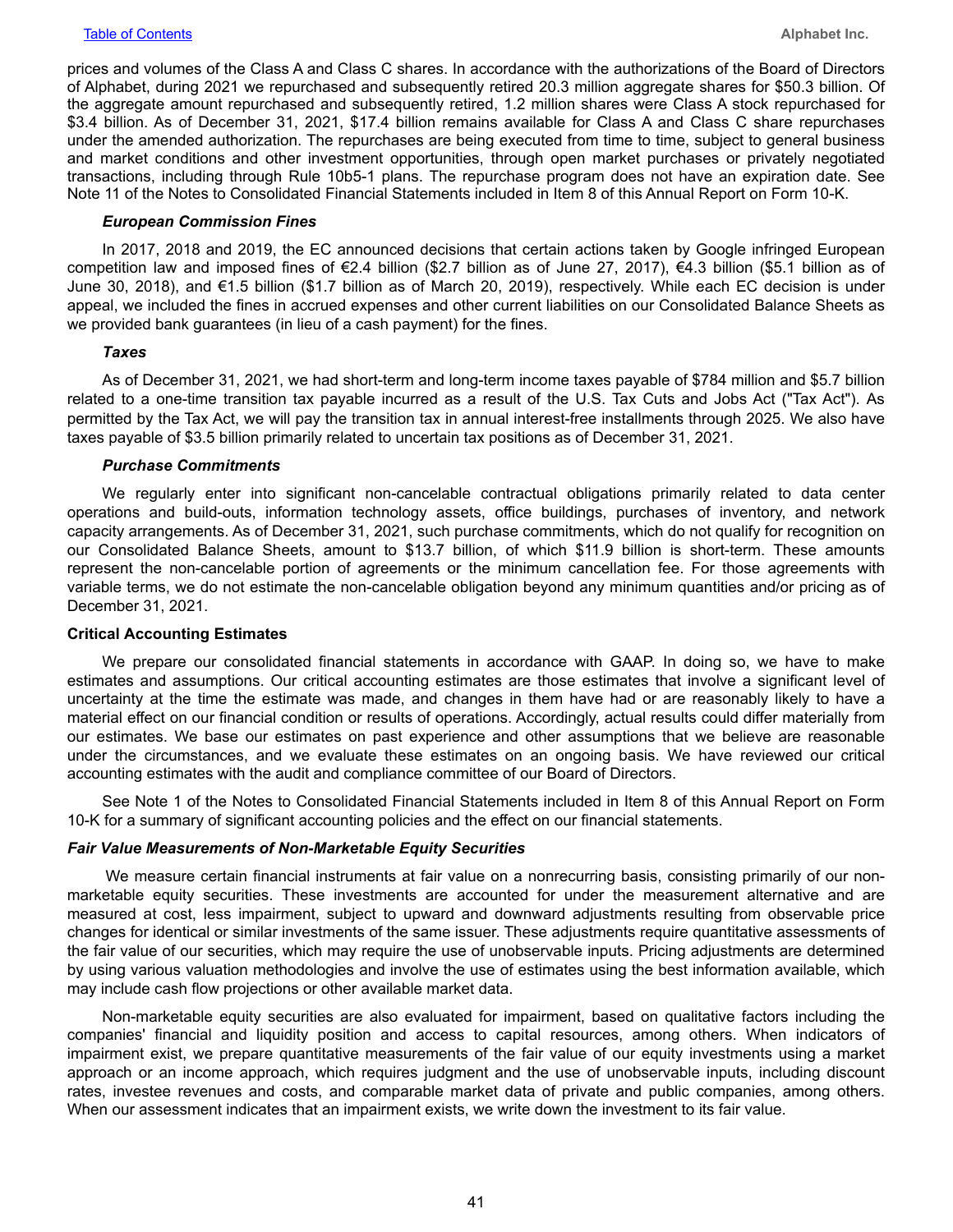prices and volumes of the Class A and Class C shares. In accordance with the authorizations of the Board of Directors of Alphabet, during 2021 we repurchased and subsequently retired 20.3 million aggregate shares for \$50.3 billion. Of the aggregate amount repurchased and subsequently retired, 1.2 million shares were Class A stock repurchased for \$3.4 billion. As of December 31, 2021, \$17.4 billion remains available for Class A and Class C share repurchases under the amended authorization. The repurchases are being executed from time to time, subject to general business and market conditions and other investment opportunities, through open market purchases or privately negotiated transactions, including through Rule 10b5-1 plans. The repurchase program does not have an expiration date. See Note 11 of the Notes to Consolidated Financial Statements included in Item 8 of this Annual Report on Form 10-K.

## *European Commission Fines*

In 2017, 2018 and 2019, the EC announced decisions that certain actions taken by Google infringed European competition law and imposed fines of €2.4 billion (\$2.7 billion as of June 27, 2017), €4.3 billion (\$5.1 billion as of June 30, 2018), and €1.5 billion (\$1.7 billion as of March 20, 2019), respectively. While each EC decision is under appeal, we included the fines in accrued expenses and other current liabilities on our Consolidated Balance Sheets as we provided bank guarantees (in lieu of a cash payment) for the fines.

#### *Taxes*

As of December 31, 2021, we had short-term and long-term income taxes payable of \$784 million and \$5.7 billion related to a one-time transition tax payable incurred as a result of the U.S. Tax Cuts and Jobs Act ("Tax Act"). As permitted by the Tax Act, we will pay the transition tax in annual interest-free installments through 2025. We also have taxes payable of \$3.5 billion primarily related to uncertain tax positions as of December 31, 2021.

## *Purchase Commitments*

We regularly enter into significant non-cancelable contractual obligations primarily related to data center operations and build-outs, information technology assets, office buildings, purchases of inventory, and network capacity arrangements. As of December 31, 2021, such purchase commitments, which do not qualify for recognition on our Consolidated Balance Sheets, amount to \$13.7 billion, of which \$11.9 billion is short-term. These amounts represent the non-cancelable portion of agreements or the minimum cancellation fee. For those agreements with variable terms, we do not estimate the non-cancelable obligation beyond any minimum quantities and/or pricing as of December 31, 2021.

## **Critical Accounting Estimates**

We prepare our consolidated financial statements in accordance with GAAP. In doing so, we have to make estimates and assumptions. Our critical accounting estimates are those estimates that involve a significant level of uncertainty at the time the estimate was made, and changes in them have had or are reasonably likely to have a material effect on our financial condition or results of operations. Accordingly, actual results could differ materially from our estimates. We base our estimates on past experience and other assumptions that we believe are reasonable under the circumstances, and we evaluate these estimates on an ongoing basis. We have reviewed our critical accounting estimates with the audit and compliance committee of our Board of Directors.

See Note 1 of the Notes to Consolidated Financial Statements included in Item 8 of this Annual Report on Form 10-K for a summary of significant accounting policies and the effect on our financial statements.

## *Fair Value Measurements of Non-Marketable Equity Securities*

We measure certain financial instruments at fair value on a nonrecurring basis, consisting primarily of our nonmarketable equity securities. These investments are accounted for under the measurement alternative and are measured at cost, less impairment, subject to upward and downward adjustments resulting from observable price changes for identical or similar investments of the same issuer. These adjustments require quantitative assessments of the fair value of our securities, which may require the use of unobservable inputs. Pricing adjustments are determined by using various valuation methodologies and involve the use of estimates using the best information available, which may include cash flow projections or other available market data.

Non-marketable equity securities are also evaluated for impairment, based on qualitative factors including the companies' financial and liquidity position and access to capital resources, among others. When indicators of impairment exist, we prepare quantitative measurements of the fair value of our equity investments using a market approach or an income approach, which requires judgment and the use of unobservable inputs, including discount rates, investee revenues and costs, and comparable market data of private and public companies, among others. When our assessment indicates that an impairment exists, we write down the investment to its fair value.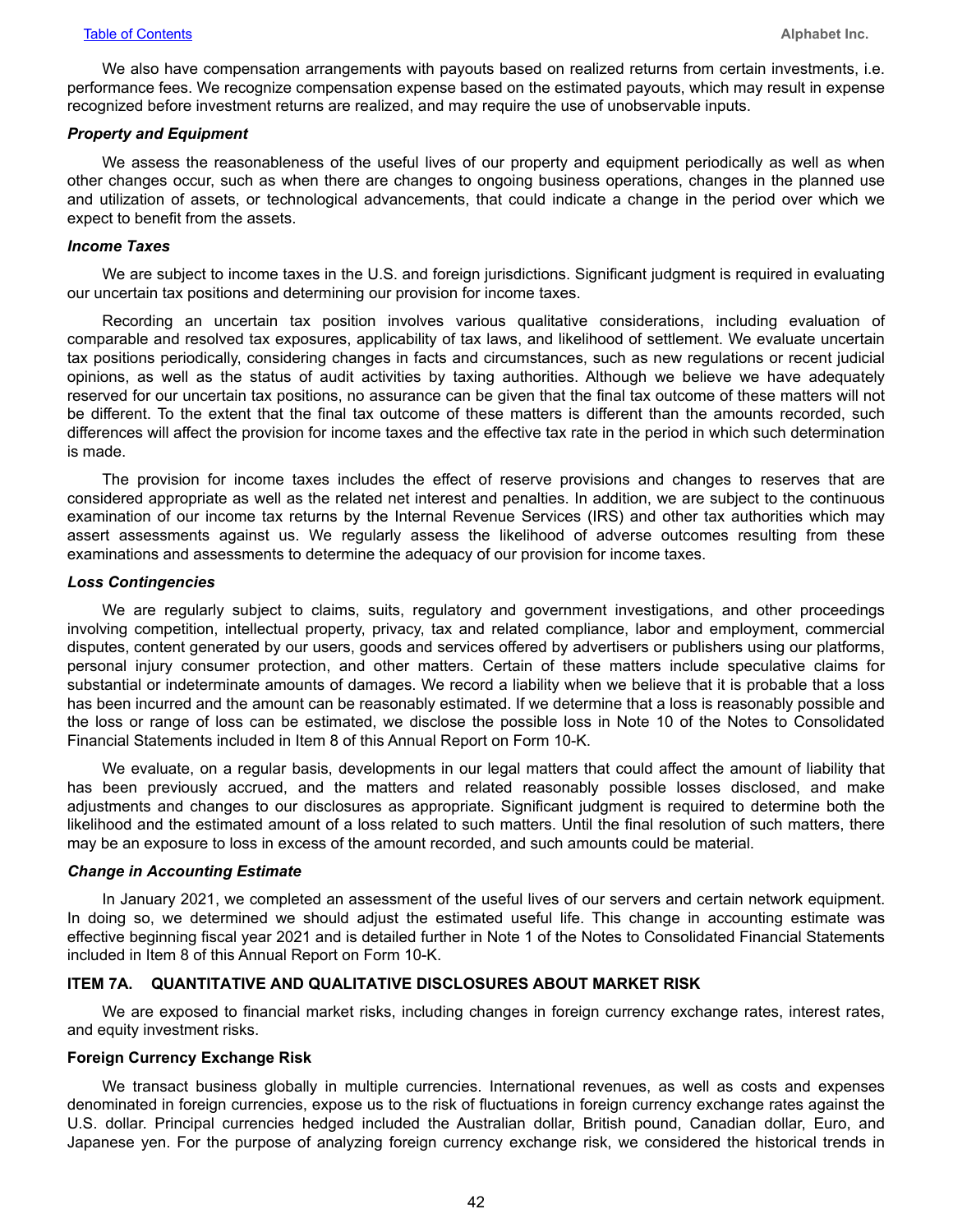We also have compensation arrangements with payouts based on realized returns from certain investments, i.e. performance fees. We recognize compensation expense based on the estimated payouts, which may result in expense recognized before investment returns are realized, and may require the use of unobservable inputs.

#### *Property and Equipment*

We assess the reasonableness of the useful lives of our property and equipment periodically as well as when other changes occur, such as when there are changes to ongoing business operations, changes in the planned use and utilization of assets, or technological advancements, that could indicate a change in the period over which we expect to benefit from the assets.

#### *Income Taxes*

We are subject to income taxes in the U.S. and foreign jurisdictions. Significant judgment is required in evaluating our uncertain tax positions and determining our provision for income taxes.

Recording an uncertain tax position involves various qualitative considerations, including evaluation of comparable and resolved tax exposures, applicability of tax laws, and likelihood of settlement. We evaluate uncertain tax positions periodically, considering changes in facts and circumstances, such as new regulations or recent judicial opinions, as well as the status of audit activities by taxing authorities. Although we believe we have adequately reserved for our uncertain tax positions, no assurance can be given that the final tax outcome of these matters will not be different. To the extent that the final tax outcome of these matters is different than the amounts recorded, such differences will affect the provision for income taxes and the effective tax rate in the period in which such determination is made.

The provision for income taxes includes the effect of reserve provisions and changes to reserves that are considered appropriate as well as the related net interest and penalties. In addition, we are subject to the continuous examination of our income tax returns by the Internal Revenue Services (IRS) and other tax authorities which may assert assessments against us. We regularly assess the likelihood of adverse outcomes resulting from these examinations and assessments to determine the adequacy of our provision for income taxes.

#### *Loss Contingencies*

We are regularly subject to claims, suits, regulatory and government investigations, and other proceedings involving competition, intellectual property, privacy, tax and related compliance, labor and employment, commercial disputes, content generated by our users, goods and services offered by advertisers or publishers using our platforms, personal injury consumer protection, and other matters. Certain of these matters include speculative claims for substantial or indeterminate amounts of damages. We record a liability when we believe that it is probable that a loss has been incurred and the amount can be reasonably estimated. If we determine that a loss is reasonably possible and the loss or range of loss can be estimated, we disclose the possible loss in Note 10 of the Notes to Consolidated Financial Statements included in Item 8 of this Annual Report on Form 10-K.

We evaluate, on a regular basis, developments in our legal matters that could affect the amount of liability that has been previously accrued, and the matters and related reasonably possible losses disclosed, and make adjustments and changes to our disclosures as appropriate. Significant judgment is required to determine both the likelihood and the estimated amount of a loss related to such matters. Until the final resolution of such matters, there may be an exposure to loss in excess of the amount recorded, and such amounts could be material.

#### *Change in Accounting Estimate*

In January 2021, we completed an assessment of the useful lives of our servers and certain network equipment. In doing so, we determined we should adjust the estimated useful life. This change in accounting estimate was effective beginning fiscal year 2021 and is detailed further in Note 1 of the Notes to Consolidated Financial Statements included in Item 8 of this Annual Report on Form 10-K.

# **ITEM 7A. QUANTITATIVE AND QUALITATIVE DISCLOSURES ABOUT MARKET RISK**

We are exposed to financial market risks, including changes in foreign currency exchange rates, interest rates, and equity investment risks.

#### **Foreign Currency Exchange Risk**

We transact business globally in multiple currencies. International revenues, as well as costs and expenses denominated in foreign currencies, expose us to the risk of fluctuations in foreign currency exchange rates against the U.S. dollar. Principal currencies hedged included the Australian dollar, British pound, Canadian dollar, Euro, and Japanese yen. For the purpose of analyzing foreign currency exchange risk, we considered the historical trends in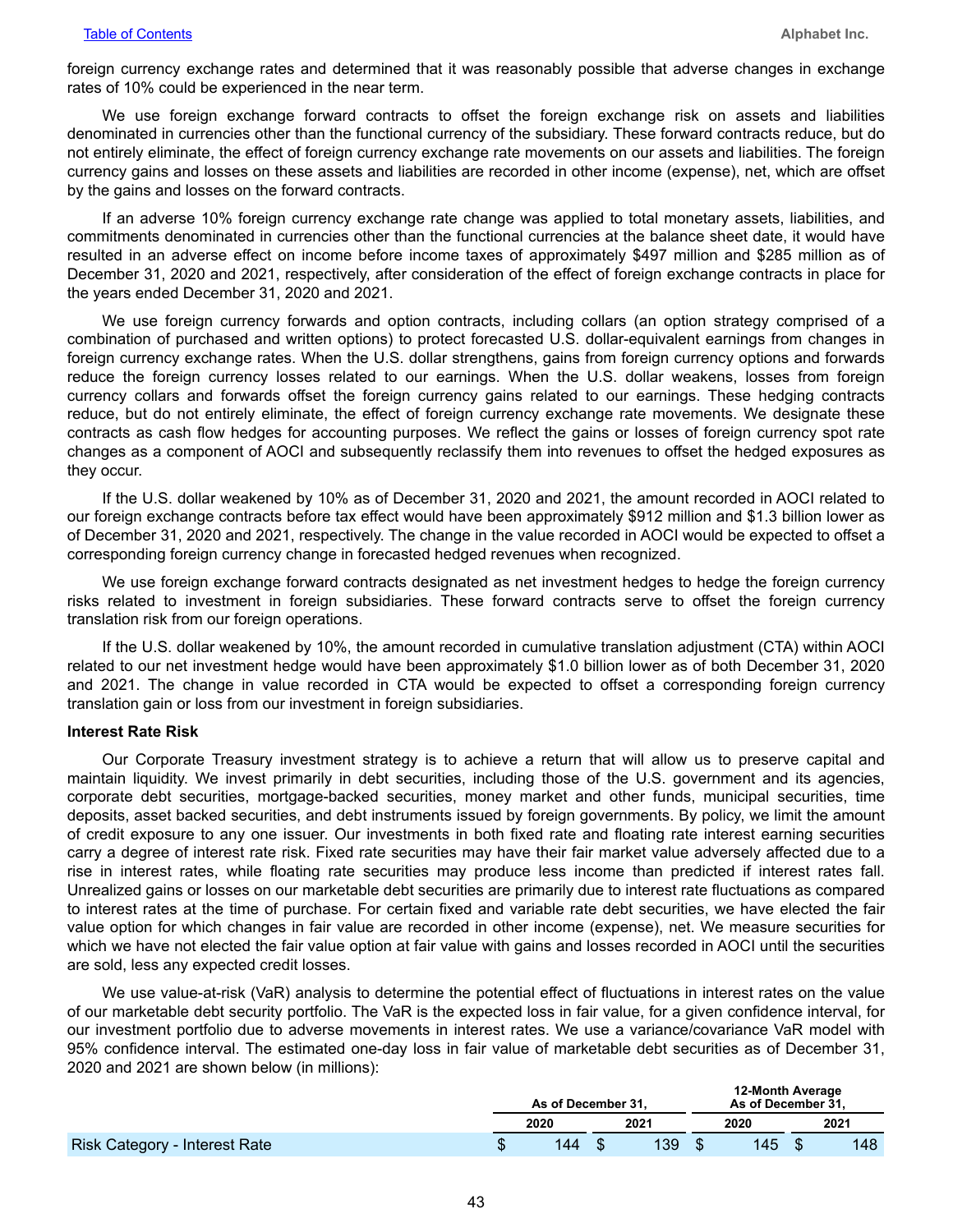foreign currency exchange rates and determined that it was reasonably possible that adverse changes in exchange rates of 10% could be experienced in the near term.

We use foreign exchange forward contracts to offset the foreign exchange risk on assets and liabilities denominated in currencies other than the functional currency of the subsidiary. These forward contracts reduce, but do not entirely eliminate, the effect of foreign currency exchange rate movements on our assets and liabilities. The foreign currency gains and losses on these assets and liabilities are recorded in other income (expense), net, which are offset by the gains and losses on the forward contracts.

If an adverse 10% foreign currency exchange rate change was applied to total monetary assets, liabilities, and commitments denominated in currencies other than the functional currencies at the balance sheet date, it would have resulted in an adverse effect on income before income taxes of approximately \$497 million and \$285 million as of December 31, 2020 and 2021, respectively, after consideration of the effect of foreign exchange contracts in place for the years ended December 31, 2020 and 2021.

We use foreign currency forwards and option contracts, including collars (an option strategy comprised of a combination of purchased and written options) to protect forecasted U.S. dollar-equivalent earnings from changes in foreign currency exchange rates. When the U.S. dollar strengthens, gains from foreign currency options and forwards reduce the foreign currency losses related to our earnings. When the U.S. dollar weakens, losses from foreign currency collars and forwards offset the foreign currency gains related to our earnings. These hedging contracts reduce, but do not entirely eliminate, the effect of foreign currency exchange rate movements. We designate these contracts as cash flow hedges for accounting purposes. We reflect the gains or losses of foreign currency spot rate changes as a component of AOCI and subsequently reclassify them into revenues to offset the hedged exposures as they occur.

If the U.S. dollar weakened by 10% as of December 31, 2020 and 2021, the amount recorded in AOCI related to our foreign exchange contracts before tax effect would have been approximately \$912 million and \$1.3 billion lower as of December 31, 2020 and 2021, respectively. The change in the value recorded in AOCI would be expected to offset a corresponding foreign currency change in forecasted hedged revenues when recognized.

We use foreign exchange forward contracts designated as net investment hedges to hedge the foreign currency risks related to investment in foreign subsidiaries. These forward contracts serve to offset the foreign currency translation risk from our foreign operations.

If the U.S. dollar weakened by 10%, the amount recorded in cumulative translation adjustment (CTA) within AOCI related to our net investment hedge would have been approximately \$1.0 billion lower as of both December 31, 2020 and 2021. The change in value recorded in CTA would be expected to offset a corresponding foreign currency translation gain or loss from our investment in foreign subsidiaries.

### **Interest Rate Risk**

Our Corporate Treasury investment strategy is to achieve a return that will allow us to preserve capital and maintain liquidity. We invest primarily in debt securities, including those of the U.S. government and its agencies, corporate debt securities, mortgage-backed securities, money market and other funds, municipal securities, time deposits, asset backed securities, and debt instruments issued by foreign governments. By policy, we limit the amount of credit exposure to any one issuer. Our investments in both fixed rate and floating rate interest earning securities carry a degree of interest rate risk. Fixed rate securities may have their fair market value adversely affected due to a rise in interest rates, while floating rate securities may produce less income than predicted if interest rates fall. Unrealized gains or losses on our marketable debt securities are primarily due to interest rate fluctuations as compared to interest rates at the time of purchase. For certain fixed and variable rate debt securities, we have elected the fair value option for which changes in fair value are recorded in other income (expense), net. We measure securities for which we have not elected the fair value option at fair value with gains and losses recorded in AOCI until the securities are sold, less any expected credit losses.

We use value-at-risk (VaR) analysis to determine the potential effect of fluctuations in interest rates on the value of our marketable debt security portfolio. The VaR is the expected loss in fair value, for a given confidence interval, for our investment portfolio due to adverse movements in interest rates. We use a variance/covariance VaR model with 95% confidence interval. The estimated one-day loss in fair value of marketable debt securities as of December 31, 2020 and 2021 are shown below (in millions):

|                               | As of December 31. |      |  | 12-Month Average<br>As of December 31. |      |                  |      |     |
|-------------------------------|--------------------|------|--|----------------------------------------|------|------------------|------|-----|
|                               |                    | 2020 |  | 2021                                   | 2020 |                  | 2021 |     |
| Risk Category - Interest Rate |                    | 144  |  | 139                                    |      | 145 <sub>1</sub> |      | 148 |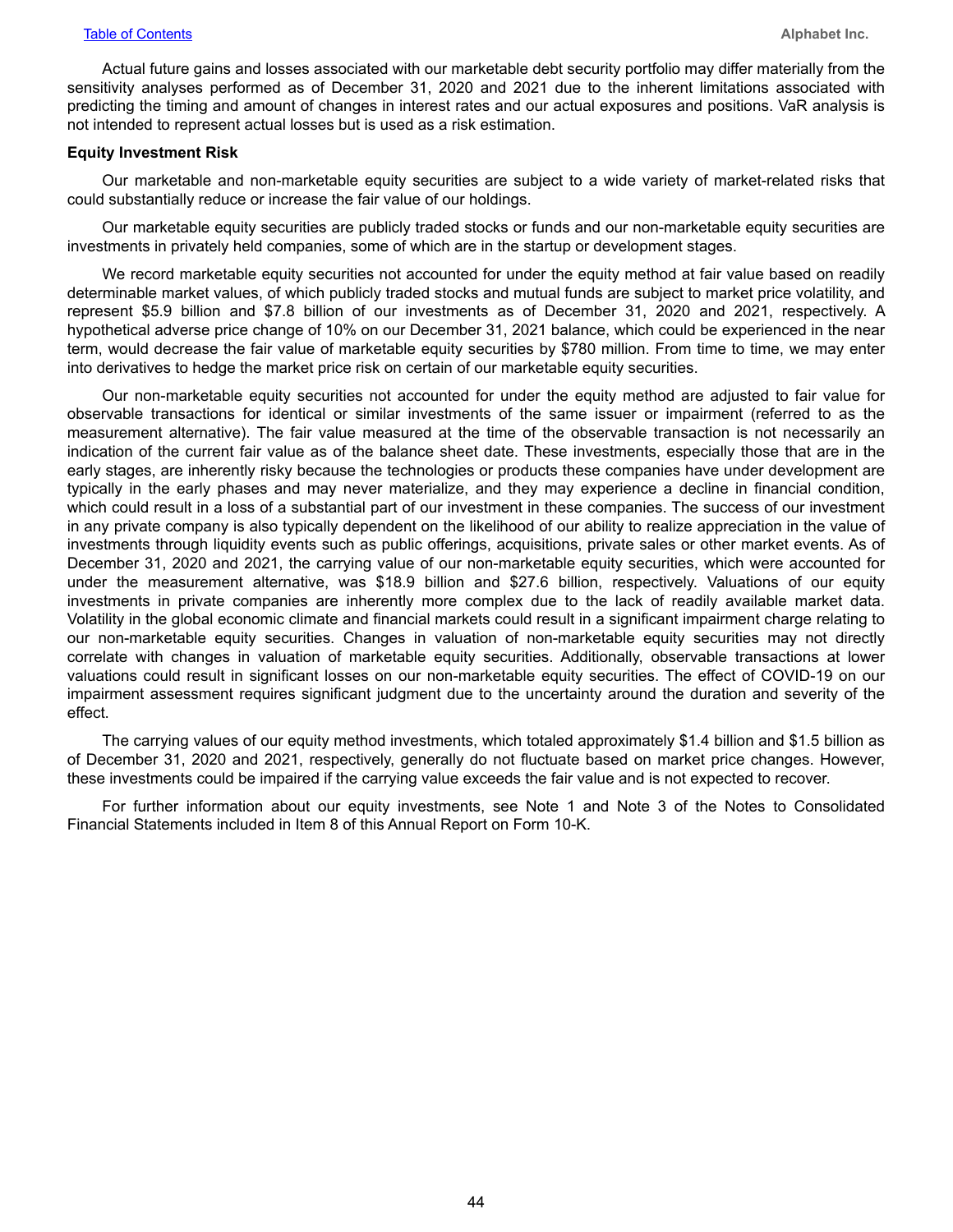Actual future gains and losses associated with our marketable debt security portfolio may differ materially from the sensitivity analyses performed as of December 31, 2020 and 2021 due to the inherent limitations associated with predicting the timing and amount of changes in interest rates and our actual exposures and positions. VaR analysis is not intended to represent actual losses but is used as a risk estimation.

### **Equity Investment Risk**

Our marketable and non-marketable equity securities are subject to a wide variety of market-related risks that could substantially reduce or increase the fair value of our holdings.

Our marketable equity securities are publicly traded stocks or funds and our non-marketable equity securities are investments in privately held companies, some of which are in the startup or development stages.

We record marketable equity securities not accounted for under the equity method at fair value based on readily determinable market values, of which publicly traded stocks and mutual funds are subject to market price volatility, and represent \$5.9 billion and \$7.8 billion of our investments as of December 31, 2020 and 2021, respectively. A hypothetical adverse price change of 10% on our December 31, 2021 balance, which could be experienced in the near term, would decrease the fair value of marketable equity securities by \$780 million. From time to time, we may enter into derivatives to hedge the market price risk on certain of our marketable equity securities.

Our non-marketable equity securities not accounted for under the equity method are adjusted to fair value for observable transactions for identical or similar investments of the same issuer or impairment (referred to as the measurement alternative). The fair value measured at the time of the observable transaction is not necessarily an indication of the current fair value as of the balance sheet date. These investments, especially those that are in the early stages, are inherently risky because the technologies or products these companies have under development are typically in the early phases and may never materialize, and they may experience a decline in financial condition, which could result in a loss of a substantial part of our investment in these companies. The success of our investment in any private company is also typically dependent on the likelihood of our ability to realize appreciation in the value of investments through liquidity events such as public offerings, acquisitions, private sales or other market events. As of December 31, 2020 and 2021, the carrying value of our non-marketable equity securities, which were accounted for under the measurement alternative, was \$18.9 billion and \$27.6 billion, respectively. Valuations of our equity investments in private companies are inherently more complex due to the lack of readily available market data. Volatility in the global economic climate and financial markets could result in a significant impairment charge relating to our non-marketable equity securities. Changes in valuation of non-marketable equity securities may not directly correlate with changes in valuation of marketable equity securities. Additionally, observable transactions at lower valuations could result in significant losses on our non-marketable equity securities. The effect of COVID-19 on our impairment assessment requires significant judgment due to the uncertainty around the duration and severity of the effect.

The carrying values of our equity method investments, which totaled approximately \$1.4 billion and \$1.5 billion as of December 31, 2020 and 2021, respectively, generally do not fluctuate based on market price changes. However, these investments could be impaired if the carrying value exceeds the fair value and is not expected to recover.

For further information about our equity investments, see Note 1 and Note 3 of the Notes to Consolidated Financial Statements included in Item 8 of this Annual Report on Form 10-K.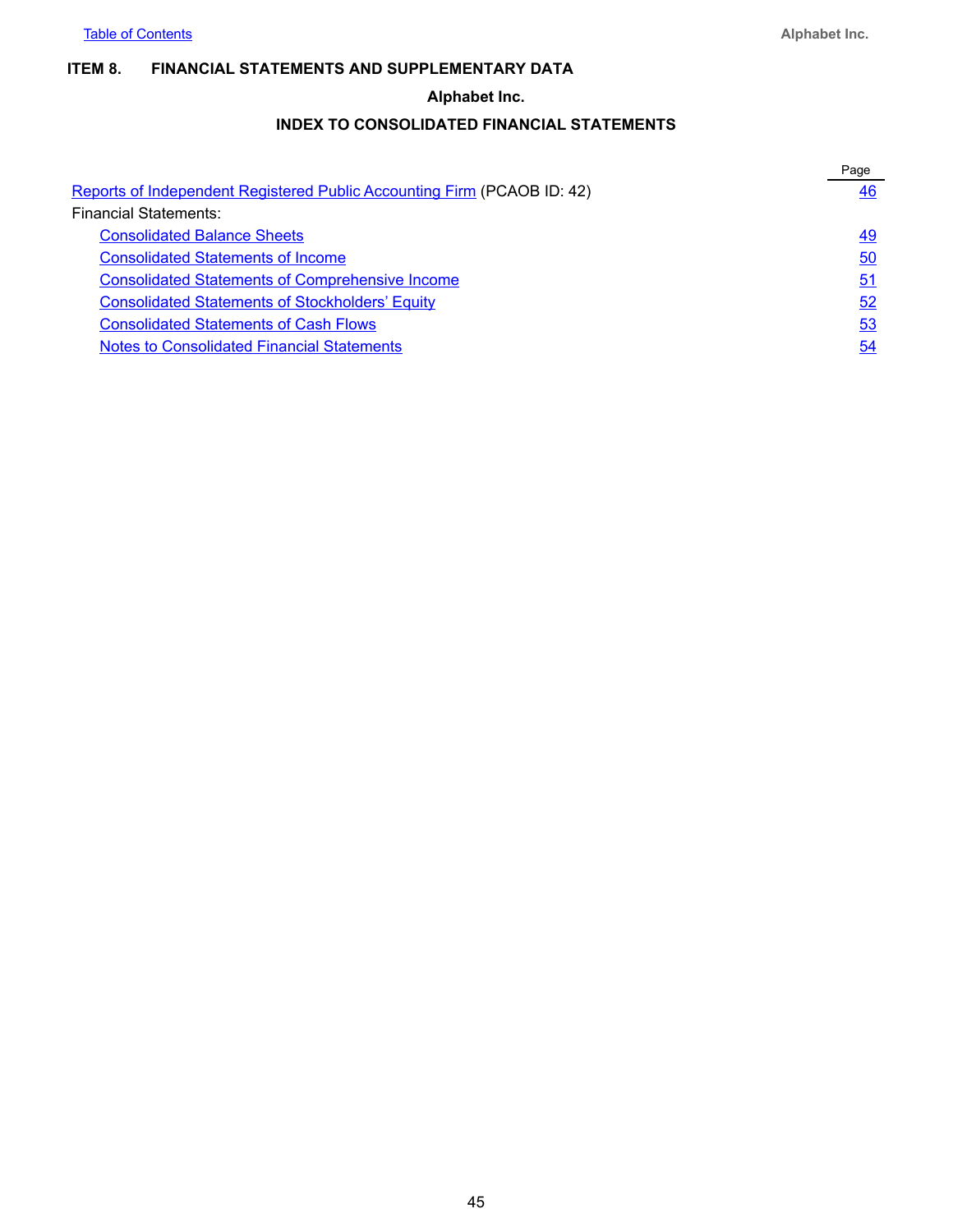# **ITEM 8. FINANCIAL STATEMENTS AND SUPPLEMENTARY DATA**

# **Alphabet Inc.**

# **INDEX TO CONSOLIDATED FINANCIAL STATEMENTS**

|                                                                         | Page      |
|-------------------------------------------------------------------------|-----------|
| Reports of Independent Registered Public Accounting Firm (PCAOB ID: 42) | <u>46</u> |
| <b>Financial Statements:</b>                                            |           |
| <b>Consolidated Balance Sheets</b>                                      | <u>49</u> |
| <b>Consolidated Statements of Income</b>                                | <u>50</u> |
| <b>Consolidated Statements of Comprehensive Income</b>                  | 51        |
| <b>Consolidated Statements of Stockholders' Equity</b>                  | <u>52</u> |
| <b>Consolidated Statements of Cash Flows</b>                            | 53        |
| <b>Notes to Consolidated Financial Statements</b>                       | 54        |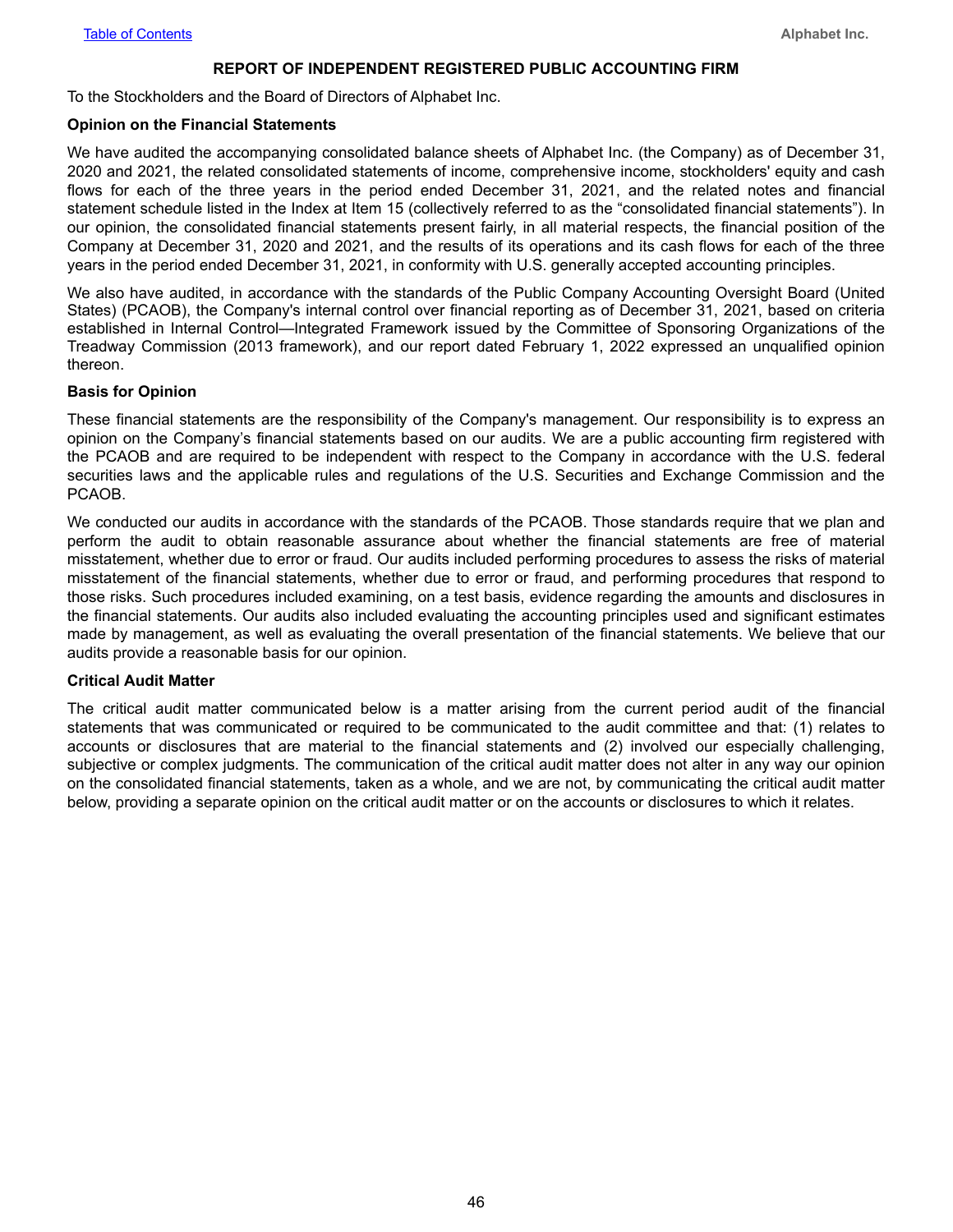# **REPORT OF INDEPENDENT REGISTERED PUBLIC ACCOUNTING FIRM**

<span id="page-46-0"></span>To the Stockholders and the Board of Directors of Alphabet Inc.

## **Opinion on the Financial Statements**

We have audited the accompanying consolidated balance sheets of Alphabet Inc. (the Company) as of December 31, 2020 and 2021, the related consolidated statements of income, comprehensive income, stockholders' equity and cash flows for each of the three years in the period ended December 31, 2021, and the related notes and financial statement schedule listed in the Index at Item 15 (collectively referred to as the "consolidated financial statements"). In our opinion, the consolidated financial statements present fairly, in all material respects, the financial position of the Company at December 31, 2020 and 2021, and the results of its operations and its cash flows for each of the three years in the period ended December 31, 2021, in conformity with U.S. generally accepted accounting principles.

We also have audited, in accordance with the standards of the Public Company Accounting Oversight Board (United States) (PCAOB), the Company's internal control over financial reporting as of December 31, 2021, based on criteria established in Internal Control—Integrated Framework issued by the Committee of Sponsoring Organizations of the Treadway Commission (2013 framework), and our report dated February 1, 2022 expressed an unqualified opinion thereon.

## **Basis for Opinion**

These financial statements are the responsibility of the Company's management. Our responsibility is to express an opinion on the Company's financial statements based on our audits. We are a public accounting firm registered with the PCAOB and are required to be independent with respect to the Company in accordance with the U.S. federal securities laws and the applicable rules and regulations of the U.S. Securities and Exchange Commission and the PCAOB.

We conducted our audits in accordance with the standards of the PCAOB. Those standards require that we plan and perform the audit to obtain reasonable assurance about whether the financial statements are free of material misstatement, whether due to error or fraud. Our audits included performing procedures to assess the risks of material misstatement of the financial statements, whether due to error or fraud, and performing procedures that respond to those risks. Such procedures included examining, on a test basis, evidence regarding the amounts and disclosures in the financial statements. Our audits also included evaluating the accounting principles used and significant estimates made by management, as well as evaluating the overall presentation of the financial statements. We believe that our audits provide a reasonable basis for our opinion.

## **Critical Audit Matter**

The critical audit matter communicated below is a matter arising from the current period audit of the financial statements that was communicated or required to be communicated to the audit committee and that: (1) relates to accounts or disclosures that are material to the financial statements and (2) involved our especially challenging, subjective or complex judgments. The communication of the critical audit matter does not alter in any way our opinion on the consolidated financial statements, taken as a whole, and we are not, by communicating the critical audit matter below, providing a separate opinion on the critical audit matter or on the accounts or disclosures to which it relates.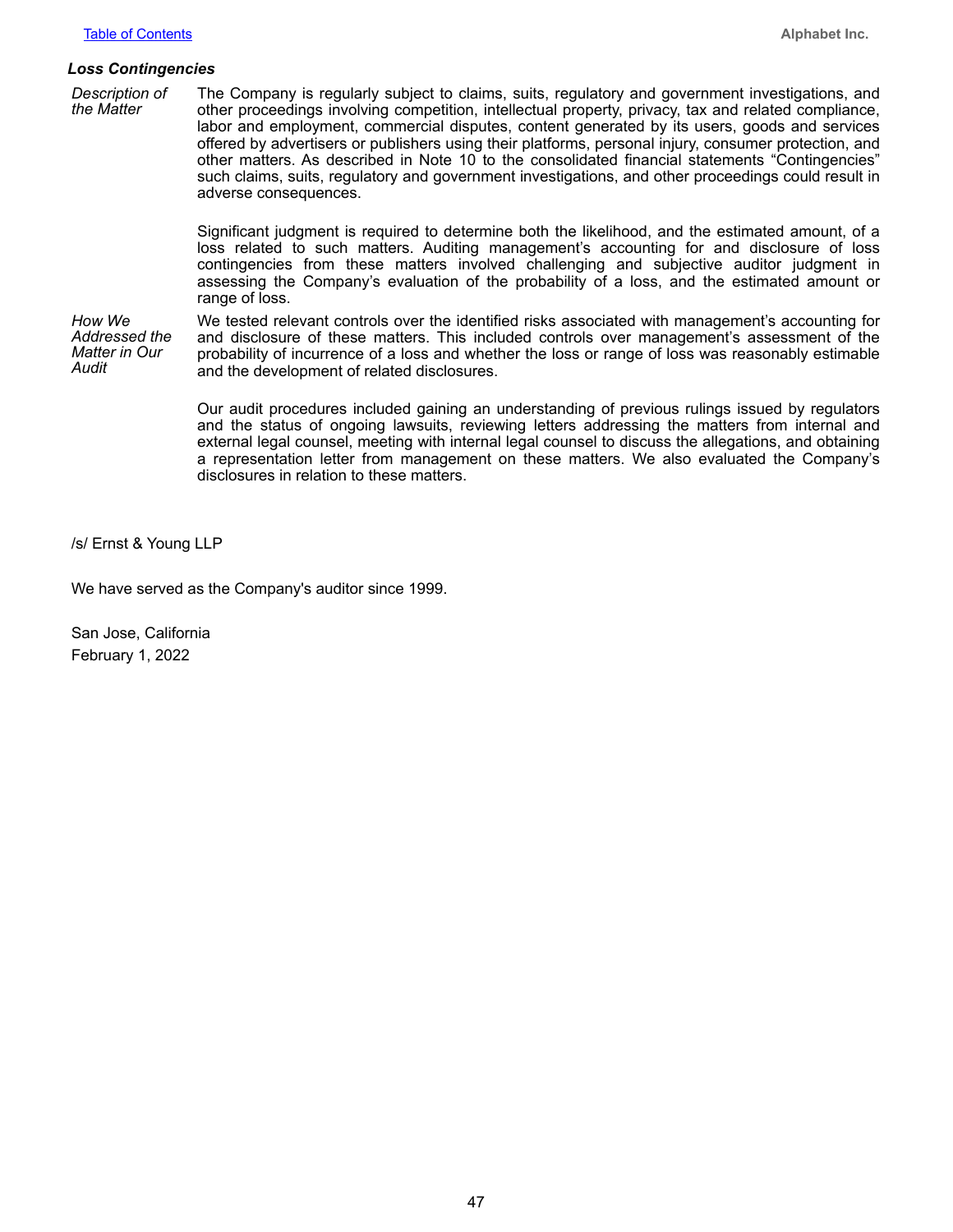#### *Loss Contingencies*

*Description of the Matter* The Company is regularly subject to claims, suits, regulatory and government investigations, and other proceedings involving competition, intellectual property, privacy, tax and related compliance, labor and employment, commercial disputes, content generated by its users, goods and services offered by advertisers or publishers using their platforms, personal injury, consumer protection, and other matters. As described in Note 10 to the consolidated financial statements "Contingencies" such claims, suits, regulatory and government investigations, and other proceedings could result in adverse consequences.

> Significant judgment is required to determine both the likelihood, and the estimated amount, of a loss related to such matters. Auditing management's accounting for and disclosure of loss contingencies from these matters involved challenging and subjective auditor judgment in assessing the Company's evaluation of the probability of a loss, and the estimated amount or range of loss.

*How We Addressed the Matter in Our Audit*

We tested relevant controls over the identified risks associated with management's accounting for and disclosure of these matters. This included controls over management's assessment of the probability of incurrence of a loss and whether the loss or range of loss was reasonably estimable and the development of related disclosures.

Our audit procedures included gaining an understanding of previous rulings issued by regulators and the status of ongoing lawsuits, reviewing letters addressing the matters from internal and external legal counsel, meeting with internal legal counsel to discuss the allegations, and obtaining a representation letter from management on these matters. We also evaluated the Company's disclosures in relation to these matters.

/s/ Ernst & Young LLP

We have served as the Company's auditor since 1999.

San Jose, California February 1, 2022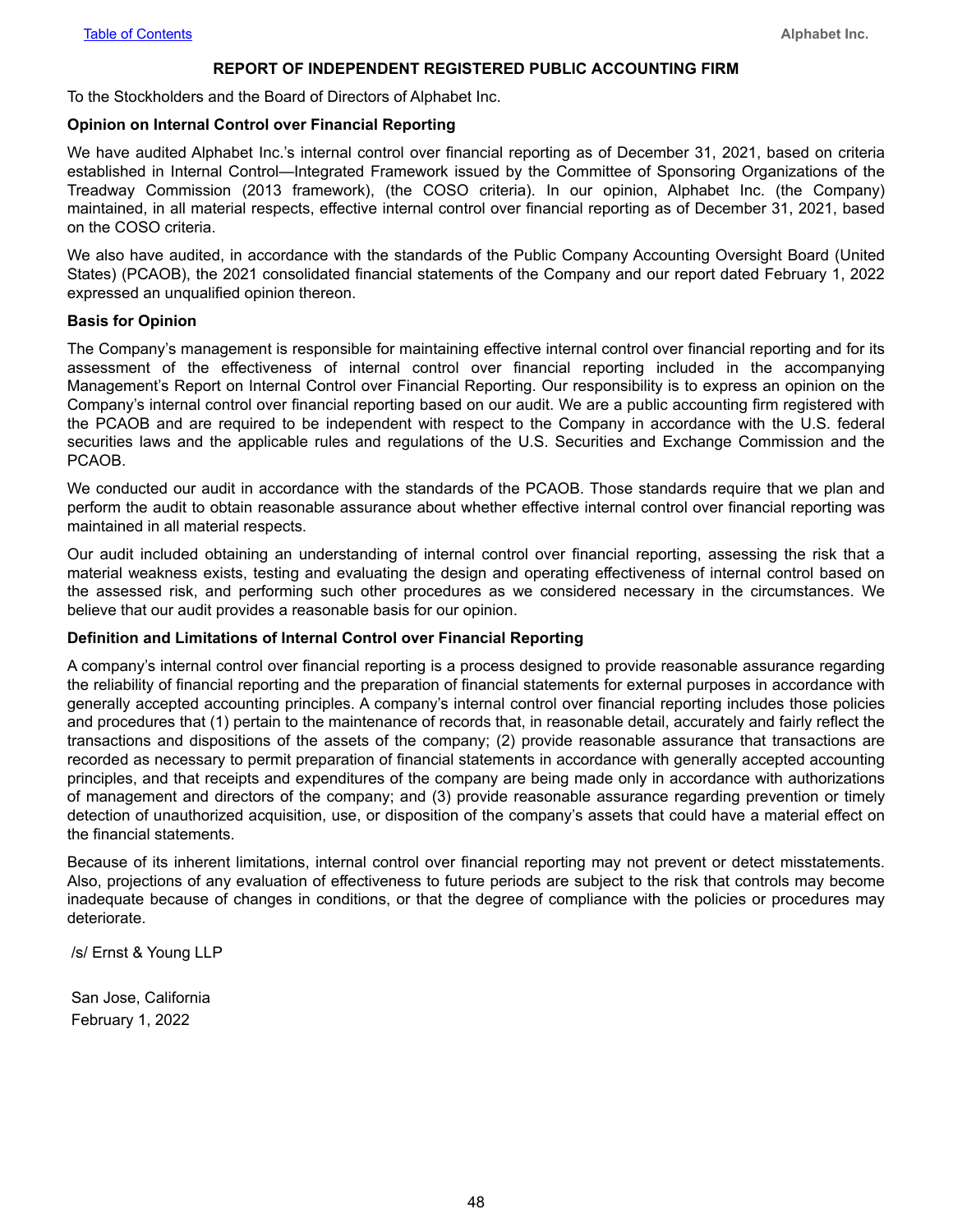# **REPORT OF INDEPENDENT REGISTERED PUBLIC ACCOUNTING FIRM**

To the Stockholders and the Board of Directors of Alphabet Inc.

## **Opinion on Internal Control over Financial Reporting**

We have audited Alphabet Inc.'s internal control over financial reporting as of December 31, 2021, based on criteria established in Internal Control—Integrated Framework issued by the Committee of Sponsoring Organizations of the Treadway Commission (2013 framework), (the COSO criteria). In our opinion, Alphabet Inc. (the Company) maintained, in all material respects, effective internal control over financial reporting as of December 31, 2021, based on the COSO criteria.

We also have audited, in accordance with the standards of the Public Company Accounting Oversight Board (United States) (PCAOB), the 2021 consolidated financial statements of the Company and our report dated February 1, 2022 expressed an unqualified opinion thereon.

## **Basis for Opinion**

The Company's management is responsible for maintaining effective internal control over financial reporting and for its assessment of the effectiveness of internal control over financial reporting included in the accompanying Management's Report on Internal Control over Financial Reporting. Our responsibility is to express an opinion on the Company's internal control over financial reporting based on our audit. We are a public accounting firm registered with the PCAOB and are required to be independent with respect to the Company in accordance with the U.S. federal securities laws and the applicable rules and regulations of the U.S. Securities and Exchange Commission and the PCAOB.

We conducted our audit in accordance with the standards of the PCAOB. Those standards require that we plan and perform the audit to obtain reasonable assurance about whether effective internal control over financial reporting was maintained in all material respects.

Our audit included obtaining an understanding of internal control over financial reporting, assessing the risk that a material weakness exists, testing and evaluating the design and operating effectiveness of internal control based on the assessed risk, and performing such other procedures as we considered necessary in the circumstances. We believe that our audit provides a reasonable basis for our opinion.

# **Definition and Limitations of Internal Control over Financial Reporting**

A company's internal control over financial reporting is a process designed to provide reasonable assurance regarding the reliability of financial reporting and the preparation of financial statements for external purposes in accordance with generally accepted accounting principles. A company's internal control over financial reporting includes those policies and procedures that (1) pertain to the maintenance of records that, in reasonable detail, accurately and fairly reflect the transactions and dispositions of the assets of the company; (2) provide reasonable assurance that transactions are recorded as necessary to permit preparation of financial statements in accordance with generally accepted accounting principles, and that receipts and expenditures of the company are being made only in accordance with authorizations of management and directors of the company; and (3) provide reasonable assurance regarding prevention or timely detection of unauthorized acquisition, use, or disposition of the company's assets that could have a material effect on the financial statements.

Because of its inherent limitations, internal control over financial reporting may not prevent or detect misstatements. Also, projections of any evaluation of effectiveness to future periods are subject to the risk that controls may become inadequate because of changes in conditions, or that the degree of compliance with the policies or procedures may deteriorate.

/s/ Ernst & Young LLP

San Jose, California February 1, 2022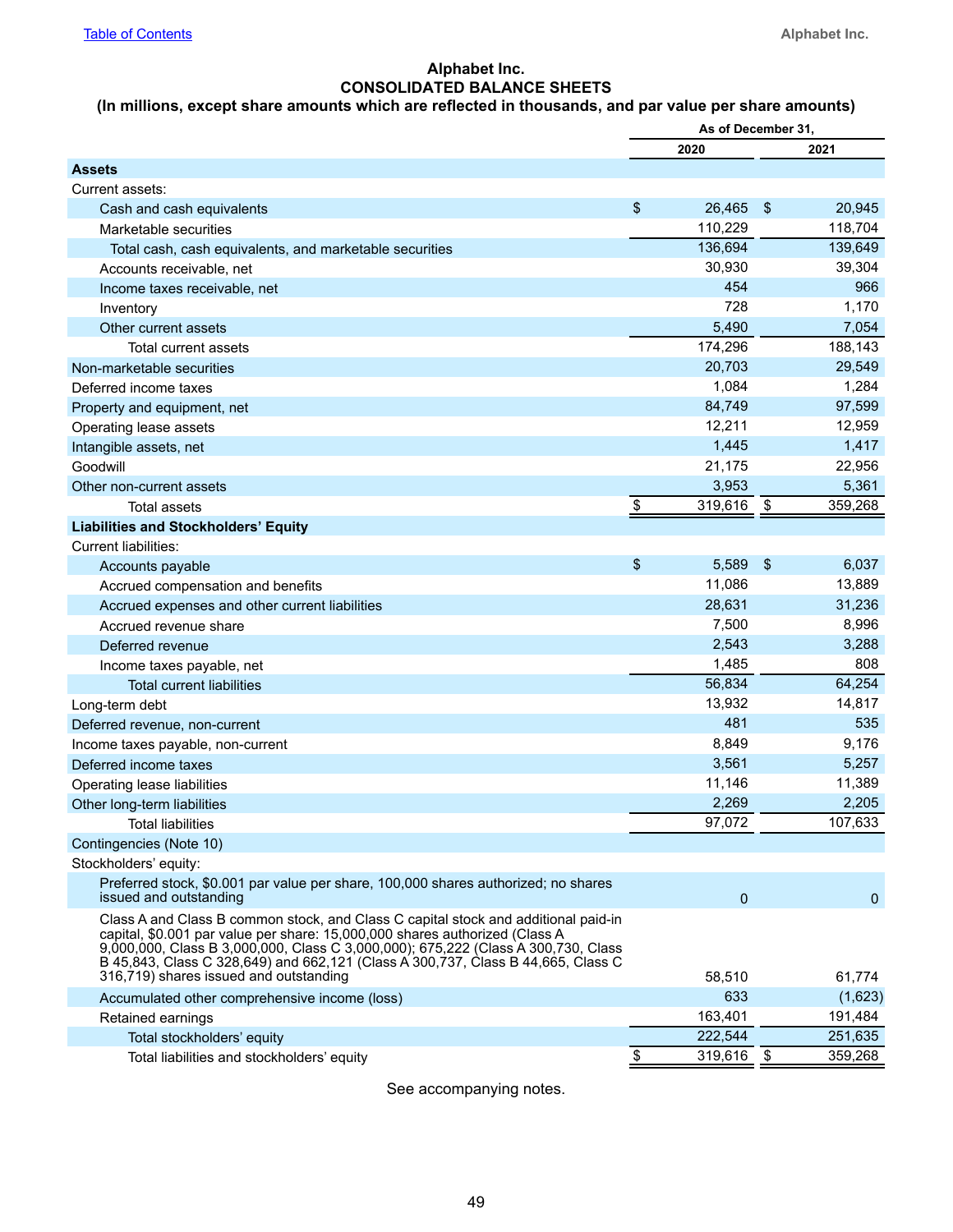# **Alphabet Inc. CONSOLIDATED BALANCE SHEETS**

# <span id="page-49-0"></span>**(In millions, except share amounts which are reflected in thousands, and par value per share amounts)**

|                                                                                                                                                                                                                                                                                                                                            | As of December 31. |            |                         |             |
|--------------------------------------------------------------------------------------------------------------------------------------------------------------------------------------------------------------------------------------------------------------------------------------------------------------------------------------------|--------------------|------------|-------------------------|-------------|
|                                                                                                                                                                                                                                                                                                                                            |                    | 2020       |                         | 2021        |
| <b>Assets</b>                                                                                                                                                                                                                                                                                                                              |                    |            |                         |             |
| Current assets:                                                                                                                                                                                                                                                                                                                            |                    |            |                         |             |
| Cash and cash equivalents                                                                                                                                                                                                                                                                                                                  | \$                 | 26,465     | $\sqrt[6]{\frac{1}{2}}$ | 20,945      |
| Marketable securities                                                                                                                                                                                                                                                                                                                      |                    | 110,229    |                         | 118,704     |
| Total cash, cash equivalents, and marketable securities                                                                                                                                                                                                                                                                                    |                    | 136,694    |                         | 139,649     |
| Accounts receivable, net                                                                                                                                                                                                                                                                                                                   |                    | 30,930     |                         | 39,304      |
| Income taxes receivable, net                                                                                                                                                                                                                                                                                                               |                    | 454        |                         | 966         |
| Inventory                                                                                                                                                                                                                                                                                                                                  |                    | 728        |                         | 1,170       |
| Other current assets                                                                                                                                                                                                                                                                                                                       |                    | 5,490      |                         | 7,054       |
| Total current assets                                                                                                                                                                                                                                                                                                                       |                    | 174,296    |                         | 188,143     |
| Non-marketable securities                                                                                                                                                                                                                                                                                                                  |                    | 20,703     |                         | 29,549      |
| Deferred income taxes                                                                                                                                                                                                                                                                                                                      |                    | 1,084      |                         | 1,284       |
| Property and equipment, net                                                                                                                                                                                                                                                                                                                |                    | 84,749     |                         | 97,599      |
| Operating lease assets                                                                                                                                                                                                                                                                                                                     |                    | 12,211     |                         | 12,959      |
| Intangible assets, net                                                                                                                                                                                                                                                                                                                     |                    | 1,445      |                         | 1,417       |
| Goodwill                                                                                                                                                                                                                                                                                                                                   |                    | 21,175     |                         | 22,956      |
| Other non-current assets                                                                                                                                                                                                                                                                                                                   |                    | 3,953      |                         | 5,361       |
| <b>Total assets</b>                                                                                                                                                                                                                                                                                                                        | $\frac{3}{2}$      | 319,616    | \$                      | 359,268     |
| <b>Liabilities and Stockholders' Equity</b>                                                                                                                                                                                                                                                                                                |                    |            |                         |             |
| <b>Current liabilities:</b>                                                                                                                                                                                                                                                                                                                |                    |            |                         |             |
| Accounts payable                                                                                                                                                                                                                                                                                                                           | \$                 | 5,589      | $\sqrt[6]{3}$           | 6,037       |
| Accrued compensation and benefits                                                                                                                                                                                                                                                                                                          |                    | 11,086     |                         | 13,889      |
| Accrued expenses and other current liabilities                                                                                                                                                                                                                                                                                             |                    | 28,631     |                         | 31,236      |
| Accrued revenue share                                                                                                                                                                                                                                                                                                                      |                    | 7,500      |                         | 8,996       |
| Deferred revenue                                                                                                                                                                                                                                                                                                                           |                    | 2,543      |                         | 3,288       |
| Income taxes payable, net                                                                                                                                                                                                                                                                                                                  |                    | 1,485      |                         | 808         |
| <b>Total current liabilities</b>                                                                                                                                                                                                                                                                                                           |                    | 56,834     |                         | 64,254      |
| Long-term debt                                                                                                                                                                                                                                                                                                                             |                    | 13,932     |                         | 14,817      |
| Deferred revenue, non-current                                                                                                                                                                                                                                                                                                              |                    | 481        |                         | 535         |
| Income taxes payable, non-current                                                                                                                                                                                                                                                                                                          |                    | 8,849      |                         | 9,176       |
| Deferred income taxes                                                                                                                                                                                                                                                                                                                      |                    | 3,561      |                         | 5,257       |
| Operating lease liabilities                                                                                                                                                                                                                                                                                                                |                    | 11,146     |                         | 11,389      |
| Other long-term liabilities                                                                                                                                                                                                                                                                                                                |                    | 2,269      |                         | 2,205       |
| <b>Total liabilities</b>                                                                                                                                                                                                                                                                                                                   |                    | 97,072     |                         | 107,633     |
| Contingencies (Note 10)                                                                                                                                                                                                                                                                                                                    |                    |            |                         |             |
| Stockholders' equity:                                                                                                                                                                                                                                                                                                                      |                    |            |                         |             |
| Preferred stock, \$0.001 par value per share, 100,000 shares authorized; no shares<br>issued and outstanding                                                                                                                                                                                                                               |                    | $\pmb{0}$  |                         | $\mathbf 0$ |
| Class A and Class B common stock, and Class C capital stock and additional paid-in<br>capital, \$0.001 par value per share: 15,000,000 shares authorized (Class A<br>9,000,000, Class B 3,000,000, Class C 3,000,000); 675,222 (Class A 300,730, Class<br>B 45,843, Class C 328,649) and 662,121 (Class A 300,737, Class B 44,665, Class C |                    |            |                         |             |
| 316,719) shares issued and outstanding                                                                                                                                                                                                                                                                                                     |                    | 58,510     |                         | 61,774      |
| Accumulated other comprehensive income (loss)                                                                                                                                                                                                                                                                                              |                    | 633        |                         | (1,623)     |
| Retained earnings                                                                                                                                                                                                                                                                                                                          |                    | 163,401    |                         | 191,484     |
| Total stockholders' equity                                                                                                                                                                                                                                                                                                                 |                    | 222,544    |                         | 251,635     |
| Total liabilities and stockholders' equity                                                                                                                                                                                                                                                                                                 | \$                 | 319,616 \$ |                         | 359,268     |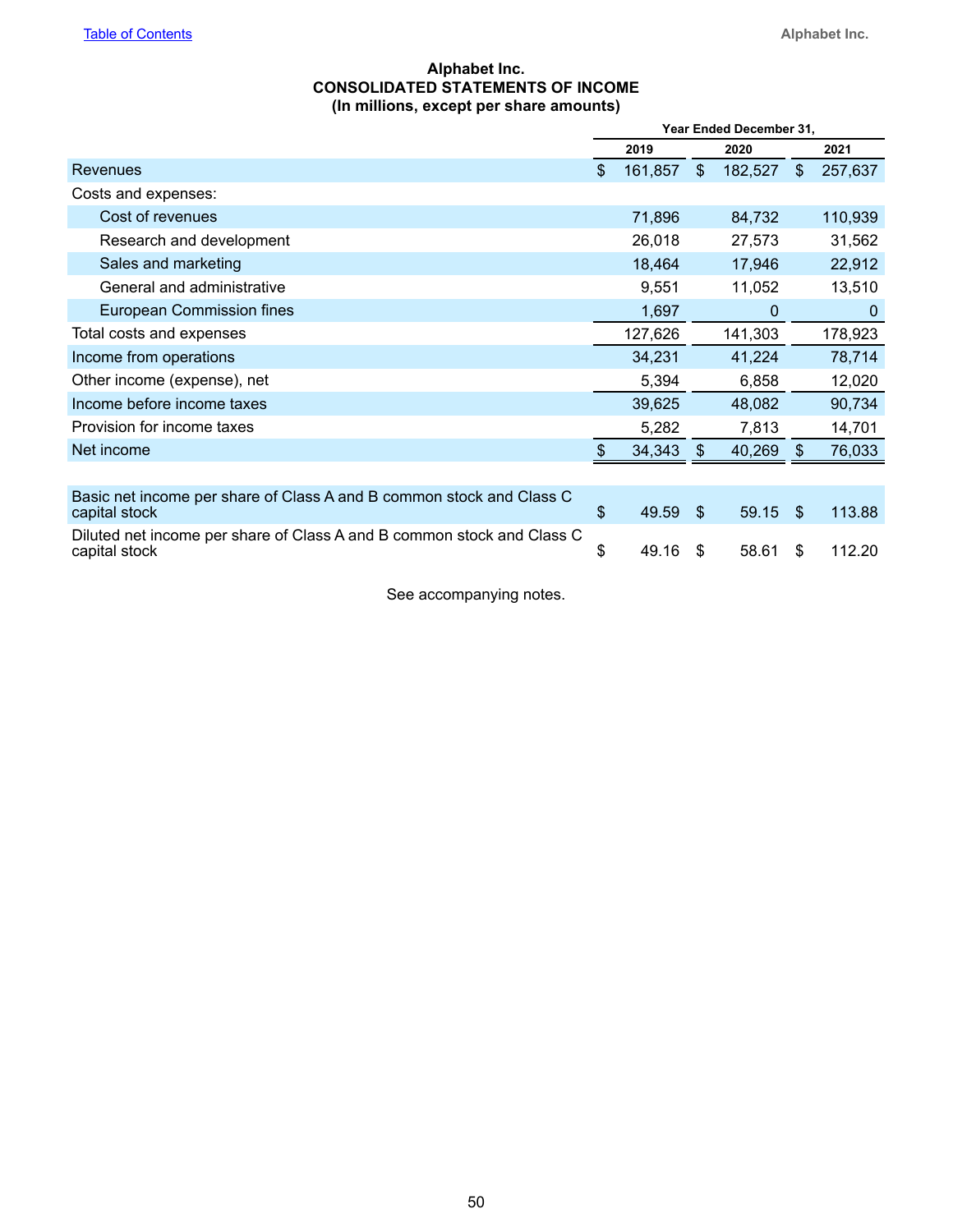# **Alphabet Inc. CONSOLIDATED STATEMENTS OF INCOME (In millions, except per share amounts)**

<span id="page-50-0"></span>

|                                                                                         | Year Ended December 31, |         |     |         |     |         |  |  |
|-----------------------------------------------------------------------------------------|-------------------------|---------|-----|---------|-----|---------|--|--|
|                                                                                         |                         | 2019    |     | 2020    |     | 2021    |  |  |
| Revenues                                                                                |                         | 161,857 | \$  | 182,527 | \$  | 257,637 |  |  |
| Costs and expenses:                                                                     |                         |         |     |         |     |         |  |  |
| Cost of revenues                                                                        |                         | 71,896  |     | 84,732  |     | 110,939 |  |  |
| Research and development                                                                |                         | 26,018  |     | 27,573  |     | 31,562  |  |  |
| Sales and marketing                                                                     |                         | 18,464  |     | 17,946  |     | 22,912  |  |  |
| General and administrative                                                              |                         | 9,551   |     | 11,052  |     | 13,510  |  |  |
| <b>European Commission fines</b>                                                        |                         | 1,697   |     | 0       |     | 0       |  |  |
| Total costs and expenses                                                                |                         | 127,626 |     | 141,303 |     | 178,923 |  |  |
| Income from operations                                                                  |                         | 34,231  |     | 41,224  |     | 78,714  |  |  |
| Other income (expense), net                                                             |                         | 5,394   |     | 6,858   |     | 12,020  |  |  |
| Income before income taxes                                                              |                         | 39,625  |     | 48,082  |     | 90,734  |  |  |
| Provision for income taxes                                                              |                         | 5,282   |     | 7,813   |     | 14,701  |  |  |
| Net income                                                                              |                         | 34,343  | \$. | 40,269  | \$  | 76,033  |  |  |
|                                                                                         |                         |         |     |         |     |         |  |  |
| Basic net income per share of Class A and B common stock and Class C<br>capital stock   | \$                      | 49.59   | \$  | 59.15   | \$. | 113.88  |  |  |
| Diluted net income per share of Class A and B common stock and Class C<br>capital stock | \$                      | 49.16   | \$  | 58.61   | \$. | 112.20  |  |  |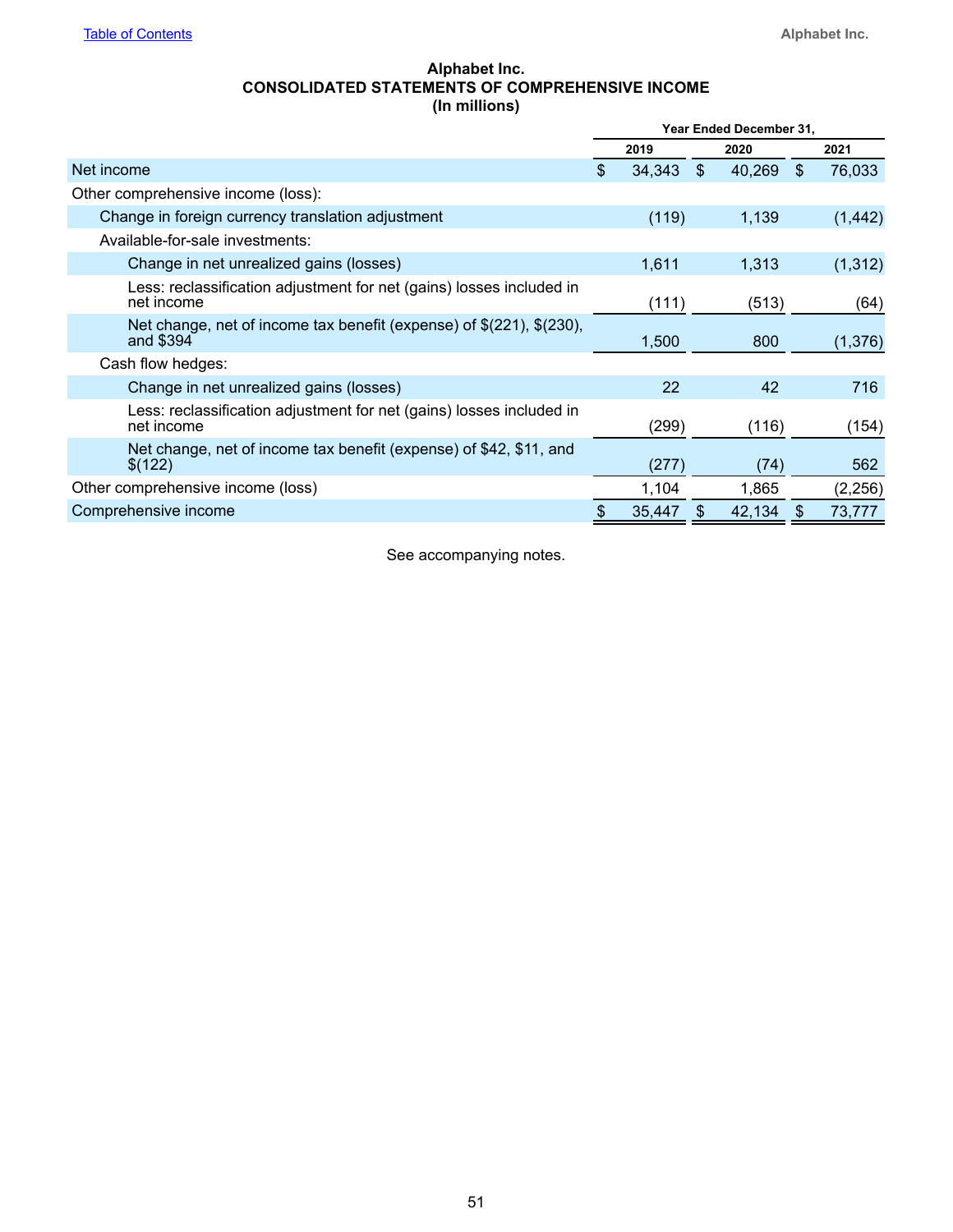## **Alphabet Inc. CONSOLIDATED STATEMENTS OF COMPREHENSIVE INCOME (In millions)**

<span id="page-51-0"></span>

|                                                                                    | Year Ended December 31, |        |     |        |    |          |  |  |
|------------------------------------------------------------------------------------|-------------------------|--------|-----|--------|----|----------|--|--|
|                                                                                    |                         | 2019   |     | 2020   |    | 2021     |  |  |
| Net income                                                                         | \$                      | 34,343 | \$. | 40,269 | \$ | 76,033   |  |  |
| Other comprehensive income (loss):                                                 |                         |        |     |        |    |          |  |  |
| Change in foreign currency translation adjustment                                  |                         | (119)  |     | 1,139  |    | (1, 442) |  |  |
| Available-for-sale investments:                                                    |                         |        |     |        |    |          |  |  |
| Change in net unrealized gains (losses)                                            |                         | 1,611  |     | 1,313  |    | (1, 312) |  |  |
| Less: reclassification adjustment for net (gains) losses included in<br>net income |                         | (111)  |     | (513)  |    | (64)     |  |  |
| Net change, net of income tax benefit (expense) of \$(221), \$(230),<br>and \$394  |                         | 1,500  |     | 800    |    | (1, 376) |  |  |
| Cash flow hedges:                                                                  |                         |        |     |        |    |          |  |  |
| Change in net unrealized gains (losses)                                            |                         | 22     |     | 42     |    | 716      |  |  |
| Less: reclassification adjustment for net (gains) losses included in<br>net income |                         | (299)  |     | (116)  |    | (154)    |  |  |
| Net change, net of income tax benefit (expense) of \$42, \$11, and<br>\$(122)      |                         | (277)  |     | (74)   |    | 562      |  |  |
| Other comprehensive income (loss)                                                  |                         | 1,104  |     | 1,865  |    | (2, 256) |  |  |
| Comprehensive income                                                               |                         | 35,447 | S   | 42,134 |    | 73,777   |  |  |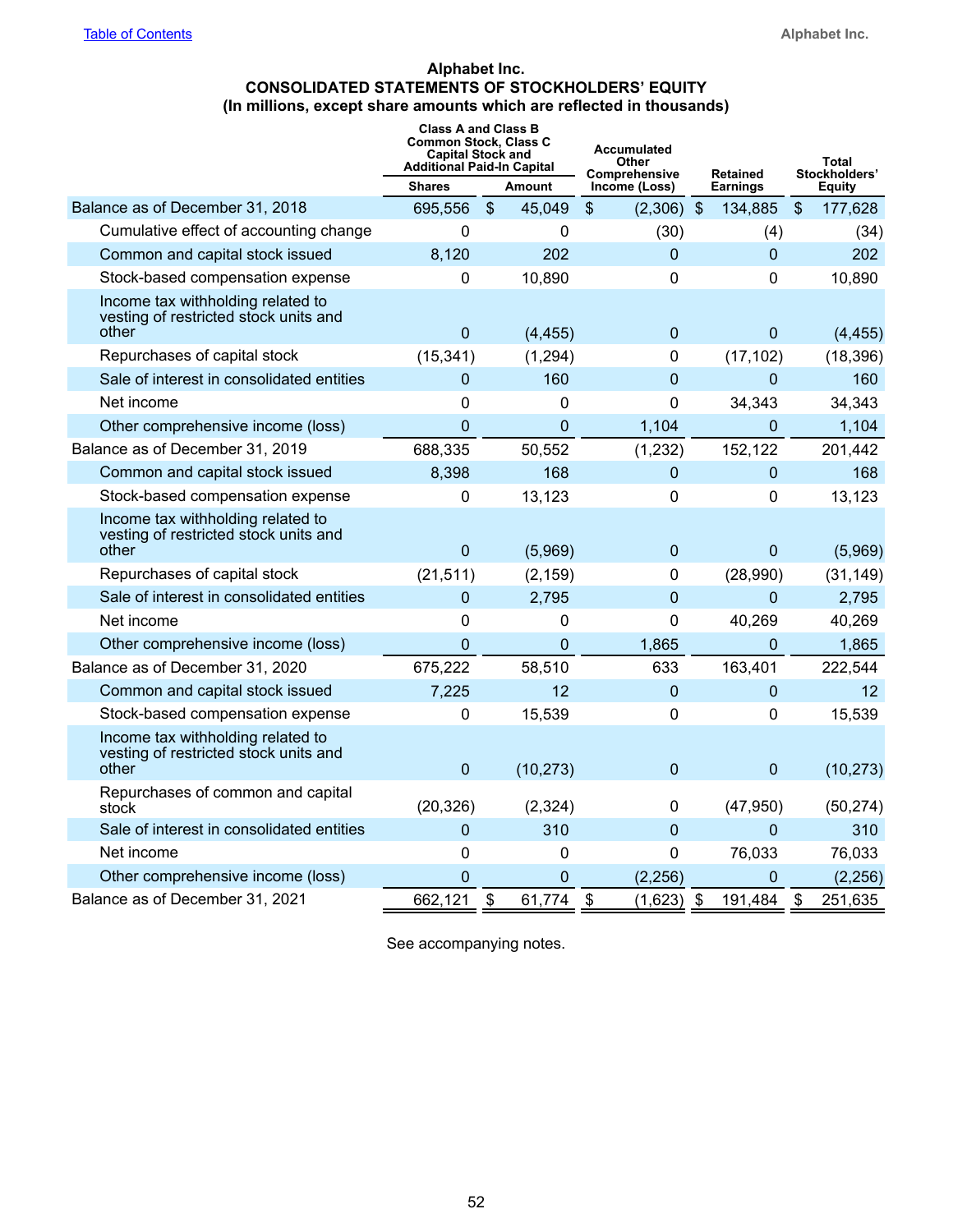# **Alphabet Inc. CONSOLIDATED STATEMENTS OF STOCKHOLDERS' EQUITY (In millions, except share amounts which are reflected in thousands)**

<span id="page-52-0"></span>

|                                                                                     | <b>Class A and Class B</b><br><b>Common Stock, Class C</b><br><b>Capital Stock and</b><br><b>Additional Paid-In Capital</b><br><b>Shares</b> | Amount                              | Accumulated<br>Other<br>Comprehensive<br>Income (Loss) | <b>Retained</b><br><b>Earnings</b> | <b>Total</b><br>Stockholders'<br>Equity |
|-------------------------------------------------------------------------------------|----------------------------------------------------------------------------------------------------------------------------------------------|-------------------------------------|--------------------------------------------------------|------------------------------------|-----------------------------------------|
| Balance as of December 31, 2018                                                     | 695,556                                                                                                                                      | $\boldsymbol{\mathsf{S}}$<br>45,049 | $\boldsymbol{\mathsf{S}}$<br>$(2,306)$ \$              | 134,885                            | $\mathfrak{S}$<br>177,628               |
| Cumulative effect of accounting change                                              | 0                                                                                                                                            | $\mathbf{0}$                        | (30)                                                   | (4)                                | (34)                                    |
| Common and capital stock issued                                                     | 8,120                                                                                                                                        | 202                                 | $\mathbf{0}$                                           | $\overline{0}$                     | 202                                     |
| Stock-based compensation expense                                                    | 0                                                                                                                                            | 10,890                              | 0                                                      | 0                                  | 10,890                                  |
| Income tax withholding related to<br>vesting of restricted stock units and<br>other | $\boldsymbol{0}$                                                                                                                             | (4, 455)                            | $\mathbf 0$                                            | $\mathbf 0$                        | (4, 455)                                |
| Repurchases of capital stock                                                        | (15, 341)                                                                                                                                    | (1, 294)                            | $\mathbf 0$                                            | (17, 102)                          | (18, 396)                               |
| Sale of interest in consolidated entities                                           | $\mathbf 0$                                                                                                                                  | 160                                 | $\overline{0}$                                         | $\mathbf 0$                        | 160                                     |
| Net income                                                                          | 0                                                                                                                                            | 0                                   | $\overline{0}$                                         | 34,343                             | 34,343                                  |
| Other comprehensive income (loss)                                                   | $\mathbf 0$                                                                                                                                  | $\mathbf 0$                         | 1,104                                                  | $\overline{0}$                     | 1,104                                   |
| Balance as of December 31, 2019                                                     | 688,335                                                                                                                                      | 50,552                              | (1, 232)                                               | 152,122                            | 201,442                                 |
| Common and capital stock issued                                                     | 8,398                                                                                                                                        | 168                                 | $\mathbf{0}$                                           | 0                                  | 168                                     |
| Stock-based compensation expense                                                    | 0                                                                                                                                            | 13,123                              | $\mathbf 0$                                            | 0                                  | 13,123                                  |
| Income tax withholding related to<br>vesting of restricted stock units and<br>other | $\mathbf 0$                                                                                                                                  | (5,969)                             | $\mathbf 0$                                            | $\overline{0}$                     | (5,969)                                 |
| Repurchases of capital stock                                                        | (21, 511)                                                                                                                                    | (2, 159)                            | 0                                                      | (28,990)                           | (31, 149)                               |
| Sale of interest in consolidated entities                                           | 0                                                                                                                                            | 2,795                               | $\mathbf{0}$                                           | $\overline{0}$                     | 2,795                                   |
| Net income                                                                          | 0                                                                                                                                            | 0                                   | $\overline{0}$                                         | 40,269                             | 40,269                                  |
| Other comprehensive income (loss)                                                   | $\mathbf{0}$                                                                                                                                 | $\mathbf{0}$                        | 1,865                                                  | 0                                  | 1,865                                   |
| Balance as of December 31, 2020                                                     | 675,222                                                                                                                                      | 58,510                              | 633                                                    | 163,401                            | 222,544                                 |
| Common and capital stock issued                                                     | 7,225                                                                                                                                        | 12                                  | $\mathbf 0$                                            | 0                                  | 12                                      |
| Stock-based compensation expense                                                    | 0                                                                                                                                            | 15,539                              | 0                                                      | 0                                  | 15,539                                  |
| Income tax withholding related to<br>vesting of restricted stock units and<br>other | $\mathbf 0$                                                                                                                                  | (10, 273)                           | $\mathbf{0}$                                           | 0                                  | (10, 273)                               |
| Repurchases of common and capital<br>stock                                          | (20, 326)                                                                                                                                    | (2, 324)                            | 0                                                      | (47, 950)                          | (50, 274)                               |
| Sale of interest in consolidated entities                                           | $\mathbf 0$                                                                                                                                  | 310                                 | $\mathbf 0$                                            | $\mathbf 0$                        | 310                                     |
| Net income                                                                          | 0                                                                                                                                            | 0                                   | $\mathbf 0$                                            | 76,033                             | 76,033                                  |
| Other comprehensive income (loss)                                                   | 0                                                                                                                                            | $\mathbf 0$                         | (2, 256)                                               | 0                                  | (2,256)                                 |
| Balance as of December 31, 2021                                                     | 662,121                                                                                                                                      | \$<br>61,774                        | \$<br>(1,623)                                          | \$<br>191,484                      | \$<br>251,635                           |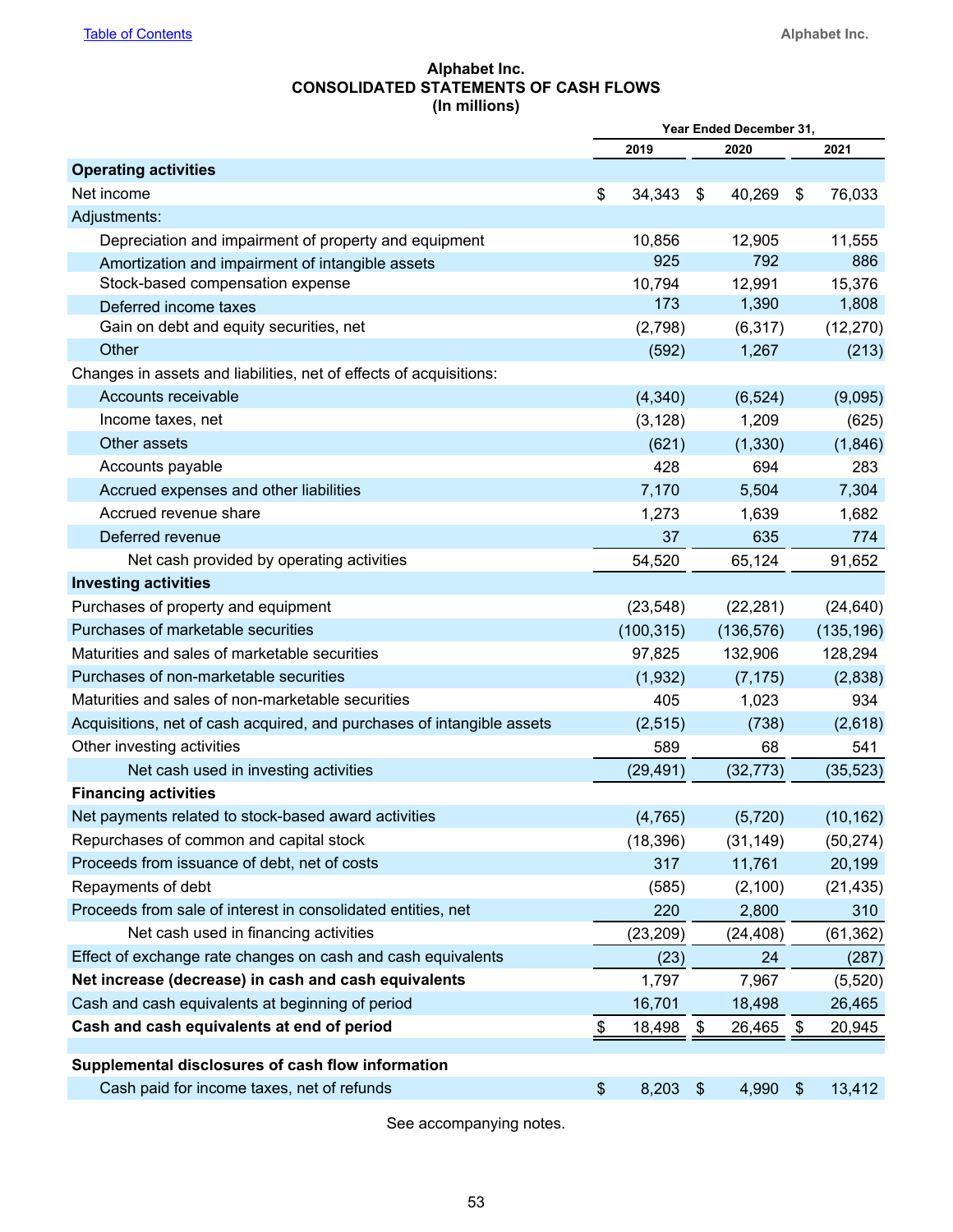# **Alphabet Inc. CONSOLIDATED STATEMENTS OF CASH FLOWS (In millions)**

<span id="page-53-0"></span>

|                                                                        |    | Year Ended December 31, |               |            |    |            |
|------------------------------------------------------------------------|----|-------------------------|---------------|------------|----|------------|
|                                                                        |    | 2019                    |               | 2020       |    | 2021       |
| <b>Operating activities</b>                                            |    |                         |               |            |    |            |
| Net income                                                             | \$ | 34,343                  | \$            | 40,269     | \$ | 76,033     |
| Adjustments:                                                           |    |                         |               |            |    |            |
| Depreciation and impairment of property and equipment                  |    | 10,856                  |               | 12,905     |    | 11,555     |
| Amortization and impairment of intangible assets                       |    | 925                     |               | 792        |    | 886        |
| Stock-based compensation expense                                       |    | 10,794                  |               | 12,991     |    | 15,376     |
| Deferred income taxes                                                  |    | 173                     |               | 1,390      |    | 1,808      |
| Gain on debt and equity securities, net                                |    | (2,798)                 |               | (6, 317)   |    | (12, 270)  |
| Other                                                                  |    | (592)                   |               | 1,267      |    | (213)      |
| Changes in assets and liabilities, net of effects of acquisitions:     |    |                         |               |            |    |            |
| Accounts receivable                                                    |    | (4,340)                 |               | (6, 524)   |    | (9,095)    |
| Income taxes, net                                                      |    | (3, 128)                |               | 1,209      |    | (625)      |
| Other assets                                                           |    | (621)                   |               | (1, 330)   |    | (1,846)    |
| Accounts payable                                                       |    | 428                     |               | 694        |    | 283        |
| Accrued expenses and other liabilities                                 |    | 7,170                   |               | 5,504      |    | 7,304      |
| Accrued revenue share                                                  |    | 1,273                   |               | 1,639      |    | 1,682      |
| Deferred revenue                                                       |    | 37                      |               | 635        |    | 774        |
| Net cash provided by operating activities                              |    | 54,520                  |               | 65,124     |    | 91,652     |
| <b>Investing activities</b>                                            |    |                         |               |            |    |            |
| Purchases of property and equipment                                    |    | (23, 548)               |               | (22, 281)  |    | (24, 640)  |
| Purchases of marketable securities                                     |    | (100, 315)              |               | (136, 576) |    | (135, 196) |
| Maturities and sales of marketable securities                          |    | 97,825                  |               | 132,906    |    | 128,294    |
| Purchases of non-marketable securities                                 |    | (1,932)                 |               | (7, 175)   |    | (2,838)    |
| Maturities and sales of non-marketable securities                      |    | 405                     |               | 1,023      |    | 934        |
| Acquisitions, net of cash acquired, and purchases of intangible assets |    | (2,515)                 |               | (738)      |    | (2,618)    |
| Other investing activities                                             |    | 589                     |               | 68         |    | 541        |
| Net cash used in investing activities                                  |    | (29, 491)               |               | (32, 773)  |    | (35, 523)  |
| <b>Financing activities</b>                                            |    |                         |               |            |    |            |
| Net payments related to stock-based award activities                   |    | (4, 765)                |               | (5, 720)   |    | (10, 162)  |
| Repurchases of common and capital stock                                |    | (18, 396)               |               | (31, 149)  |    | (50, 274)  |
| Proceeds from issuance of debt, net of costs                           |    | 317                     |               | 11,761     |    | 20,199     |
| Repayments of debt                                                     |    | (585)                   |               | (2,100)    |    | (21, 435)  |
| Proceeds from sale of interest in consolidated entities, net           |    | 220                     |               | 2,800      |    | 310        |
| Net cash used in financing activities                                  |    | (23, 209)               |               | (24, 408)  |    | (61, 362)  |
| Effect of exchange rate changes on cash and cash equivalents           |    | (23)                    |               | 24         |    | (287)      |
| Net increase (decrease) in cash and cash equivalents                   |    | 1,797                   |               | 7,967      |    | (5,520)    |
| Cash and cash equivalents at beginning of period                       |    | 16,701                  |               | 18,498     |    |            |
| Cash and cash equivalents at end of period                             |    |                         |               |            |    | 26,465     |
|                                                                        | \$ | 18,498                  | \$            | 26,465     | \$ | 20,945     |
| Supplemental disclosures of cash flow information                      |    |                         |               |            |    |            |
| Cash paid for income taxes, net of refunds                             | \$ | 8,203                   | $\frac{1}{2}$ | 4,990      | \$ | 13,412     |
|                                                                        |    |                         |               |            |    |            |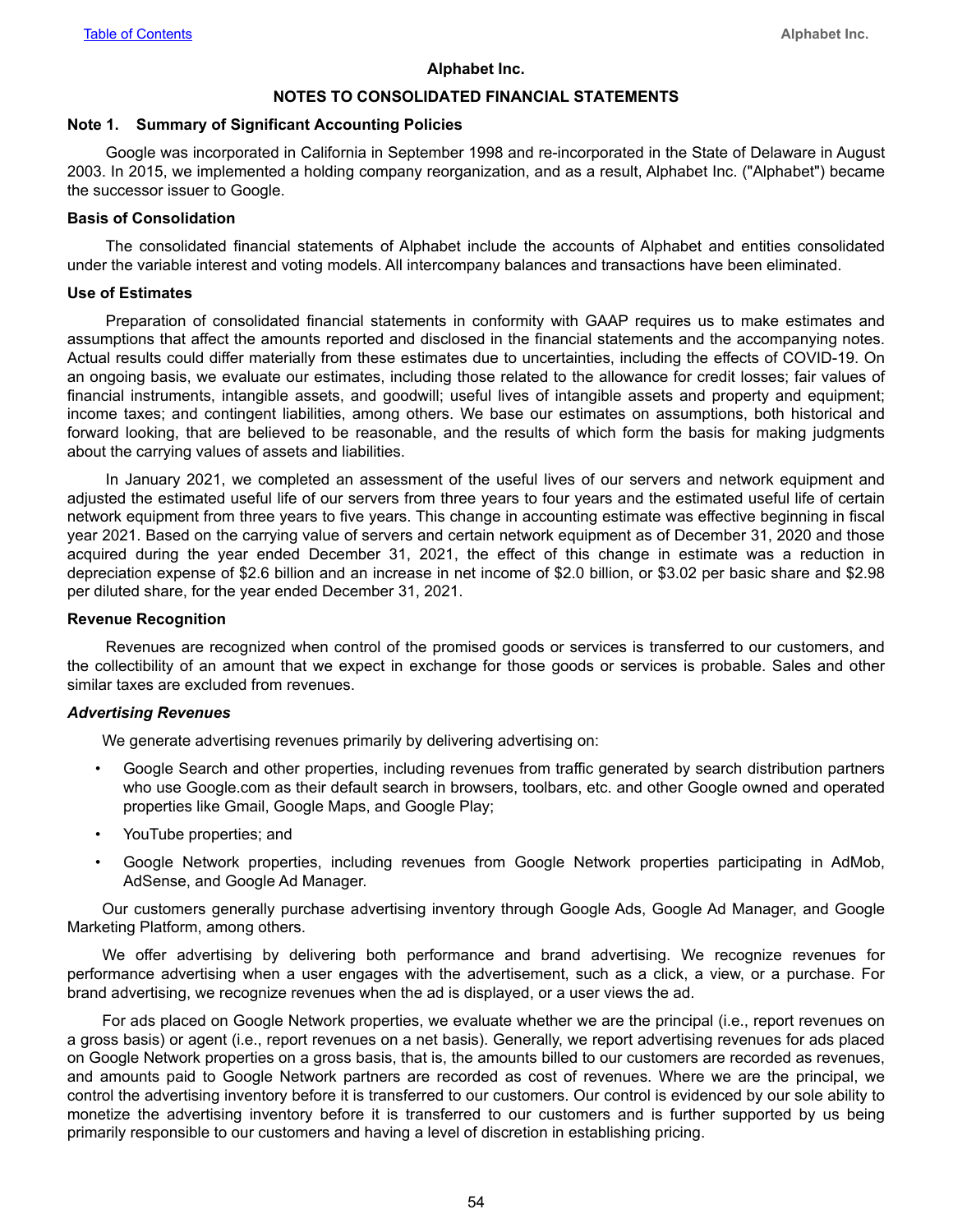## **Alphabet Inc.**

## **NOTES TO CONSOLIDATED FINANCIAL STATEMENTS**

# <span id="page-54-0"></span>**Note 1. Summary of Significant Accounting Policies**

Google was incorporated in California in September 1998 and re-incorporated in the State of Delaware in August 2003. In 2015, we implemented a holding company reorganization, and as a result, Alphabet Inc. ("Alphabet") became the successor issuer to Google.

# **Basis of Consolidation**

The consolidated financial statements of Alphabet include the accounts of Alphabet and entities consolidated under the variable interest and voting models. All intercompany balances and transactions have been eliminated.

# **Use of Estimates**

Preparation of consolidated financial statements in conformity with GAAP requires us to make estimates and assumptions that affect the amounts reported and disclosed in the financial statements and the accompanying notes. Actual results could differ materially from these estimates due to uncertainties, including the effects of COVID-19. On an ongoing basis, we evaluate our estimates, including those related to the allowance for credit losses; fair values of financial instruments, intangible assets, and goodwill; useful lives of intangible assets and property and equipment; income taxes; and contingent liabilities, among others. We base our estimates on assumptions, both historical and forward looking, that are believed to be reasonable, and the results of which form the basis for making judgments about the carrying values of assets and liabilities.

In January 2021, we completed an assessment of the useful lives of our servers and network equipment and adjusted the estimated useful life of our servers from three years to four years and the estimated useful life of certain network equipment from three years to five years. This change in accounting estimate was effective beginning in fiscal year 2021. Based on the carrying value of servers and certain network equipment as of December 31, 2020 and those acquired during the year ended December 31, 2021, the effect of this change in estimate was a reduction in depreciation expense of \$2.6 billion and an increase in net income of \$2.0 billion, or \$3.02 per basic share and \$2.98 per diluted share, for the year ended December 31, 2021.

# **Revenue Recognition**

Revenues are recognized when control of the promised goods or services is transferred to our customers, and the collectibility of an amount that we expect in exchange for those goods or services is probable. Sales and other similar taxes are excluded from revenues.

# *Advertising Revenues*

We generate advertising revenues primarily by delivering advertising on:

- Google Search and other properties, including revenues from traffic generated by search distribution partners who use Google.com as their default search in browsers, toolbars, etc. and other Google owned and operated properties like Gmail, Google Maps, and Google Play;
- YouTube properties; and
- Google Network properties, including revenues from Google Network properties participating in AdMob, AdSense, and Google Ad Manager.

Our customers generally purchase advertising inventory through Google Ads, Google Ad Manager, and Google Marketing Platform, among others.

We offer advertising by delivering both performance and brand advertising. We recognize revenues for performance advertising when a user engages with the advertisement, such as a click, a view, or a purchase. For brand advertising, we recognize revenues when the ad is displayed, or a user views the ad.

For ads placed on Google Network properties, we evaluate whether we are the principal (i.e., report revenues on a gross basis) or agent (i.e., report revenues on a net basis). Generally, we report advertising revenues for ads placed on Google Network properties on a gross basis, that is, the amounts billed to our customers are recorded as revenues, and amounts paid to Google Network partners are recorded as cost of revenues. Where we are the principal, we control the advertising inventory before it is transferred to our customers. Our control is evidenced by our sole ability to monetize the advertising inventory before it is transferred to our customers and is further supported by us being primarily responsible to our customers and having a level of discretion in establishing pricing.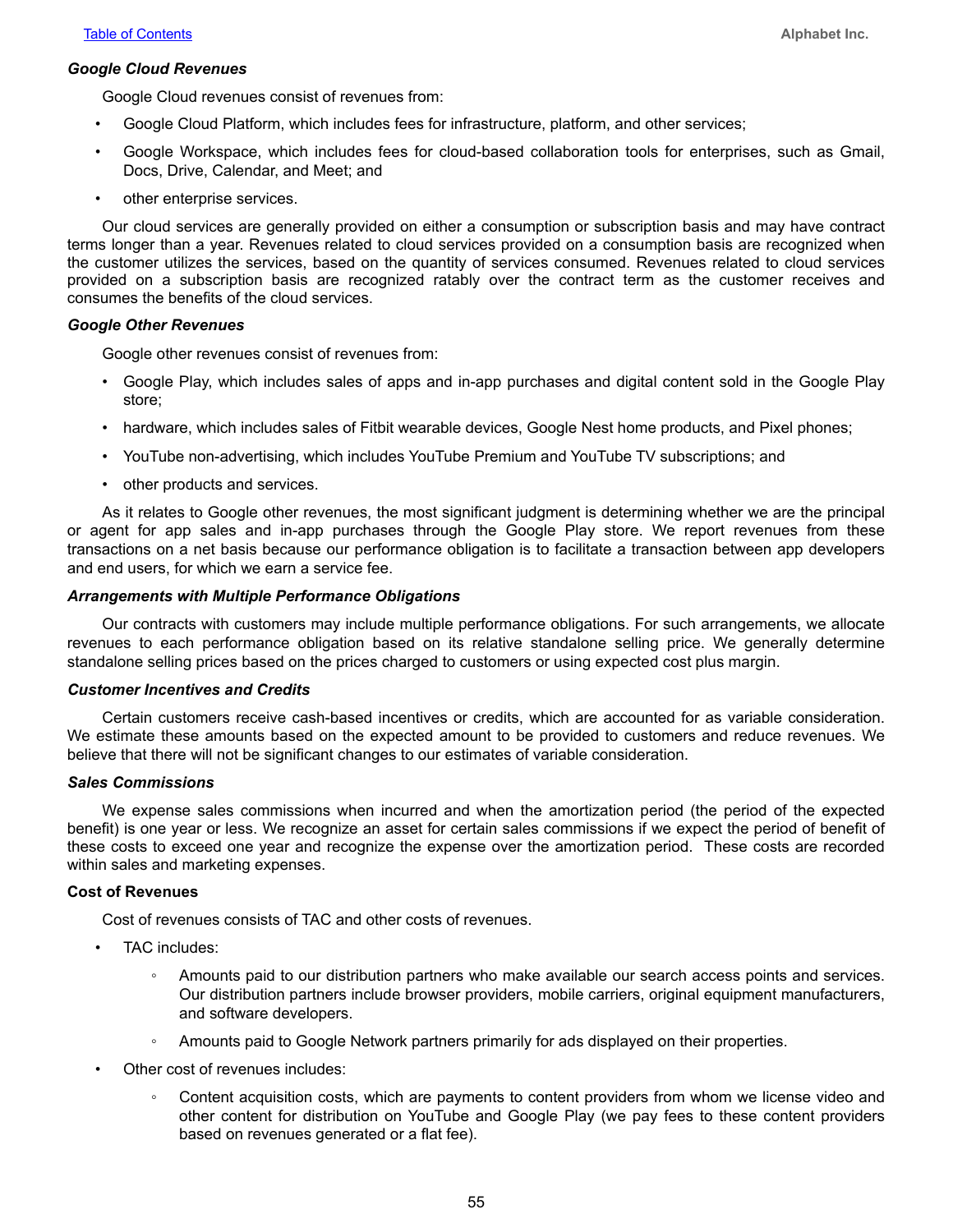#### *Google Cloud Revenues*

Google Cloud revenues consist of revenues from:

- Google Cloud Platform, which includes fees for infrastructure, platform, and other services;
- Google Workspace, which includes fees for cloud-based collaboration tools for enterprises, such as Gmail, Docs, Drive, Calendar, and Meet; and
- other enterprise services.

Our cloud services are generally provided on either a consumption or subscription basis and may have contract terms longer than a year. Revenues related to cloud services provided on a consumption basis are recognized when the customer utilizes the services, based on the quantity of services consumed. Revenues related to cloud services provided on a subscription basis are recognized ratably over the contract term as the customer receives and consumes the benefits of the cloud services.

## *Google Other Revenues*

Google other revenues consist of revenues from:

- Google Play, which includes sales of apps and in-app purchases and digital content sold in the Google Play store;
- hardware, which includes sales of Fitbit wearable devices, Google Nest home products, and Pixel phones;
- YouTube non-advertising, which includes YouTube Premium and YouTube TV subscriptions; and
- other products and services.

As it relates to Google other revenues, the most significant judgment is determining whether we are the principal or agent for app sales and in-app purchases through the Google Play store. We report revenues from these transactions on a net basis because our performance obligation is to facilitate a transaction between app developers and end users, for which we earn a service fee.

### *Arrangements with Multiple Performance Obligations*

Our contracts with customers may include multiple performance obligations. For such arrangements, we allocate revenues to each performance obligation based on its relative standalone selling price. We generally determine standalone selling prices based on the prices charged to customers or using expected cost plus margin.

#### *Customer Incentives and Credits*

Certain customers receive cash-based incentives or credits, which are accounted for as variable consideration. We estimate these amounts based on the expected amount to be provided to customers and reduce revenues. We believe that there will not be significant changes to our estimates of variable consideration.

#### *Sales Commissions*

We expense sales commissions when incurred and when the amortization period (the period of the expected benefit) is one year or less. We recognize an asset for certain sales commissions if we expect the period of benefit of these costs to exceed one year and recognize the expense over the amortization period. These costs are recorded within sales and marketing expenses.

#### **Cost of Revenues**

Cost of revenues consists of TAC and other costs of revenues.

- TAC includes:
	- Amounts paid to our distribution partners who make available our search access points and services. Our distribution partners include browser providers, mobile carriers, original equipment manufacturers, and software developers.
	- Amounts paid to Google Network partners primarily for ads displayed on their properties.
- Other cost of revenues includes:
	- Content acquisition costs, which are payments to content providers from whom we license video and other content for distribution on YouTube and Google Play (we pay fees to these content providers based on revenues generated or a flat fee).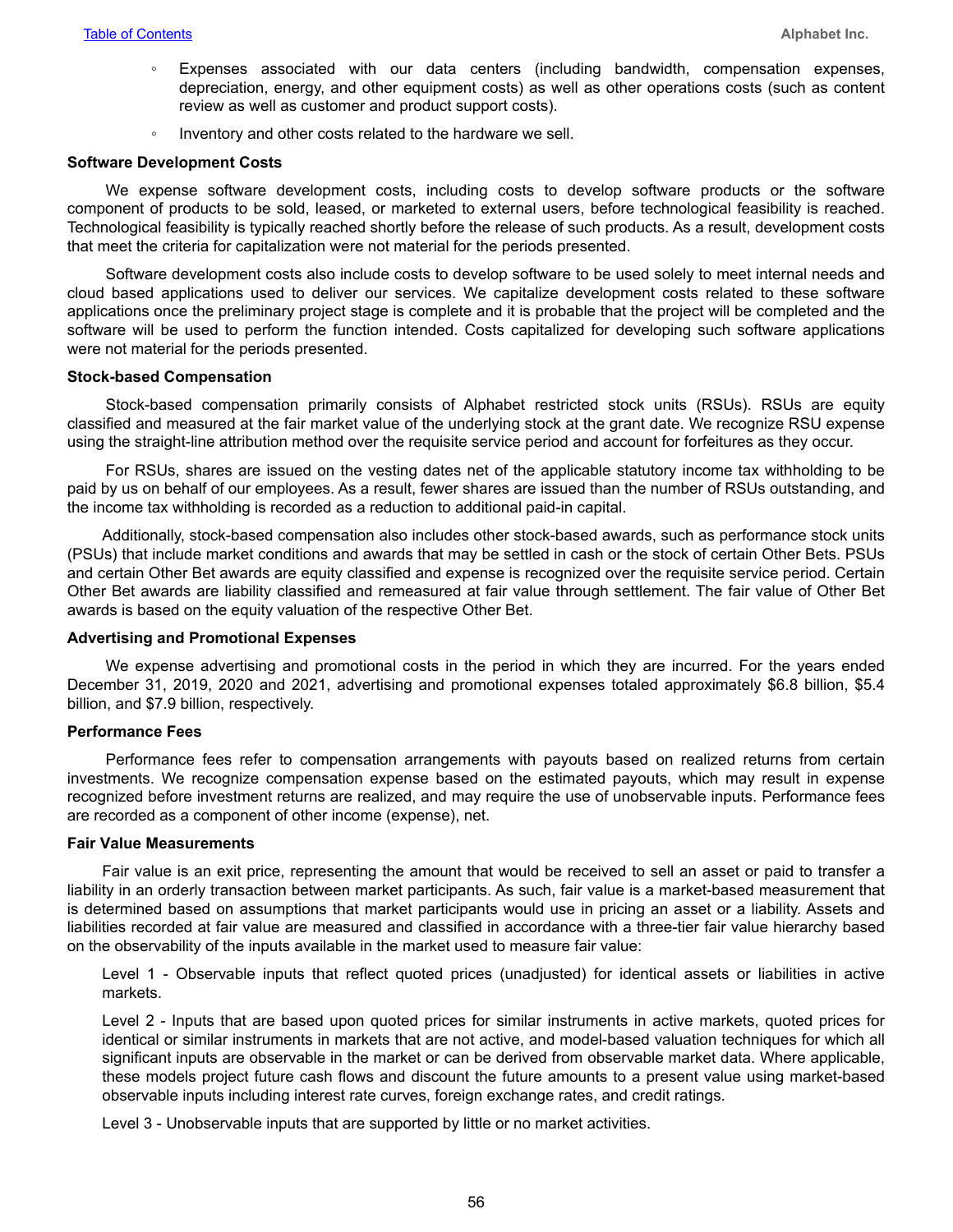- Expenses associated with our data centers (including bandwidth, compensation expenses, depreciation, energy, and other equipment costs) as well as other operations costs (such as content review as well as customer and product support costs).
- Inventory and other costs related to the hardware we sell.

## **Software Development Costs**

We expense software development costs, including costs to develop software products or the software component of products to be sold, leased, or marketed to external users, before technological feasibility is reached. Technological feasibility is typically reached shortly before the release of such products. As a result, development costs that meet the criteria for capitalization were not material for the periods presented.

Software development costs also include costs to develop software to be used solely to meet internal needs and cloud based applications used to deliver our services. We capitalize development costs related to these software applications once the preliminary project stage is complete and it is probable that the project will be completed and the software will be used to perform the function intended. Costs capitalized for developing such software applications were not material for the periods presented.

## **Stock-based Compensation**

Stock-based compensation primarily consists of Alphabet restricted stock units (RSUs). RSUs are equity classified and measured at the fair market value of the underlying stock at the grant date. We recognize RSU expense using the straight-line attribution method over the requisite service period and account for forfeitures as they occur.

For RSUs, shares are issued on the vesting dates net of the applicable statutory income tax withholding to be paid by us on behalf of our employees. As a result, fewer shares are issued than the number of RSUs outstanding, and the income tax withholding is recorded as a reduction to additional paid-in capital.

Additionally, stock-based compensation also includes other stock-based awards, such as performance stock units (PSUs) that include market conditions and awards that may be settled in cash or the stock of certain Other Bets. PSUs and certain Other Bet awards are equity classified and expense is recognized over the requisite service period. Certain Other Bet awards are liability classified and remeasured at fair value through settlement. The fair value of Other Bet awards is based on the equity valuation of the respective Other Bet.

## **Advertising and Promotional Expenses**

We expense advertising and promotional costs in the period in which they are incurred. For the years ended December 31, 2019, 2020 and 2021, advertising and promotional expenses totaled approximately \$6.8 billion, \$5.4 billion, and \$7.9 billion, respectively.

## **Performance Fees**

Performance fees refer to compensation arrangements with payouts based on realized returns from certain investments. We recognize compensation expense based on the estimated payouts, which may result in expense recognized before investment returns are realized, and may require the use of unobservable inputs. Performance fees are recorded as a component of other income (expense), net.

## **Fair Value Measurements**

Fair value is an exit price, representing the amount that would be received to sell an asset or paid to transfer a liability in an orderly transaction between market participants. As such, fair value is a market-based measurement that is determined based on assumptions that market participants would use in pricing an asset or a liability. Assets and liabilities recorded at fair value are measured and classified in accordance with a three-tier fair value hierarchy based on the observability of the inputs available in the market used to measure fair value:

Level 1 - Observable inputs that reflect quoted prices (unadjusted) for identical assets or liabilities in active markets.

Level 2 - Inputs that are based upon quoted prices for similar instruments in active markets, quoted prices for identical or similar instruments in markets that are not active, and model-based valuation techniques for which all significant inputs are observable in the market or can be derived from observable market data. Where applicable, these models project future cash flows and discount the future amounts to a present value using market-based observable inputs including interest rate curves, foreign exchange rates, and credit ratings.

Level 3 - Unobservable inputs that are supported by little or no market activities.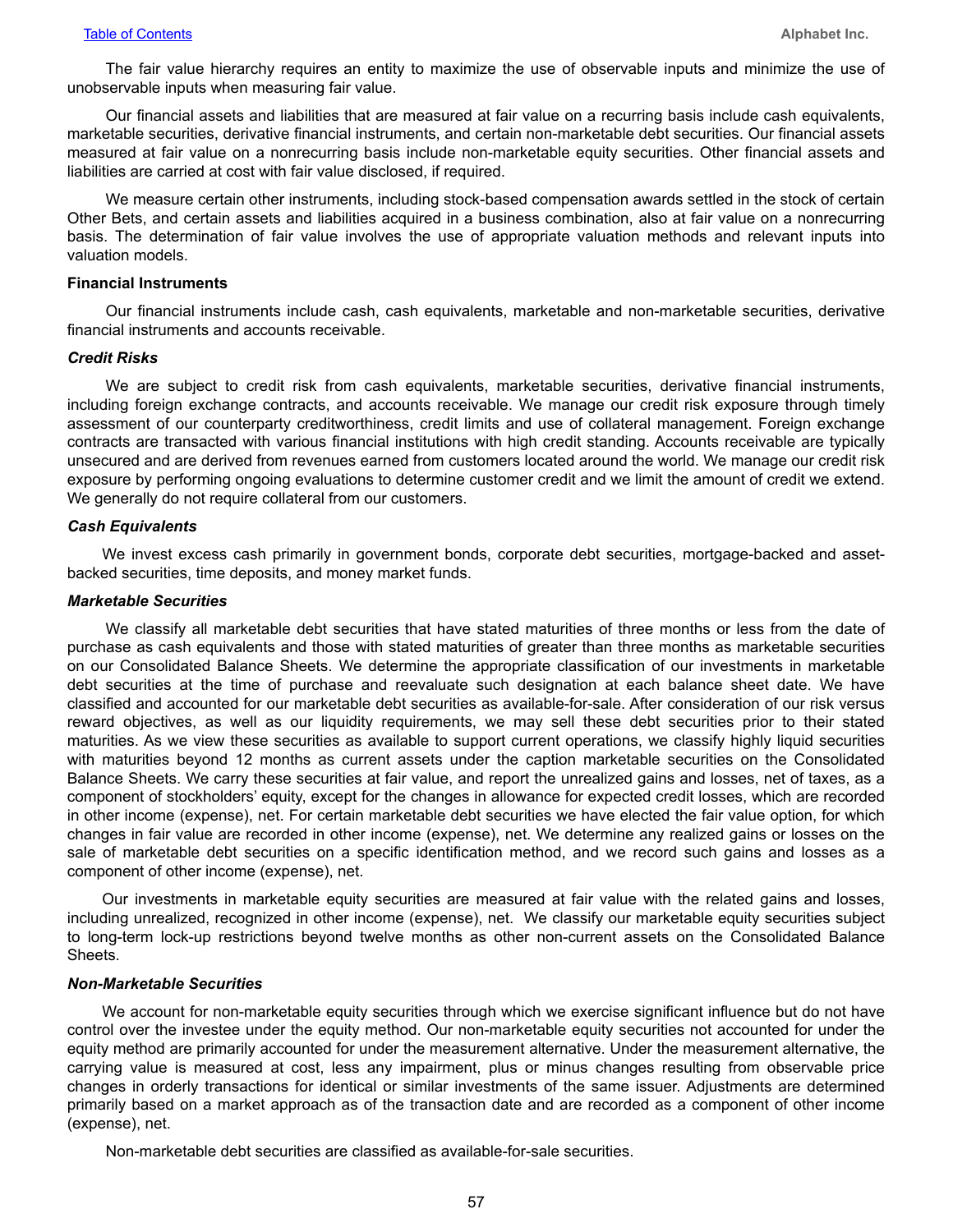The fair value hierarchy requires an entity to maximize the use of observable inputs and minimize the use of unobservable inputs when measuring fair value.

Our financial assets and liabilities that are measured at fair value on a recurring basis include cash equivalents, marketable securities, derivative financial instruments, and certain non-marketable debt securities. Our financial assets measured at fair value on a nonrecurring basis include non-marketable equity securities. Other financial assets and liabilities are carried at cost with fair value disclosed, if required.

We measure certain other instruments, including stock-based compensation awards settled in the stock of certain Other Bets, and certain assets and liabilities acquired in a business combination, also at fair value on a nonrecurring basis. The determination of fair value involves the use of appropriate valuation methods and relevant inputs into valuation models.

#### **Financial Instruments**

Our financial instruments include cash, cash equivalents, marketable and non-marketable securities, derivative financial instruments and accounts receivable.

## *Credit Risks*

We are subject to credit risk from cash equivalents, marketable securities, derivative financial instruments, including foreign exchange contracts, and accounts receivable. We manage our credit risk exposure through timely assessment of our counterparty creditworthiness, credit limits and use of collateral management. Foreign exchange contracts are transacted with various financial institutions with high credit standing. Accounts receivable are typically unsecured and are derived from revenues earned from customers located around the world. We manage our credit risk exposure by performing ongoing evaluations to determine customer credit and we limit the amount of credit we extend. We generally do not require collateral from our customers.

#### *Cash Equivalents*

We invest excess cash primarily in government bonds, corporate debt securities, mortgage-backed and assetbacked securities, time deposits, and money market funds.

### *Marketable Securities*

We classify all marketable debt securities that have stated maturities of three months or less from the date of purchase as cash equivalents and those with stated maturities of greater than three months as marketable securities on our Consolidated Balance Sheets. We determine the appropriate classification of our investments in marketable debt securities at the time of purchase and reevaluate such designation at each balance sheet date. We have classified and accounted for our marketable debt securities as available-for-sale. After consideration of our risk versus reward objectives, as well as our liquidity requirements, we may sell these debt securities prior to their stated maturities. As we view these securities as available to support current operations, we classify highly liquid securities with maturities beyond 12 months as current assets under the caption marketable securities on the Consolidated Balance Sheets. We carry these securities at fair value, and report the unrealized gains and losses, net of taxes, as a component of stockholders' equity, except for the changes in allowance for expected credit losses, which are recorded in other income (expense), net. For certain marketable debt securities we have elected the fair value option, for which changes in fair value are recorded in other income (expense), net. We determine any realized gains or losses on the sale of marketable debt securities on a specific identification method, and we record such gains and losses as a component of other income (expense), net.

Our investments in marketable equity securities are measured at fair value with the related gains and losses, including unrealized, recognized in other income (expense), net. We classify our marketable equity securities subject to long-term lock-up restrictions beyond twelve months as other non-current assets on the Consolidated Balance Sheets.

### *Non-Marketable Securities*

We account for non-marketable equity securities through which we exercise significant influence but do not have control over the investee under the equity method. Our non-marketable equity securities not accounted for under the equity method are primarily accounted for under the measurement alternative. Under the measurement alternative, the carrying value is measured at cost, less any impairment, plus or minus changes resulting from observable price changes in orderly transactions for identical or similar investments of the same issuer. Adjustments are determined primarily based on a market approach as of the transaction date and are recorded as a component of other income (expense), net.

Non-marketable debt securities are classified as available-for-sale securities.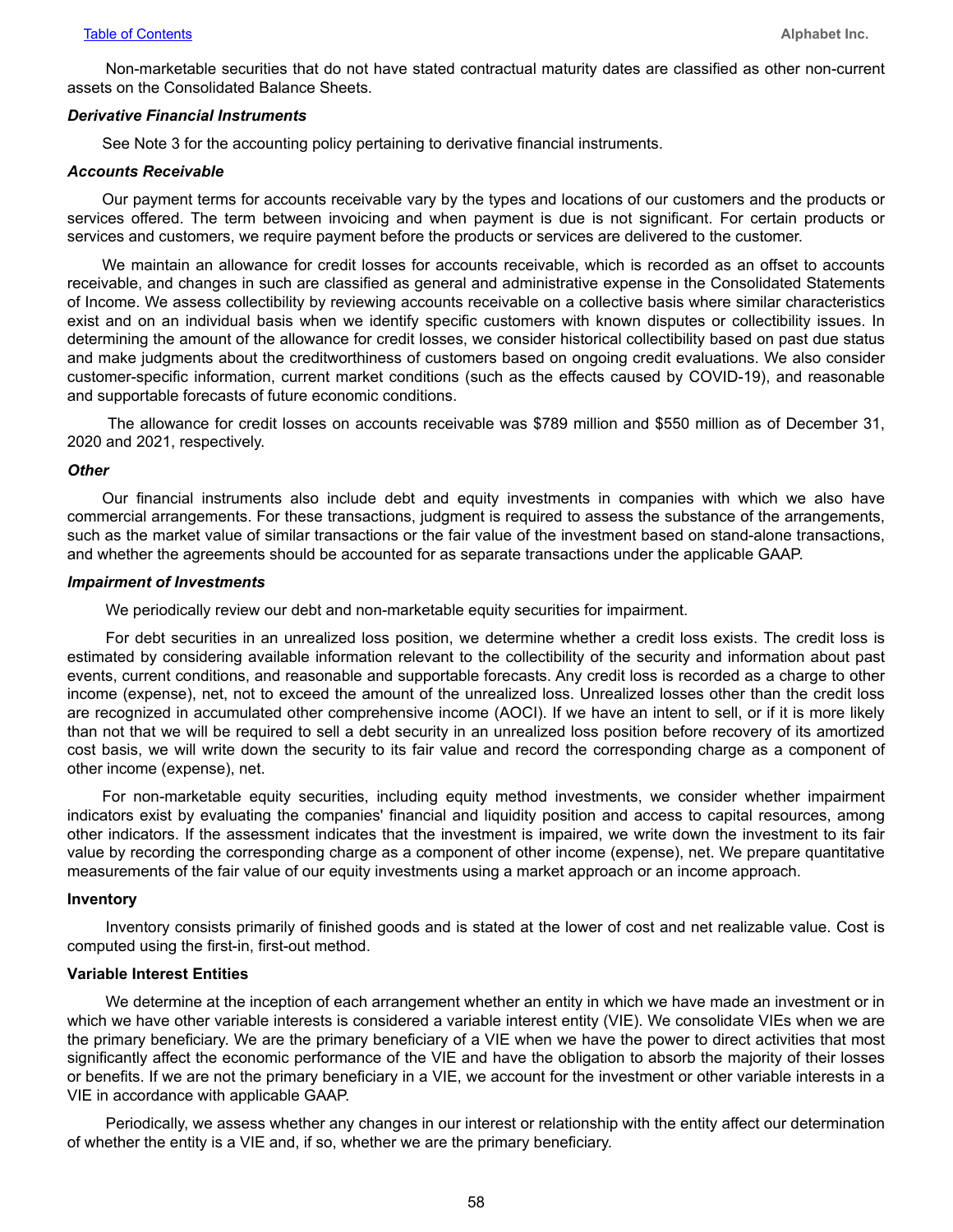Non-marketable securities that do not have stated contractual maturity dates are classified as other non-current assets on the Consolidated Balance Sheets.

#### *Derivative Financial Instruments*

See Note 3 for the accounting policy pertaining to derivative financial instruments.

#### *Accounts Receivable*

Our payment terms for accounts receivable vary by the types and locations of our customers and the products or services offered. The term between invoicing and when payment is due is not significant. For certain products or services and customers, we require payment before the products or services are delivered to the customer.

We maintain an allowance for credit losses for accounts receivable, which is recorded as an offset to accounts receivable, and changes in such are classified as general and administrative expense in the Consolidated Statements of Income. We assess collectibility by reviewing accounts receivable on a collective basis where similar characteristics exist and on an individual basis when we identify specific customers with known disputes or collectibility issues. In determining the amount of the allowance for credit losses, we consider historical collectibility based on past due status and make judgments about the creditworthiness of customers based on ongoing credit evaluations. We also consider customer-specific information, current market conditions (such as the effects caused by COVID-19), and reasonable and supportable forecasts of future economic conditions.

 The allowance for credit losses on accounts receivable was \$789 million and \$550 million as of December 31, 2020 and 2021, respectively.

## *Other*

Our financial instruments also include debt and equity investments in companies with which we also have commercial arrangements. For these transactions, judgment is required to assess the substance of the arrangements, such as the market value of similar transactions or the fair value of the investment based on stand-alone transactions, and whether the agreements should be accounted for as separate transactions under the applicable GAAP.

#### *Impairment of Investments*

We periodically review our debt and non-marketable equity securities for impairment.

For debt securities in an unrealized loss position, we determine whether a credit loss exists. The credit loss is estimated by considering available information relevant to the collectibility of the security and information about past events, current conditions, and reasonable and supportable forecasts. Any credit loss is recorded as a charge to other income (expense), net, not to exceed the amount of the unrealized loss. Unrealized losses other than the credit loss are recognized in accumulated other comprehensive income (AOCI). If we have an intent to sell, or if it is more likely than not that we will be required to sell a debt security in an unrealized loss position before recovery of its amortized cost basis, we will write down the security to its fair value and record the corresponding charge as a component of other income (expense), net.

For non-marketable equity securities, including equity method investments, we consider whether impairment indicators exist by evaluating the companies' financial and liquidity position and access to capital resources, among other indicators. If the assessment indicates that the investment is impaired, we write down the investment to its fair value by recording the corresponding charge as a component of other income (expense), net. We prepare quantitative measurements of the fair value of our equity investments using a market approach or an income approach.

#### **Inventory**

Inventory consists primarily of finished goods and is stated at the lower of cost and net realizable value. Cost is computed using the first-in, first-out method.

#### **Variable Interest Entities**

We determine at the inception of each arrangement whether an entity in which we have made an investment or in which we have other variable interests is considered a variable interest entity (VIE). We consolidate VIEs when we are the primary beneficiary. We are the primary beneficiary of a VIE when we have the power to direct activities that most significantly affect the economic performance of the VIE and have the obligation to absorb the majority of their losses or benefits. If we are not the primary beneficiary in a VIE, we account for the investment or other variable interests in a VIE in accordance with applicable GAAP.

Periodically, we assess whether any changes in our interest or relationship with the entity affect our determination of whether the entity is a VIE and, if so, whether we are the primary beneficiary.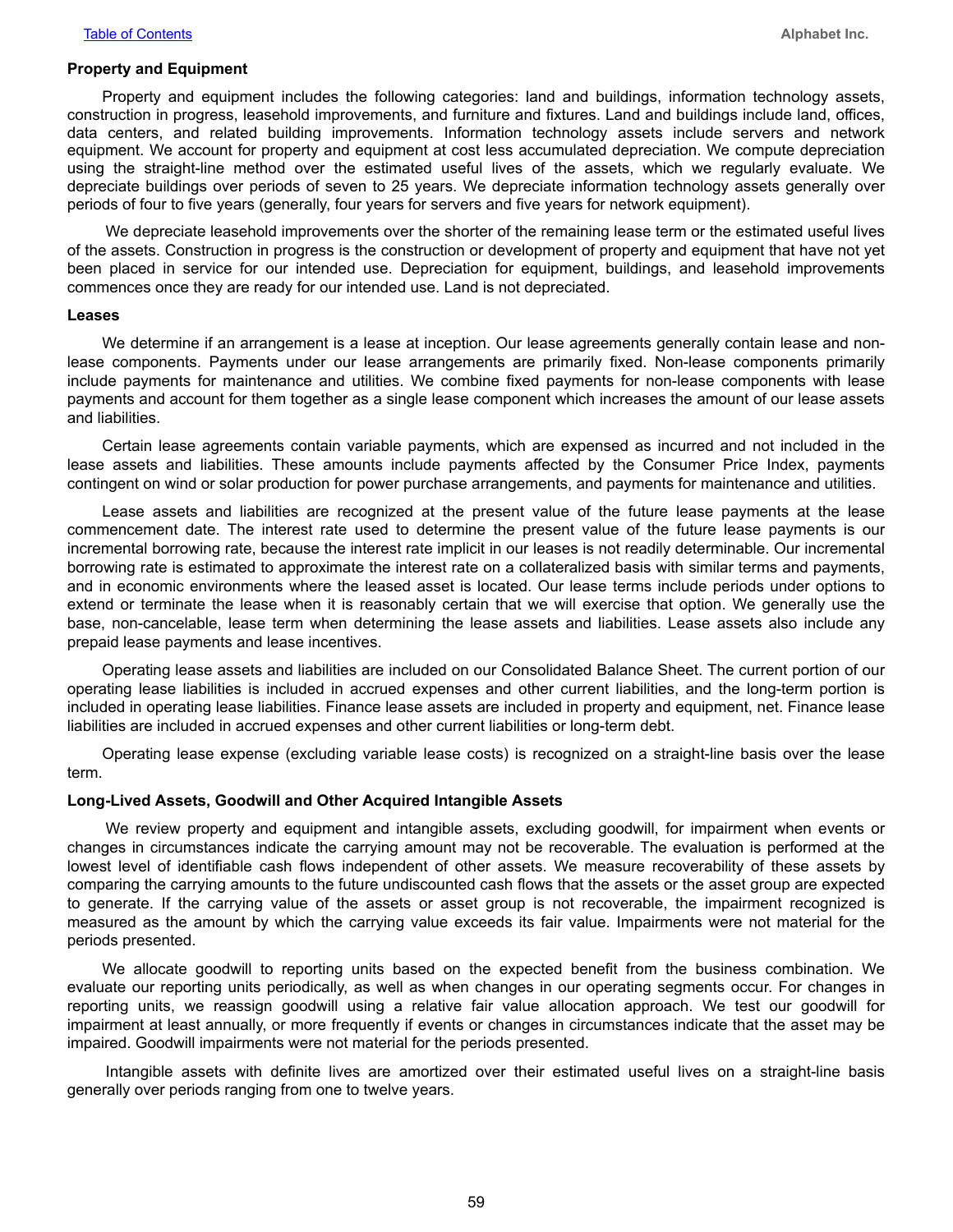#### **Property and Equipment**

Property and equipment includes the following categories: land and buildings, information technology assets, construction in progress, leasehold improvements, and furniture and fixtures. Land and buildings include land, offices, data centers, and related building improvements. Information technology assets include servers and network equipment. We account for property and equipment at cost less accumulated depreciation. We compute depreciation using the straight-line method over the estimated useful lives of the assets, which we regularly evaluate. We depreciate buildings over periods of seven to 25 years. We depreciate information technology assets generally over periods of four to five years (generally, four years for servers and five years for network equipment).

We depreciate leasehold improvements over the shorter of the remaining lease term or the estimated useful lives of the assets. Construction in progress is the construction or development of property and equipment that have not yet been placed in service for our intended use. Depreciation for equipment, buildings, and leasehold improvements commences once they are ready for our intended use. Land is not depreciated.

#### **Leases**

We determine if an arrangement is a lease at inception. Our lease agreements generally contain lease and nonlease components. Payments under our lease arrangements are primarily fixed. Non-lease components primarily include payments for maintenance and utilities. We combine fixed payments for non-lease components with lease payments and account for them together as a single lease component which increases the amount of our lease assets and liabilities.

Certain lease agreements contain variable payments, which are expensed as incurred and not included in the lease assets and liabilities. These amounts include payments affected by the Consumer Price Index, payments contingent on wind or solar production for power purchase arrangements, and payments for maintenance and utilities.

Lease assets and liabilities are recognized at the present value of the future lease payments at the lease commencement date. The interest rate used to determine the present value of the future lease payments is our incremental borrowing rate, because the interest rate implicit in our leases is not readily determinable. Our incremental borrowing rate is estimated to approximate the interest rate on a collateralized basis with similar terms and payments, and in economic environments where the leased asset is located. Our lease terms include periods under options to extend or terminate the lease when it is reasonably certain that we will exercise that option. We generally use the base, non-cancelable, lease term when determining the lease assets and liabilities. Lease assets also include any prepaid lease payments and lease incentives.

Operating lease assets and liabilities are included on our Consolidated Balance Sheet. The current portion of our operating lease liabilities is included in accrued expenses and other current liabilities, and the long-term portion is included in operating lease liabilities. Finance lease assets are included in property and equipment, net. Finance lease liabilities are included in accrued expenses and other current liabilities or long-term debt.

Operating lease expense (excluding variable lease costs) is recognized on a straight-line basis over the lease term.

#### **Long-Lived Assets, Goodwill and Other Acquired Intangible Assets**

We review property and equipment and intangible assets, excluding goodwill, for impairment when events or changes in circumstances indicate the carrying amount may not be recoverable. The evaluation is performed at the lowest level of identifiable cash flows independent of other assets. We measure recoverability of these assets by comparing the carrying amounts to the future undiscounted cash flows that the assets or the asset group are expected to generate. If the carrying value of the assets or asset group is not recoverable, the impairment recognized is measured as the amount by which the carrying value exceeds its fair value. Impairments were not material for the periods presented.

We allocate goodwill to reporting units based on the expected benefit from the business combination. We evaluate our reporting units periodically, as well as when changes in our operating segments occur. For changes in reporting units, we reassign goodwill using a relative fair value allocation approach. We test our goodwill for impairment at least annually, or more frequently if events or changes in circumstances indicate that the asset may be impaired. Goodwill impairments were not material for the periods presented.

Intangible assets with definite lives are amortized over their estimated useful lives on a straight-line basis generally over periods ranging from one to twelve years.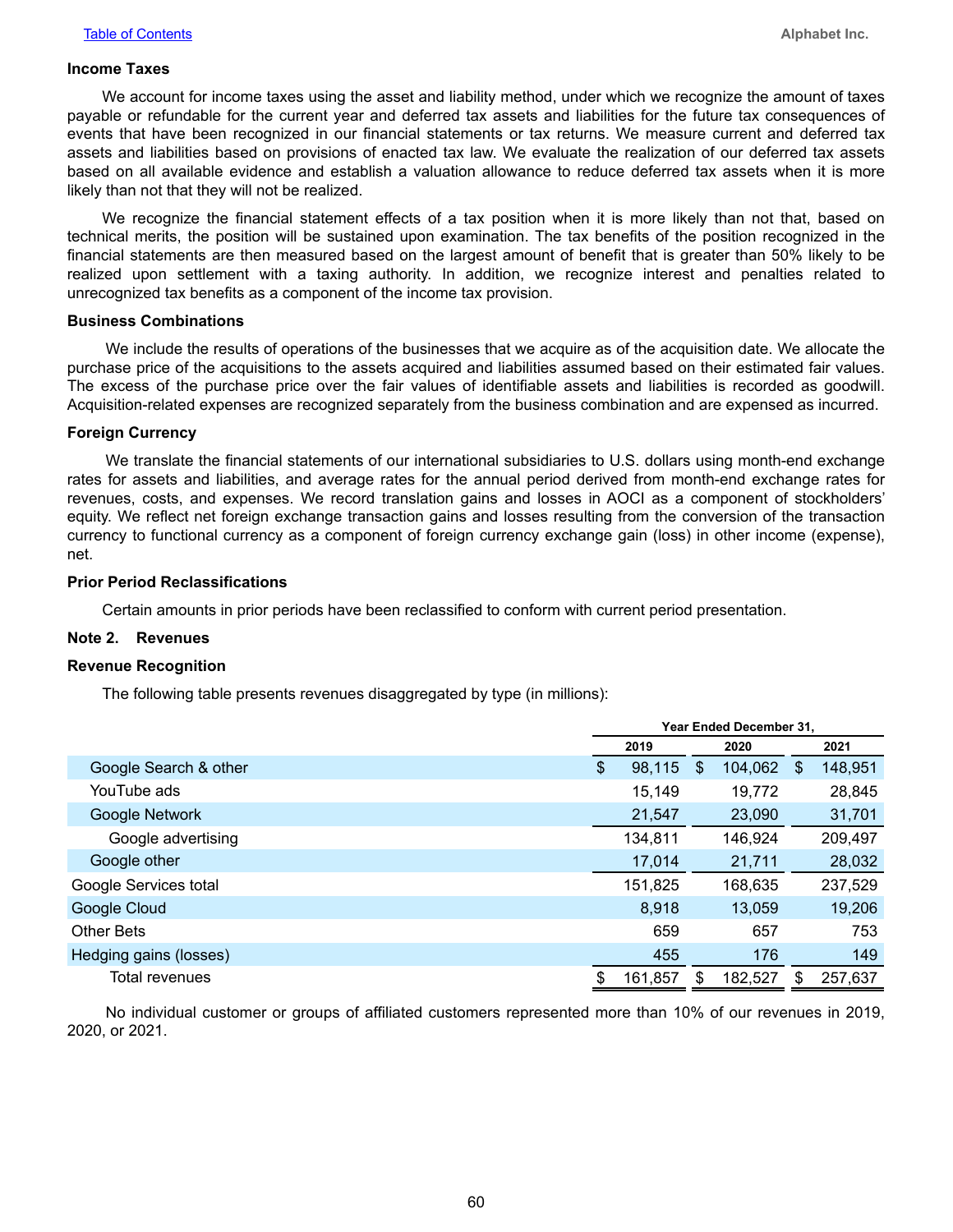#### **Income Taxes**

We account for income taxes using the asset and liability method, under which we recognize the amount of taxes payable or refundable for the current year and deferred tax assets and liabilities for the future tax consequences of events that have been recognized in our financial statements or tax returns. We measure current and deferred tax assets and liabilities based on provisions of enacted tax law. We evaluate the realization of our deferred tax assets based on all available evidence and establish a valuation allowance to reduce deferred tax assets when it is more likely than not that they will not be realized.

We recognize the financial statement effects of a tax position when it is more likely than not that, based on technical merits, the position will be sustained upon examination. The tax benefits of the position recognized in the financial statements are then measured based on the largest amount of benefit that is greater than 50% likely to be realized upon settlement with a taxing authority. In addition, we recognize interest and penalties related to unrecognized tax benefits as a component of the income tax provision.

#### **Business Combinations**

We include the results of operations of the businesses that we acquire as of the acquisition date. We allocate the purchase price of the acquisitions to the assets acquired and liabilities assumed based on their estimated fair values. The excess of the purchase price over the fair values of identifiable assets and liabilities is recorded as goodwill. Acquisition-related expenses are recognized separately from the business combination and are expensed as incurred.

#### **Foreign Currency**

We translate the financial statements of our international subsidiaries to U.S. dollars using month-end exchange rates for assets and liabilities, and average rates for the annual period derived from month-end exchange rates for revenues, costs, and expenses. We record translation gains and losses in AOCI as a component of stockholders' equity. We reflect net foreign exchange transaction gains and losses resulting from the conversion of the transaction currency to functional currency as a component of foreign currency exchange gain (loss) in other income (expense), net.

## **Prior Period Reclassifications**

Certain amounts in prior periods have been reclassified to conform with current period presentation.

#### **Note 2. Revenues**

## **Revenue Recognition**

The following table presents revenues disaggregated by type (in millions):

|                        | Year Ended December 31, |         |    |         |    |         |  |  |  |
|------------------------|-------------------------|---------|----|---------|----|---------|--|--|--|
|                        |                         | 2019    |    | 2020    |    | 2021    |  |  |  |
| Google Search & other  | \$                      | 98,115  | \$ | 104,062 | \$ | 148,951 |  |  |  |
| YouTube ads            |                         | 15,149  |    | 19,772  |    | 28,845  |  |  |  |
| Google Network         |                         | 21,547  |    | 23,090  |    | 31,701  |  |  |  |
| Google advertising     |                         | 134,811 |    | 146,924 |    | 209,497 |  |  |  |
| Google other           |                         | 17,014  |    | 21,711  |    | 28,032  |  |  |  |
| Google Services total  |                         | 151,825 |    | 168,635 |    | 237,529 |  |  |  |
| Google Cloud           |                         | 8,918   |    | 13,059  |    | 19,206  |  |  |  |
| <b>Other Bets</b>      |                         | 659     |    | 657     |    | 753     |  |  |  |
| Hedging gains (losses) |                         | 455     |    | 176     |    | 149     |  |  |  |
| <b>Total revenues</b>  | \$                      | 161,857 | \$ | 182,527 | S  | 257,637 |  |  |  |

No individual customer or groups of affiliated customers represented more than 10% of our revenues in 2019, 2020, or 2021.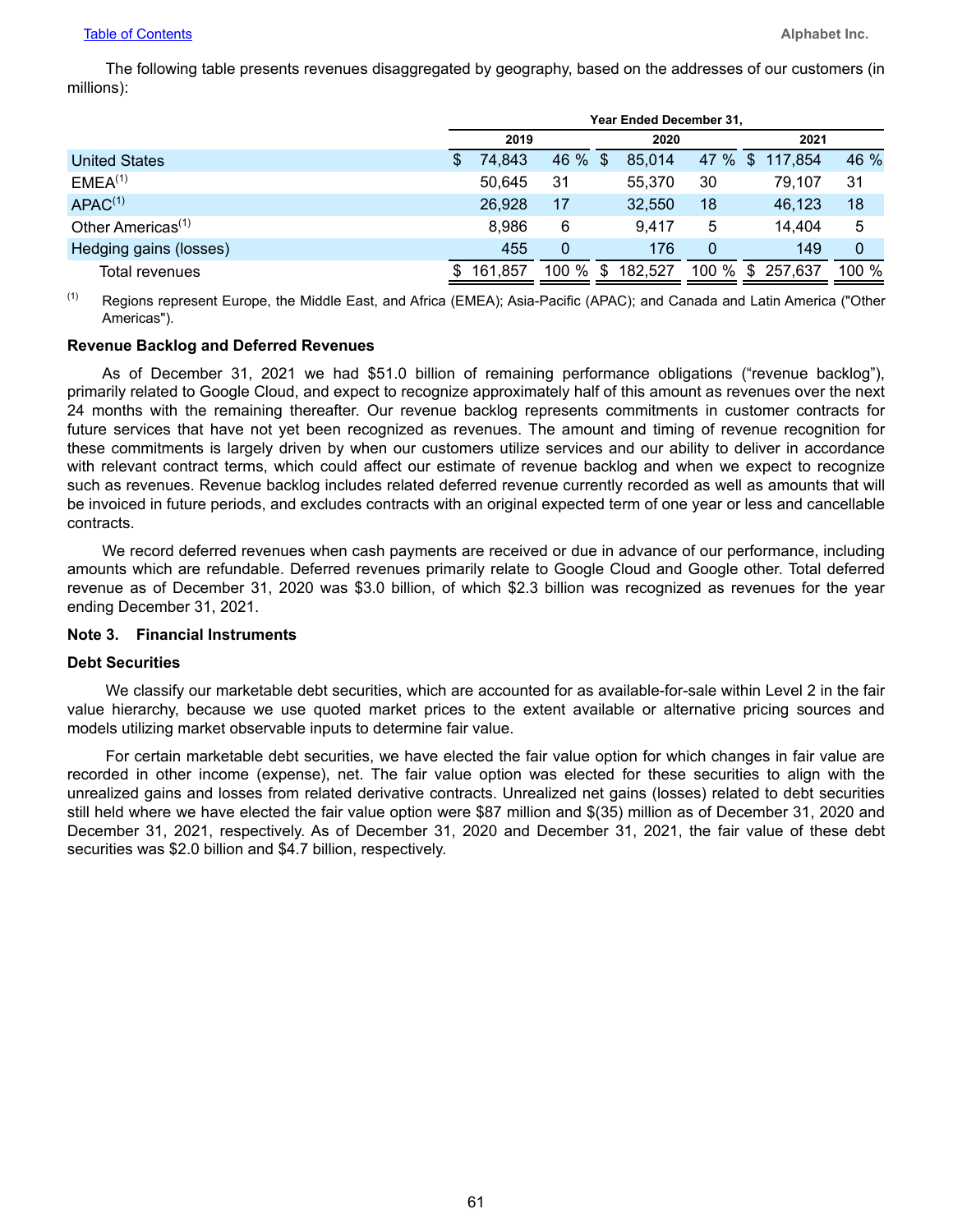The following table presents revenues disaggregated by geography, based on the addresses of our customers (in millions):

|                               |              |       | <b>Year Ended December 31.</b> |       |              |         |       |
|-------------------------------|--------------|-------|--------------------------------|-------|--------------|---------|-------|
|                               | 2019         |       | 2020                           |       |              | 2021    |       |
| <b>United States</b>          | \$<br>74,843 | 46 %  | \$<br>85,014                   | 47 %  | $\mathbb{S}$ | 117,854 | 46 %  |
| EMEA <sup>(1)</sup>           | 50,645       | 31    | 55,370                         | 30    |              | 79,107  | 31    |
| APAC <sup>(1)</sup>           | 26,928       | 17    | 32,550                         | 18    |              | 46,123  | 18    |
| Other Americas <sup>(1)</sup> | 8,986        | 6     | 9,417                          | 5     |              | 14,404  | 5     |
| Hedging gains (losses)        | 455          | 0     | 176                            | 0     |              | 149     | 0     |
| Total revenues                | 161,857      | 100 % | \$<br>182,527                  | 100 % | \$           | 257,637 | 100 % |

(1) Regions represent Europe, the Middle East, and Africa (EMEA); Asia-Pacific (APAC); and Canada and Latin America ("Other Americas").

## **Revenue Backlog and Deferred Revenues**

As of December 31, 2021 we had \$51.0 billion of remaining performance obligations ("revenue backlog"), primarily related to Google Cloud, and expect to recognize approximately half of this amount as revenues over the next 24 months with the remaining thereafter. Our revenue backlog represents commitments in customer contracts for future services that have not yet been recognized as revenues. The amount and timing of revenue recognition for these commitments is largely driven by when our customers utilize services and our ability to deliver in accordance with relevant contract terms, which could affect our estimate of revenue backlog and when we expect to recognize such as revenues. Revenue backlog includes related deferred revenue currently recorded as well as amounts that will be invoiced in future periods, and excludes contracts with an original expected term of one year or less and cancellable contracts.

We record deferred revenues when cash payments are received or due in advance of our performance, including amounts which are refundable. Deferred revenues primarily relate to Google Cloud and Google other. Total deferred revenue as of December 31, 2020 was \$3.0 billion, of which \$2.3 billion was recognized as revenues for the year ending December 31, 2021.

## **Note 3. Financial Instruments**

#### **Debt Securities**

We classify our marketable debt securities, which are accounted for as available-for-sale within Level 2 in the fair value hierarchy, because we use quoted market prices to the extent available or alternative pricing sources and models utilizing market observable inputs to determine fair value.

For certain marketable debt securities, we have elected the fair value option for which changes in fair value are recorded in other income (expense), net. The fair value option was elected for these securities to align with the unrealized gains and losses from related derivative contracts. Unrealized net gains (losses) related to debt securities still held where we have elected the fair value option were \$87 million and \$(35) million as of December 31, 2020 and December 31, 2021, respectively. As of December 31, 2020 and December 31, 2021, the fair value of these debt securities was \$2.0 billion and \$4.7 billion, respectively.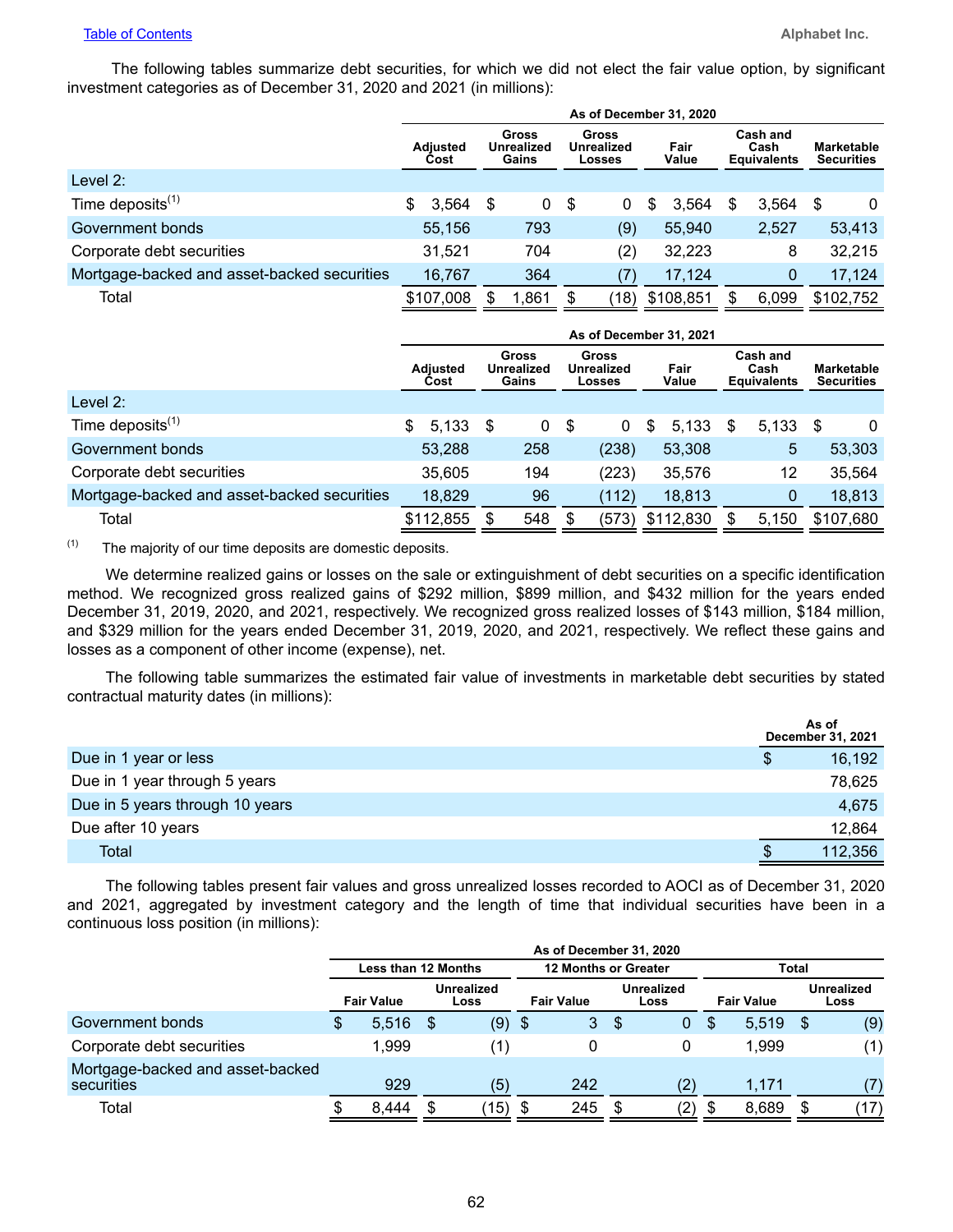## **[Table of Contents](#page-2-0) Alphabet Inc. Alphabet Inc.**

 The following tables summarize debt securities, for which we did not elect the fair value option, by significant investment categories as of December 31, 2020 and 2021 (in millions):

|                                             | As of December 31, 2020 |  |                                            |      |                                             |               |    |                                        |                                 |  |  |  |
|---------------------------------------------|-------------------------|--|--------------------------------------------|------|---------------------------------------------|---------------|----|----------------------------------------|---------------------------------|--|--|--|
|                                             | <b>Adiusted</b><br>Cost |  | <b>Gross</b><br><b>Unrealized</b><br>Gains |      | Gross<br><b>Unrealized</b><br><b>Losses</b> | Fair<br>Value |    | Cash and<br>Cash<br><b>Equivalents</b> | Marketable<br><b>Securities</b> |  |  |  |
| Level 2:                                    |                         |  |                                            |      |                                             |               |    |                                        |                                 |  |  |  |
| Time deposits $(1)$                         | 3,564<br>\$             |  | $\mathbf{0}$                               | - \$ | 0                                           | 3.564<br>S    | S. | 3.564                                  | 0                               |  |  |  |
| Government bonds                            | 55,156                  |  | 793                                        |      | (9)                                         | 55,940        |    | 2,527                                  | 53,413                          |  |  |  |
| Corporate debt securities                   | 31.521                  |  | 704                                        |      | (2)                                         | 32,223        |    | 8                                      | 32,215                          |  |  |  |
| Mortgage-backed and asset-backed securities | 16,767                  |  | 364                                        |      |                                             | 17,124        |    | 0                                      | 17,124                          |  |  |  |
| Total                                       | \$107,008               |  | 1,861                                      | \$   | (18)                                        | \$108,851     |    | 6,099                                  | \$102,752                       |  |  |  |

|                                             | As of December 31, 2021 |      |                                            |      |                                             |    |               |     |                                        |    |                                 |  |
|---------------------------------------------|-------------------------|------|--------------------------------------------|------|---------------------------------------------|----|---------------|-----|----------------------------------------|----|---------------------------------|--|
|                                             | <b>Adiusted</b><br>Cost |      | <b>Gross</b><br><b>Unrealized</b><br>Gains |      | <b>Gross</b><br>Unrealized<br><b>Losses</b> |    | Fair<br>Value |     | Cash and<br>Cash<br><b>Equivalents</b> |    | Marketable<br><b>Securities</b> |  |
| Level $2:$                                  |                         |      |                                            |      |                                             |    |               |     |                                        |    |                                 |  |
| Time deposits $(1)$                         | 5,133<br>\$             | - \$ | $\mathbf{0}$                               | - \$ | 0                                           | S. | 5.133         | -SS | 5,133                                  | -S | 0                               |  |
| Government bonds                            | 53,288                  |      | 258                                        |      | (238)                                       |    | 53,308        |     | 5                                      |    | 53,303                          |  |
| Corporate debt securities                   | 35,605                  |      | 194                                        |      | (223)                                       |    | 35,576        |     | 12                                     |    | 35,564                          |  |
| Mortgage-backed and asset-backed securities | 18,829                  |      | 96                                         |      | (112)                                       |    | 18,813        |     | 0                                      |    | 18,813                          |  |
| Total                                       | \$112,855               |      | 548                                        |      | (573)                                       |    | \$112,830     |     | 5,150                                  |    | \$107,680                       |  |

 $(1)$  The majority of our time deposits are domestic deposits.

We determine realized gains or losses on the sale or extinguishment of debt securities on a specific identification method. We recognized gross realized gains of \$292 million, \$899 million, and \$432 million for the years ended December 31, 2019, 2020, and 2021, respectively. We recognized gross realized losses of \$143 million, \$184 million, and \$329 million for the years ended December 31, 2019, 2020, and 2021, respectively. We reflect these gains and losses as a component of other income (expense), net.

The following table summarizes the estimated fair value of investments in marketable debt securities by stated contractual maturity dates (in millions):

|                                 |    | As of<br>December 31, 2021 |
|---------------------------------|----|----------------------------|
| Due in 1 year or less           | \$ | 16,192                     |
| Due in 1 year through 5 years   |    | 78,625                     |
| Due in 5 years through 10 years |    | 4,675                      |
| Due after 10 years              |    | 12,864                     |
| Total                           | S  | 112,356                    |

The following tables present fair values and gross unrealized losses recorded to AOCI as of December 31, 2020 and 2021, aggregated by investment category and the length of time that individual securities have been in a continuous loss position (in millions):

|                                                |                            |                           |      | As of December 31, 2020     |   |                           |       |                   |     |                           |  |  |
|------------------------------------------------|----------------------------|---------------------------|------|-----------------------------|---|---------------------------|-------|-------------------|-----|---------------------------|--|--|
|                                                | <b>Less than 12 Months</b> |                           |      | <b>12 Months or Greater</b> |   |                           | Total |                   |     |                           |  |  |
|                                                | <b>Fair Value</b>          | <b>Unrealized</b><br>Loss |      | <b>Fair Value</b>           |   | <b>Unrealized</b><br>Loss |       | <b>Fair Value</b> |     | <b>Unrealized</b><br>Loss |  |  |
| Government bonds                               | 5,516                      | (9)                       | - \$ | 3 <sup>5</sup>              | S | 0                         | S     | 5,519             | \$. | (9)                       |  |  |
| Corporate debt securities                      | 1.999                      |                           |      | 0                           |   | 0                         |       | 1.999             |     | (1)                       |  |  |
| Mortgage-backed and asset-backed<br>securities | 929                        | (5)                       |      | 242                         |   | $\left( 2\right)$         |       | 1,171             |     |                           |  |  |
| Total                                          | 8,444                      | ้15)                      |      | 245                         |   | (2)                       |       | 8,689             | S   | ้17                       |  |  |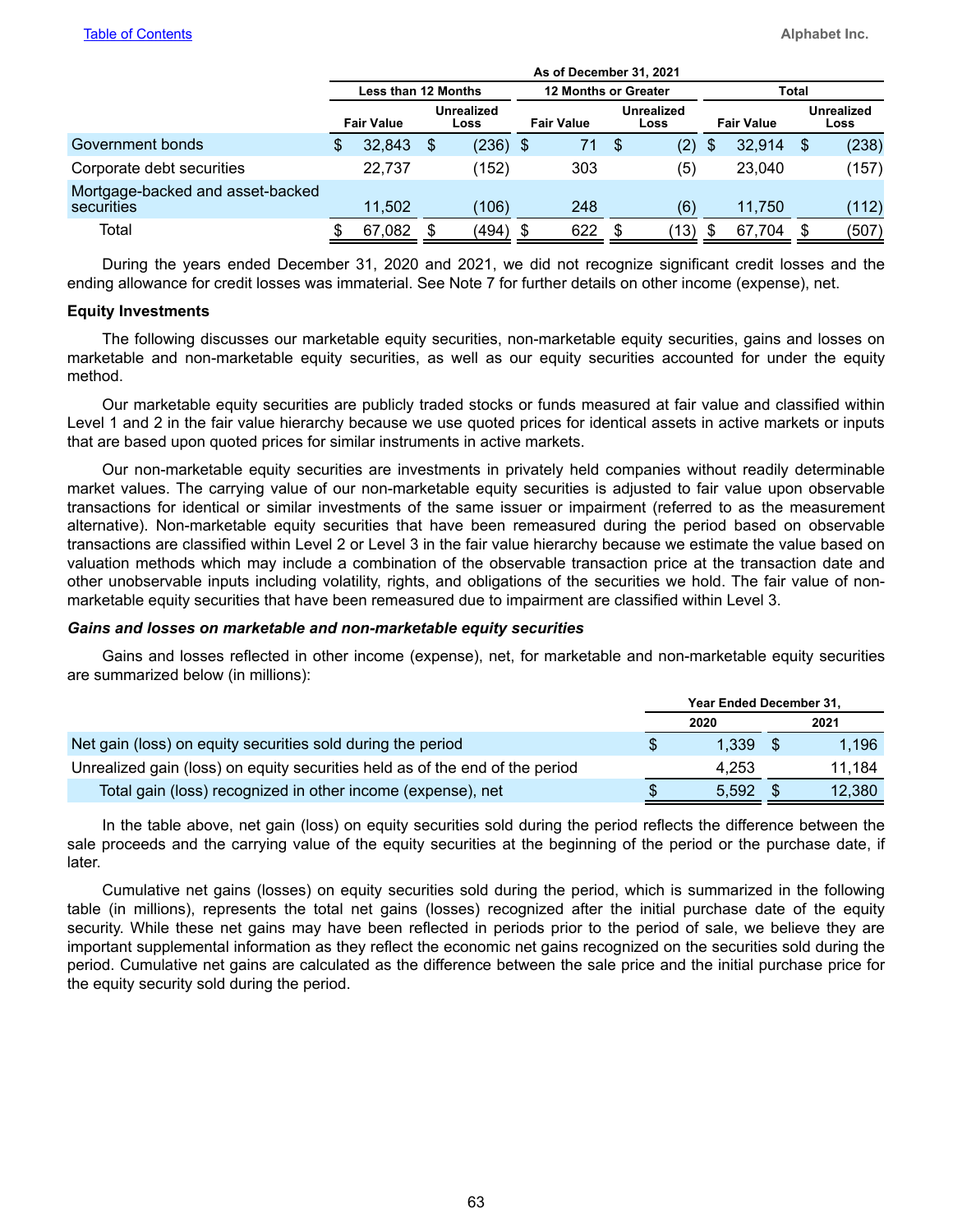|                                                |   |                     |                           | As of December 31, 2021 |    |                    |       |                   |  |                           |  |
|------------------------------------------------|---|---------------------|---------------------------|-------------------------|----|--------------------|-------|-------------------|--|---------------------------|--|
|                                                |   | Less than 12 Months |                           | 12 Months or Greater    |    |                    | Total |                   |  |                           |  |
|                                                |   | <b>Fair Value</b>   | <b>Unrealized</b><br>Loss | <b>Fair Value</b>       |    | Unrealized<br>Loss |       | <b>Fair Value</b> |  | <b>Unrealized</b><br>Loss |  |
| Government bonds                               | 5 | 32,843              | $(236)$ \$                | 71                      | \$ | (2)                | \$    | 32,914            |  | (238)                     |  |
| Corporate debt securities                      |   | 22.737              | (152)                     | 303                     |    | (5)                |       | 23,040            |  | (157)                     |  |
| Mortgage-backed and asset-backed<br>securities |   | 11.502              | (106)                     | 248                     |    | (6)                |       | 11.750            |  | (112)                     |  |
| Total                                          |   | 67,082              | (494)                     | 622                     | S  | (13)               |       | 67.704            |  | (507)                     |  |

During the years ended December 31, 2020 and 2021, we did not recognize significant credit losses and the ending allowance for credit losses was immaterial. See Note 7 for further details on other income (expense), net.

## **Equity Investments**

The following discusses our marketable equity securities, non-marketable equity securities, gains and losses on marketable and non-marketable equity securities, as well as our equity securities accounted for under the equity method.

Our marketable equity securities are publicly traded stocks or funds measured at fair value and classified within Level 1 and 2 in the fair value hierarchy because we use quoted prices for identical assets in active markets or inputs that are based upon quoted prices for similar instruments in active markets.

Our non-marketable equity securities are investments in privately held companies without readily determinable market values. The carrying value of our non-marketable equity securities is adjusted to fair value upon observable transactions for identical or similar investments of the same issuer or impairment (referred to as the measurement alternative). Non-marketable equity securities that have been remeasured during the period based on observable transactions are classified within Level 2 or Level 3 in the fair value hierarchy because we estimate the value based on valuation methods which may include a combination of the observable transaction price at the transaction date and other unobservable inputs including volatility, rights, and obligations of the securities we hold. The fair value of nonmarketable equity securities that have been remeasured due to impairment are classified within Level 3.

#### *Gains and losses on marketable and non-marketable equity securities*

Gains and losses reflected in other income (expense), net, for marketable and non-marketable equity securities are summarized below (in millions):

|                                                                              | Year Ended December 31, |        |
|------------------------------------------------------------------------------|-------------------------|--------|
|                                                                              | 2020                    | 2021   |
| Net gain (loss) on equity securities sold during the period                  | 1.339                   | 1.196  |
| Unrealized gain (loss) on equity securities held as of the end of the period | 4.253                   | 11.184 |
| Total gain (loss) recognized in other income (expense), net                  | 5.592                   | 12,380 |

In the table above, net gain (loss) on equity securities sold during the period reflects the difference between the sale proceeds and the carrying value of the equity securities at the beginning of the period or the purchase date, if later.

Cumulative net gains (losses) on equity securities sold during the period, which is summarized in the following table (in millions), represents the total net gains (losses) recognized after the initial purchase date of the equity security. While these net gains may have been reflected in periods prior to the period of sale, we believe they are important supplemental information as they reflect the economic net gains recognized on the securities sold during the period. Cumulative net gains are calculated as the difference between the sale price and the initial purchase price for the equity security sold during the period.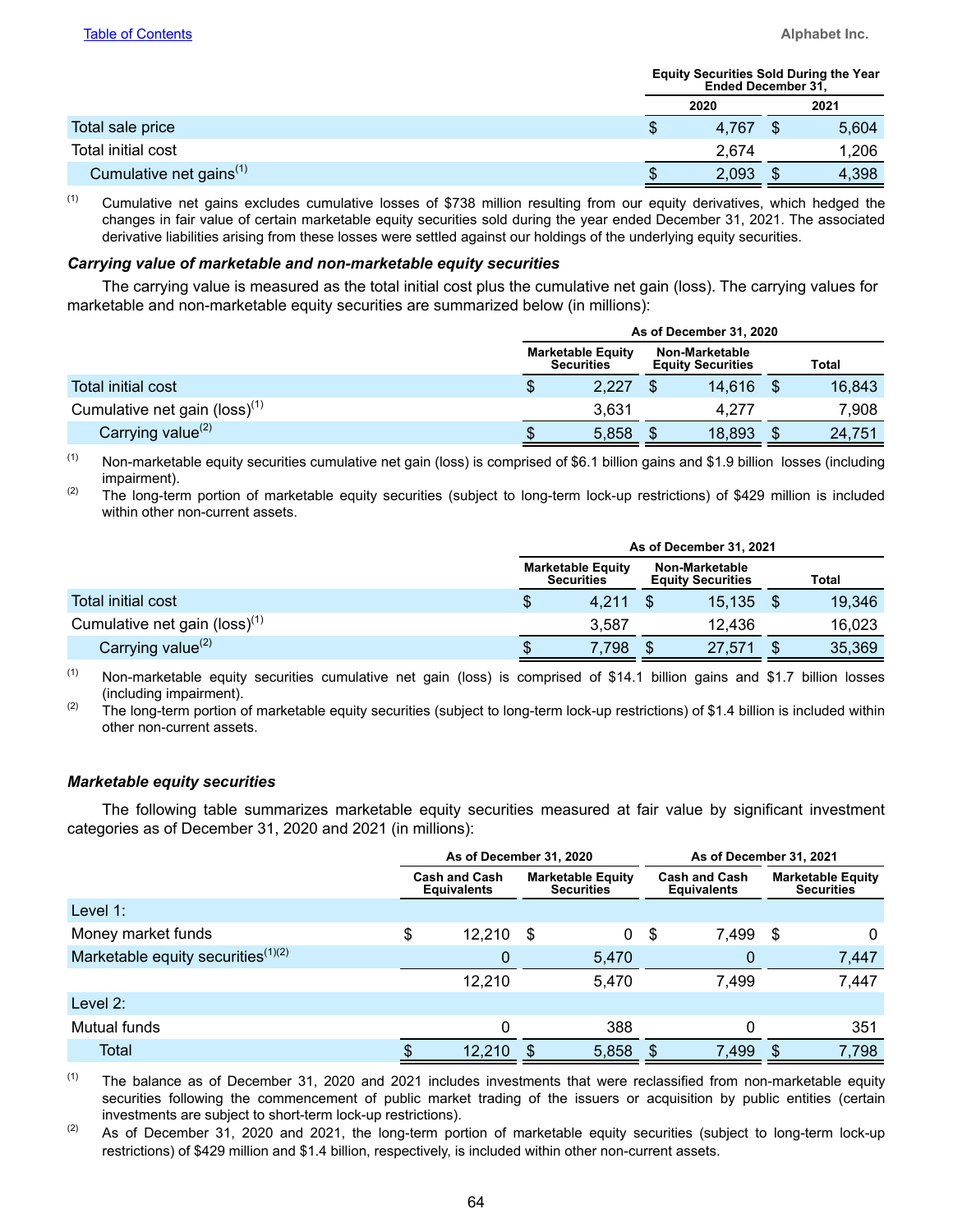**Equity Securities Sold During the Year Ended December 31,**

|                                     |       | <b>LINGA DECENTER AT</b> |       |  |  |
|-------------------------------------|-------|--------------------------|-------|--|--|
|                                     | 2020  | 2021                     |       |  |  |
| Total sale price                    | 4.767 |                          | 5,604 |  |  |
| Total initial cost                  | 2,674 |                          | 1,206 |  |  |
| Cumulative net gains <sup>(1)</sup> | 2,093 |                          | 4,398 |  |  |

 $(1)$  Cumulative net gains excludes cumulative losses of \$738 million resulting from our equity derivatives, which hedged the changes in fair value of certain marketable equity securities sold during the year ended December 31, 2021. The associated derivative liabilities arising from these losses were settled against our holdings of the underlying equity securities.

### *Carrying value of marketable and non-marketable equity securities*

The carrying value is measured as the total initial cost plus the cumulative net gain (loss). The carrying values for marketable and non-marketable equity securities are summarized below (in millions):

|                                               | As of December 31, 2020 |                                               |  |                                            |  |        |  |  |  |
|-----------------------------------------------|-------------------------|-----------------------------------------------|--|--------------------------------------------|--|--------|--|--|--|
|                                               |                         | <b>Marketable Equity</b><br><b>Securities</b> |  | Non-Marketable<br><b>Equity Securities</b> |  | Total  |  |  |  |
| Total initial cost                            | \$                      | 2,227                                         |  | 14.616                                     |  | 16,843 |  |  |  |
| Cumulative net gain ( $loss$ ) <sup>(1)</sup> |                         | 3.631                                         |  | 4.277                                      |  | 7.908  |  |  |  |
| Carrying value $(2)$                          | \$                      | 5,858                                         |  | 18,893                                     |  | 24,751 |  |  |  |

(1) Non-marketable equity securities cumulative net gain (loss) is comprised of \$6.1 billion gains and \$1.9 billion losses (including impairment).

 $(2)$  The long-term portion of marketable equity securities (subject to long-term lock-up restrictions) of \$429 million is included within other non-current assets.

|                                  | As of December 31, 2021                       |       |  |                                            |  |        |  |  |  |
|----------------------------------|-----------------------------------------------|-------|--|--------------------------------------------|--|--------|--|--|--|
|                                  | <b>Marketable Equity</b><br><b>Securities</b> |       |  | Non-Marketable<br><b>Equity Securities</b> |  | Total  |  |  |  |
| Total initial cost               | \$                                            | 4.211 |  | 15,135                                     |  | 19,346 |  |  |  |
| Cumulative net gain (loss) $(1)$ |                                               | 3.587 |  | 12.436                                     |  | 16,023 |  |  |  |
| Carrying value <sup>(2)</sup>    | S                                             | 7,798 |  | $27.57^{\circ}$                            |  | 35,369 |  |  |  |

 $(1)$  Non-marketable equity securities cumulative net gain (loss) is comprised of \$14.1 billion gains and \$1.7 billion losses (including impairment).

 $(2)$  The long-term portion of marketable equity securities (subject to long-term lock-up restrictions) of \$1.4 billion is included within other non-current assets.

#### *Marketable equity securities*

The following table summarizes marketable equity securities measured at fair value by significant investment categories as of December 31, 2020 and 2021 (in millions):

|                                       | As of December 31, 2020                    |        |      |                                               |                                            | As of December 31, 2021 |      |                                               |  |
|---------------------------------------|--------------------------------------------|--------|------|-----------------------------------------------|--------------------------------------------|-------------------------|------|-----------------------------------------------|--|
|                                       | <b>Cash and Cash</b><br><b>Equivalents</b> |        |      | <b>Marketable Equity</b><br><b>Securities</b> | <b>Cash and Cash</b><br><b>Equivalents</b> |                         |      | <b>Marketable Equity</b><br><b>Securities</b> |  |
| Level $1$ :                           |                                            |        |      |                                               |                                            |                         |      |                                               |  |
| Money market funds                    | \$                                         | 12.210 | - \$ | 0                                             | \$                                         | 7,499                   | - \$ | 0                                             |  |
| Marketable equity securities $(1)(2)$ |                                            | 0      |      | 5,470                                         |                                            | 0                       |      | 7,447                                         |  |
|                                       |                                            | 12,210 |      | 5,470                                         |                                            | 7,499                   |      | 7,447                                         |  |
| Level $2$ :                           |                                            |        |      |                                               |                                            |                         |      |                                               |  |
| Mutual funds                          |                                            | 0      |      | 388                                           |                                            |                         |      | 351                                           |  |
| Total                                 |                                            | 12.210 | S    | 5,858                                         | \$                                         | 7,499                   | -\$  | 7,798                                         |  |

 $(1)$  The balance as of December 31, 2020 and 2021 includes investments that were reclassified from non-marketable equity securities following the commencement of public market trading of the issuers or acquisition by public entities (certain investments are subject to short-term lock-up restrictions).

 $(2)$  As of December 31, 2020 and 2021, the long-term portion of marketable equity securities (subject to long-term lock-up restrictions) of \$429 million and \$1.4 billion, respectively, is included within other non-current assets.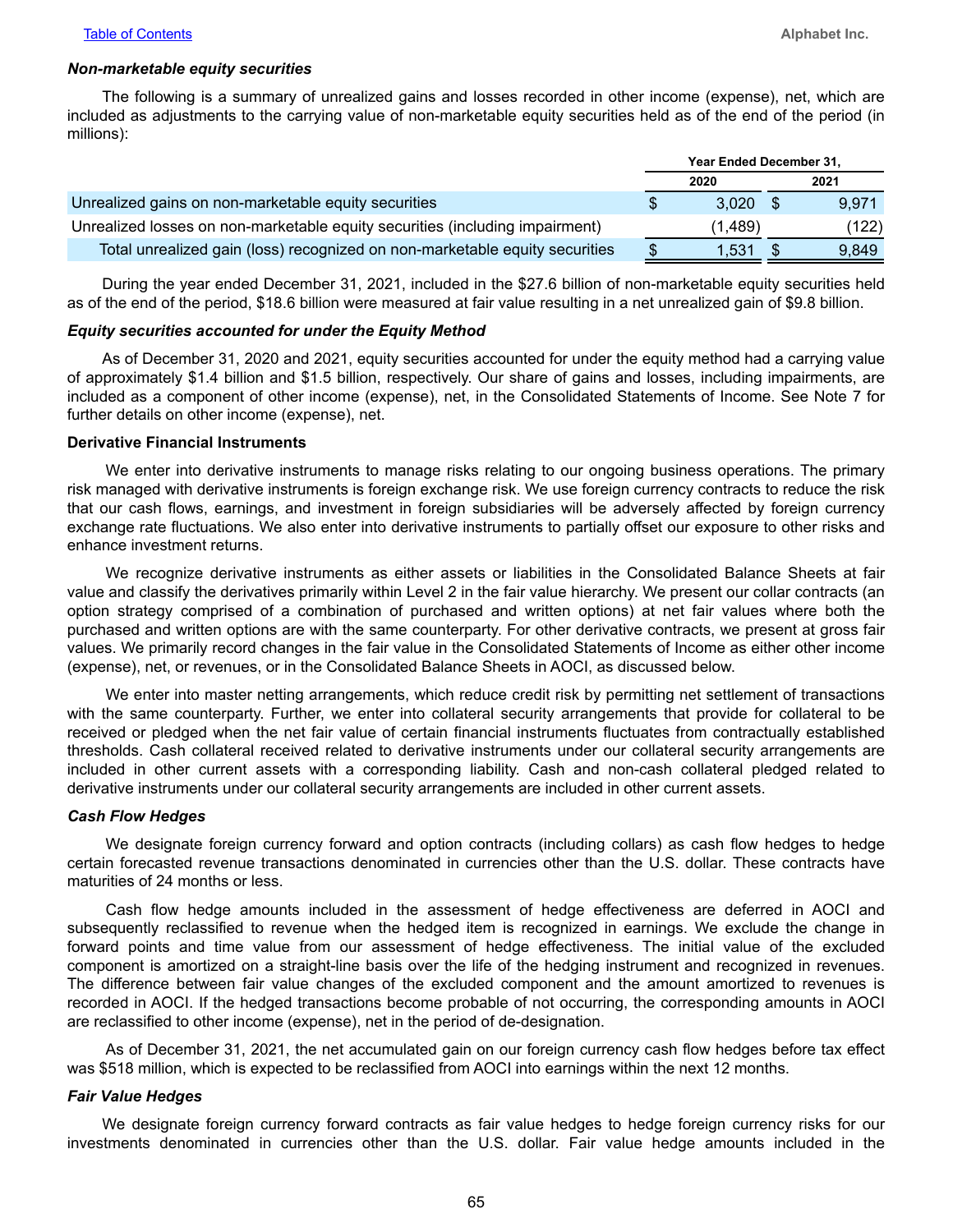#### *Non-marketable equity securities*

The following is a summary of unrealized gains and losses recorded in other income (expense), net, which are included as adjustments to the carrying value of non-marketable equity securities held as of the end of the period (in millions):

|                                                                              | Year Ended December 31, |       |
|------------------------------------------------------------------------------|-------------------------|-------|
|                                                                              | 2020                    | 2021  |
| Unrealized gains on non-marketable equity securities                         | 3.020                   | 9.971 |
| Unrealized losses on non-marketable equity securities (including impairment) | (1.489)                 | (122) |
| Total unrealized gain (loss) recognized on non-marketable equity securities  | 1.531                   | 9.849 |

During the year ended December 31, 2021, included in the \$27.6 billion of non-marketable equity securities held as of the end of the period, \$18.6 billion were measured at fair value resulting in a net unrealized gain of \$9.8 billion.

#### *Equity securities accounted for under the Equity Method*

As of December 31, 2020 and 2021, equity securities accounted for under the equity method had a carrying value of approximately \$1.4 billion and \$1.5 billion, respectively. Our share of gains and losses, including impairments, are included as a component of other income (expense), net, in the Consolidated Statements of Income. See Note 7 for further details on other income (expense), net.

#### **Derivative Financial Instruments**

We enter into derivative instruments to manage risks relating to our ongoing business operations. The primary risk managed with derivative instruments is foreign exchange risk. We use foreign currency contracts to reduce the risk that our cash flows, earnings, and investment in foreign subsidiaries will be adversely affected by foreign currency exchange rate fluctuations. We also enter into derivative instruments to partially offset our exposure to other risks and enhance investment returns.

We recognize derivative instruments as either assets or liabilities in the Consolidated Balance Sheets at fair value and classify the derivatives primarily within Level 2 in the fair value hierarchy. We present our collar contracts (an option strategy comprised of a combination of purchased and written options) at net fair values where both the purchased and written options are with the same counterparty. For other derivative contracts, we present at gross fair values. We primarily record changes in the fair value in the Consolidated Statements of Income as either other income (expense), net, or revenues, or in the Consolidated Balance Sheets in AOCI, as discussed below.

We enter into master netting arrangements, which reduce credit risk by permitting net settlement of transactions with the same counterparty. Further, we enter into collateral security arrangements that provide for collateral to be received or pledged when the net fair value of certain financial instruments fluctuates from contractually established thresholds. Cash collateral received related to derivative instruments under our collateral security arrangements are included in other current assets with a corresponding liability. Cash and non-cash collateral pledged related to derivative instruments under our collateral security arrangements are included in other current assets.

#### *Cash Flow Hedges*

We designate foreign currency forward and option contracts (including collars) as cash flow hedges to hedge certain forecasted revenue transactions denominated in currencies other than the U.S. dollar. These contracts have maturities of 24 months or less.

Cash flow hedge amounts included in the assessment of hedge effectiveness are deferred in AOCI and subsequently reclassified to revenue when the hedged item is recognized in earnings. We exclude the change in forward points and time value from our assessment of hedge effectiveness. The initial value of the excluded component is amortized on a straight-line basis over the life of the hedging instrument and recognized in revenues. The difference between fair value changes of the excluded component and the amount amortized to revenues is recorded in AOCI. If the hedged transactions become probable of not occurring, the corresponding amounts in AOCI are reclassified to other income (expense), net in the period of de-designation.

As of December 31, 2021, the net accumulated gain on our foreign currency cash flow hedges before tax effect was \$518 million, which is expected to be reclassified from AOCI into earnings within the next 12 months.

#### *Fair Value Hedges*

We designate foreign currency forward contracts as fair value hedges to hedge foreign currency risks for our investments denominated in currencies other than the U.S. dollar. Fair value hedge amounts included in the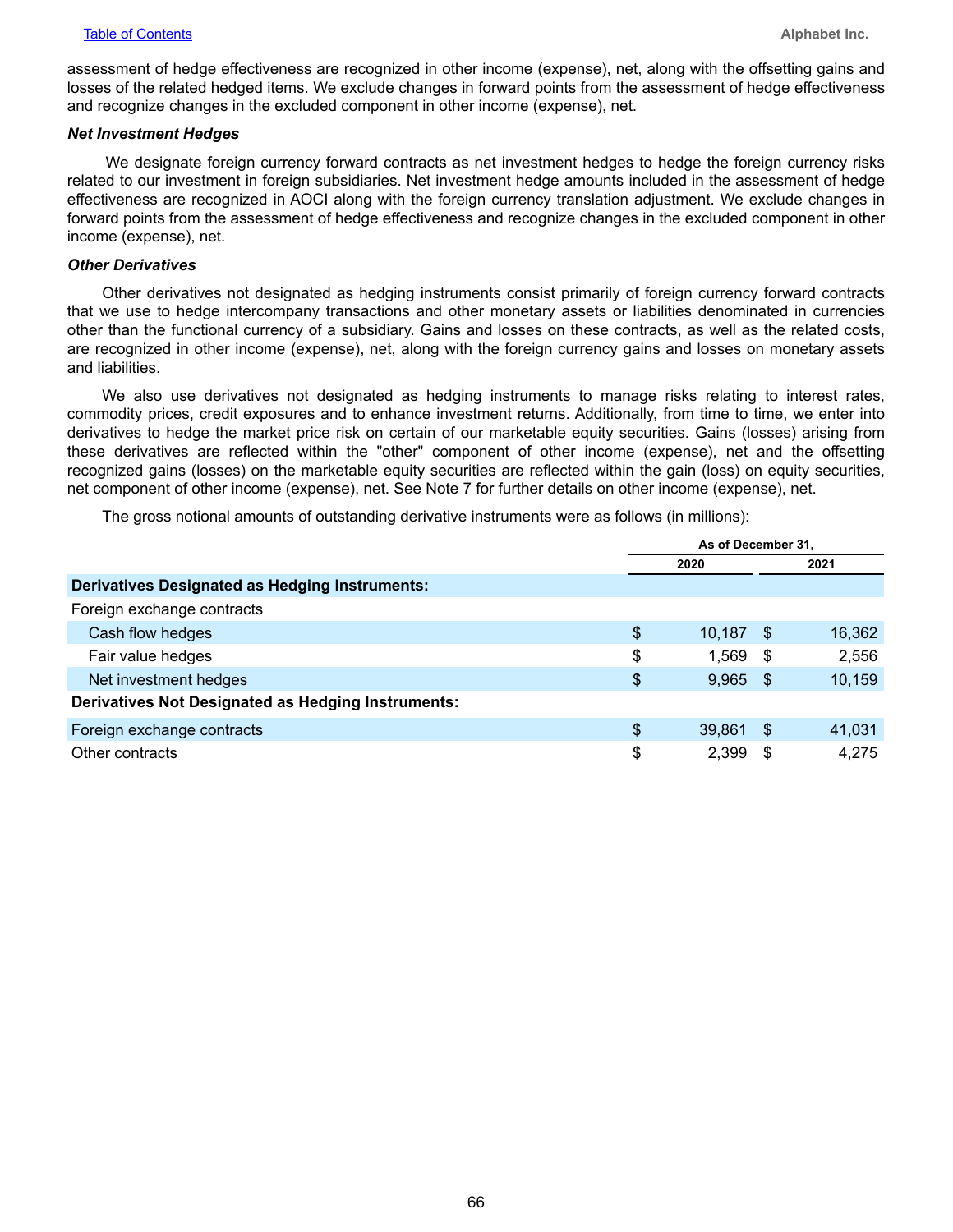assessment of hedge effectiveness are recognized in other income (expense), net, along with the offsetting gains and losses of the related hedged items. We exclude changes in forward points from the assessment of hedge effectiveness and recognize changes in the excluded component in other income (expense), net.

### *Net Investment Hedges*

We designate foreign currency forward contracts as net investment hedges to hedge the foreign currency risks related to our investment in foreign subsidiaries. Net investment hedge amounts included in the assessment of hedge effectiveness are recognized in AOCI along with the foreign currency translation adjustment. We exclude changes in forward points from the assessment of hedge effectiveness and recognize changes in the excluded component in other income (expense), net.

## *Other Derivatives*

Other derivatives not designated as hedging instruments consist primarily of foreign currency forward contracts that we use to hedge intercompany transactions and other monetary assets or liabilities denominated in currencies other than the functional currency of a subsidiary. Gains and losses on these contracts, as well as the related costs, are recognized in other income (expense), net, along with the foreign currency gains and losses on monetary assets and liabilities.

We also use derivatives not designated as hedging instruments to manage risks relating to interest rates, commodity prices, credit exposures and to enhance investment returns. Additionally, from time to time, we enter into derivatives to hedge the market price risk on certain of our marketable equity securities. Gains (losses) arising from these derivatives are reflected within the "other" component of other income (expense), net and the offsetting recognized gains (losses) on the marketable equity securities are reflected within the gain (loss) on equity securities, net component of other income (expense), net. See Note 7 for further details on other income (expense), net.

The gross notional amounts of outstanding derivative instruments were as follows (in millions):

|                                                       | As of December 31, |            |      |        |  |  |
|-------------------------------------------------------|--------------------|------------|------|--------|--|--|
|                                                       |                    | 2020       |      | 2021   |  |  |
| <b>Derivatives Designated as Hedging Instruments:</b> |                    |            |      |        |  |  |
| Foreign exchange contracts                            |                    |            |      |        |  |  |
| Cash flow hedges                                      | \$                 | 10,187     | - \$ | 16,362 |  |  |
| Fair value hedges                                     | \$                 | 1,569      | - \$ | 2,556  |  |  |
| Net investment hedges                                 | \$                 | $9,965$ \$ |      | 10,159 |  |  |
| Derivatives Not Designated as Hedging Instruments:    |                    |            |      |        |  |  |
| Foreign exchange contracts                            | \$                 | 39.861     | -\$  | 41,031 |  |  |
| Other contracts                                       | \$                 | 2,399      |      | 4,275  |  |  |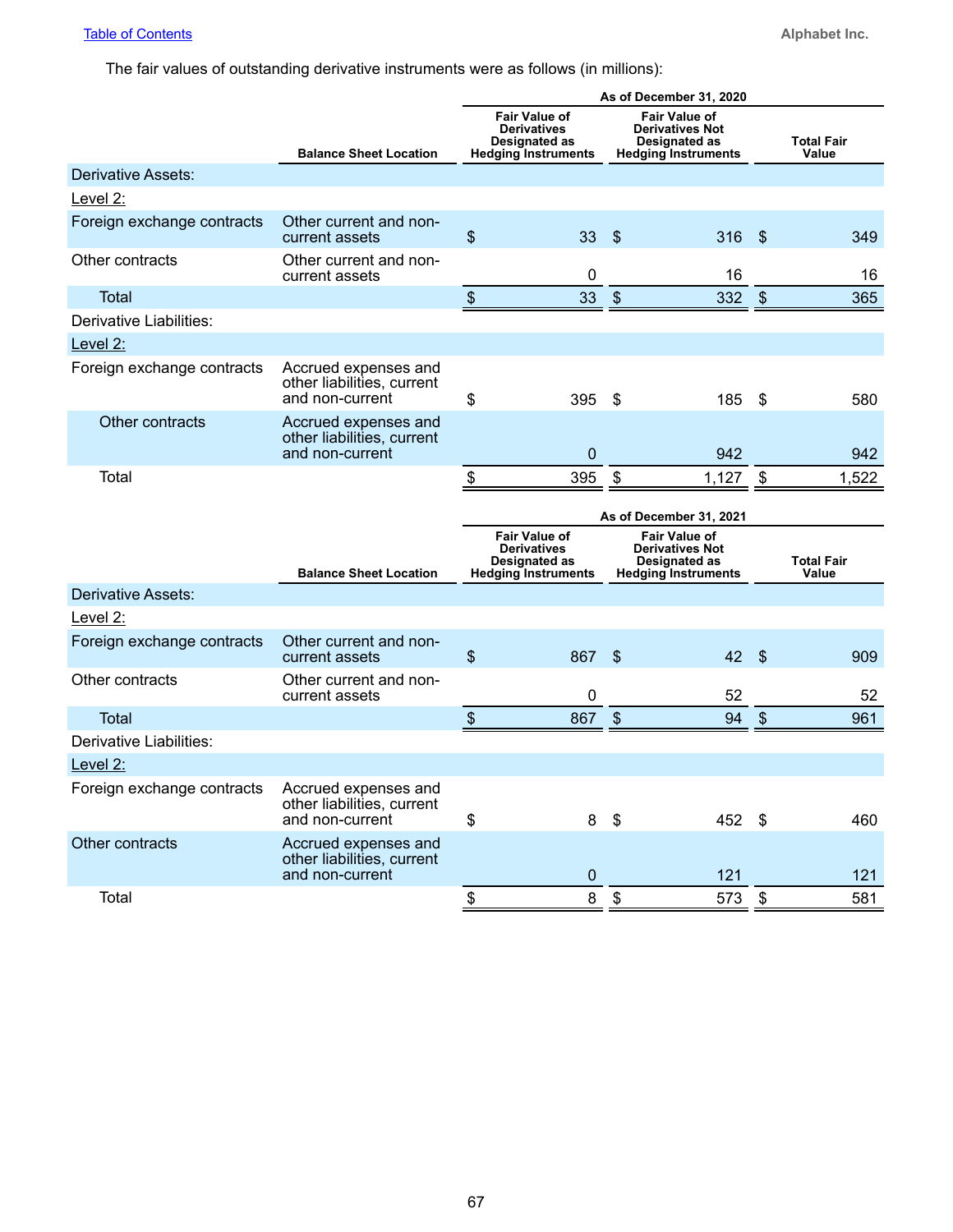The fair values of outstanding derivative instruments were as follows (in millions):

|                            |                                                                       | As of December 31, 2020 |                                                                                           |                           |                                                                                               |                         |                            |  |  |
|----------------------------|-----------------------------------------------------------------------|-------------------------|-------------------------------------------------------------------------------------------|---------------------------|-----------------------------------------------------------------------------------------------|-------------------------|----------------------------|--|--|
|                            | <b>Balance Sheet Location</b>                                         |                         | <b>Fair Value of</b><br><b>Derivatives</b><br>Designated as<br><b>Hedging Instruments</b> |                           | <b>Fair Value of</b><br><b>Derivatives Not</b><br>Designated as<br><b>Hedging Instruments</b> |                         | <b>Total Fair</b><br>Value |  |  |
| <b>Derivative Assets:</b>  |                                                                       |                         |                                                                                           |                           |                                                                                               |                         |                            |  |  |
| Level 2:                   |                                                                       |                         |                                                                                           |                           |                                                                                               |                         |                            |  |  |
| Foreign exchange contracts | Other current and non-<br>current assets                              | \$                      | 33                                                                                        | $\sqrt{3}$                | 316                                                                                           | $\sqrt{3}$              | 349                        |  |  |
| Other contracts            | Other current and non-<br>current assets                              |                         | 0                                                                                         |                           | 16                                                                                            |                         | 16                         |  |  |
| <b>Total</b>               |                                                                       | $\frac{1}{2}$           | 33                                                                                        | $\boldsymbol{\mathsf{S}}$ | 332                                                                                           | $\sqrt[6]{\frac{1}{2}}$ | 365                        |  |  |
| Derivative Liabilities:    |                                                                       |                         |                                                                                           |                           |                                                                                               |                         |                            |  |  |
| Level 2:                   |                                                                       |                         |                                                                                           |                           |                                                                                               |                         |                            |  |  |
| Foreign exchange contracts | Accrued expenses and<br>other liabilities, current<br>and non-current | \$                      | 395 \$                                                                                    |                           | 185                                                                                           | \$                      | 580                        |  |  |
| Other contracts            | Accrued expenses and<br>other liabilities, current<br>and non-current |                         | 0                                                                                         |                           | 942                                                                                           |                         | 942                        |  |  |
| Total                      |                                                                       | \$                      | 395                                                                                       | \$                        | 1,127                                                                                         | \$                      | 1,522                      |  |  |
|                            |                                                                       |                         |                                                                                           |                           |                                                                                               |                         |                            |  |  |
|                            |                                                                       |                         | <b>Fair Value of</b><br><b>Derivatives</b>                                                |                           | As of December 31, 2021<br>Fair Value of<br><b>Derivatives Not</b>                            |                         |                            |  |  |
|                            | <b>Balance Sheet Location</b>                                         |                         | Designated as<br><b>Hedging Instruments</b>                                               |                           | Designated as<br><b>Hedging Instruments</b>                                                   |                         | <b>Total Fair</b><br>Value |  |  |
| <b>Derivative Assets:</b>  |                                                                       |                         |                                                                                           |                           |                                                                                               |                         |                            |  |  |
| Level 2:                   |                                                                       |                         |                                                                                           |                           |                                                                                               |                         |                            |  |  |
| Foreign exchange contracts | Other current and non-<br>current assets                              | \$                      | 867                                                                                       | $\mathfrak{S}$            | 42 \$                                                                                         |                         | 909                        |  |  |
| Other contracts            | Other current and non-<br>current assets                              |                         | $\mathbf 0$                                                                               |                           | 52                                                                                            |                         | 52                         |  |  |
| <b>Total</b>               |                                                                       | $\boldsymbol{\$}$       | 867                                                                                       | $\frac{1}{2}$             | 94                                                                                            | $\frac{3}{2}$           | 961                        |  |  |
| Derivative Liabilities:    |                                                                       |                         |                                                                                           |                           |                                                                                               |                         |                            |  |  |
| Level 2:                   |                                                                       |                         |                                                                                           |                           |                                                                                               |                         |                            |  |  |
| Foreign exchange contracts | Accrued expenses and<br>other liabilities, current<br>and non-current | \$                      | 8                                                                                         | \$                        | 452                                                                                           | \$                      | 460                        |  |  |
| Other contracts            | Accrued expenses and<br>other liabilities, current<br>and non-current |                         | $\pmb{0}$                                                                                 |                           | 121                                                                                           |                         | 121                        |  |  |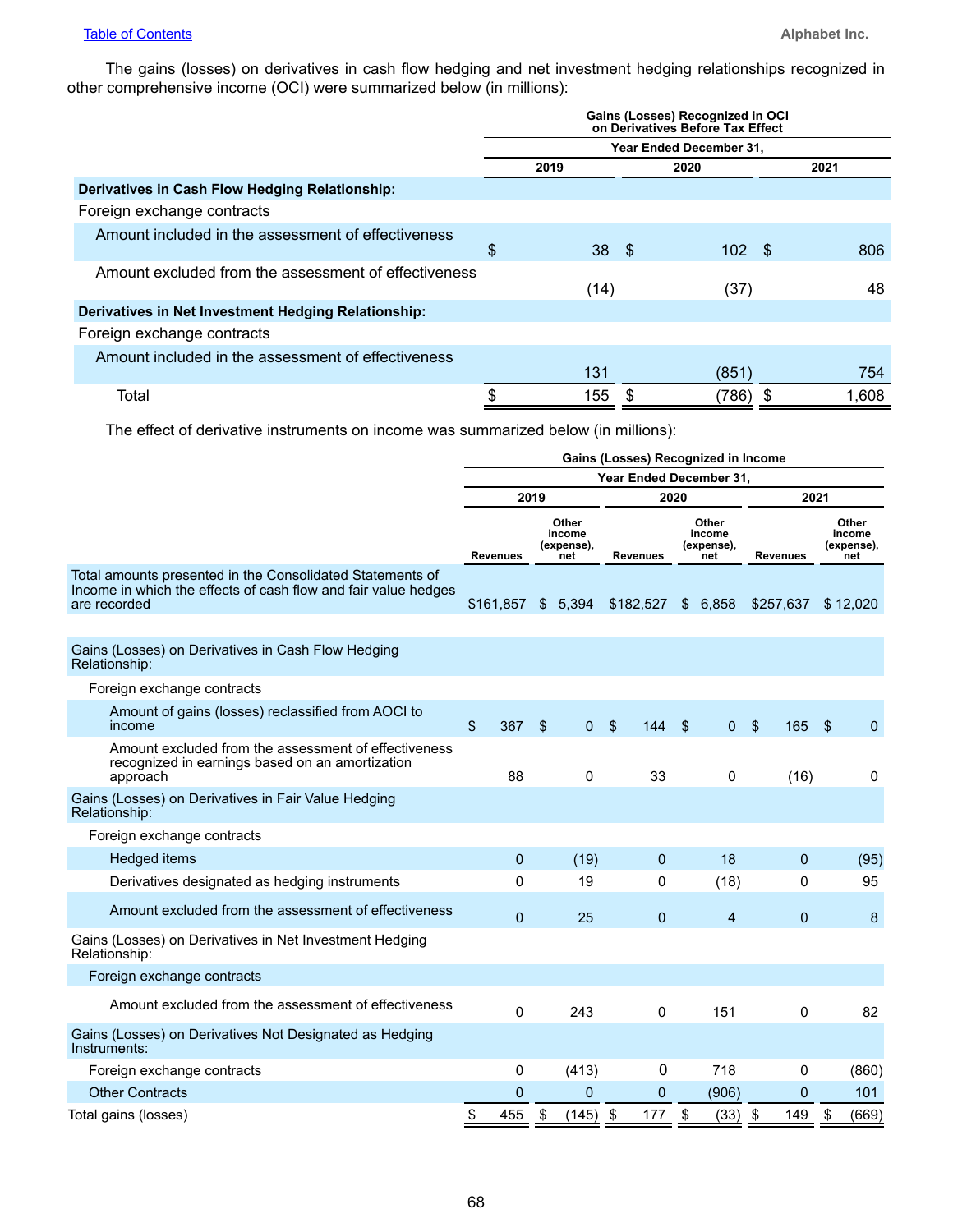The gains (losses) on derivatives in cash flow hedging and net investment hedging relationships recognized in other comprehensive income (OCI) were summarized below (in millions):

|                                                      | Gains (Losses) Recognized in OCI<br>on Derivatives Before Tax Effect |                 |  |       |  |       |  |  |  |  |
|------------------------------------------------------|----------------------------------------------------------------------|-----------------|--|-------|--|-------|--|--|--|--|
|                                                      | Year Ended December 31,                                              |                 |  |       |  |       |  |  |  |  |
|                                                      |                                                                      | 2019            |  | 2020  |  | 2021  |  |  |  |  |
| Derivatives in Cash Flow Hedging Relationship:       |                                                                      |                 |  |       |  |       |  |  |  |  |
| Foreign exchange contracts                           |                                                                      |                 |  |       |  |       |  |  |  |  |
| Amount included in the assessment of effectiveness   | \$                                                                   | 38 <sup>5</sup> |  | 102 S |  | 806   |  |  |  |  |
| Amount excluded from the assessment of effectiveness |                                                                      | (14)            |  | (37)  |  | 48    |  |  |  |  |
| Derivatives in Net Investment Hedging Relationship:  |                                                                      |                 |  |       |  |       |  |  |  |  |
| Foreign exchange contracts                           |                                                                      |                 |  |       |  |       |  |  |  |  |
| Amount included in the assessment of effectiveness   |                                                                      | 131             |  | (851) |  | 754   |  |  |  |  |
| Total                                                |                                                                      | 155             |  | (786) |  | 1,608 |  |  |  |  |

The effect of derivative instruments on income was summarized below (in millions):

|                                                                                                                                             | Gains (Losses) Recognized in Income |                 |    |                                      |               |             |    |                                      |                |              |    |                                      |
|---------------------------------------------------------------------------------------------------------------------------------------------|-------------------------------------|-----------------|----|--------------------------------------|---------------|-------------|----|--------------------------------------|----------------|--------------|----|--------------------------------------|
|                                                                                                                                             |                                     |                 |    |                                      |               |             |    | Year Ended December 31,              |                |              |    |                                      |
|                                                                                                                                             |                                     | 2019            |    |                                      |               | 2020        |    |                                      |                | 2021         |    |                                      |
|                                                                                                                                             |                                     | <b>Revenues</b> |    | Other<br>income<br>(expense),<br>net |               | Revenues    |    | Other<br>income<br>(expense),<br>net |                | Revenues     |    | Other<br>income<br>(expense),<br>net |
| Total amounts presented in the Consolidated Statements of<br>Income in which the effects of cash flow and fair value hedges<br>are recorded |                                     | \$161,857       |    | \$5,394                              |               | \$182,527   |    | \$6,858                              |                | \$257,637    |    | \$12,020                             |
|                                                                                                                                             |                                     |                 |    |                                      |               |             |    |                                      |                |              |    |                                      |
| Gains (Losses) on Derivatives in Cash Flow Hedging<br>Relationship:                                                                         |                                     |                 |    |                                      |               |             |    |                                      |                |              |    |                                      |
| Foreign exchange contracts                                                                                                                  |                                     |                 |    |                                      |               |             |    |                                      |                |              |    |                                      |
| Amount of gains (losses) reclassified from AOCI to<br>income                                                                                | \$                                  | 367             | \$ | $\mathbf{0}$                         | $\mathcal{S}$ | 144         | \$ | $\overline{0}$                       | $\mathfrak{F}$ | 165          | \$ | $\mathbf{0}$                         |
| Amount excluded from the assessment of effectiveness<br>recognized in earnings based on an amortization<br>approach                         |                                     | 88              |    | 0                                    |               | 33          |    | 0                                    |                | (16)         |    | 0                                    |
| Gains (Losses) on Derivatives in Fair Value Hedging<br>Relationship:                                                                        |                                     |                 |    |                                      |               |             |    |                                      |                |              |    |                                      |
| Foreign exchange contracts                                                                                                                  |                                     |                 |    |                                      |               |             |    |                                      |                |              |    |                                      |
| Hedged items                                                                                                                                |                                     | $\mathbf{0}$    |    | (19)                                 |               | $\mathbf 0$ |    | 18                                   |                | $\mathbf{0}$ |    | (95)                                 |
| Derivatives designated as hedging instruments                                                                                               |                                     | $\mathbf{0}$    |    | 19                                   |               | 0           |    | (18)                                 |                | $\mathbf 0$  |    | 95                                   |
| Amount excluded from the assessment of effectiveness                                                                                        |                                     | $\mathbf{0}$    |    | 25                                   |               | $\mathbf 0$ |    | 4                                    |                | $\mathbf{0}$ |    | 8                                    |
| Gains (Losses) on Derivatives in Net Investment Hedging<br>Relationship:                                                                    |                                     |                 |    |                                      |               |             |    |                                      |                |              |    |                                      |
| Foreign exchange contracts                                                                                                                  |                                     |                 |    |                                      |               |             |    |                                      |                |              |    |                                      |
| Amount excluded from the assessment of effectiveness                                                                                        |                                     | $\Omega$        |    | 243                                  |               | 0           |    | 151                                  |                | $\mathbf 0$  |    | 82                                   |
| Gains (Losses) on Derivatives Not Designated as Hedging<br>Instruments:                                                                     |                                     |                 |    |                                      |               |             |    |                                      |                |              |    |                                      |
| Foreign exchange contracts                                                                                                                  |                                     | 0               |    | (413)                                |               | 0           |    | 718                                  |                | 0            |    | (860)                                |
| <b>Other Contracts</b>                                                                                                                      |                                     | $\mathbf 0$     |    | $\overline{0}$                       |               | $\mathbf 0$ |    | (906)                                |                | 0            |    | 101                                  |
| Total gains (losses)                                                                                                                        | \$                                  | 455             | \$ | (145)                                | \$            | 177         | \$ | (33)                                 | \$             | 149          | \$ | (669)                                |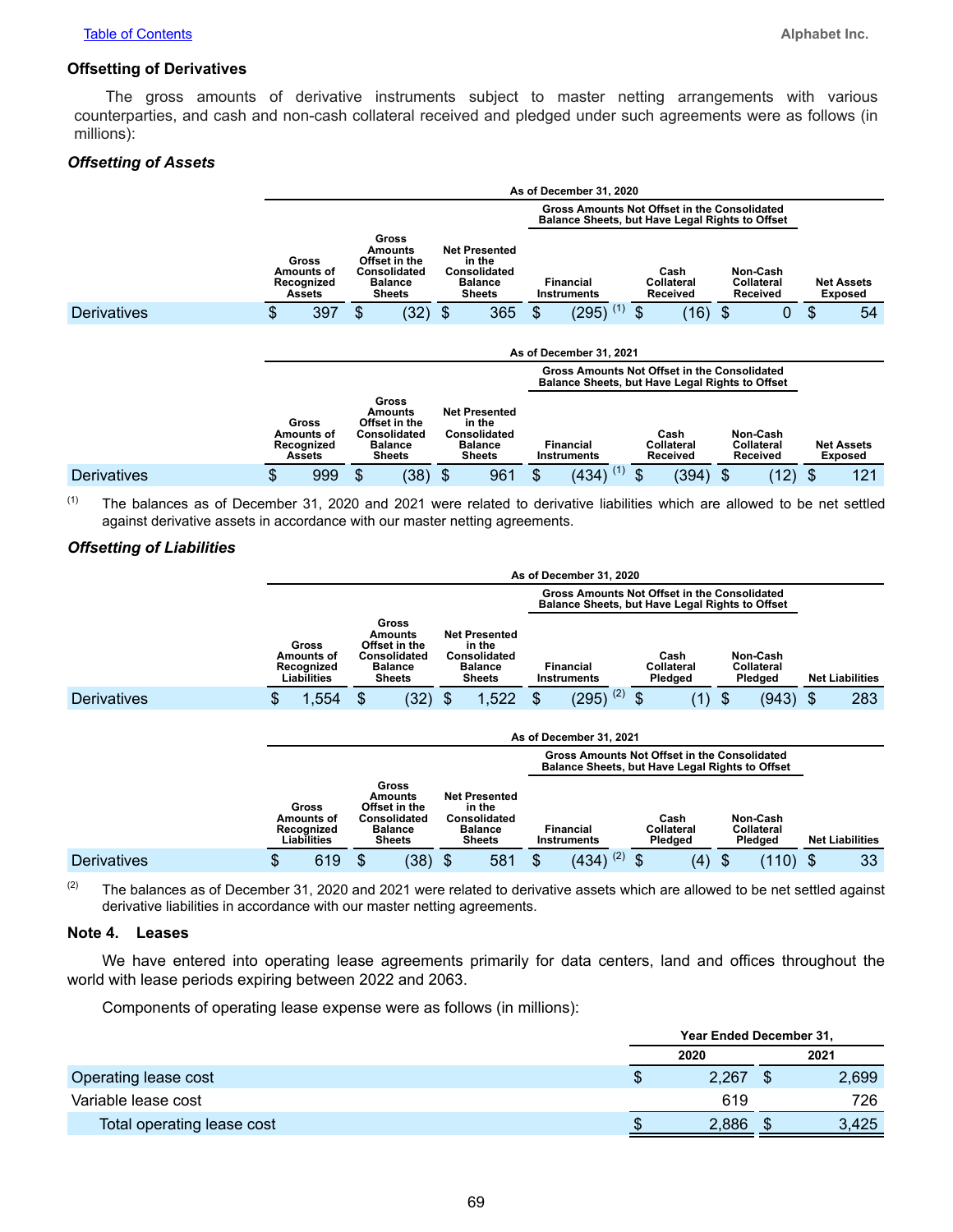### **Offsetting of Derivatives**

The gross amounts of derivative instruments subject to master netting arrangements with various counterparties, and cash and non-cash collateral received and pledged under such agreements were as follows (in millions):

## *Offsetting of Assets*

|                    |                                                    |                                                                                                           |    |                                                                                   | As of December 31, 2020                                                                                |                           |                                |                                           |                                     |
|--------------------|----------------------------------------------------|-----------------------------------------------------------------------------------------------------------|----|-----------------------------------------------------------------------------------|--------------------------------------------------------------------------------------------------------|---------------------------|--------------------------------|-------------------------------------------|-------------------------------------|
|                    |                                                    |                                                                                                           |    |                                                                                   | Gross Amounts Not Offset in the Consolidated<br><b>Balance Sheets, but Have Legal Rights to Offset</b> |                           |                                |                                           |                                     |
|                    | <b>Gross</b><br>Amounts of<br>Recognized<br>Assets | <b>Gross</b><br>Amounts<br>Offset in the<br>Consolidated<br><b>Balance</b><br><b>Sheets</b>               |    | <b>Net Presented</b><br>in the<br>Consolidated<br><b>Balance</b><br><b>Sheets</b> | Financial<br><b>Instruments</b>                                                                        |                           | Cash<br>Collateral<br>Received | Non-Cash<br><b>Collateral</b><br>Received | <b>Net Assets</b><br><b>Exposed</b> |
| <b>Derivatives</b> | \$<br>397                                          | \$<br>(32)                                                                                                | \$ | 365                                                                               | \$<br>$(295)$ <sup>(1)</sup>                                                                           | $\boldsymbol{\mathsf{S}}$ | $(16)$ \$                      | 0                                         | \$<br>54                            |
|                    |                                                    |                                                                                                           |    |                                                                                   | As of December 31, 2021                                                                                |                           |                                |                                           |                                     |
|                    |                                                    |                                                                                                           |    |                                                                                   | Gross Amounts Not Offset in the Consolidated<br><b>Balance Sheets, but Have Legal Rights to Offset</b> |                           |                                |                                           |                                     |
|                    | <b>Gross</b><br>Amounts of<br>Recognized<br>Assets | <b>Gross</b><br><b>Amounts</b><br>Offset in the<br><b>Consolidated</b><br><b>Balance</b><br><b>Sheets</b> |    | <b>Net Presented</b><br>in the<br>Consolidated<br><b>Balance</b><br><b>Sheets</b> | Financial<br><b>Instruments</b>                                                                        |                           | Cash<br>Collateral<br>Received | Non-Cash<br>Collateral<br>Received        | <b>Net Assets</b><br><b>Exposed</b> |
| <b>Derivatives</b> | \$<br>999                                          | \$<br>(38)                                                                                                | S  | 961                                                                               | (1)<br>(434)                                                                                           | \$                        | (394)                          | \$<br>(12)                                | \$<br>121                           |

 $(1)$  The balances as of December 31, 2020 and 2021 were related to derivative liabilities which are allowed to be net settled against derivative assets in accordance with our master netting agreements.

## *Offsetting of Liabilities*

|                    |                                                         |                                                                                                    |                                                                                          | As of December 31, 2020         |                                                                                                        |                                          |                        |
|--------------------|---------------------------------------------------------|----------------------------------------------------------------------------------------------------|------------------------------------------------------------------------------------------|---------------------------------|--------------------------------------------------------------------------------------------------------|------------------------------------------|------------------------|
|                    |                                                         |                                                                                                    |                                                                                          |                                 | Gross Amounts Not Offset in the Consolidated<br>Balance Sheets, but Have Legal Rights to Offset        |                                          |                        |
|                    | Gross<br><b>Amounts of</b><br>Recognized<br>Liabilities | Gross<br>Amounts<br>Offset in the<br>Consolidated<br><b>Balance</b><br><b>Sheets</b>               | <b>Net Presented</b><br>in the<br>Consolidated<br><b>Balance</b><br><b>Sheets</b>        | Financial<br><b>Instruments</b> | Cash<br>Collateral<br>Pledged                                                                          | Non-Cash<br>Collateral<br>Pledged        | <b>Net Liabilities</b> |
| <b>Derivatives</b> | 1,554<br>\$                                             | (32)<br>\$                                                                                         | 1,522<br>-\$                                                                             | $(295)^{(2)}$ \$<br>-S          | (1)                                                                                                    | $\boldsymbol{\mathsf{S}}$<br>$(943)$ \$  | 283                    |
|                    |                                                         |                                                                                                    |                                                                                          | As of December 31, 2021         |                                                                                                        |                                          |                        |
|                    |                                                         |                                                                                                    |                                                                                          |                                 | Gross Amounts Not Offset in the Consolidated<br><b>Balance Sheets, but Have Legal Rights to Offset</b> |                                          |                        |
|                    | <b>Gross</b><br>Amounts of<br>Recognized<br>Liabilities | <b>Gross</b><br><b>Amounts</b><br>Offset in the<br>Consolidated<br><b>Balance</b><br><b>Sheets</b> | <b>Net Presented</b><br>in the<br><b>Consolidated</b><br><b>Balance</b><br><b>Sheets</b> | Financial<br>Instruments        | Cash<br>Collateral<br>Pledged                                                                          | Non-Cash<br><b>Collateral</b><br>Pledged | <b>Net Liabilities</b> |

 $(2)$  The balances as of December 31, 2020 and 2021 were related to derivative assets which are allowed to be net settled against derivative liabilities in accordance with our master netting agreements.

Derivatives \$ 619 \$ (38) \$ 581 \$ (434)<sup>(2)</sup> \$ (4) \$ (110) \$ 33

## **Note 4. Leases**

We have entered into operating lease agreements primarily for data centers, land and offices throughout the world with lease periods expiring between 2022 and 2063.

Components of operating lease expense were as follows (in millions):

|                            |   | Year Ended December 31, |  |       |  |  |  |  |
|----------------------------|---|-------------------------|--|-------|--|--|--|--|
|                            |   | 2020                    |  | 2021  |  |  |  |  |
| Operating lease cost       | S | 2,267                   |  | 2,699 |  |  |  |  |
| Variable lease cost        |   | 619                     |  | 726   |  |  |  |  |
| Total operating lease cost | S | 2.886                   |  | 3.425 |  |  |  |  |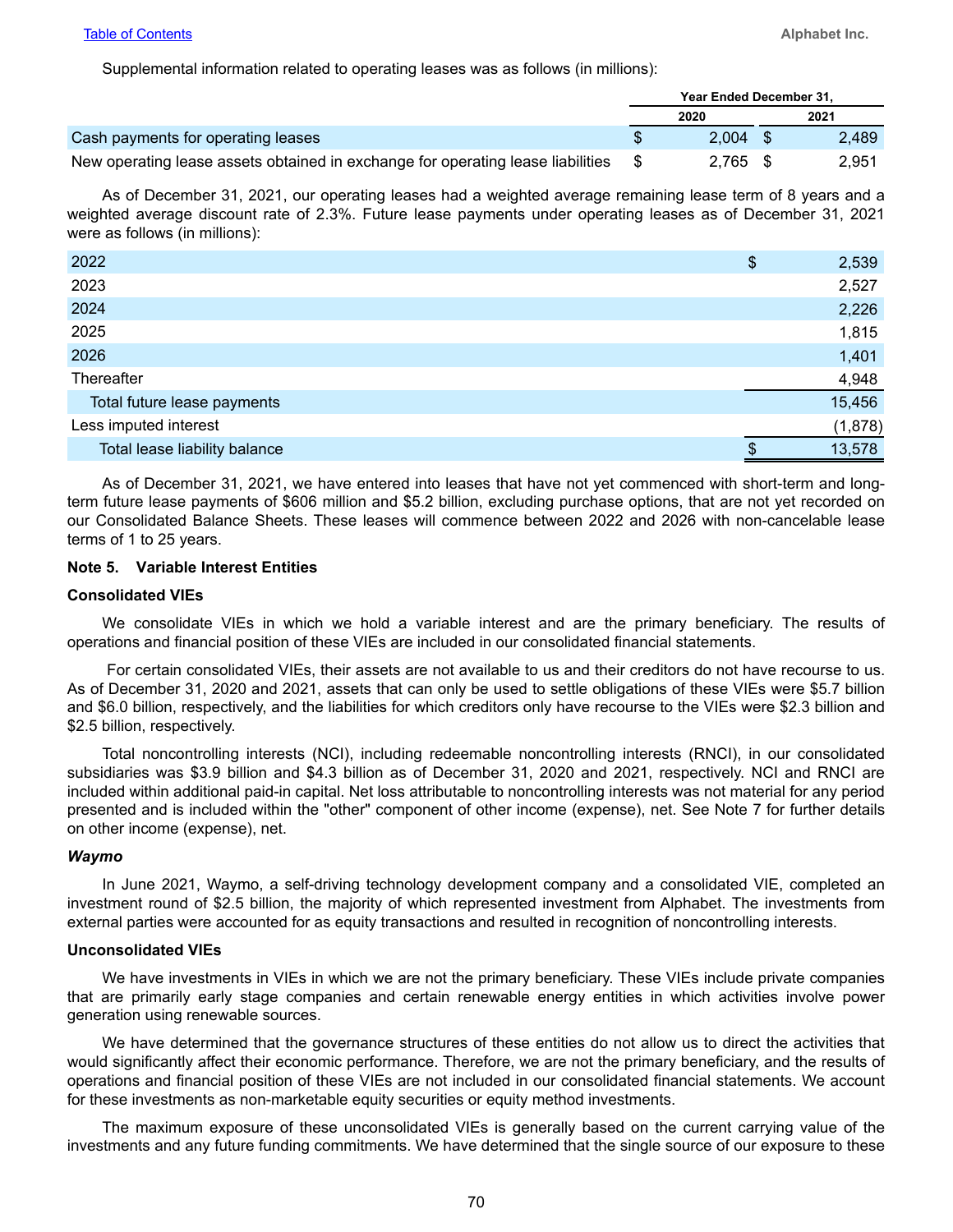Supplemental information related to operating leases was as follows (in millions):

|                                                                                 |      | Year Ended December 31. |  |       |  |  |
|---------------------------------------------------------------------------------|------|-------------------------|--|-------|--|--|
|                                                                                 | 2020 |                         |  | 2021  |  |  |
| Cash payments for operating leases                                              |      | $2.004$ \$              |  | 2.489 |  |  |
| New operating lease assets obtained in exchange for operating lease liabilities |      | 2.765 \$                |  | 2.951 |  |  |

As of December 31, 2021, our operating leases had a weighted average remaining lease term of 8 years and a weighted average discount rate of 2.3%. Future lease payments under operating leases as of December 31, 2021 were as follows (in millions):

| 2022                          | \$<br>2,539 |
|-------------------------------|-------------|
| 2023                          | 2,527       |
| 2024                          | 2,226       |
| 2025                          | 1,815       |
| 2026                          | 1,401       |
| Thereafter                    | 4,948       |
| Total future lease payments   | 15,456      |
| Less imputed interest         | (1,878)     |
| Total lease liability balance | 13,578      |

As of December 31, 2021, we have entered into leases that have not yet commenced with short-term and longterm future lease payments of \$606 million and \$5.2 billion, excluding purchase options, that are not yet recorded on our Consolidated Balance Sheets. These leases will commence between 2022 and 2026 with non-cancelable lease terms of 1 to 25 years.

## **Note 5. Variable Interest Entities**

#### **Consolidated VIEs**

We consolidate VIEs in which we hold a variable interest and are the primary beneficiary. The results of operations and financial position of these VIEs are included in our consolidated financial statements.

 For certain consolidated VIEs, their assets are not available to us and their creditors do not have recourse to us. As of December 31, 2020 and 2021, assets that can only be used to settle obligations of these VIEs were \$5.7 billion and \$6.0 billion, respectively, and the liabilities for which creditors only have recourse to the VIEs were \$2.3 billion and \$2.5 billion, respectively.

Total noncontrolling interests (NCI), including redeemable noncontrolling interests (RNCI), in our consolidated subsidiaries was \$3.9 billion and \$4.3 billion as of December 31, 2020 and 2021, respectively. NCI and RNCI are included within additional paid-in capital. Net loss attributable to noncontrolling interests was not material for any period presented and is included within the "other" component of other income (expense), net. See Note 7 for further details on other income (expense), net.

#### *Waymo*

In June 2021, Waymo, a self-driving technology development company and a consolidated VIE, completed an investment round of \$2.5 billion, the majority of which represented investment from Alphabet. The investments from external parties were accounted for as equity transactions and resulted in recognition of noncontrolling interests.

## **Unconsolidated VIEs**

We have investments in VIEs in which we are not the primary beneficiary. These VIEs include private companies that are primarily early stage companies and certain renewable energy entities in which activities involve power generation using renewable sources.

We have determined that the governance structures of these entities do not allow us to direct the activities that would significantly affect their economic performance. Therefore, we are not the primary beneficiary, and the results of operations and financial position of these VIEs are not included in our consolidated financial statements. We account for these investments as non-marketable equity securities or equity method investments.

The maximum exposure of these unconsolidated VIEs is generally based on the current carrying value of the investments and any future funding commitments. We have determined that the single source of our exposure to these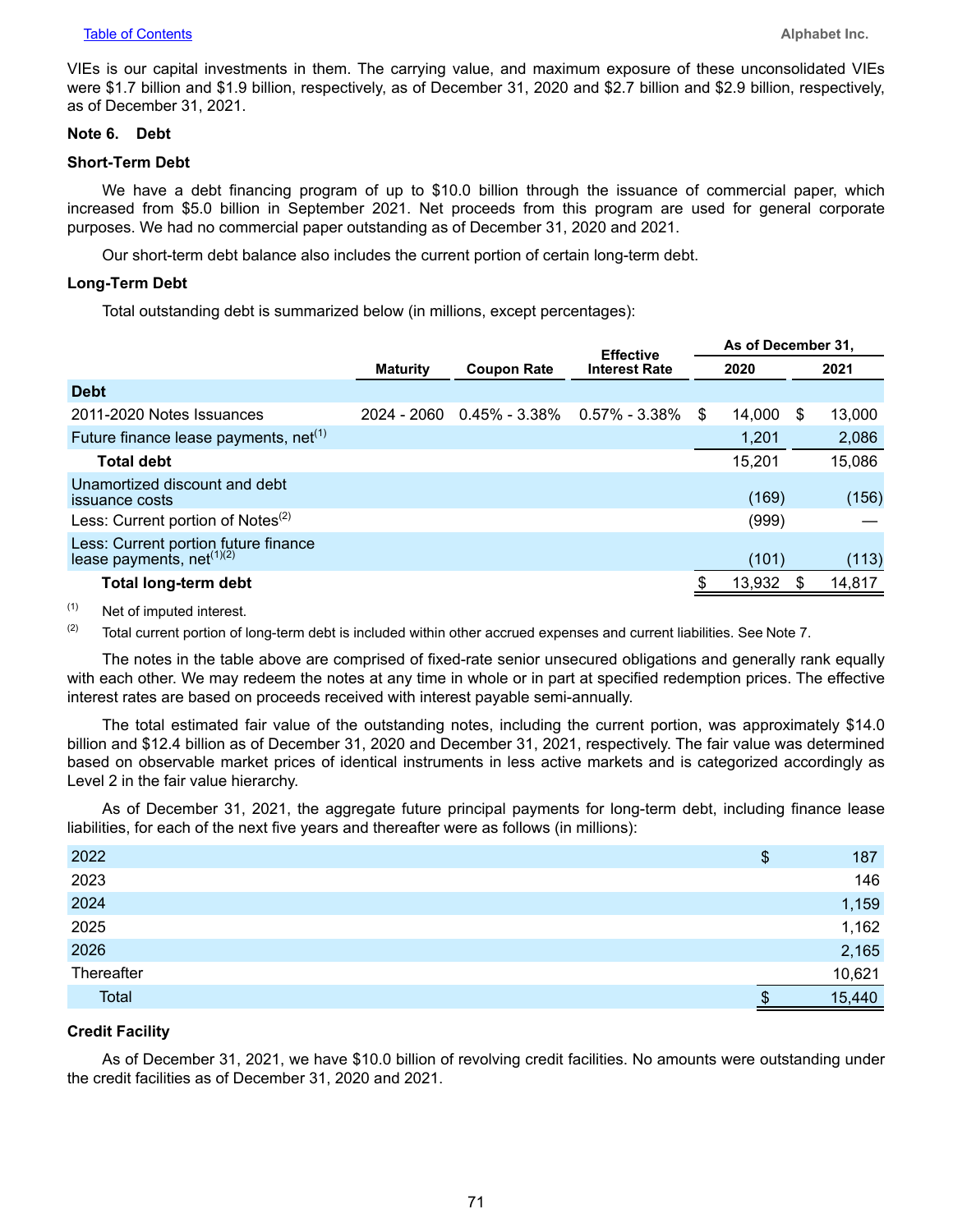VIEs is our capital investments in them. The carrying value, and maximum exposure of these unconsolidated VIEs were \$1.7 billion and \$1.9 billion, respectively, as of December 31, 2020 and \$2.7 billion and \$2.9 billion, respectively, as of December 31, 2021.

## **Note 6. Debt**

## **Short-Term Debt**

We have a debt financing program of up to \$10.0 billion through the issuance of commercial paper, which increased from \$5.0 billion in September 2021. Net proceeds from this program are used for general corporate purposes. We had no commercial paper outstanding as of December 31, 2020 and 2021.

Our short-term debt balance also includes the current portion of certain long-term debt.

## **Long-Term Debt**

Total outstanding debt is summarized below (in millions, except percentages):

|                                                                               |          |                    | <b>Effective</b>                        | As of December 31, |        |    |        |
|-------------------------------------------------------------------------------|----------|--------------------|-----------------------------------------|--------------------|--------|----|--------|
|                                                                               | Maturity | <b>Coupon Rate</b> | <b>Interest Rate</b>                    |                    | 2020   |    | 2021   |
| <b>Debt</b>                                                                   |          |                    |                                         |                    |        |    |        |
| 2011-2020 Notes Issuances                                                     |          |                    | 2024 - 2060 0.45% - 3.38% 0.57% - 3.38% | -S                 | 14.000 | S. | 13,000 |
| Future finance lease payments, net <sup>(1)</sup>                             |          |                    |                                         |                    | 1,201  |    | 2,086  |
| <b>Total debt</b>                                                             |          |                    |                                         |                    | 15,201 |    | 15,086 |
| Unamortized discount and debt<br>issuance costs                               |          |                    |                                         |                    | (169)  |    | (156)  |
| Less: Current portion of Notes <sup>(2)</sup>                                 |          |                    |                                         |                    | (999)  |    |        |
| Less: Current portion future finance<br>lease payments, net <sup>(1)(2)</sup> |          |                    |                                         |                    | (101)  |    | (113)  |
| <b>Total long-term debt</b>                                                   |          |                    |                                         |                    | 13,932 |    | 14,817 |
|                                                                               |          |                    |                                         |                    |        |    |        |

(1) Net of imputed interest.

 $(2)$  Total current portion of long-term debt is included within other accrued expenses and current liabilities. See Note 7.

The notes in the table above are comprised of fixed-rate senior unsecured obligations and generally rank equally with each other. We may redeem the notes at any time in whole or in part at specified redemption prices. The effective interest rates are based on proceeds received with interest payable semi-annually.

The total estimated fair value of the outstanding notes, including the current portion, was approximately \$14.0 billion and \$12.4 billion as of December 31, 2020 and December 31, 2021, respectively. The fair value was determined based on observable market prices of identical instruments in less active markets and is categorized accordingly as Level 2 in the fair value hierarchy.

As of December 31, 2021, the aggregate future principal payments for long-term debt, including finance lease liabilities, for each of the next five years and thereafter were as follows (in millions):

| 2022       | \$<br>187 |
|------------|-----------|
| 2023       | 146       |
| 2024       | 1,159     |
| 2025       | 1,162     |
| 2026       | 2,165     |
| Thereafter | 10,621    |
| Total      | 15,440    |

## **Credit Facility**

As of December 31, 2021, we have \$10.0 billion of revolving credit facilities. No amounts were outstanding under the credit facilities as of December 31, 2020 and 2021.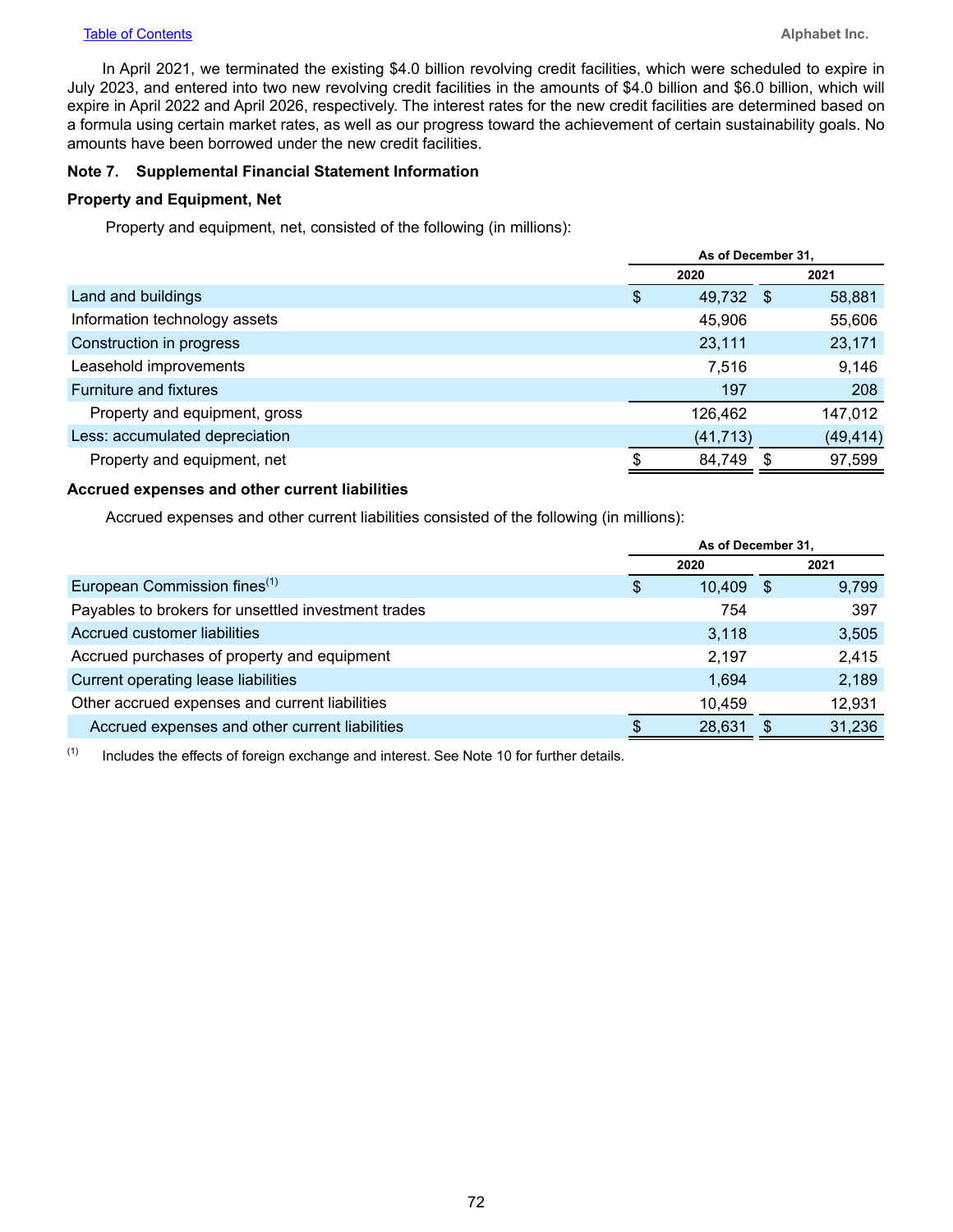### **[Table of Contents](#page-2-0) Alphabet Inc. Alphabet Inc.**

In April 2021, we terminated the existing \$4.0 billion revolving credit facilities, which were scheduled to expire in July 2023, and entered into two new revolving credit facilities in the amounts of \$4.0 billion and \$6.0 billion, which will expire in April 2022 and April 2026, respectively. The interest rates for the new credit facilities are determined based on a formula using certain market rates, as well as our progress toward the achievement of certain sustainability goals. No amounts have been borrowed under the new credit facilities.

# **Note 7. Supplemental Financial Statement Information**

# **Property and Equipment, Net**

Property and equipment, net, consisted of the following (in millions):

|                                |      | As of December 31, |           |  |  |  |  |
|--------------------------------|------|--------------------|-----------|--|--|--|--|
|                                | 2020 |                    | 2021      |  |  |  |  |
| Land and buildings             | \$   | 49,732 \$          | 58,881    |  |  |  |  |
| Information technology assets  |      | 45,906             | 55,606    |  |  |  |  |
| Construction in progress       |      | 23,111             | 23,171    |  |  |  |  |
| Leasehold improvements         |      | 7,516              | 9,146     |  |  |  |  |
| <b>Furniture and fixtures</b>  |      | 197                | 208       |  |  |  |  |
| Property and equipment, gross  |      | 126,462            | 147,012   |  |  |  |  |
| Less: accumulated depreciation |      | (41, 713)          | (49, 414) |  |  |  |  |
| Property and equipment, net    |      | 84,749             | 97,599    |  |  |  |  |

# **Accrued expenses and other current liabilities**

Accrued expenses and other current liabilities consisted of the following (in millions):

|                                                     | As of December 31, |             |   |        |  |  |
|-----------------------------------------------------|--------------------|-------------|---|--------|--|--|
|                                                     | 2020               |             |   | 2021   |  |  |
| European Commission fines <sup>(1)</sup>            | \$                 | $10.409$ \$ |   | 9,799  |  |  |
| Payables to brokers for unsettled investment trades |                    | 754         |   | 397    |  |  |
| Accrued customer liabilities                        |                    | 3,118       |   | 3,505  |  |  |
| Accrued purchases of property and equipment         |                    | 2,197       |   | 2,415  |  |  |
| Current operating lease liabilities                 |                    | 1.694       |   | 2,189  |  |  |
| Other accrued expenses and current liabilities      |                    | 10.459      |   | 12,931 |  |  |
| Accrued expenses and other current liabilities      |                    | 28,631      | S | 31,236 |  |  |
|                                                     |                    |             |   |        |  |  |

 $(1)$  Includes the effects of foreign exchange and interest. See Note 10 for further details.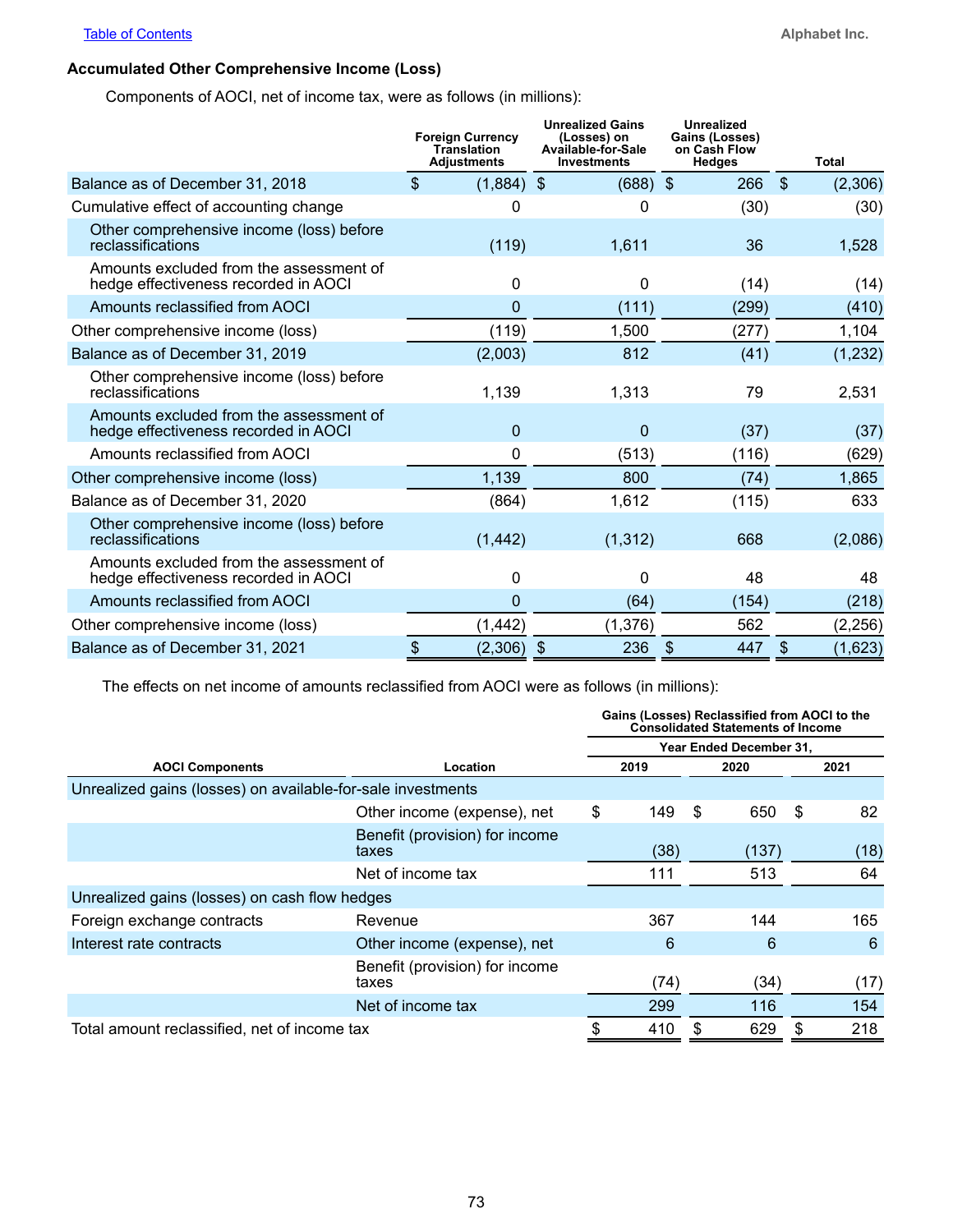# **Accumulated Other Comprehensive Income (Loss)**

Components of AOCI, net of income tax, were as follows (in millions):

|                                                                                 |               | <b>Foreign Currency</b><br><b>Translation</b><br><b>Adjustments</b> | <b>Unrealized Gains</b><br>(Losses) on<br><b>Available-for-Sale</b><br><b>Investments</b> | <b>Unrealized</b><br>Gains (Losses)<br>on Cash Flow<br><b>Hedges</b> |                | <b>Total</b> |
|---------------------------------------------------------------------------------|---------------|---------------------------------------------------------------------|-------------------------------------------------------------------------------------------|----------------------------------------------------------------------|----------------|--------------|
| Balance as of December 31, 2018                                                 | $\mathsf{\$}$ | $(1,884)$ \$                                                        | $(688)$ \$                                                                                | 266                                                                  | $\mathfrak{S}$ | (2,306)      |
| Cumulative effect of accounting change                                          |               | 0                                                                   | 0                                                                                         | (30)                                                                 |                | (30)         |
| Other comprehensive income (loss) before<br>reclassifications                   |               | (119)                                                               | 1,611                                                                                     | 36                                                                   |                | 1,528        |
| Amounts excluded from the assessment of<br>hedge effectiveness recorded in AOCI |               | $\mathbf{0}$                                                        | 0                                                                                         | (14)                                                                 |                | (14)         |
| Amounts reclassified from AOCI                                                  |               | 0                                                                   | (111)                                                                                     | (299)                                                                |                | (410)        |
| Other comprehensive income (loss)                                               |               | (119)                                                               | 1,500                                                                                     | (277)                                                                |                | 1,104        |
| Balance as of December 31, 2019                                                 |               | (2,003)                                                             | 812                                                                                       | (41)                                                                 |                | (1, 232)     |
| Other comprehensive income (loss) before<br>reclassifications                   |               | 1,139                                                               | 1,313                                                                                     | 79                                                                   |                | 2,531        |
| Amounts excluded from the assessment of<br>hedge effectiveness recorded in AOCI |               | $\overline{0}$                                                      | $\overline{0}$                                                                            | (37)                                                                 |                | (37)         |
| Amounts reclassified from AOCI                                                  |               | 0                                                                   | (513)                                                                                     | (116)                                                                |                | (629)        |
| Other comprehensive income (loss)                                               |               | 1,139                                                               | 800                                                                                       | (74)                                                                 |                | 1,865        |
| Balance as of December 31, 2020                                                 |               | (864)                                                               | 1,612                                                                                     | (115)                                                                |                | 633          |
| Other comprehensive income (loss) before<br>reclassifications                   |               | (1, 442)                                                            | (1, 312)                                                                                  | 668                                                                  |                | (2,086)      |
| Amounts excluded from the assessment of<br>hedge effectiveness recorded in AOCI |               | 0                                                                   | 0                                                                                         | 48                                                                   |                | 48           |
| Amounts reclassified from AOCI                                                  |               | 0                                                                   | (64)                                                                                      | (154)                                                                |                | (218)        |
| Other comprehensive income (loss)                                               |               | (1, 442)                                                            | (1, 376)                                                                                  | 562                                                                  |                | (2, 256)     |
| Balance as of December 31, 2021                                                 | $\$\$         | $(2,306)$ \$                                                        | 236                                                                                       | \$<br>447                                                            | \$             | (1,623)      |

The effects on net income of amounts reclassified from AOCI were as follows (in millions):

|                                                             |                                         | Gains (Losses) Reclassified from AOCI to the<br><b>Consolidated Statements of Income</b> |      |   |                         |   |      |  |  |  |      |
|-------------------------------------------------------------|-----------------------------------------|------------------------------------------------------------------------------------------|------|---|-------------------------|---|------|--|--|--|------|
|                                                             |                                         |                                                                                          |      |   | Year Ended December 31, |   |      |  |  |  |      |
| <b>AOCI Components</b>                                      | <b>Location</b>                         | 2019<br>2020                                                                             |      |   |                         |   |      |  |  |  | 2021 |
| Unrealized gains (losses) on available-for-sale investments |                                         |                                                                                          |      |   |                         |   |      |  |  |  |      |
|                                                             | Other income (expense), net             | \$                                                                                       | 149  | S | 650                     | S | 82   |  |  |  |      |
|                                                             | Benefit (provision) for income<br>taxes |                                                                                          | (38) |   | (137)                   |   | (18) |  |  |  |      |
|                                                             | Net of income tax                       |                                                                                          | 111  |   | 513                     |   | 64   |  |  |  |      |
| Unrealized gains (losses) on cash flow hedges               |                                         |                                                                                          |      |   |                         |   |      |  |  |  |      |
| Foreign exchange contracts                                  | Revenue                                 |                                                                                          | 367  |   | 144                     |   | 165  |  |  |  |      |
| Interest rate contracts                                     | Other income (expense), net             |                                                                                          | 6    |   | 6                       |   | 6    |  |  |  |      |
|                                                             | Benefit (provision) for income<br>taxes |                                                                                          | (74) |   | (34)                    |   | (17) |  |  |  |      |
|                                                             | Net of income tax                       |                                                                                          | 299  |   | 116                     |   | 154  |  |  |  |      |
| Total amount reclassified, net of income tax                |                                         | \$                                                                                       | 410  | S | 629                     |   | 218  |  |  |  |      |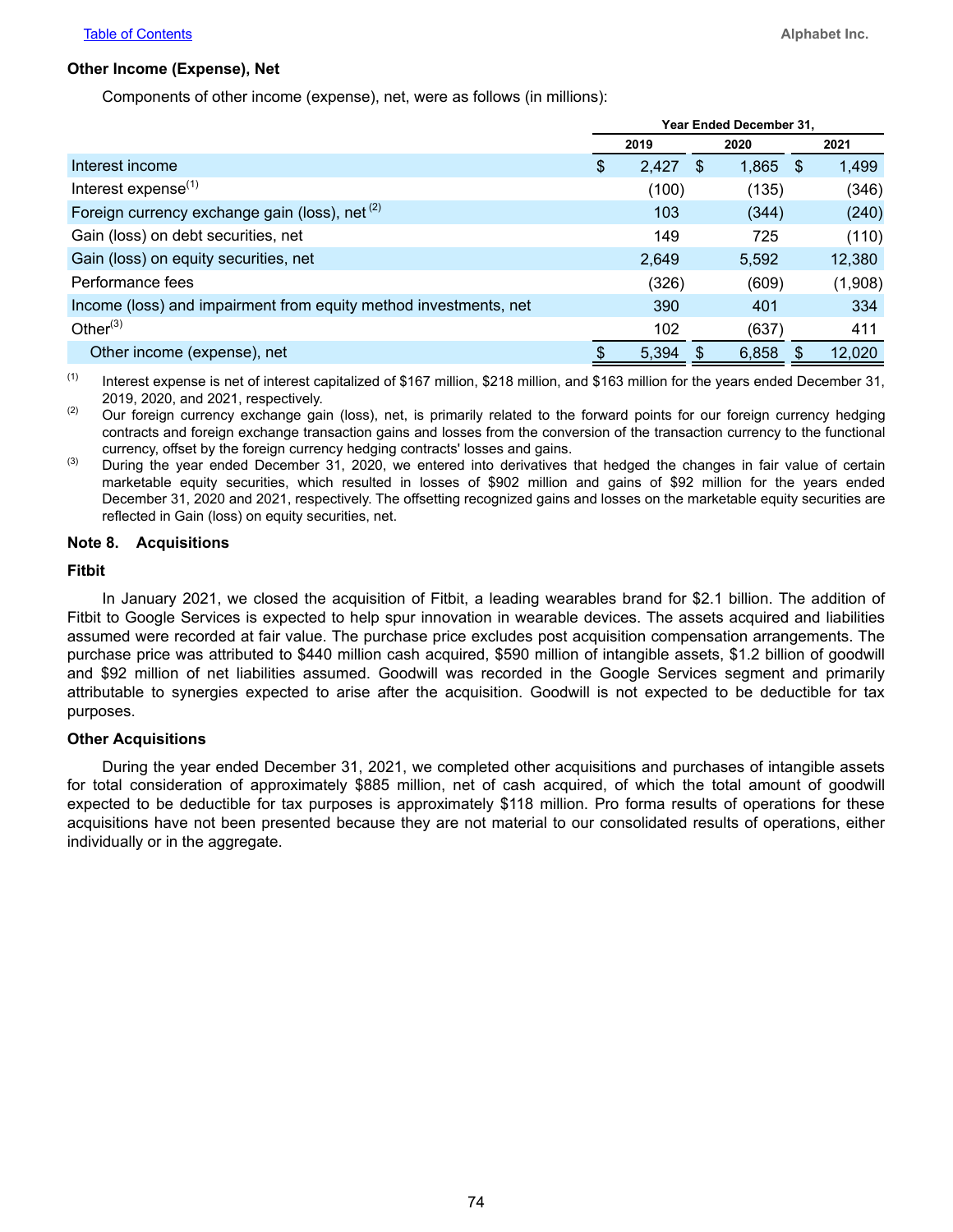### **Other Income (Expense), Net**

Components of other income (expense), net, were as follows (in millions):

|                                                                  | <b>Year Ended December 31,</b> |      |       |      |         |  |
|------------------------------------------------------------------|--------------------------------|------|-------|------|---------|--|
|                                                                  | 2019                           |      | 2020  |      | 2021    |  |
| Interest income                                                  | \$<br>2,427                    | - \$ | 1,865 | - \$ | 1,499   |  |
| Interest expense <sup>(1)</sup>                                  | (100)                          |      | (135) |      | (346)   |  |
| Foreign currency exchange gain (loss), net $(2)$                 | 103                            |      | (344) |      | (240)   |  |
| Gain (loss) on debt securities, net                              | 149                            |      | 725   |      | (110)   |  |
| Gain (loss) on equity securities, net                            | 2,649                          |      | 5,592 |      | 12,380  |  |
| Performance fees                                                 | (326)                          |      | (609) |      | (1,908) |  |
| Income (loss) and impairment from equity method investments, net | 390                            |      | 401   |      | 334     |  |
| Other $(3)$                                                      | 102                            |      | (637) |      | 411     |  |
| Other income (expense), net                                      | 5,394                          |      | 6,858 |      | 12,020  |  |

 $(1)$  Interest expense is net of interest capitalized of \$167 million, \$218 million, and \$163 million for the years ended December 31, 2019, 2020, and 2021, respectively.

 $(2)$  Our foreign currency exchange gain (loss), net, is primarily related to the forward points for our foreign currency hedging contracts and foreign exchange transaction gains and losses from the conversion of the transaction currency to the functional currency, offset by the foreign currency hedging contracts' losses and gains.

(3) During the year ended December 31, 2020, we entered into derivatives that hedged the changes in fair value of certain marketable equity securities, which resulted in losses of \$902 million and gains of \$92 million for the years ended December 31, 2020 and 2021, respectively. The offsetting recognized gains and losses on the marketable equity securities are reflected in Gain (loss) on equity securities, net.

### **Note 8. Acquisitions**

### **Fitbit**

In January 2021, we closed the acquisition of Fitbit, a leading wearables brand for \$2.1 billion. The addition of Fitbit to Google Services is expected to help spur innovation in wearable devices. The assets acquired and liabilities assumed were recorded at fair value. The purchase price excludes post acquisition compensation arrangements. The purchase price was attributed to \$440 million cash acquired, \$590 million of intangible assets, \$1.2 billion of goodwill and \$92 million of net liabilities assumed. Goodwill was recorded in the Google Services segment and primarily attributable to synergies expected to arise after the acquisition. Goodwill is not expected to be deductible for tax purposes.

### **Other Acquisitions**

During the year ended December 31, 2021, we completed other acquisitions and purchases of intangible assets for total consideration of approximately \$885 million, net of cash acquired, of which the total amount of goodwill expected to be deductible for tax purposes is approximately \$118 million. Pro forma results of operations for these acquisitions have not been presented because they are not material to our consolidated results of operations, either individually or in the aggregate.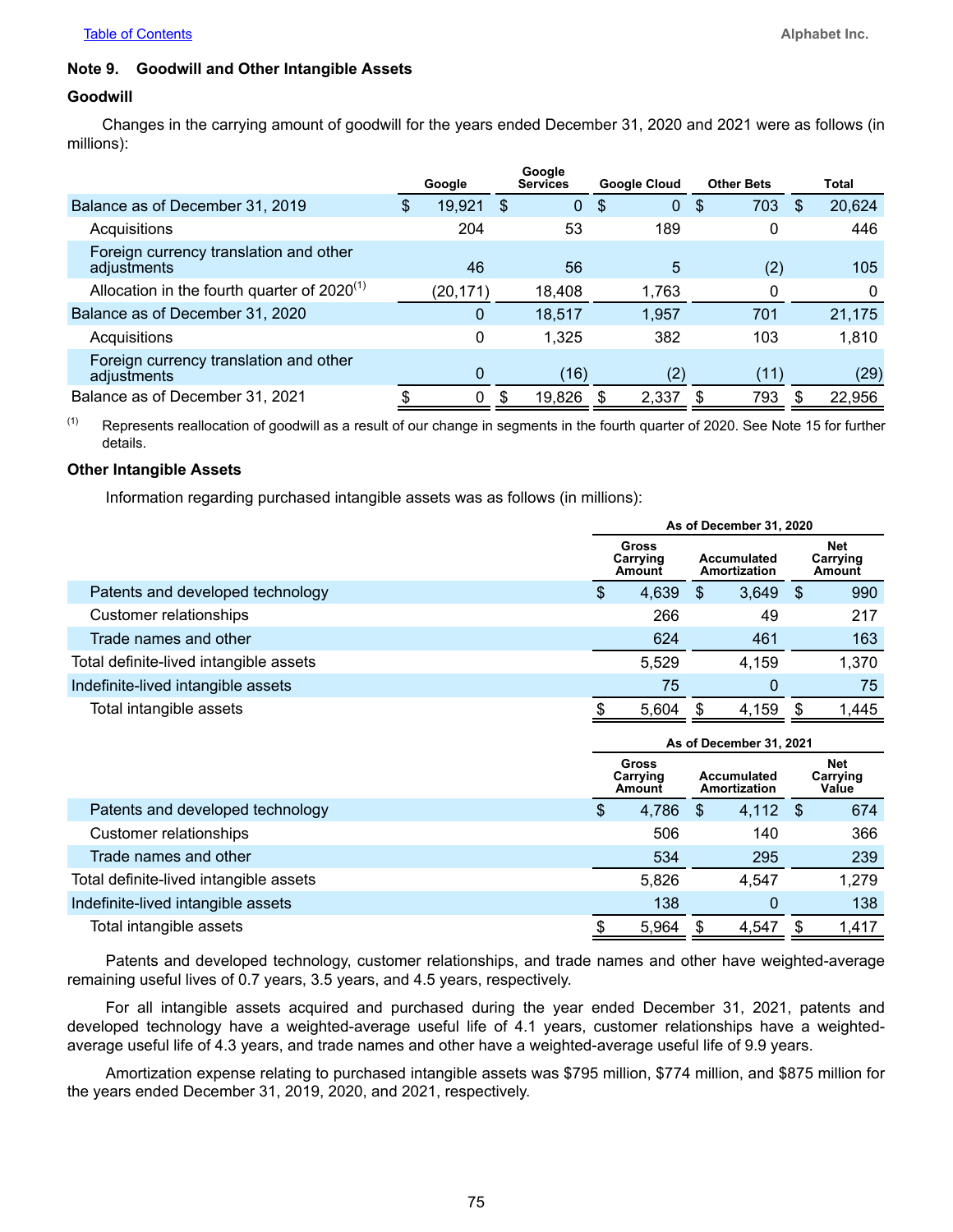### **Note 9. Goodwill and Other Intangible Assets**

### **Goodwill**

Changes in the carrying amount of goodwill for the years ended December 31, 2020 and 2021 were as follows (in millions):

|                                                       |    | Google    |    | Google<br><b>Services</b> | <b>Google Cloud</b> | <b>Other Bets</b> |    | Total  |
|-------------------------------------------------------|----|-----------|----|---------------------------|---------------------|-------------------|----|--------|
| Balance as of December 31, 2019                       | \$ | 19,921    | -S | $\mathbf{0}$              | \$<br>$\mathbf 0$   | \$<br>703         | -S | 20,624 |
| Acquisitions                                          |    | 204       |    | 53                        | 189                 | 0                 |    | 446    |
| Foreign currency translation and other<br>adjustments |    | 46        |    | 56                        | 5                   | (2)               |    | 105    |
| Allocation in the fourth quarter of $2020^{(1)}$      |    | (20, 171) |    | 18,408                    | 1,763               | 0                 |    |        |
| Balance as of December 31, 2020                       |    | 0         |    | 18,517                    | 1,957               | 701               |    | 21,175 |
| Acquisitions                                          |    | 0         |    | 1,325                     | 382                 | 103               |    | 1,810  |
| Foreign currency translation and other<br>adjustments |    | 0         |    | (16)                      | (2)                 | (11)              |    | (29)   |
| Balance as of December 31, 2021                       | c  | 0         |    | 19,826                    | 2,337               | 793               |    | 22,956 |

 $(1)$  Represents reallocation of goodwill as a result of our change in segments in the fourth quarter of 2020. See Note 15 for further details.

### **Other Intangible Assets**

Information regarding purchased intangible assets was as follows (in millions):

|                                        | As of December 31, 2020 |                             |     |                             |      |                                  |
|----------------------------------------|-------------------------|-----------------------------|-----|-----------------------------|------|----------------------------------|
|                                        |                         | Gross<br>Carrying<br>Amount |     | Accumulated<br>Amortization |      | <b>Net</b><br>Carrying<br>Amount |
| Patents and developed technology       | \$                      | 4,639                       | \$. | 3,649                       | - \$ | 990                              |
| <b>Customer relationships</b>          |                         | 266                         |     | 49                          |      | 217                              |
| Trade names and other                  |                         | 624                         |     | 461                         |      | 163                              |
| Total definite-lived intangible assets |                         | 5,529                       |     | 4,159                       |      | 1,370                            |
| Indefinite-lived intangible assets     |                         | 75                          |     | 0                           |      | 75                               |
| Total intangible assets                |                         | 5,604                       |     | 4,159                       |      | 1,445                            |

|                                        | As of December 31, 2021 |                             |    |                             |  |                                 |  |  |
|----------------------------------------|-------------------------|-----------------------------|----|-----------------------------|--|---------------------------------|--|--|
|                                        |                         | Gross<br>Carrying<br>Amount |    | Accumulated<br>Amortization |  | <b>Net</b><br>Carrying<br>Value |  |  |
| Patents and developed technology       | \$                      | 4,786                       | -S | $4,112$ \$                  |  | 674                             |  |  |
| Customer relationships                 |                         | 506                         |    | 140                         |  | 366                             |  |  |
| Trade names and other                  |                         | 534                         |    | 295                         |  | 239                             |  |  |
| Total definite-lived intangible assets |                         | 5,826                       |    | 4.547                       |  | 1,279                           |  |  |
| Indefinite-lived intangible assets     |                         | 138                         |    | 0                           |  | 138                             |  |  |
| Total intangible assets                |                         | 5,964                       |    | 4.547                       |  | 1,417                           |  |  |

Patents and developed technology, customer relationships, and trade names and other have weighted-average remaining useful lives of 0.7 years, 3.5 years, and 4.5 years, respectively.

For all intangible assets acquired and purchased during the year ended December 31, 2021, patents and developed technology have a weighted-average useful life of 4.1 years, customer relationships have a weightedaverage useful life of 4.3 years, and trade names and other have a weighted-average useful life of 9.9 years.

Amortization expense relating to purchased intangible assets was \$795 million, \$774 million, and \$875 million for the years ended December 31, 2019, 2020, and 2021, respectively.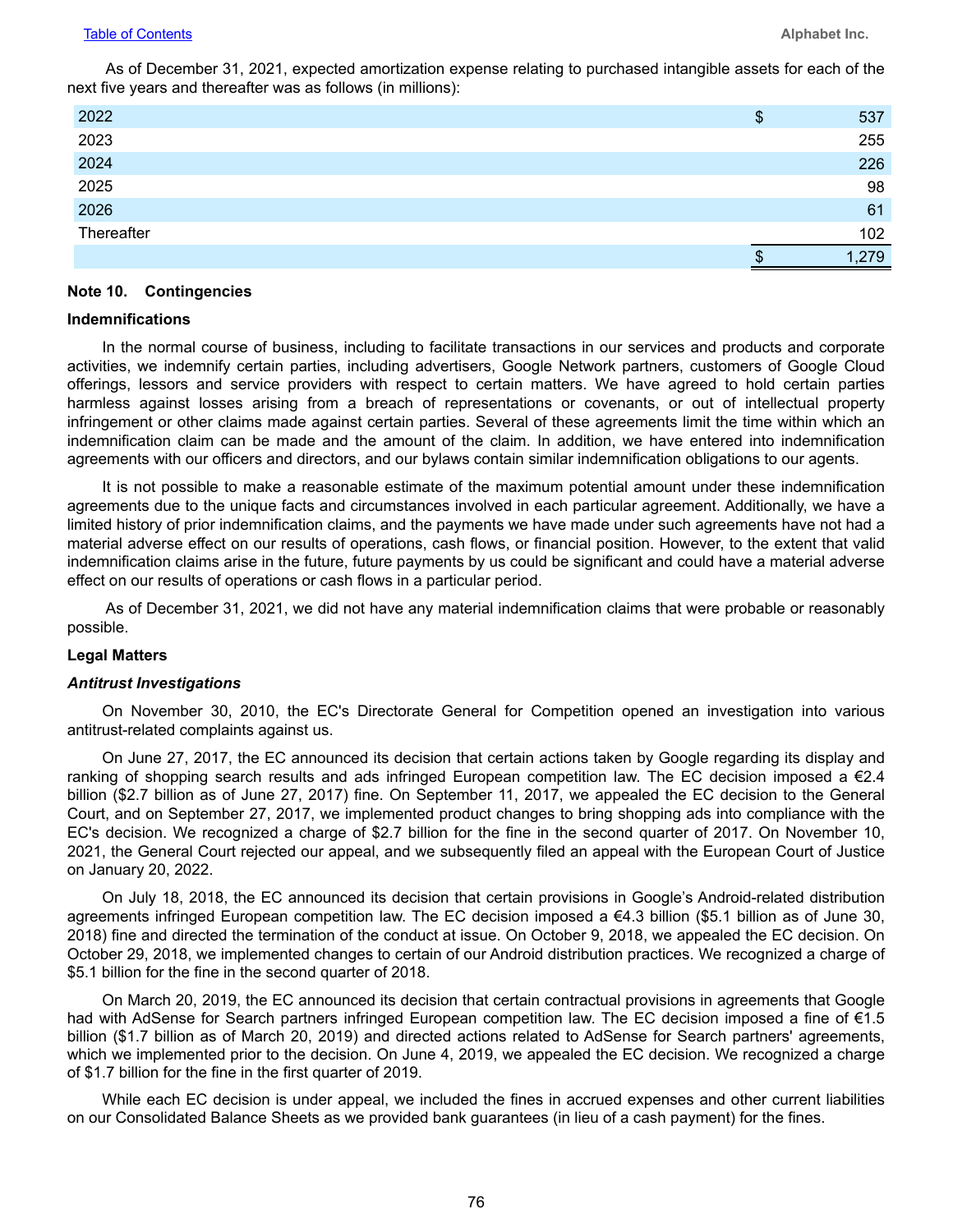As of December 31, 2021, expected amortization expense relating to purchased intangible assets for each of the next five years and thereafter was as follows (in millions):

| 2022       | D | 537   |
|------------|---|-------|
| 2023       |   | 255   |
| 2024       |   | 226   |
| 2025       |   | 98    |
| 2026       |   | 61    |
| Thereafter |   | 102   |
|            | D | 1,279 |

#### **Note 10. Contingencies**

#### **Indemnifications**

In the normal course of business, including to facilitate transactions in our services and products and corporate activities, we indemnify certain parties, including advertisers, Google Network partners, customers of Google Cloud offerings, lessors and service providers with respect to certain matters. We have agreed to hold certain parties harmless against losses arising from a breach of representations or covenants, or out of intellectual property infringement or other claims made against certain parties. Several of these agreements limit the time within which an indemnification claim can be made and the amount of the claim. In addition, we have entered into indemnification agreements with our officers and directors, and our bylaws contain similar indemnification obligations to our agents.

It is not possible to make a reasonable estimate of the maximum potential amount under these indemnification agreements due to the unique facts and circumstances involved in each particular agreement. Additionally, we have a limited history of prior indemnification claims, and the payments we have made under such agreements have not had a material adverse effect on our results of operations, cash flows, or financial position. However, to the extent that valid indemnification claims arise in the future, future payments by us could be significant and could have a material adverse effect on our results of operations or cash flows in a particular period.

As of December 31, 2021, we did not have any material indemnification claims that were probable or reasonably possible.

#### **Legal Matters**

### *Antitrust Investigations*

On November 30, 2010, the EC's Directorate General for Competition opened an investigation into various antitrust-related complaints against us.

On June 27, 2017, the EC announced its decision that certain actions taken by Google regarding its display and ranking of shopping search results and ads infringed European competition law. The EC decision imposed a €2.4 billion (\$2.7 billion as of June 27, 2017) fine. On September 11, 2017, we appealed the EC decision to the General Court, and on September 27, 2017, we implemented product changes to bring shopping ads into compliance with the EC's decision. We recognized a charge of \$2.7 billion for the fine in the second quarter of 2017. On November 10, 2021, the General Court rejected our appeal, and we subsequently filed an appeal with the European Court of Justice on January 20, 2022.

On July 18, 2018, the EC announced its decision that certain provisions in Google's Android-related distribution agreements infringed European competition law. The EC decision imposed a €4.3 billion (\$5.1 billion as of June 30, 2018) fine and directed the termination of the conduct at issue. On October 9, 2018, we appealed the EC decision. On October 29, 2018, we implemented changes to certain of our Android distribution practices. We recognized a charge of \$5.1 billion for the fine in the second quarter of 2018.

On March 20, 2019, the EC announced its decision that certain contractual provisions in agreements that Google had with AdSense for Search partners infringed European competition law. The EC decision imposed a fine of €1.5 billion (\$1.7 billion as of March 20, 2019) and directed actions related to AdSense for Search partners' agreements, which we implemented prior to the decision. On June 4, 2019, we appealed the EC decision. We recognized a charge of \$1.7 billion for the fine in the first quarter of 2019.

While each EC decision is under appeal, we included the fines in accrued expenses and other current liabilities on our Consolidated Balance Sheets as we provided bank guarantees (in lieu of a cash payment) for the fines.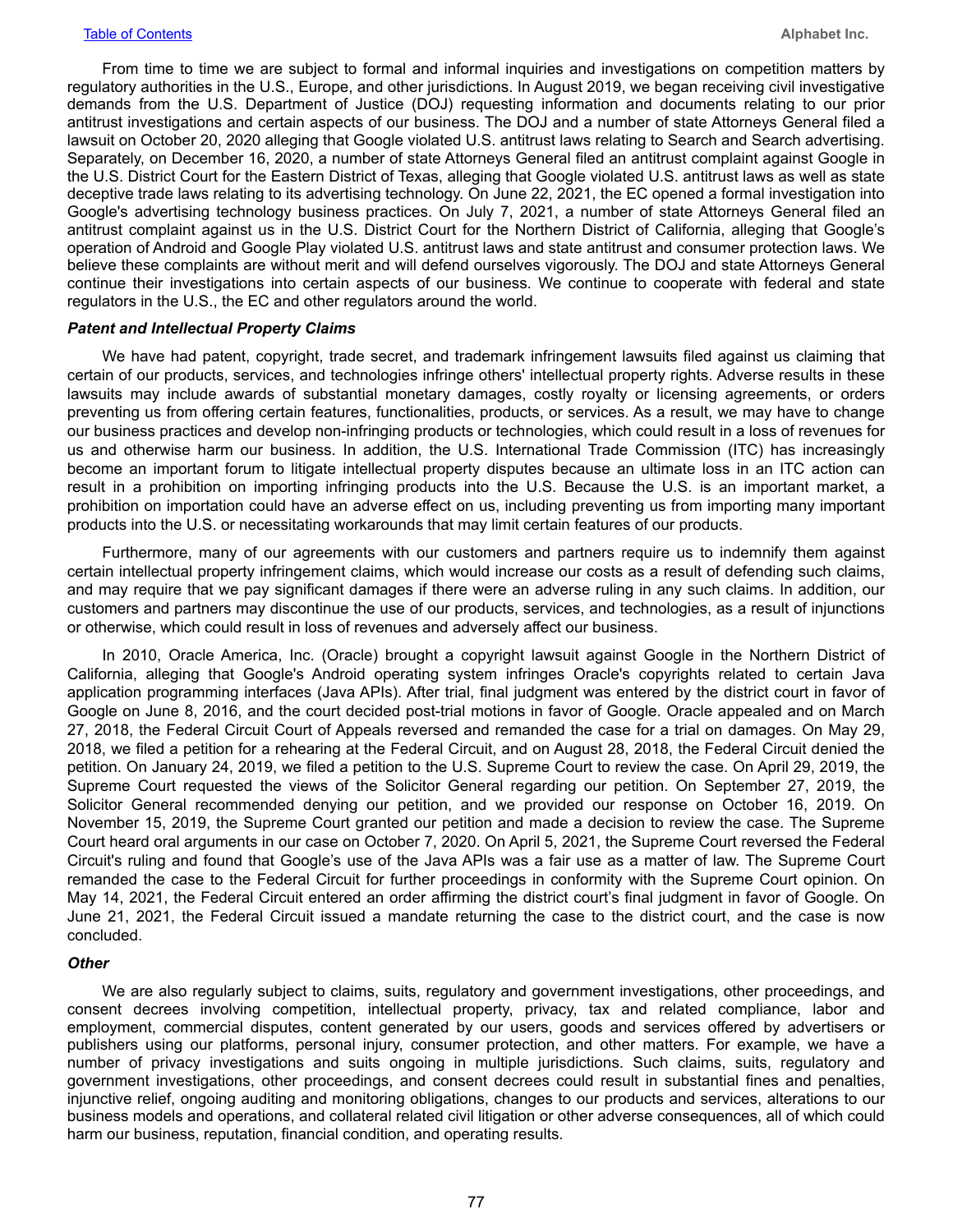From time to time we are subject to formal and informal inquiries and investigations on competition matters by regulatory authorities in the U.S., Europe, and other jurisdictions. In August 2019, we began receiving civil investigative demands from the U.S. Department of Justice (DOJ) requesting information and documents relating to our prior antitrust investigations and certain aspects of our business. The DOJ and a number of state Attorneys General filed a lawsuit on October 20, 2020 alleging that Google violated U.S. antitrust laws relating to Search and Search advertising. Separately, on December 16, 2020, a number of state Attorneys General filed an antitrust complaint against Google in the U.S. District Court for the Eastern District of Texas, alleging that Google violated U.S. antitrust laws as well as state deceptive trade laws relating to its advertising technology. On June 22, 2021, the EC opened a formal investigation into Google's advertising technology business practices. On July 7, 2021, a number of state Attorneys General filed an antitrust complaint against us in the U.S. District Court for the Northern District of California, alleging that Google's operation of Android and Google Play violated U.S. antitrust laws and state antitrust and consumer protection laws. We believe these complaints are without merit and will defend ourselves vigorously. The DOJ and state Attorneys General continue their investigations into certain aspects of our business. We continue to cooperate with federal and state regulators in the U.S., the EC and other regulators around the world.

#### *Patent and Intellectual Property Claims*

We have had patent, copyright, trade secret, and trademark infringement lawsuits filed against us claiming that certain of our products, services, and technologies infringe others' intellectual property rights. Adverse results in these lawsuits may include awards of substantial monetary damages, costly royalty or licensing agreements, or orders preventing us from offering certain features, functionalities, products, or services. As a result, we may have to change our business practices and develop non-infringing products or technologies, which could result in a loss of revenues for us and otherwise harm our business. In addition, the U.S. International Trade Commission (ITC) has increasingly become an important forum to litigate intellectual property disputes because an ultimate loss in an ITC action can result in a prohibition on importing infringing products into the U.S. Because the U.S. is an important market, a prohibition on importation could have an adverse effect on us, including preventing us from importing many important products into the U.S. or necessitating workarounds that may limit certain features of our products.

Furthermore, many of our agreements with our customers and partners require us to indemnify them against certain intellectual property infringement claims, which would increase our costs as a result of defending such claims, and may require that we pay significant damages if there were an adverse ruling in any such claims. In addition, our customers and partners may discontinue the use of our products, services, and technologies, as a result of injunctions or otherwise, which could result in loss of revenues and adversely affect our business.

In 2010, Oracle America, Inc. (Oracle) brought a copyright lawsuit against Google in the Northern District of California, alleging that Google's Android operating system infringes Oracle's copyrights related to certain Java application programming interfaces (Java APIs). After trial, final judgment was entered by the district court in favor of Google on June 8, 2016, and the court decided post-trial motions in favor of Google. Oracle appealed and on March 27, 2018, the Federal Circuit Court of Appeals reversed and remanded the case for a trial on damages. On May 29, 2018, we filed a petition for a rehearing at the Federal Circuit, and on August 28, 2018, the Federal Circuit denied the petition. On January 24, 2019, we filed a petition to the U.S. Supreme Court to review the case. On April 29, 2019, the Supreme Court requested the views of the Solicitor General regarding our petition. On September 27, 2019, the Solicitor General recommended denying our petition, and we provided our response on October 16, 2019. On November 15, 2019, the Supreme Court granted our petition and made a decision to review the case. The Supreme Court heard oral arguments in our case on October 7, 2020. On April 5, 2021, the Supreme Court reversed the Federal Circuit's ruling and found that Google's use of the Java APIs was a fair use as a matter of law. The Supreme Court remanded the case to the Federal Circuit for further proceedings in conformity with the Supreme Court opinion. On May 14, 2021, the Federal Circuit entered an order affirming the district court's final judgment in favor of Google. On June 21, 2021, the Federal Circuit issued a mandate returning the case to the district court, and the case is now concluded.

#### *Other*

We are also regularly subject to claims, suits, regulatory and government investigations, other proceedings, and consent decrees involving competition, intellectual property, privacy, tax and related compliance, labor and employment, commercial disputes, content generated by our users, goods and services offered by advertisers or publishers using our platforms, personal injury, consumer protection, and other matters. For example, we have a number of privacy investigations and suits ongoing in multiple jurisdictions. Such claims, suits, regulatory and government investigations, other proceedings, and consent decrees could result in substantial fines and penalties, injunctive relief, ongoing auditing and monitoring obligations, changes to our products and services, alterations to our business models and operations, and collateral related civil litigation or other adverse consequences, all of which could harm our business, reputation, financial condition, and operating results.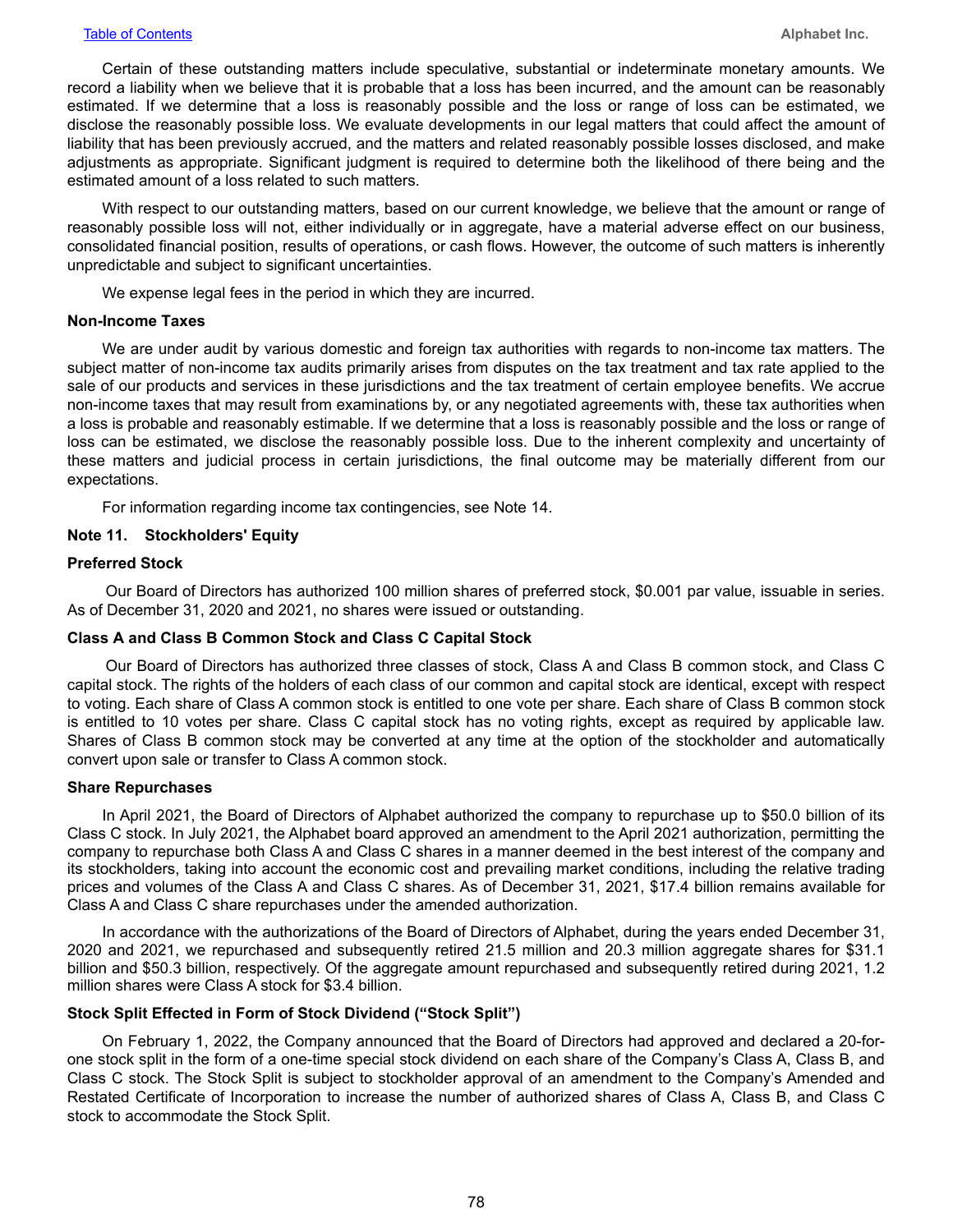Certain of these outstanding matters include speculative, substantial or indeterminate monetary amounts. We record a liability when we believe that it is probable that a loss has been incurred, and the amount can be reasonably estimated. If we determine that a loss is reasonably possible and the loss or range of loss can be estimated, we disclose the reasonably possible loss. We evaluate developments in our legal matters that could affect the amount of liability that has been previously accrued, and the matters and related reasonably possible losses disclosed, and make adjustments as appropriate. Significant judgment is required to determine both the likelihood of there being and the estimated amount of a loss related to such matters.

With respect to our outstanding matters, based on our current knowledge, we believe that the amount or range of reasonably possible loss will not, either individually or in aggregate, have a material adverse effect on our business, consolidated financial position, results of operations, or cash flows. However, the outcome of such matters is inherently unpredictable and subject to significant uncertainties.

We expense legal fees in the period in which they are incurred.

#### **Non-Income Taxes**

We are under audit by various domestic and foreign tax authorities with regards to non-income tax matters. The subject matter of non-income tax audits primarily arises from disputes on the tax treatment and tax rate applied to the sale of our products and services in these jurisdictions and the tax treatment of certain employee benefits. We accrue non-income taxes that may result from examinations by, or any negotiated agreements with, these tax authorities when a loss is probable and reasonably estimable. If we determine that a loss is reasonably possible and the loss or range of loss can be estimated, we disclose the reasonably possible loss. Due to the inherent complexity and uncertainty of these matters and judicial process in certain jurisdictions, the final outcome may be materially different from our expectations.

For information regarding income tax contingencies, see Note 14.

#### **Note 11. Stockholders' Equity**

### **Preferred Stock**

Our Board of Directors has authorized 100 million shares of preferred stock, \$0.001 par value, issuable in series. As of December 31, 2020 and 2021, no shares were issued or outstanding.

#### **Class A and Class B Common Stock and Class C Capital Stock**

Our Board of Directors has authorized three classes of stock, Class A and Class B common stock, and Class C capital stock. The rights of the holders of each class of our common and capital stock are identical, except with respect to voting. Each share of Class A common stock is entitled to one vote per share. Each share of Class B common stock is entitled to 10 votes per share. Class C capital stock has no voting rights, except as required by applicable law. Shares of Class B common stock may be converted at any time at the option of the stockholder and automatically convert upon sale or transfer to Class A common stock.

#### **Share Repurchases**

In April 2021, the Board of Directors of Alphabet authorized the company to repurchase up to \$50.0 billion of its Class C stock. In July 2021, the Alphabet board approved an amendment to the April 2021 authorization, permitting the company to repurchase both Class A and Class C shares in a manner deemed in the best interest of the company and its stockholders, taking into account the economic cost and prevailing market conditions, including the relative trading prices and volumes of the Class A and Class C shares. As of December 31, 2021, \$17.4 billion remains available for Class A and Class C share repurchases under the amended authorization.

In accordance with the authorizations of the Board of Directors of Alphabet, during the years ended December 31, 2020 and 2021, we repurchased and subsequently retired 21.5 million and 20.3 million aggregate shares for \$31.1 billion and \$50.3 billion, respectively. Of the aggregate amount repurchased and subsequently retired during 2021, 1.2 million shares were Class A stock for \$3.4 billion.

### **Stock Split Effected in Form of Stock Dividend ("Stock Split")**

On February 1, 2022, the Company announced that the Board of Directors had approved and declared a 20-forone stock split in the form of a one-time special stock dividend on each share of the Company's Class A, Class B, and Class C stock. The Stock Split is subject to stockholder approval of an amendment to the Company's Amended and Restated Certificate of Incorporation to increase the number of authorized shares of Class A, Class B, and Class C stock to accommodate the Stock Split.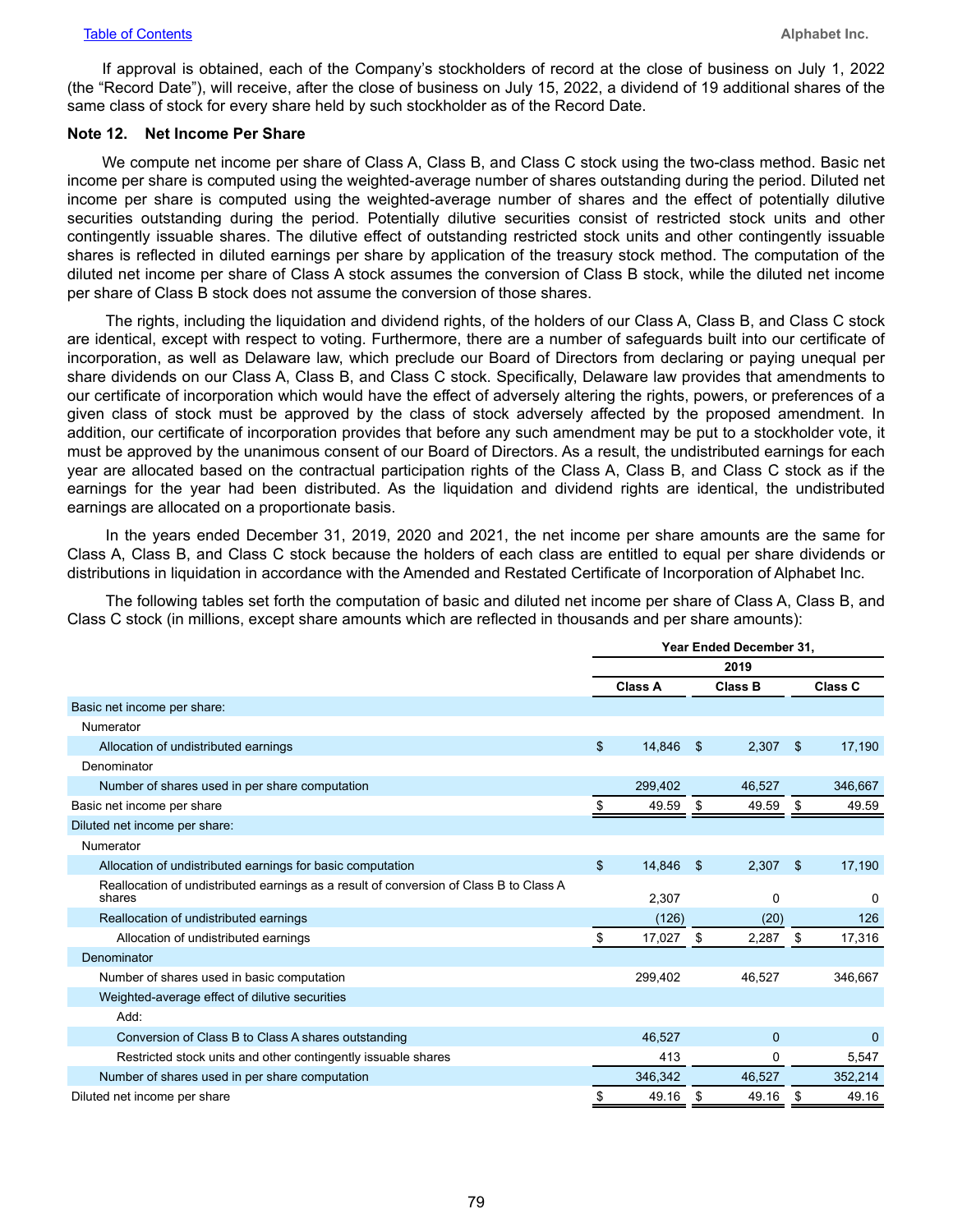If approval is obtained, each of the Company's stockholders of record at the close of business on July 1, 2022 (the "Record Date"), will receive, after the close of business on July 15, 2022, a dividend of 19 additional shares of the same class of stock for every share held by such stockholder as of the Record Date.

### **Note 12. Net Income Per Share**

We compute net income per share of Class A, Class B, and Class C stock using the two-class method. Basic net income per share is computed using the weighted-average number of shares outstanding during the period. Diluted net income per share is computed using the weighted-average number of shares and the effect of potentially dilutive securities outstanding during the period. Potentially dilutive securities consist of restricted stock units and other contingently issuable shares. The dilutive effect of outstanding restricted stock units and other contingently issuable shares is reflected in diluted earnings per share by application of the treasury stock method. The computation of the diluted net income per share of Class A stock assumes the conversion of Class B stock, while the diluted net income per share of Class B stock does not assume the conversion of those shares.

The rights, including the liquidation and dividend rights, of the holders of our Class A, Class B, and Class C stock are identical, except with respect to voting. Furthermore, there are a number of safeguards built into our certificate of incorporation, as well as Delaware law, which preclude our Board of Directors from declaring or paying unequal per share dividends on our Class A, Class B, and Class C stock. Specifically, Delaware law provides that amendments to our certificate of incorporation which would have the effect of adversely altering the rights, powers, or preferences of a given class of stock must be approved by the class of stock adversely affected by the proposed amendment. In addition, our certificate of incorporation provides that before any such amendment may be put to a stockholder vote, it must be approved by the unanimous consent of our Board of Directors. As a result, the undistributed earnings for each year are allocated based on the contractual participation rights of the Class A, Class B, and Class C stock as if the earnings for the year had been distributed. As the liquidation and dividend rights are identical, the undistributed earnings are allocated on a proportionate basis.

In the years ended December 31, 2019, 2020 and 2021, the net income per share amounts are the same for Class A, Class B, and Class C stock because the holders of each class are entitled to equal per share dividends or distributions in liquidation in accordance with the Amended and Restated Certificate of Incorporation of Alphabet Inc.

The following tables set forth the computation of basic and diluted net income per share of Class A, Class B, and Class C stock (in millions, except share amounts which are reflected in thousands and per share amounts):

|                                                                                                  | <b>Year Ended December 31.</b> |                |                |          |      |                    |  |
|--------------------------------------------------------------------------------------------------|--------------------------------|----------------|----------------|----------|------|--------------------|--|
|                                                                                                  |                                |                |                | 2019     |      |                    |  |
|                                                                                                  |                                | <b>Class A</b> | <b>Class B</b> |          |      | Class <sub>C</sub> |  |
| Basic net income per share:                                                                      |                                |                |                |          |      |                    |  |
| Numerator                                                                                        |                                |                |                |          |      |                    |  |
| Allocation of undistributed earnings                                                             | \$                             | 14,846         | - \$           | 2,307    | \$   | 17,190             |  |
| Denominator                                                                                      |                                |                |                |          |      |                    |  |
| Number of shares used in per share computation                                                   |                                | 299,402        |                | 46,527   |      | 346,667            |  |
| Basic net income per share                                                                       | \$.                            | 49.59          | - \$           | 49.59    | - \$ | 49.59              |  |
| Diluted net income per share:                                                                    |                                |                |                |          |      |                    |  |
| Numerator                                                                                        |                                |                |                |          |      |                    |  |
| Allocation of undistributed earnings for basic computation                                       | \$                             | 14,846         | - \$           | 2,307    | -S   | 17,190             |  |
| Reallocation of undistributed earnings as a result of conversion of Class B to Class A<br>shares |                                | 2,307          |                | 0        |      | $\Omega$           |  |
| Reallocation of undistributed earnings                                                           |                                | (126)          |                | (20)     |      | 126                |  |
| Allocation of undistributed earnings                                                             | \$                             | 17,027         | -\$            | 2,287    | \$   | 17,316             |  |
| Denominator                                                                                      |                                |                |                |          |      |                    |  |
| Number of shares used in basic computation                                                       |                                | 299,402        |                | 46,527   |      | 346,667            |  |
| Weighted-average effect of dilutive securities                                                   |                                |                |                |          |      |                    |  |
| Add:                                                                                             |                                |                |                |          |      |                    |  |
| Conversion of Class B to Class A shares outstanding                                              |                                | 46,527         |                | $\Omega$ |      | $\Omega$           |  |
| Restricted stock units and other contingently issuable shares                                    |                                | 413            |                | 0        |      | 5,547              |  |
| Number of shares used in per share computation                                                   |                                | 346,342        |                | 46,527   |      | 352,214            |  |
| Diluted net income per share                                                                     |                                | 49.16          | \$             | 49.16    | \$   | 49.16              |  |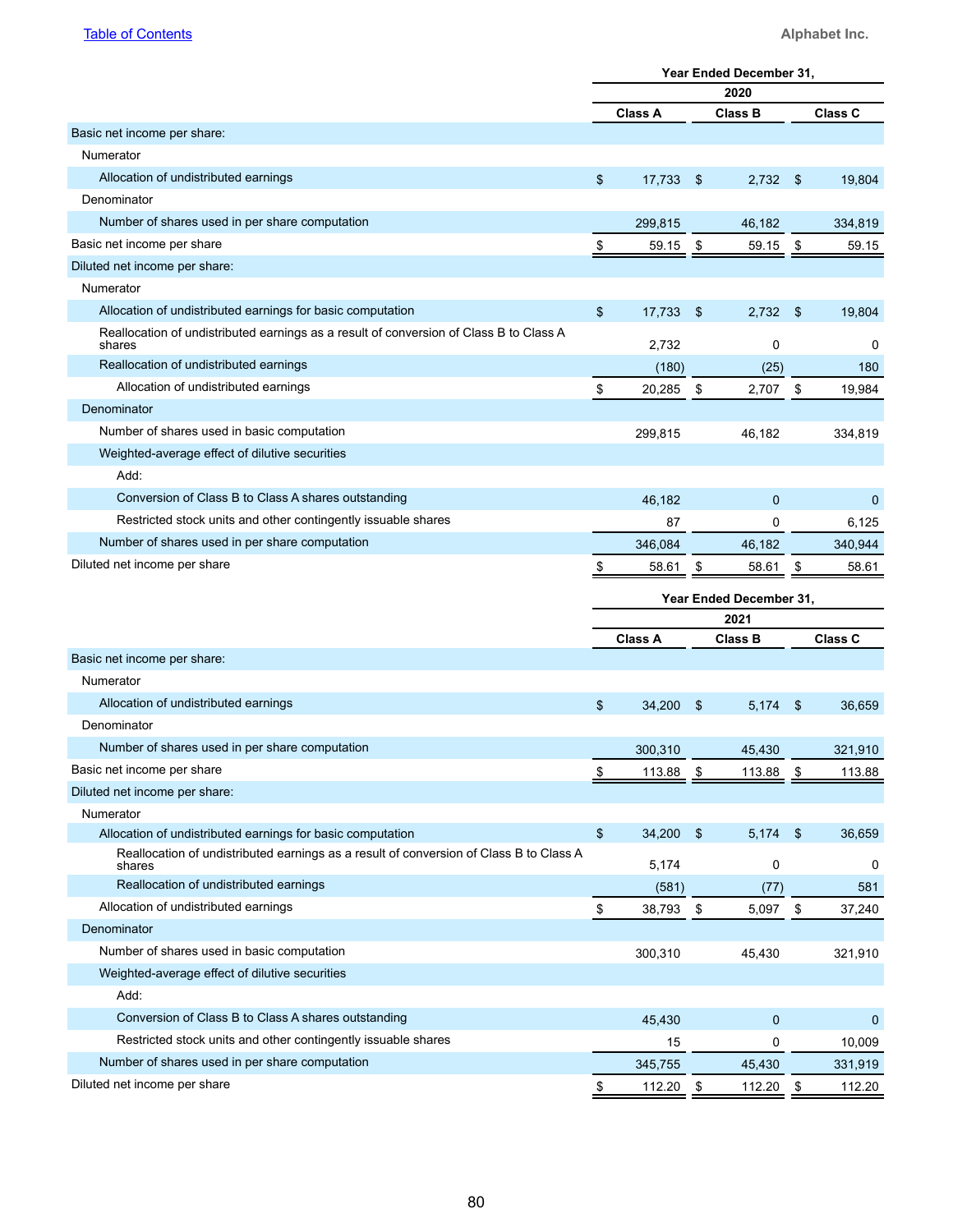### **[Table of Contents](#page-2-0) Alphabet Inc.**

|                                                                                                  | Year Ended December 31,   |                |      |                         |      |                |
|--------------------------------------------------------------------------------------------------|---------------------------|----------------|------|-------------------------|------|----------------|
|                                                                                                  |                           |                |      | 2020                    |      |                |
|                                                                                                  |                           | <b>Class A</b> |      | <b>Class B</b>          |      | Class C        |
| Basic net income per share:                                                                      |                           |                |      |                         |      |                |
| Numerator                                                                                        |                           |                |      |                         |      |                |
| Allocation of undistributed earnings                                                             | $\mathfrak{S}$            | 17,733         | - \$ | 2,732                   | - \$ | 19,804         |
| Denominator                                                                                      |                           |                |      |                         |      |                |
| Number of shares used in per share computation                                                   |                           | 299,815        |      | 46,182                  |      | 334,819        |
| Basic net income per share                                                                       | \$                        | 59.15          | \$   | 59.15                   | \$   | 59.15          |
| Diluted net income per share:                                                                    |                           |                |      |                         |      |                |
| Numerator                                                                                        |                           |                |      |                         |      |                |
| Allocation of undistributed earnings for basic computation                                       | \$                        | 17,733         | \$   | 2,732                   | -\$  | 19,804         |
| Reallocation of undistributed earnings as a result of conversion of Class B to Class A<br>shares |                           | 2,732          |      | 0                       |      | 0              |
| Reallocation of undistributed earnings                                                           |                           | (180)          |      | (25)                    |      | 180            |
| Allocation of undistributed earnings                                                             | \$                        | 20,285         | \$   | 2,707                   | \$   | 19,984         |
| Denominator                                                                                      |                           |                |      |                         |      |                |
| Number of shares used in basic computation                                                       |                           | 299,815        |      | 46,182                  |      | 334,819        |
| Weighted-average effect of dilutive securities                                                   |                           |                |      |                         |      |                |
| Add:                                                                                             |                           |                |      |                         |      |                |
| Conversion of Class B to Class A shares outstanding                                              |                           | 46,182         |      | $\mathbf{0}$            |      | $\mathbf 0$    |
| Restricted stock units and other contingently issuable shares                                    |                           | 87             |      | 0                       |      | 6,125          |
| Number of shares used in per share computation                                                   |                           | 346,084        |      | 46,182                  |      | 340,944        |
| Diluted net income per share                                                                     |                           | 58.61          | \$   | 58.61                   | \$   | 58.61          |
|                                                                                                  |                           |                |      |                         |      |                |
|                                                                                                  |                           |                |      |                         |      |                |
|                                                                                                  |                           |                |      | Year Ended December 31, |      |                |
|                                                                                                  |                           |                |      | 2021                    |      |                |
| Basic net income per share:                                                                      |                           | <b>Class A</b> |      | <b>Class B</b>          |      | <b>Class C</b> |
| Numerator                                                                                        |                           |                |      |                         |      |                |
| Allocation of undistributed earnings                                                             |                           |                |      |                         |      |                |
| Denominator                                                                                      | \$                        | 34,200         | - \$ | 5,174                   | -\$  | 36,659         |
| Number of shares used in per share computation                                                   |                           |                |      |                         |      |                |
| Basic net income per share                                                                       |                           | 300,310        |      | 45,430                  |      | 321,910        |
| Diluted net income per share:                                                                    | \$                        | 113.88         | -\$  | 113.88                  | \$   | 113.88         |
| Numerator                                                                                        |                           |                |      |                         |      |                |
| Allocation of undistributed earnings for basic computation                                       | $\boldsymbol{\mathsf{S}}$ | 34,200         | - \$ | 5,174                   | - \$ | 36,659         |
| Reallocation of undistributed earnings as a result of conversion of Class B to Class A<br>shares |                           | 5,174          |      | 0                       |      | 0              |
| Reallocation of undistributed earnings                                                           |                           | (581)          |      | (77)                    |      | 581            |
| Allocation of undistributed earnings                                                             | \$                        | 38,793         | \$   | 5,097                   | $\,$ | 37,240         |
| Denominator                                                                                      |                           |                |      |                         |      |                |
| Number of shares used in basic computation                                                       |                           | 300,310        |      | 45,430                  |      | 321,910        |
| Weighted-average effect of dilutive securities                                                   |                           |                |      |                         |      |                |
| Add:                                                                                             |                           |                |      |                         |      |                |
| Conversion of Class B to Class A shares outstanding                                              |                           | 45,430         |      | $\mathbf{0}$            |      | $\mathbf 0$    |
| Restricted stock units and other contingently issuable shares                                    |                           | 15             |      | 0                       |      | 10,009         |
| Number of shares used in per share computation                                                   |                           | 345,755        |      | 45,430                  |      | 331,919        |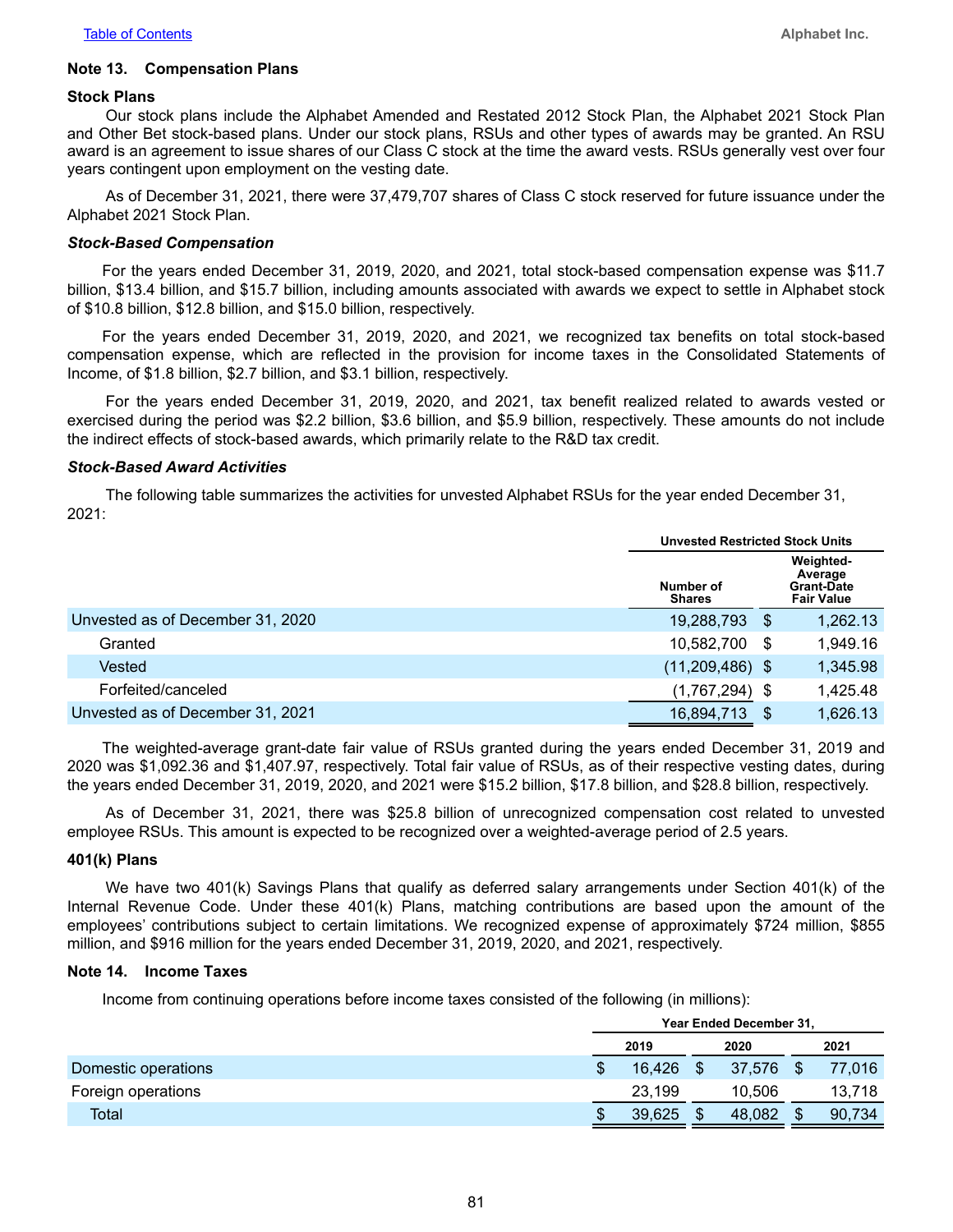### **Note 13. Compensation Plans**

### **Stock Plans**

Our stock plans include the Alphabet Amended and Restated 2012 Stock Plan, the Alphabet 2021 Stock Plan and Other Bet stock-based plans. Under our stock plans, RSUs and other types of awards may be granted. An RSU award is an agreement to issue shares of our Class C stock at the time the award vests. RSUs generally vest over four years contingent upon employment on the vesting date.

As of December 31, 2021, there were 37,479,707 shares of Class C stock reserved for future issuance under the Alphabet 2021 Stock Plan.

#### *Stock-Based Compensation*

For the years ended December 31, 2019, 2020, and 2021, total stock-based compensation expense was \$11.7 billion, \$13.4 billion, and \$15.7 billion, including amounts associated with awards we expect to settle in Alphabet stock of \$10.8 billion, \$12.8 billion, and \$15.0 billion, respectively.

For the years ended December 31, 2019, 2020, and 2021, we recognized tax benefits on total stock-based compensation expense, which are reflected in the provision for income taxes in the Consolidated Statements of Income, of \$1.8 billion, \$2.7 billion, and \$3.1 billion, respectively.

For the years ended December 31, 2019, 2020, and 2021, tax benefit realized related to awards vested or exercised during the period was \$2.2 billion, \$3.6 billion, and \$5.9 billion, respectively. These amounts do not include the indirect effects of stock-based awards, which primarily relate to the R&D tax credit.

### *Stock-Based Award Activities*

The following table summarizes the activities for unvested Alphabet RSUs for the year ended December 31, 2021:

|                                  | <b>Unvested Restricted Stock Units</b> |      |                                                                |
|----------------------------------|----------------------------------------|------|----------------------------------------------------------------|
|                                  | Number of<br><b>Shares</b>             |      | Weighted-<br>Average<br><b>Grant-Date</b><br><b>Fair Value</b> |
| Unvested as of December 31, 2020 | 19,288,793                             | - \$ | 1,262.13                                                       |
| Granted                          | 10,582,700                             | - \$ | 1,949.16                                                       |
| Vested                           | $(11,209,486)$ \$                      |      | 1,345.98                                                       |
| Forfeited/canceled               | $(1,767,294)$ \$                       |      | 1.425.48                                                       |
| Unvested as of December 31, 2021 | 16,894,713                             | \$   | 1,626.13                                                       |

The weighted-average grant-date fair value of RSUs granted during the years ended December 31, 2019 and 2020 was \$1,092.36 and \$1,407.97, respectively. Total fair value of RSUs, as of their respective vesting dates, during the years ended December 31, 2019, 2020, and 2021 were \$15.2 billion, \$17.8 billion, and \$28.8 billion, respectively.

As of December 31, 2021, there was \$25.8 billion of unrecognized compensation cost related to unvested employee RSUs. This amount is expected to be recognized over a weighted-average period of 2.5 years.

### **401(k) Plans**

We have two 401(k) Savings Plans that qualify as deferred salary arrangements under Section 401(k) of the Internal Revenue Code. Under these 401(k) Plans, matching contributions are based upon the amount of the employees' contributions subject to certain limitations. We recognized expense of approximately \$724 million, \$855 million, and \$916 million for the years ended December 31, 2019, 2020, and 2021, respectively.

#### **Note 14. Income Taxes**

Income from continuing operations before income taxes consisted of the following (in millions):

|                     | Year Ended December 31, |        |      |        |  |        |
|---------------------|-------------------------|--------|------|--------|--|--------|
|                     |                         | 2019   |      | 2020   |  | 2021   |
| Domestic operations |                         | 16.426 | - \$ | 37,576 |  | 77.016 |
| Foreign operations  |                         | 23,199 |      | 10.506 |  | 13,718 |
| Total               |                         | 39,625 | \$.  | 48,082 |  | 90,734 |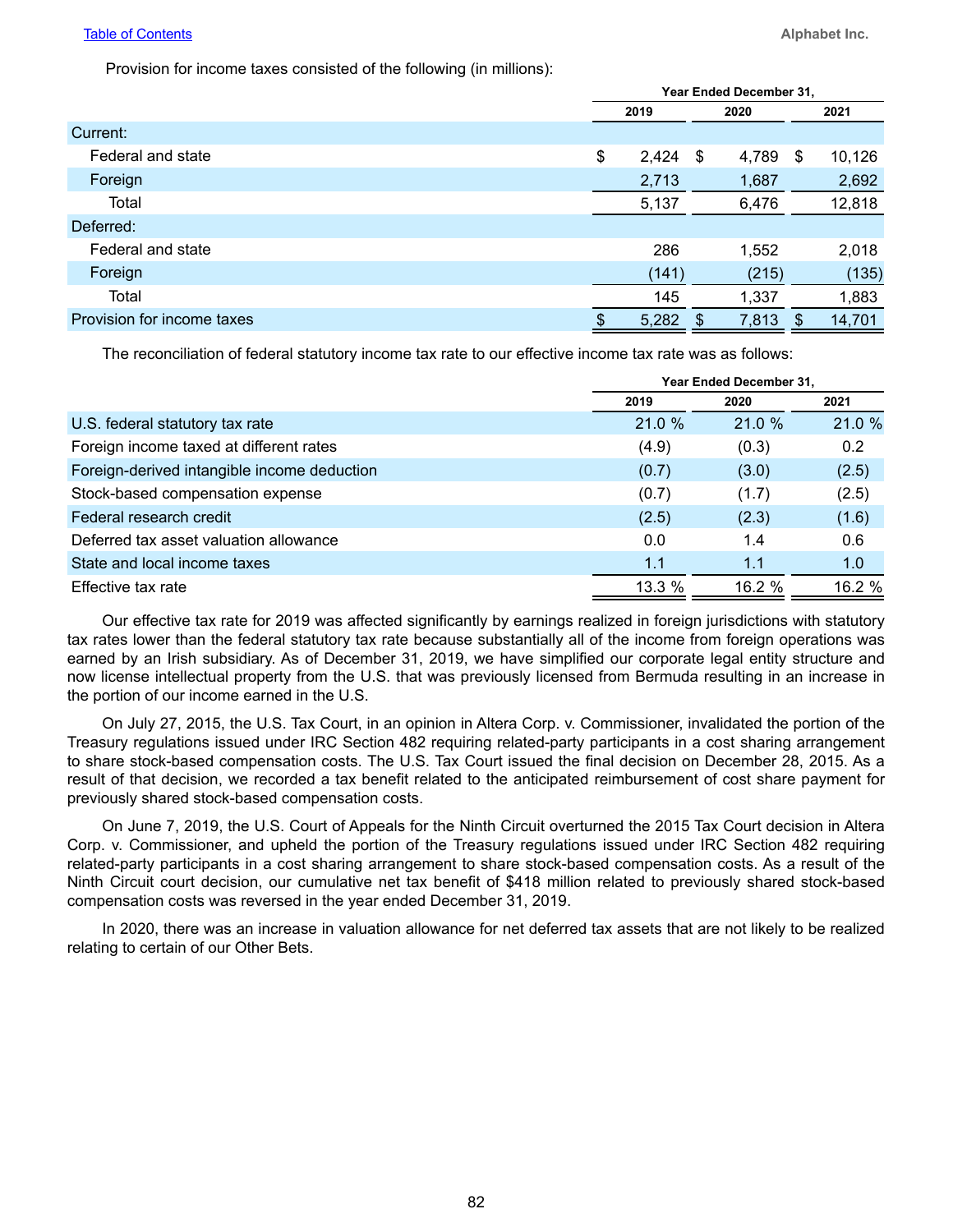Provision for income taxes consisted of the following (in millions):

|                            | <b>Year Ended December 31,</b> |       |      |       |              |        |
|----------------------------|--------------------------------|-------|------|-------|--------------|--------|
|                            | 2019                           |       | 2020 |       |              | 2021   |
| Current:                   |                                |       |      |       |              |        |
| Federal and state          | \$                             | 2,424 | \$   | 4,789 | - \$         | 10,126 |
| Foreign                    |                                | 2,713 |      | 1,687 |              | 2,692  |
| Total                      |                                | 5,137 |      | 6,476 |              | 12,818 |
| Deferred:                  |                                |       |      |       |              |        |
| Federal and state          |                                | 286   |      | 1,552 |              | 2,018  |
| Foreign                    |                                | (141) |      | (215) |              | (135)  |
| Total                      |                                | 145   |      | 1,337 |              | 1,883  |
| Provision for income taxes | \$                             | 5,282 | -\$  | 7,813 | $\mathbb{S}$ | 14,701 |

The reconciliation of federal statutory income tax rate to our effective income tax rate was as follows:

|                                             | <b>Year Ended December 31.</b> |       |        |  |
|---------------------------------------------|--------------------------------|-------|--------|--|
|                                             | 2019                           | 2020  | 2021   |  |
| U.S. federal statutory tax rate             | 21.0 %                         | 21.0% | 21.0 % |  |
| Foreign income taxed at different rates     | (4.9)                          | (0.3) | 0.2    |  |
| Foreign-derived intangible income deduction | (0.7)                          | (3.0) | (2.5)  |  |
| Stock-based compensation expense            | (0.7)                          | (1.7) | (2.5)  |  |
| Federal research credit                     | (2.5)                          | (2.3) | (1.6)  |  |
| Deferred tax asset valuation allowance      | 0.0                            | 1.4   | 0.6    |  |
| State and local income taxes                | 1.1                            | 1.1   | 1.0    |  |
| Effective tax rate                          | 13.3 %                         | 16.2% | 16.2 % |  |

Our effective tax rate for 2019 was affected significantly by earnings realized in foreign jurisdictions with statutory tax rates lower than the federal statutory tax rate because substantially all of the income from foreign operations was earned by an Irish subsidiary. As of December 31, 2019, we have simplified our corporate legal entity structure and now license intellectual property from the U.S. that was previously licensed from Bermuda resulting in an increase in the portion of our income earned in the U.S.

On July 27, 2015, the U.S. Tax Court, in an opinion in Altera Corp. v. Commissioner, invalidated the portion of the Treasury regulations issued under IRC Section 482 requiring related-party participants in a cost sharing arrangement to share stock-based compensation costs. The U.S. Tax Court issued the final decision on December 28, 2015. As a result of that decision, we recorded a tax benefit related to the anticipated reimbursement of cost share payment for previously shared stock-based compensation costs.

On June 7, 2019, the U.S. Court of Appeals for the Ninth Circuit overturned the 2015 Tax Court decision in Altera Corp. v. Commissioner, and upheld the portion of the Treasury regulations issued under IRC Section 482 requiring related-party participants in a cost sharing arrangement to share stock-based compensation costs. As a result of the Ninth Circuit court decision, our cumulative net tax benefit of \$418 million related to previously shared stock-based compensation costs was reversed in the year ended December 31, 2019.

In 2020, there was an increase in valuation allowance for net deferred tax assets that are not likely to be realized relating to certain of our Other Bets.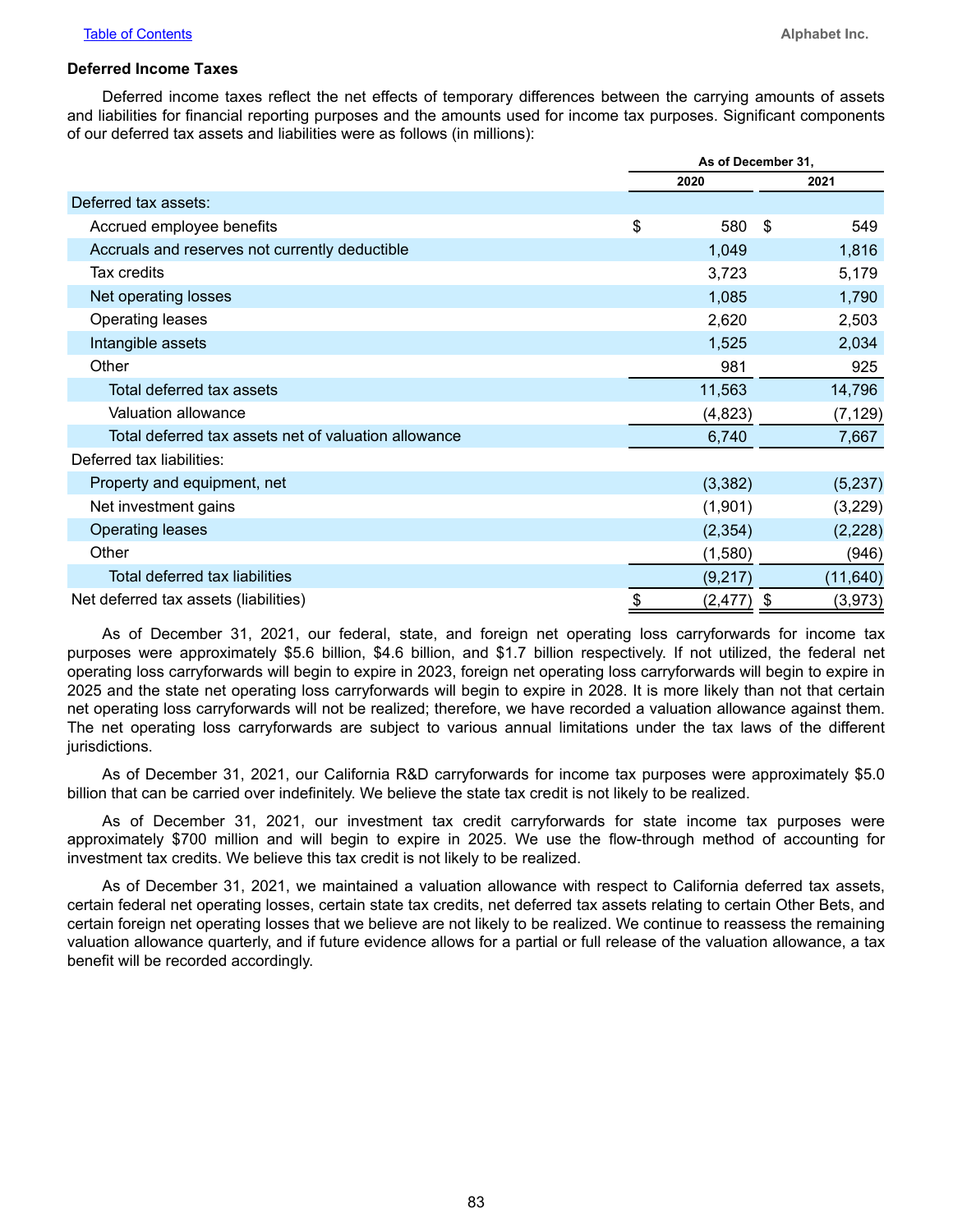### **Deferred Income Taxes**

Deferred income taxes reflect the net effects of temporary differences between the carrying amounts of assets and liabilities for financial reporting purposes and the amounts used for income tax purposes. Significant components of our deferred tax assets and liabilities were as follows (in millions):

|                                                      | As of December 31,  |     |           |  |
|------------------------------------------------------|---------------------|-----|-----------|--|
|                                                      | 2020                |     | 2021      |  |
| Deferred tax assets:                                 |                     |     |           |  |
| Accrued employee benefits                            | \$<br>580           | -\$ | 549       |  |
| Accruals and reserves not currently deductible       | 1,049               |     | 1,816     |  |
| Tax credits                                          | 3,723               |     | 5,179     |  |
| Net operating losses                                 | 1,085               |     | 1,790     |  |
| <b>Operating leases</b>                              | 2,620               |     | 2,503     |  |
| Intangible assets                                    | 1,525               |     | 2,034     |  |
| Other                                                | 981                 |     | 925       |  |
| Total deferred tax assets                            | 11,563              |     | 14,796    |  |
| Valuation allowance                                  | (4,823)             |     | (7, 129)  |  |
| Total deferred tax assets net of valuation allowance | 6,740               |     | 7,667     |  |
| Deferred tax liabilities:                            |                     |     |           |  |
| Property and equipment, net                          | (3, 382)            |     | (5,237)   |  |
| Net investment gains                                 | (1,901)             |     | (3,229)   |  |
| <b>Operating leases</b>                              | (2, 354)            |     | (2,228)   |  |
| Other                                                | (1,580)             |     | (946)     |  |
| Total deferred tax liabilities                       | (9,217)             |     | (11, 640) |  |
| Net deferred tax assets (liabilities)                | \$<br>$(2, 477)$ \$ |     | (3, 973)  |  |

As of December 31, 2021, our federal, state, and foreign net operating loss carryforwards for income tax purposes were approximately \$5.6 billion, \$4.6 billion, and \$1.7 billion respectively. If not utilized, the federal net operating loss carryforwards will begin to expire in 2023, foreign net operating loss carryforwards will begin to expire in 2025 and the state net operating loss carryforwards will begin to expire in 2028. It is more likely than not that certain net operating loss carryforwards will not be realized; therefore, we have recorded a valuation allowance against them. The net operating loss carryforwards are subject to various annual limitations under the tax laws of the different jurisdictions.

As of December 31, 2021, our California R&D carryforwards for income tax purposes were approximately \$5.0 billion that can be carried over indefinitely. We believe the state tax credit is not likely to be realized.

As of December 31, 2021, our investment tax credit carryforwards for state income tax purposes were approximately \$700 million and will begin to expire in 2025. We use the flow-through method of accounting for investment tax credits. We believe this tax credit is not likely to be realized.

As of December 31, 2021, we maintained a valuation allowance with respect to California deferred tax assets, certain federal net operating losses, certain state tax credits, net deferred tax assets relating to certain Other Bets, and certain foreign net operating losses that we believe are not likely to be realized. We continue to reassess the remaining valuation allowance quarterly, and if future evidence allows for a partial or full release of the valuation allowance, a tax benefit will be recorded accordingly.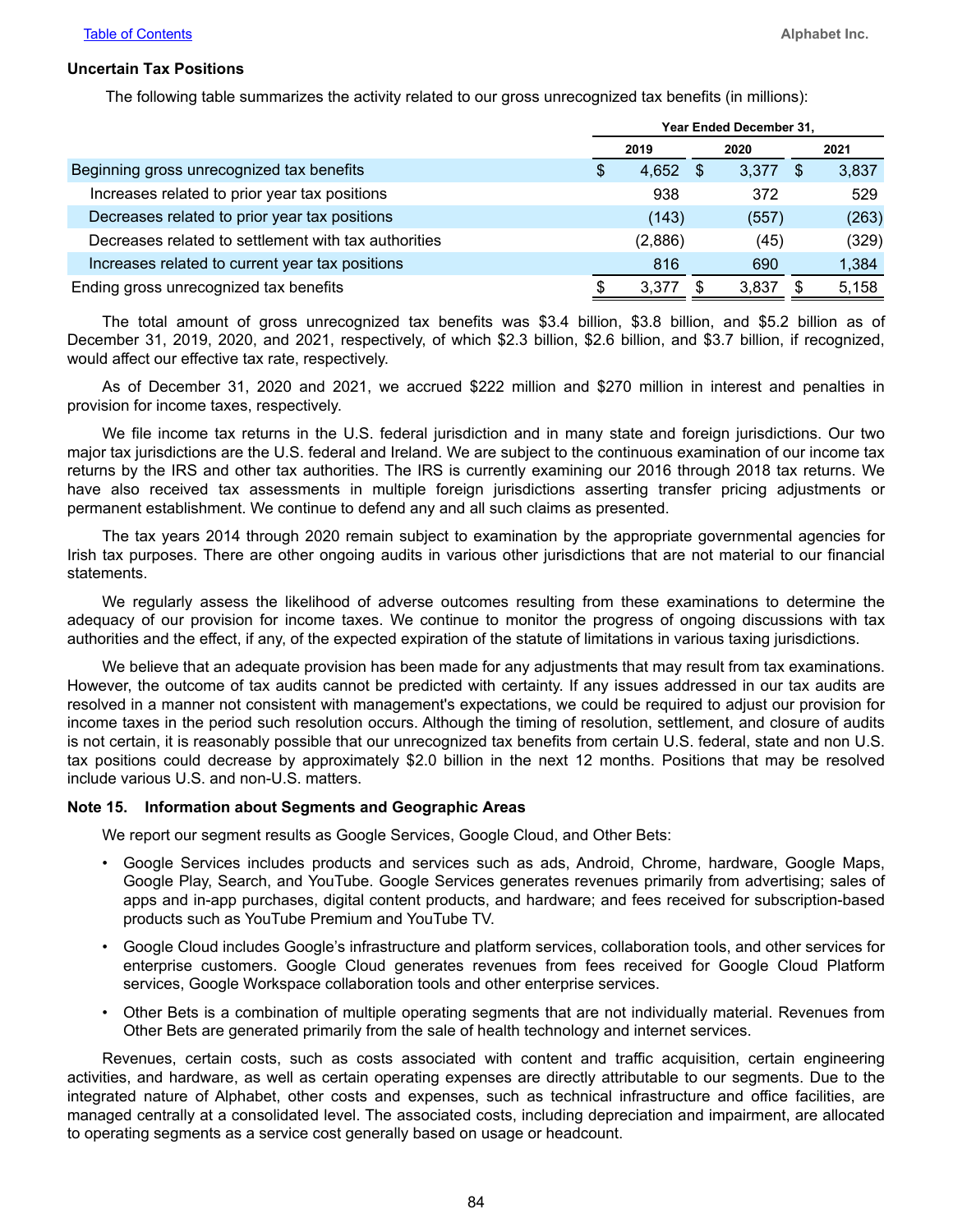### **Uncertain Tax Positions**

The following table summarizes the activity related to our gross unrecognized tax benefits (in millions):

|                                                      | <b>Year Ended December 31,</b> |         |  |       |       |
|------------------------------------------------------|--------------------------------|---------|--|-------|-------|
|                                                      |                                | 2019    |  | 2020  | 2021  |
| Beginning gross unrecognized tax benefits            | \$                             | 4,652   |  | 3,377 | 3,837 |
| Increases related to prior year tax positions        |                                | 938     |  | 372   | 529   |
| Decreases related to prior year tax positions        |                                | (143)   |  | (557) | (263) |
| Decreases related to settlement with tax authorities |                                | (2,886) |  | (45)  | (329) |
| Increases related to current year tax positions      |                                | 816     |  | 690   | 1,384 |
| Ending gross unrecognized tax benefits               |                                | 3.377   |  | 3.837 | 5,158 |

The total amount of gross unrecognized tax benefits was \$3.4 billion, \$3.8 billion, and \$5.2 billion as of December 31, 2019, 2020, and 2021, respectively, of which \$2.3 billion, \$2.6 billion, and \$3.7 billion, if recognized, would affect our effective tax rate, respectively.

As of December 31, 2020 and 2021, we accrued \$222 million and \$270 million in interest and penalties in provision for income taxes, respectively.

We file income tax returns in the U.S. federal jurisdiction and in many state and foreign jurisdictions. Our two major tax jurisdictions are the U.S. federal and Ireland. We are subject to the continuous examination of our income tax returns by the IRS and other tax authorities. The IRS is currently examining our 2016 through 2018 tax returns. We have also received tax assessments in multiple foreign jurisdictions asserting transfer pricing adjustments or permanent establishment. We continue to defend any and all such claims as presented.

The tax years 2014 through 2020 remain subject to examination by the appropriate governmental agencies for Irish tax purposes. There are other ongoing audits in various other jurisdictions that are not material to our financial statements.

We regularly assess the likelihood of adverse outcomes resulting from these examinations to determine the adequacy of our provision for income taxes. We continue to monitor the progress of ongoing discussions with tax authorities and the effect, if any, of the expected expiration of the statute of limitations in various taxing jurisdictions.

We believe that an adequate provision has been made for any adjustments that may result from tax examinations. However, the outcome of tax audits cannot be predicted with certainty. If any issues addressed in our tax audits are resolved in a manner not consistent with management's expectations, we could be required to adjust our provision for income taxes in the period such resolution occurs. Although the timing of resolution, settlement, and closure of audits is not certain, it is reasonably possible that our unrecognized tax benefits from certain U.S. federal, state and non U.S. tax positions could decrease by approximately \$2.0 billion in the next 12 months. Positions that may be resolved include various U.S. and non-U.S. matters.

#### **Note 15. Information about Segments and Geographic Areas**

We report our segment results as Google Services, Google Cloud, and Other Bets:

- Google Services includes products and services such as ads, Android, Chrome, hardware, Google Maps, Google Play, Search, and YouTube. Google Services generates revenues primarily from advertising; sales of apps and in-app purchases, digital content products, and hardware; and fees received for subscription-based products such as YouTube Premium and YouTube TV.
- Google Cloud includes Google's infrastructure and platform services, collaboration tools, and other services for enterprise customers. Google Cloud generates revenues from fees received for Google Cloud Platform services, Google Workspace collaboration tools and other enterprise services.
- Other Bets is a combination of multiple operating segments that are not individually material. Revenues from Other Bets are generated primarily from the sale of health technology and internet services.

Revenues, certain costs, such as costs associated with content and traffic acquisition, certain engineering activities, and hardware, as well as certain operating expenses are directly attributable to our segments. Due to the integrated nature of Alphabet, other costs and expenses, such as technical infrastructure and office facilities, are managed centrally at a consolidated level. The associated costs, including depreciation and impairment, are allocated to operating segments as a service cost generally based on usage or headcount.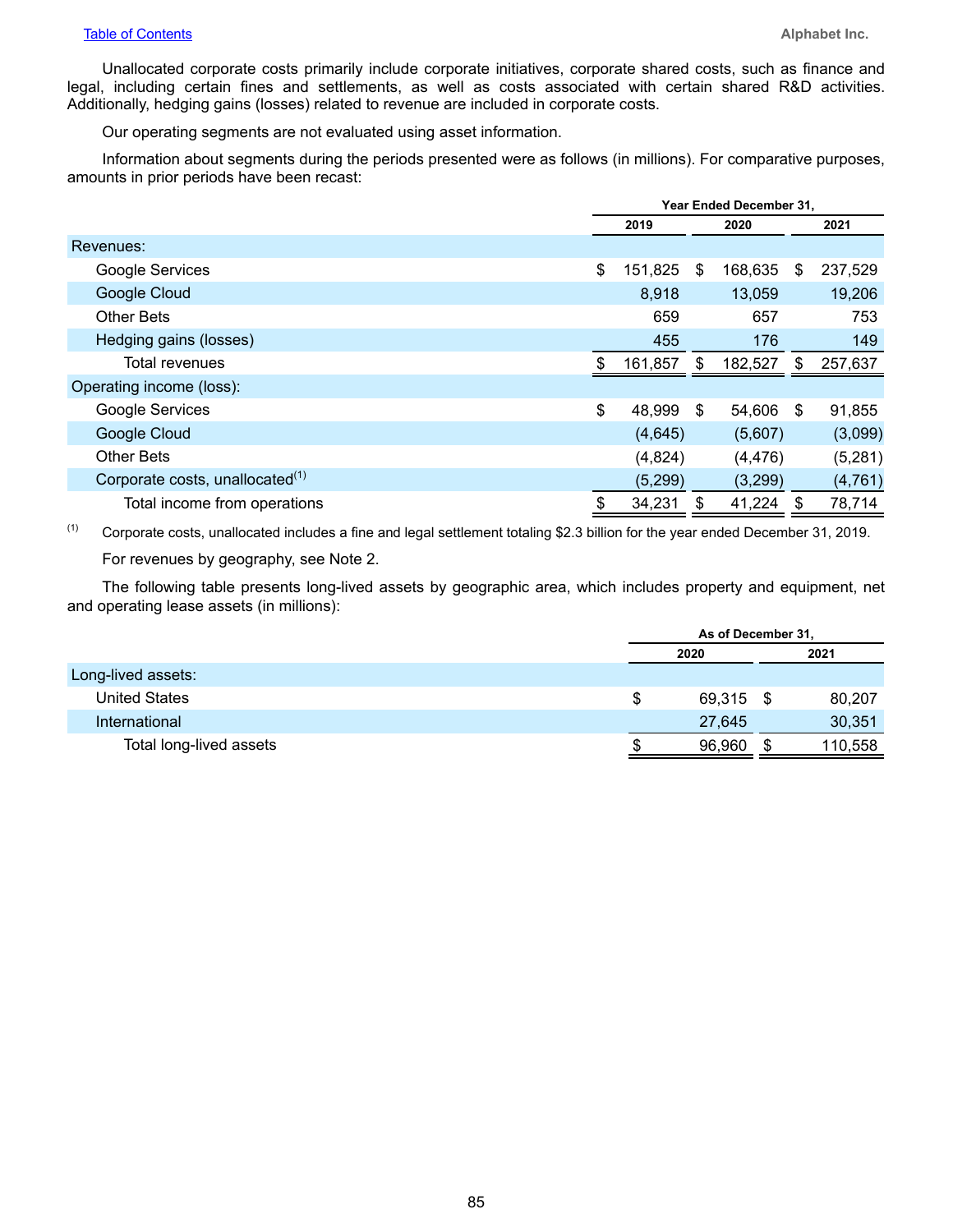### **[Table of Contents](#page-2-0) Alphabet Inc. Alphabet Inc.**

Unallocated corporate costs primarily include corporate initiatives, corporate shared costs, such as finance and legal, including certain fines and settlements, as well as costs associated with certain shared R&D activities. Additionally, hedging gains (losses) related to revenue are included in corporate costs.

Our operating segments are not evaluated using asset information.

Information about segments during the periods presented were as follows (in millions). For comparative purposes, amounts in prior periods have been recast:

|                                             | Year Ended December 31, |         |    |          |      |          |  |      |
|---------------------------------------------|-------------------------|---------|----|----------|------|----------|--|------|
|                                             | 2019<br>2020            |         |    |          |      |          |  | 2021 |
| Revenues:                                   |                         |         |    |          |      |          |  |      |
| Google Services                             | \$                      | 151,825 | \$ | 168,635  | S.   | 237,529  |  |      |
| Google Cloud                                |                         | 8,918   |    | 13,059   |      | 19,206   |  |      |
| <b>Other Bets</b>                           |                         | 659     |    | 657      |      | 753      |  |      |
| Hedging gains (losses)                      |                         | 455     |    | 176      |      | 149      |  |      |
| Total revenues                              |                         | 161,857 | \$ | 182,527  | S    | 257,637  |  |      |
| Operating income (loss):                    |                         |         |    |          |      |          |  |      |
| Google Services                             | \$                      | 48,999  | \$ | 54,606   | - \$ | 91,855   |  |      |
| Google Cloud                                |                         | (4,645) |    | (5,607)  |      | (3,099)  |  |      |
| <b>Other Bets</b>                           |                         | (4,824) |    | (4, 476) |      | (5,281)  |  |      |
| Corporate costs, unallocated <sup>(1)</sup> |                         | (5,299) |    | (3,299)  |      | (4, 761) |  |      |
| Total income from operations                | \$                      | 34,231  |    | 41,224   |      | 78,714   |  |      |

 $(1)$  Corporate costs, unallocated includes a fine and legal settlement totaling \$2.3 billion for the year ended December 31, 2019.

For revenues by geography, see Note 2.

The following table presents long-lived assets by geographic area, which includes property and equipment, net and operating lease assets (in millions):

|                         | As of December 31, |  |         |  |  |
|-------------------------|--------------------|--|---------|--|--|
|                         | 2020               |  | 2021    |  |  |
| Long-lived assets:      |                    |  |         |  |  |
| United States           | \$<br>69,315 \$    |  | 80,207  |  |  |
| International           | 27,645             |  | 30,351  |  |  |
| Total long-lived assets | 96,960             |  | 110,558 |  |  |
|                         |                    |  |         |  |  |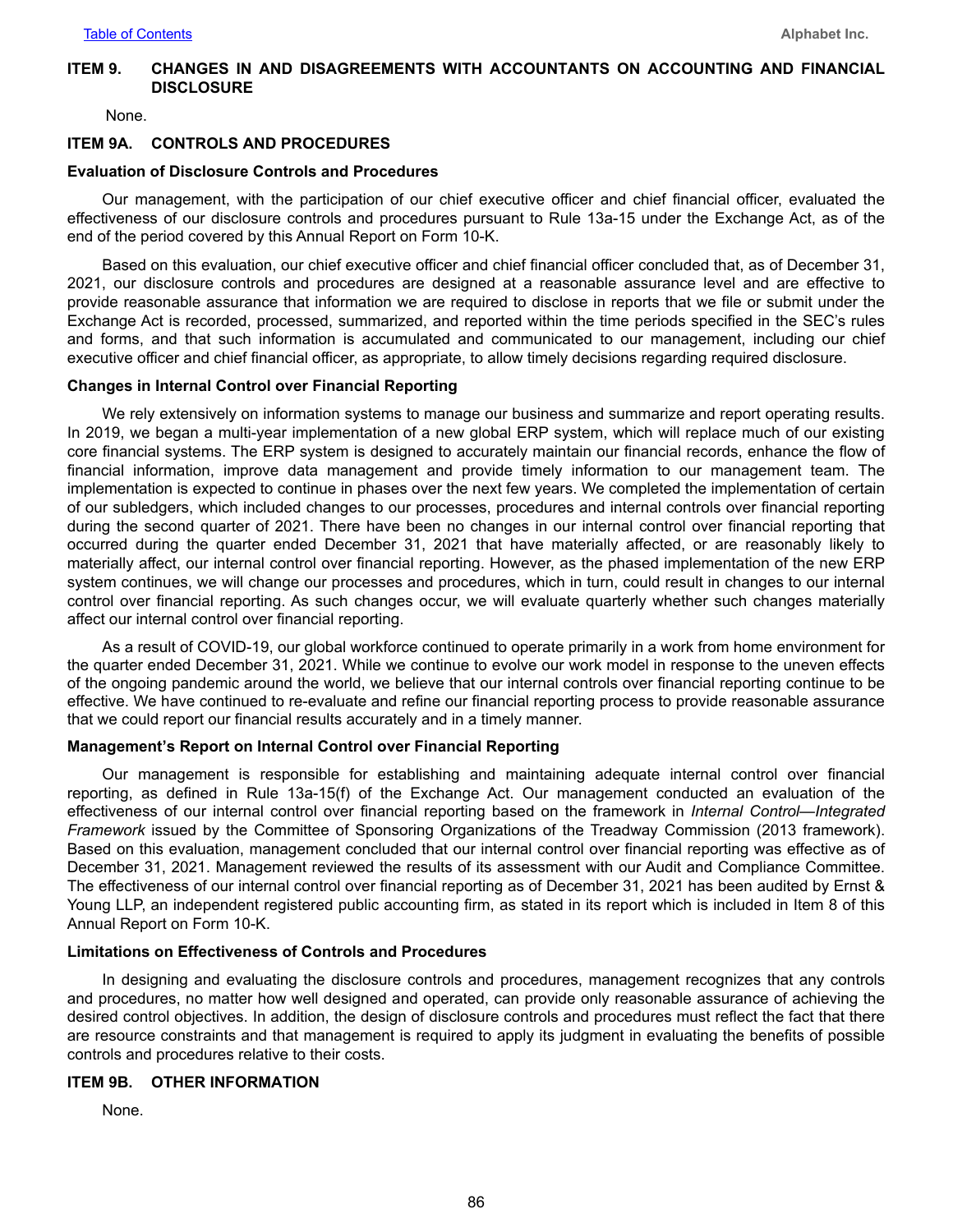# **ITEM 9. CHANGES IN AND DISAGREEMENTS WITH ACCOUNTANTS ON ACCOUNTING AND FINANCIAL DISCLOSURE**

None.

#### **ITEM 9A. CONTROLS AND PROCEDURES**

#### **Evaluation of Disclosure Controls and Procedures**

Our management, with the participation of our chief executive officer and chief financial officer, evaluated the effectiveness of our disclosure controls and procedures pursuant to Rule 13a-15 under the Exchange Act, as of the end of the period covered by this Annual Report on Form 10-K.

Based on this evaluation, our chief executive officer and chief financial officer concluded that, as of December 31, 2021, our disclosure controls and procedures are designed at a reasonable assurance level and are effective to provide reasonable assurance that information we are required to disclose in reports that we file or submit under the Exchange Act is recorded, processed, summarized, and reported within the time periods specified in the SEC's rules and forms, and that such information is accumulated and communicated to our management, including our chief executive officer and chief financial officer, as appropriate, to allow timely decisions regarding required disclosure.

#### **Changes in Internal Control over Financial Reporting**

We rely extensively on information systems to manage our business and summarize and report operating results. In 2019, we began a multi-year implementation of a new global ERP system, which will replace much of our existing core financial systems. The ERP system is designed to accurately maintain our financial records, enhance the flow of financial information, improve data management and provide timely information to our management team. The implementation is expected to continue in phases over the next few years. We completed the implementation of certain of our subledgers, which included changes to our processes, procedures and internal controls over financial reporting during the second quarter of 2021. There have been no changes in our internal control over financial reporting that occurred during the quarter ended December 31, 2021 that have materially affected, or are reasonably likely to materially affect, our internal control over financial reporting. However, as the phased implementation of the new ERP system continues, we will change our processes and procedures, which in turn, could result in changes to our internal control over financial reporting. As such changes occur, we will evaluate quarterly whether such changes materially affect our internal control over financial reporting.

As a result of COVID-19, our global workforce continued to operate primarily in a work from home environment for the quarter ended December 31, 2021. While we continue to evolve our work model in response to the uneven effects of the ongoing pandemic around the world, we believe that our internal controls over financial reporting continue to be effective. We have continued to re-evaluate and refine our financial reporting process to provide reasonable assurance that we could report our financial results accurately and in a timely manner.

#### **Management's Report on Internal Control over Financial Reporting**

Our management is responsible for establishing and maintaining adequate internal control over financial reporting, as defined in Rule 13a-15(f) of the Exchange Act. Our management conducted an evaluation of the effectiveness of our internal control over financial reporting based on the framework in *Internal Control—Integrated Framework* issued by the Committee of Sponsoring Organizations of the Treadway Commission (2013 framework). Based on this evaluation, management concluded that our internal control over financial reporting was effective as of December 31, 2021. Management reviewed the results of its assessment with our Audit and Compliance Committee. The effectiveness of our internal control over financial reporting as of December 31, 2021 has been audited by Ernst & Young LLP, an independent registered public accounting firm, as stated in its report which is included in Item 8 of this Annual Report on Form 10-K.

# **Limitations on Effectiveness of Controls and Procedures**

In designing and evaluating the disclosure controls and procedures, management recognizes that any controls and procedures, no matter how well designed and operated, can provide only reasonable assurance of achieving the desired control objectives. In addition, the design of disclosure controls and procedures must reflect the fact that there are resource constraints and that management is required to apply its judgment in evaluating the benefits of possible controls and procedures relative to their costs.

#### **ITEM 9B. OTHER INFORMATION**

None.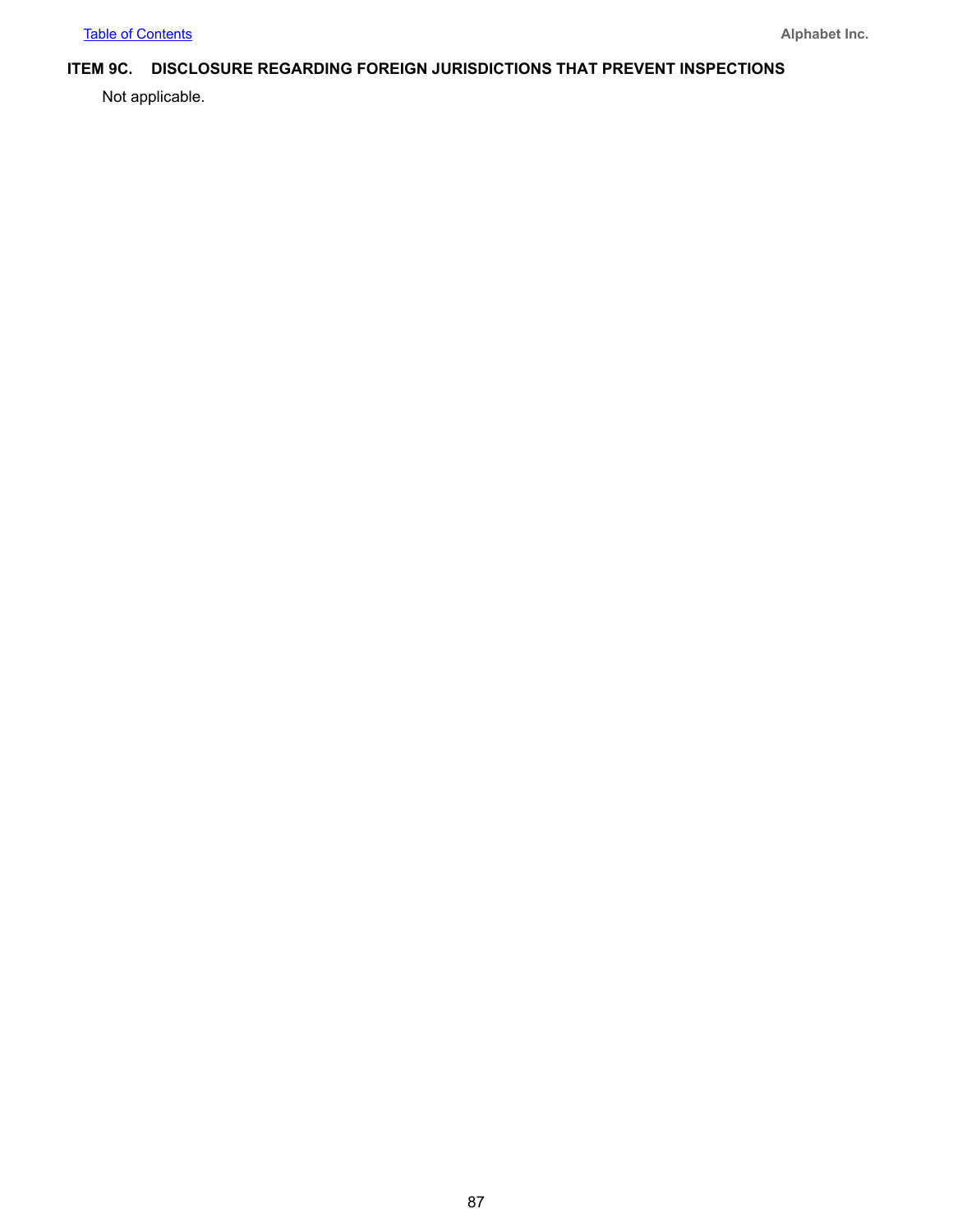# **ITEM 9C. DISCLOSURE REGARDING FOREIGN JURISDICTIONS THAT PREVENT INSPECTIONS**

Not applicable.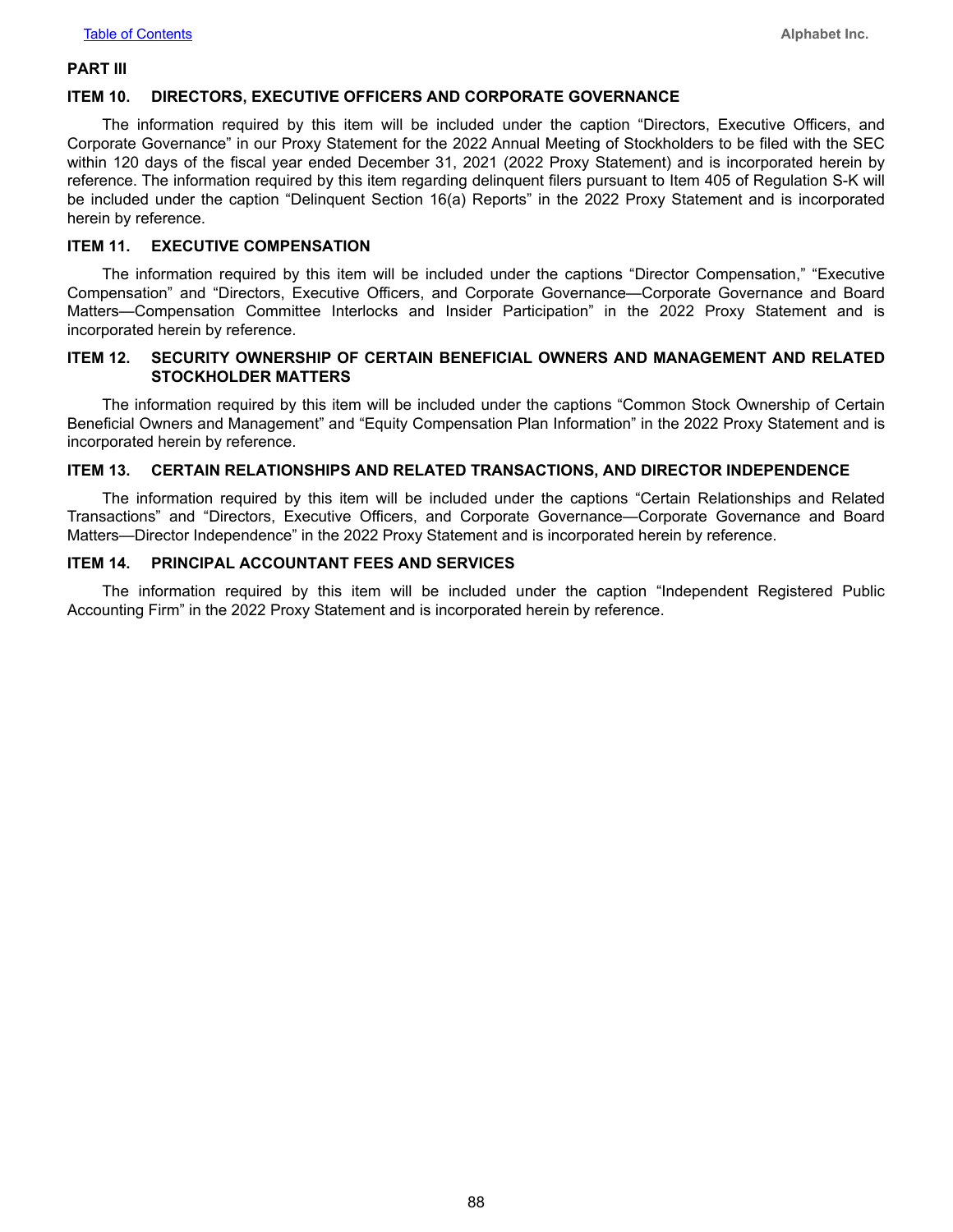# **PART III**

# **ITEM 10. DIRECTORS, EXECUTIVE OFFICERS AND CORPORATE GOVERNANCE**

The information required by this item will be included under the caption "Directors, Executive Officers, and Corporate Governance" in our Proxy Statement for the 2022 Annual Meeting of Stockholders to be filed with the SEC within 120 days of the fiscal year ended December 31, 2021 (2022 Proxy Statement) and is incorporated herein by reference. The information required by this item regarding delinquent filers pursuant to Item 405 of Regulation S-K will be included under the caption "Delinquent Section 16(a) Reports" in the 2022 Proxy Statement and is incorporated herein by reference.

### **ITEM 11. EXECUTIVE COMPENSATION**

The information required by this item will be included under the captions "Director Compensation," "Executive Compensation" and "Directors, Executive Officers, and Corporate Governance—Corporate Governance and Board Matters—Compensation Committee Interlocks and Insider Participation" in the 2022 Proxy Statement and is incorporated herein by reference.

# **ITEM 12. SECURITY OWNERSHIP OF CERTAIN BENEFICIAL OWNERS AND MANAGEMENT AND RELATED STOCKHOLDER MATTERS**

The information required by this item will be included under the captions "Common Stock Ownership of Certain Beneficial Owners and Management" and "Equity Compensation Plan Information" in the 2022 Proxy Statement and is incorporated herein by reference.

# **ITEM 13. CERTAIN RELATIONSHIPS AND RELATED TRANSACTIONS, AND DIRECTOR INDEPENDENCE**

The information required by this item will be included under the captions "Certain Relationships and Related Transactions" and "Directors, Executive Officers, and Corporate Governance—Corporate Governance and Board Matters—Director Independence" in the 2022 Proxy Statement and is incorporated herein by reference.

# **ITEM 14. PRINCIPAL ACCOUNTANT FEES AND SERVICES**

The information required by this item will be included under the caption "Independent Registered Public Accounting Firm" in the 2022 Proxy Statement and is incorporated herein by reference.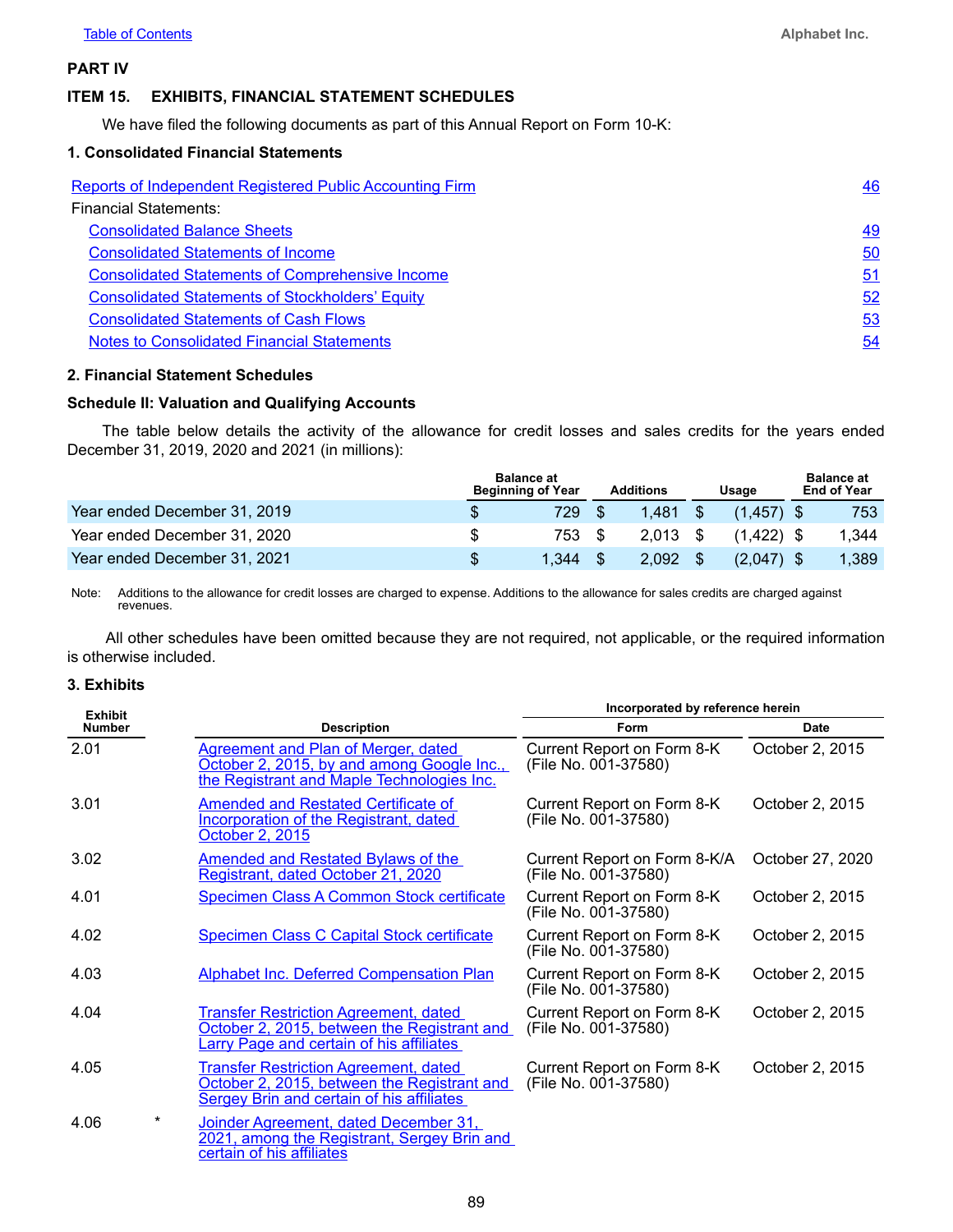# **ITEM 15. EXHIBITS, FINANCIAL STATEMENT SCHEDULES**

We have filed the following documents as part of this Annual Report on Form 10-K:

# **1. Consolidated Financial Statements**

| Reports of Independent Registered Public Accounting Firm |           |  |
|----------------------------------------------------------|-----------|--|
| <b>Financial Statements:</b>                             |           |  |
| <b>Consolidated Balance Sheets</b>                       | <u>49</u> |  |
| <b>Consolidated Statements of Income</b>                 | 50        |  |
| <b>Consolidated Statements of Comprehensive Income</b>   | 51        |  |
| <b>Consolidated Statements of Stockholders' Equity</b>   | 52        |  |
| <b>Consolidated Statements of Cash Flows</b>             | 53        |  |
| <b>Notes to Consolidated Financial Statements</b>        | 54        |  |

# **2. Financial Statement Schedules**

# **Schedule II: Valuation and Qualifying Accounts**

The table below details the activity of the allowance for credit losses and sales credits for the years ended December 31, 2019, 2020 and 2021 (in millions):

|                              | <b>Balance at</b><br><b>Beginning of Year</b> | <b>Additions</b> | Usage        | <b>Balance at</b><br><b>End of Year</b> |
|------------------------------|-----------------------------------------------|------------------|--------------|-----------------------------------------|
| Year ended December 31, 2019 | 729.                                          | 1.481            | $(1.457)$ \$ | 753                                     |
| Year ended December 31, 2020 | \$<br>753.                                    | $2.013$ \$       | $(1.422)$ \$ | 1,344                                   |
| Year ended December 31, 2021 | \$<br>1.344                                   | 2.092            | $(2.047)$ \$ | 1.389                                   |

Note: Additions to the allowance for credit losses are charged to expense. Additions to the allowance for sales credits are charged against revenues.

All other schedules have been omitted because they are not required, not applicable, or the required information is otherwise included.

### **3. Exhibits**

| <b>Exhibit</b> |                                                                                                                                                 | Incorporated by reference herein                     |                  |  |  |
|----------------|-------------------------------------------------------------------------------------------------------------------------------------------------|------------------------------------------------------|------------------|--|--|
| <b>Number</b>  | <b>Description</b>                                                                                                                              | Form                                                 | <b>Date</b>      |  |  |
| 2.01           | Agreement and Plan of Merger, dated<br>October 2, 2015, by and among Google Inc.,<br>the Registrant and Maple Technologies Inc.                 | Current Report on Form 8-K<br>(File No. 001-37580)   | October 2, 2015  |  |  |
| 3.01           | <b>Amended and Restated Certificate of</b><br><b>Incorporation of the Registrant, dated</b><br>October 2, 2015                                  | Current Report on Form 8-K<br>(File No. 001-37580)   | October 2, 2015  |  |  |
| 3.02           | Amended and Restated Bylaws of the<br>Registrant, dated October 21, 2020                                                                        | Current Report on Form 8-K/A<br>(File No. 001-37580) | October 27, 2020 |  |  |
| 4.01           | Specimen Class A Common Stock certificate                                                                                                       | Current Report on Form 8-K<br>(File No. 001-37580)   | October 2, 2015  |  |  |
| 4.02           | Specimen Class C Capital Stock certificate                                                                                                      | Current Report on Form 8-K<br>(File No. 001-37580)   | October 2, 2015  |  |  |
| 4.03           | <b>Alphabet Inc. Deferred Compensation Plan</b>                                                                                                 | Current Report on Form 8-K<br>(File No. 001-37580)   | October 2, 2015  |  |  |
| 4.04           | <b>Transfer Restriction Agreement, dated</b><br>October 2, 2015, between the Registrant and<br><b>Larry Page and certain of his affiliates</b>  | Current Report on Form 8-K<br>(File No. 001-37580)   | October 2, 2015  |  |  |
| 4.05           | <b>Transfer Restriction Agreement, dated</b><br>October 2, 2015, between the Registrant and<br><b>Sergey Brin and certain of his affiliates</b> | Current Report on Form 8-K<br>(File No. 001-37580)   | October 2, 2015  |  |  |
| *<br>4.06      | Joinder Agreement, dated December 31,<br>2021, among the Registrant, Sergey Brin and<br>certain of his affiliates                               |                                                      |                  |  |  |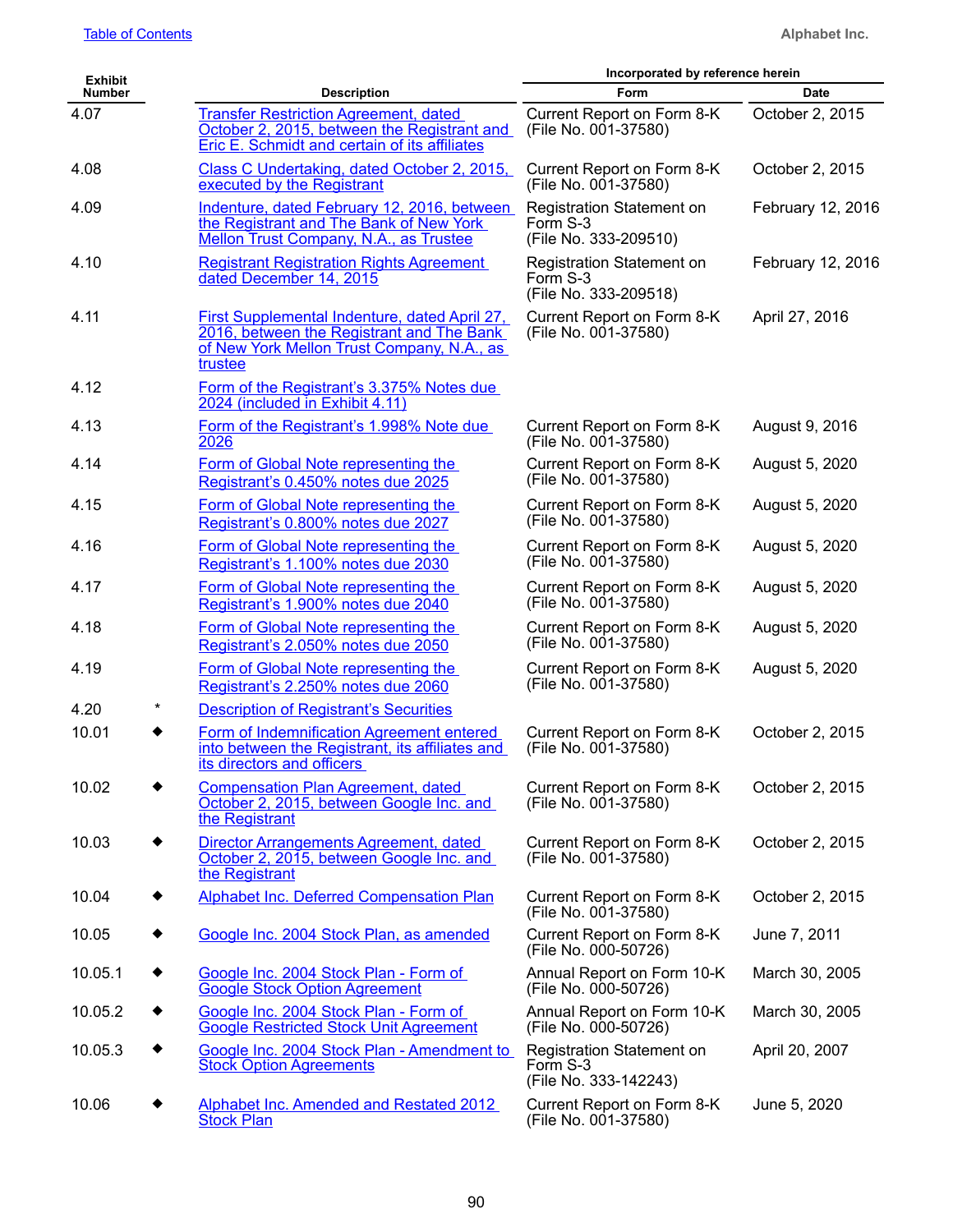| <b>Exhibit</b> |                                                                                                                                                            | Incorporated by reference herein                                      |                   |  |
|----------------|------------------------------------------------------------------------------------------------------------------------------------------------------------|-----------------------------------------------------------------------|-------------------|--|
| <b>Number</b>  | <b>Description</b>                                                                                                                                         | Form                                                                  | <b>Date</b>       |  |
| 4.07           | <b>Transfer Restriction Agreement, dated</b><br>October 2, 2015, between the Registrant and<br>Eric E. Schmidt and certain of its affiliates               | Current Report on Form 8-K<br>(File No. 001-37580)                    | October 2, 2015   |  |
| 4.08           | Class C Undertaking, dated October 2, 2015,<br>executed by the Registrant                                                                                  | Current Report on Form 8-K<br>(File No. 001-37580)                    | October 2, 2015   |  |
| 4.09           | Indenture, dated February 12, 2016, between<br>the Registrant and The Bank of New York<br>Mellon Trust Company, N.A., as Trustee                           | <b>Registration Statement on</b><br>Form S-3<br>(File No. 333-209510) | February 12, 2016 |  |
| 4.10           | <b>Registrant Registration Rights Agreement</b><br>dated December 14, 2015                                                                                 | <b>Registration Statement on</b><br>Form S-3<br>(File No. 333-209518) | February 12, 2016 |  |
| 4.11           | <b>First Supplemental Indenture, dated April 27,</b><br>2016, between the Registrant and The Bank<br>of New York Mellon Trust Company, N.A., as<br>trustee | Current Report on Form 8-K<br>(File No. 001-37580)                    | April 27, 2016    |  |
| 4.12           | Form of the Registrant's 3.375% Notes due<br>2024 (included in Exhibit 4.11)                                                                               |                                                                       |                   |  |
| 4.13           | Form of the Registrant's 1.998% Note due<br>2026                                                                                                           | Current Report on Form 8-K<br>(File No. 001-37580)                    | August 9, 2016    |  |
| 4.14           | Form of Global Note representing the<br>Registrant's 0.450% notes due 2025                                                                                 | Current Report on Form 8-K<br>(File No. 001-37580)                    | August 5, 2020    |  |
| 4.15           | Form of Global Note representing the<br>Registrant's 0.800% notes due 2027                                                                                 | Current Report on Form 8-K<br>(File No. 001-37580)                    | August 5, 2020    |  |
| 4.16           | Form of Global Note representing the<br>Registrant's 1.100% notes due 2030                                                                                 | Current Report on Form 8-K<br>(File No. 001-37580)                    | August 5, 2020    |  |
| 4.17           | Form of Global Note representing the<br>Registrant's 1.900% notes due 2040                                                                                 | Current Report on Form 8-K<br>(File No. 001-37580)                    | August 5, 2020    |  |
| 4.18           | Form of Global Note representing the<br>Registrant's 2.050% notes due 2050                                                                                 | Current Report on Form 8-K<br>(File No. 001-37580)                    | August 5, 2020    |  |
| 4.19           | Form of Global Note representing the<br>Registrant's 2.250% notes due 2060                                                                                 | Current Report on Form 8-K<br>(File No. 001-37580)                    | August 5, 2020    |  |
| 4.20           | <b>Description of Registrant's Securities</b>                                                                                                              |                                                                       |                   |  |
| 10.01          | Form of Indemnification Agreement entered<br>into between the Registrant, its affiliates and<br>its directors and officers                                 | Current Report on Form 8-K<br>(File No. 001-37580)                    | October 2, 2015   |  |
| 10.02          | <b>Compensation Plan Agreement, dated</b><br>October 2, 2015, between Google Inc. and<br>the Registrant                                                    | Current Report on Form 8-K<br>(File No. 001-37580)                    | October 2, 2015   |  |
| 10.03          | Director Arrangements Agreement, dated<br>October 2, 2015, between Google Inc. and<br>the Registrant                                                       | Current Report on Form 8-K<br>(File No. 001-37580)                    | October 2, 2015   |  |
| 10.04          | Alphabet Inc. Deferred Compensation Plan                                                                                                                   | Current Report on Form 8-K<br>(File No. 001-37580)                    | October 2, 2015   |  |
| 10.05          | Google Inc. 2004 Stock Plan, as amended                                                                                                                    | Current Report on Form 8-K<br>(File No. 000-50726)                    | June 7, 2011      |  |
| 10.05.1        | Google Inc. 2004 Stock Plan - Form of<br><b>Google Stock Option Agreement</b>                                                                              | Annual Report on Form 10-K<br>(File No. 000-50726)                    | March 30, 2005    |  |
| 10.05.2        | Google Inc. 2004 Stock Plan - Form of<br><b>Google Restricted Stock Unit Agreement</b>                                                                     | Annual Report on Form 10-K<br>(File No. 000-50726)                    | March 30, 2005    |  |
| 10.05.3        | Google Inc. 2004 Stock Plan - Amendment to<br><b>Stock Option Agreements</b>                                                                               | Registration Statement on<br>Form S-3<br>(File No. 333-142243)        | April 20, 2007    |  |
| 10.06          | Alphabet Inc. Amended and Restated 2012<br><b>Stock Plan</b>                                                                                               | Current Report on Form 8-K<br>(File No. 001-37580)                    | June 5, 2020      |  |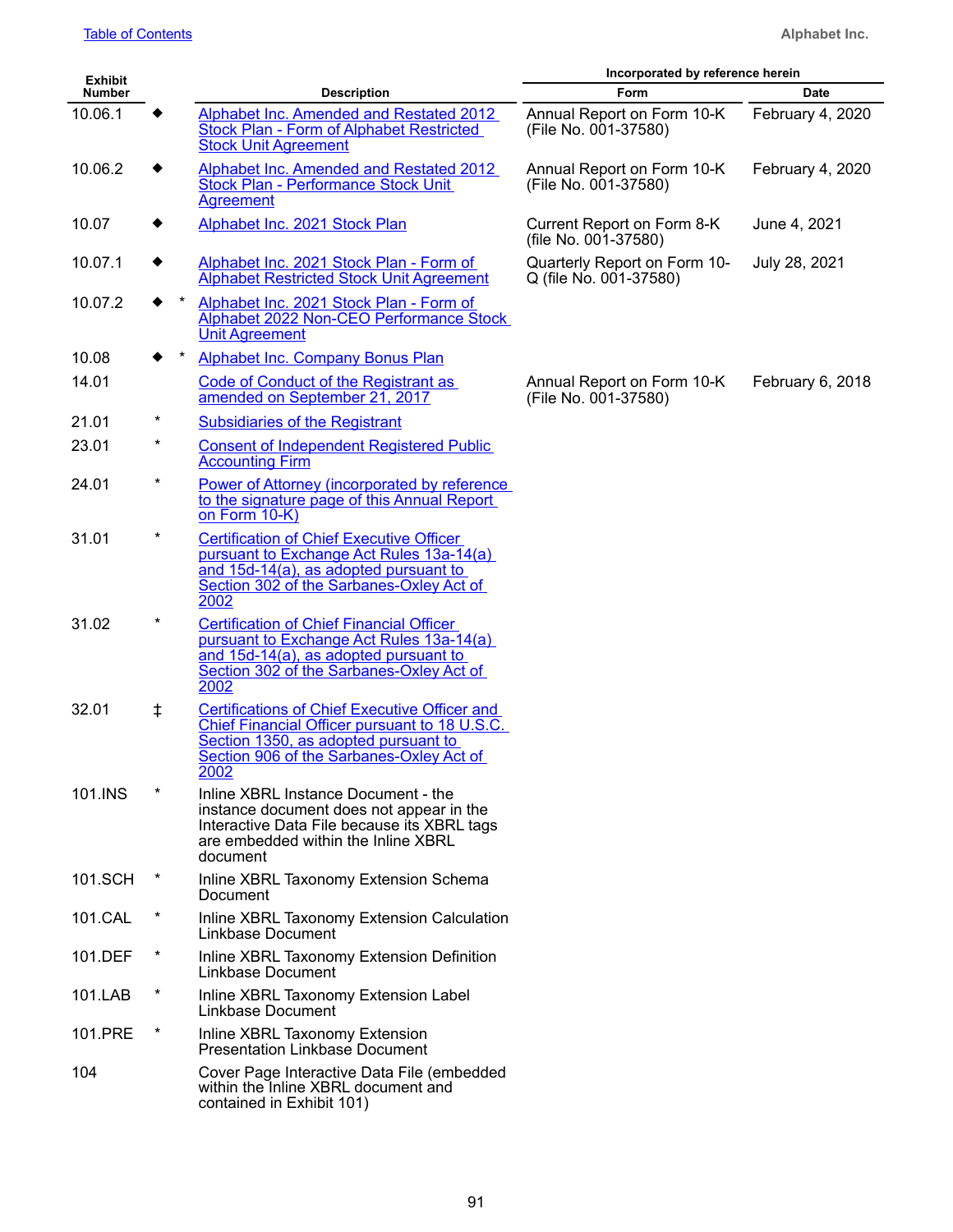| <b>Exhibit</b> |          |                                                                                                                                                                                                   | Incorporated by reference herein                       |                  |  |  |
|----------------|----------|---------------------------------------------------------------------------------------------------------------------------------------------------------------------------------------------------|--------------------------------------------------------|------------------|--|--|
| <b>Number</b>  |          | <b>Description</b>                                                                                                                                                                                | Form                                                   | <b>Date</b>      |  |  |
| 10.06.1        |          | Alphabet Inc. Amended and Restated 2012<br><b>Stock Plan - Form of Alphabet Restricted</b><br><b>Stock Unit Agreement</b>                                                                         | Annual Report on Form 10-K<br>(File No. 001-37580)     | February 4, 2020 |  |  |
| 10.06.2        |          | Alphabet Inc. Amended and Restated 2012<br><b>Stock Plan - Performance Stock Unit</b><br><b>Agreement</b>                                                                                         | Annual Report on Form 10-K<br>(File No. 001-37580)     | February 4, 2020 |  |  |
| 10.07          |          | Alphabet Inc. 2021 Stock Plan                                                                                                                                                                     | Current Report on Form 8-K<br>(file No. 001-37580)     | June 4, 2021     |  |  |
| 10.07.1        |          | Alphabet Inc. 2021 Stock Plan - Form of<br><b>Alphabet Restricted Stock Unit Agreement</b>                                                                                                        | Quarterly Report on Form 10-<br>Q (file No. 001-37580) | July 28, 2021    |  |  |
| 10.07.2        |          | Alphabet Inc. 2021 Stock Plan - Form of<br>Alphabet 2022 Non-CEO Performance Stock<br><b>Unit Agreement</b>                                                                                       |                                                        |                  |  |  |
| 10.08          |          | <b>Alphabet Inc. Company Bonus Plan</b>                                                                                                                                                           |                                                        |                  |  |  |
| 14.01          |          | Code of Conduct of the Registrant as<br>amended on September 21, 2017                                                                                                                             | Annual Report on Form 10-K<br>(File No. 001-37580)     | February 6, 2018 |  |  |
| 21.01          | *        | <b>Subsidiaries of the Registrant</b>                                                                                                                                                             |                                                        |                  |  |  |
| 23.01          | *        | <b>Consent of Independent Registered Public</b><br><b>Accounting Firm</b>                                                                                                                         |                                                        |                  |  |  |
| 24.01          | $^\star$ | <b>Power of Attorney (incorporated by reference)</b><br>to the signature page of this Annual Report<br>on Form 10-K)                                                                              |                                                        |                  |  |  |
| 31.01          | *        | <b>Certification of Chief Executive Officer</b><br>pursuant to Exchange Act Rules 13a-14(a)<br>and 15d-14(a), as adopted pursuant to<br>Section 302 of the Sarbanes-Oxley Act of<br>2002          |                                                        |                  |  |  |
| 31.02          | *        | <b>Certification of Chief Financial Officer</b><br>pursuant to Exchange Act Rules 13a-14(a)<br>and 15d-14(a), as adopted pursuant to<br>Section 302 of the Sarbanes-Oxley Act of<br>2002          |                                                        |                  |  |  |
| 32.01          | ŧ        | <b>Certifications of Chief Executive Officer and</b><br>Chief Financial Officer pursuant to 18 U.S.C.<br>Section 1350, as adopted pursuant to<br>Section 906 of the Sarbanes-Oxley Act of<br>2002 |                                                        |                  |  |  |
| 101.INS        | *        | Inline XBRL Instance Document - the<br>instance document does not appear in the<br>Interactive Data File because its XBRL tags<br>are embedded within the Inline XBRL<br>document                 |                                                        |                  |  |  |
| 101.SCH        | *        | Inline XBRL Taxonomy Extension Schema<br>Document                                                                                                                                                 |                                                        |                  |  |  |
| 101.CAL        | *        | Inline XBRL Taxonomy Extension Calculation<br>Linkbase Document                                                                                                                                   |                                                        |                  |  |  |
| 101.DEF        | *        | Inline XBRL Taxonomy Extension Definition<br>Linkbase Document                                                                                                                                    |                                                        |                  |  |  |
| 101.LAB        | *        | Inline XBRL Taxonomy Extension Label<br>Linkbase Document                                                                                                                                         |                                                        |                  |  |  |
| 101.PRE        | *        | Inline XBRL Taxonomy Extension<br><b>Presentation Linkbase Document</b>                                                                                                                           |                                                        |                  |  |  |
| 104            |          | Cover Page Interactive Data File (embedded<br>within the Inline XBRL document and<br>contained in Exhibit 101)                                                                                    |                                                        |                  |  |  |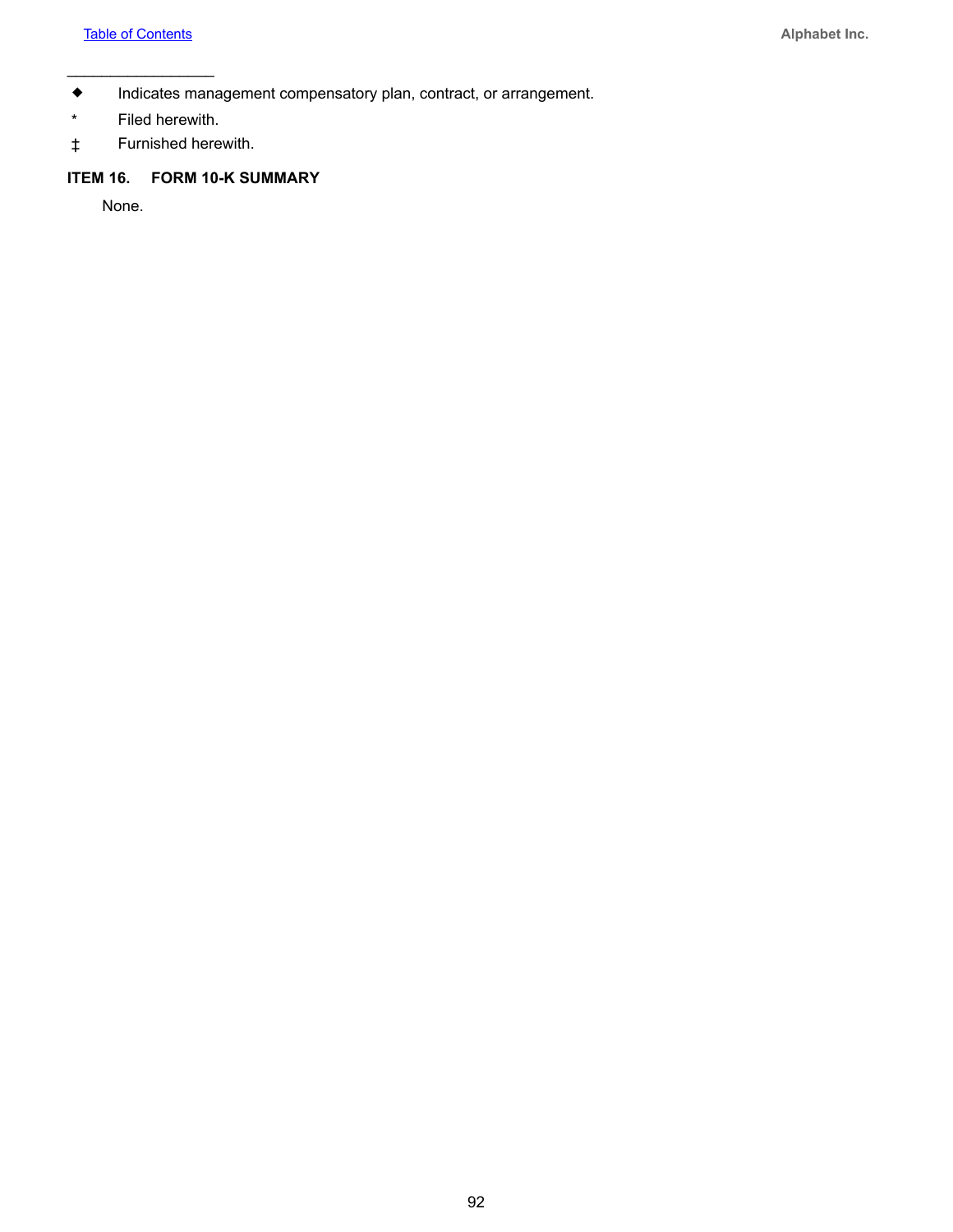$\overline{\phantom{a}}$  . The set of the set of the set of the set of the set of the set of the set of the set of the set of the set of the set of the set of the set of the set of the set of the set of the set of the set of the set o

- $\blacklozenge$  Indicates management compensatory plan, contract, or arrangement.
- \* Filed herewith.
- ‡ Furnished herewith.

# **ITEM 16. FORM 10-K SUMMARY**

None.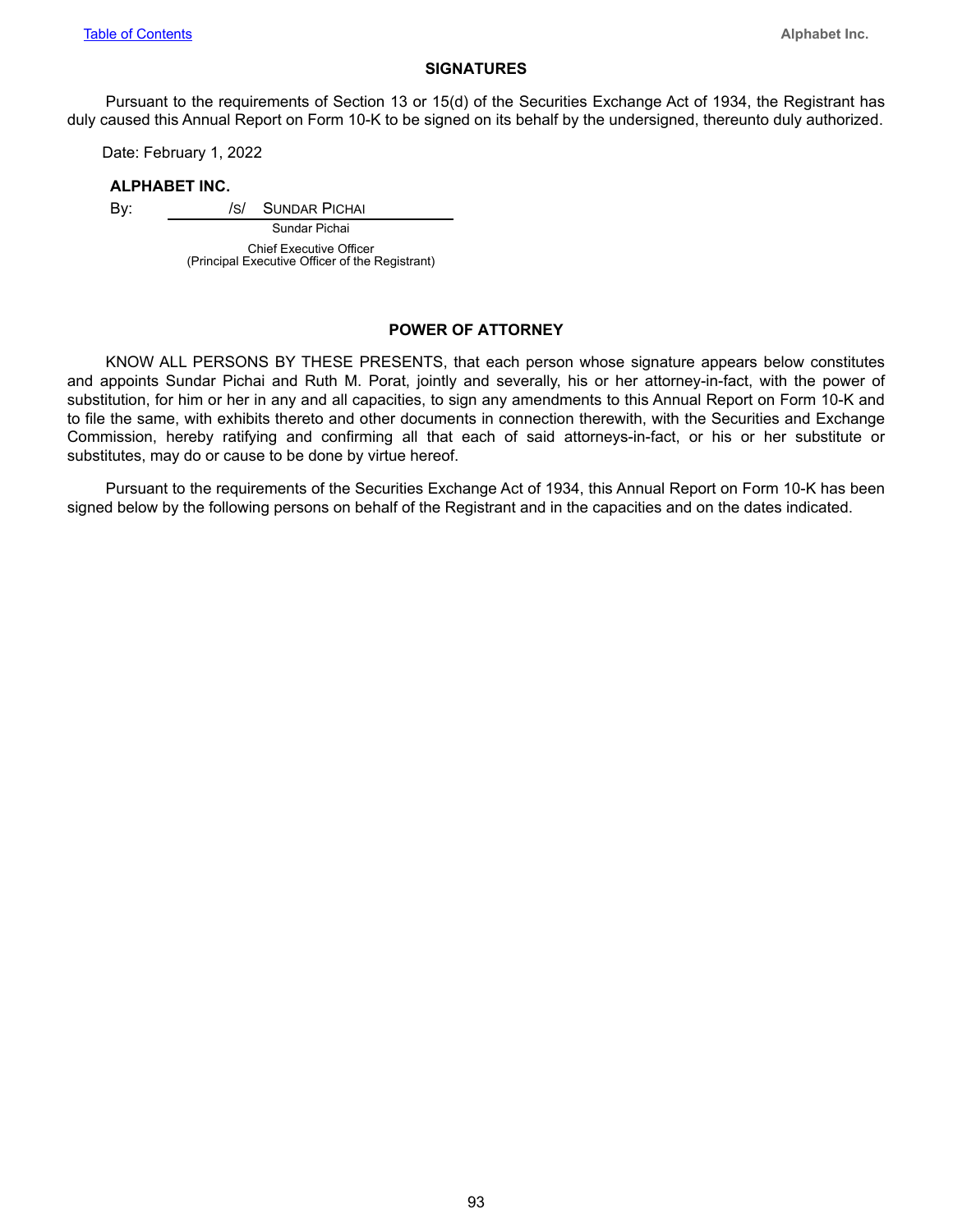#### **SIGNATURES**

<span id="page-93-0"></span>Pursuant to the requirements of Section 13 or 15(d) of the Securities Exchange Act of 1934, the Registrant has duly caused this Annual Report on Form 10-K to be signed on its behalf by the undersigned, thereunto duly authorized.

Date: February 1, 2022

### **ALPHABET INC.**

By: /s/ SUNDAR PICHAI

Sundar Pichai Chief Executive Officer (Principal Executive Officer of the Registrant)

#### **POWER OF ATTORNEY**

KNOW ALL PERSONS BY THESE PRESENTS, that each person whose signature appears below constitutes and appoints Sundar Pichai and Ruth M. Porat, jointly and severally, his or her attorney-in-fact, with the power of substitution, for him or her in any and all capacities, to sign any amendments to this Annual Report on Form 10-K and to file the same, with exhibits thereto and other documents in connection therewith, with the Securities and Exchange Commission, hereby ratifying and confirming all that each of said attorneys-in-fact, or his or her substitute or substitutes, may do or cause to be done by virtue hereof.

Pursuant to the requirements of the Securities Exchange Act of 1934, this Annual Report on Form 10-K has been signed below by the following persons on behalf of the Registrant and in the capacities and on the dates indicated.